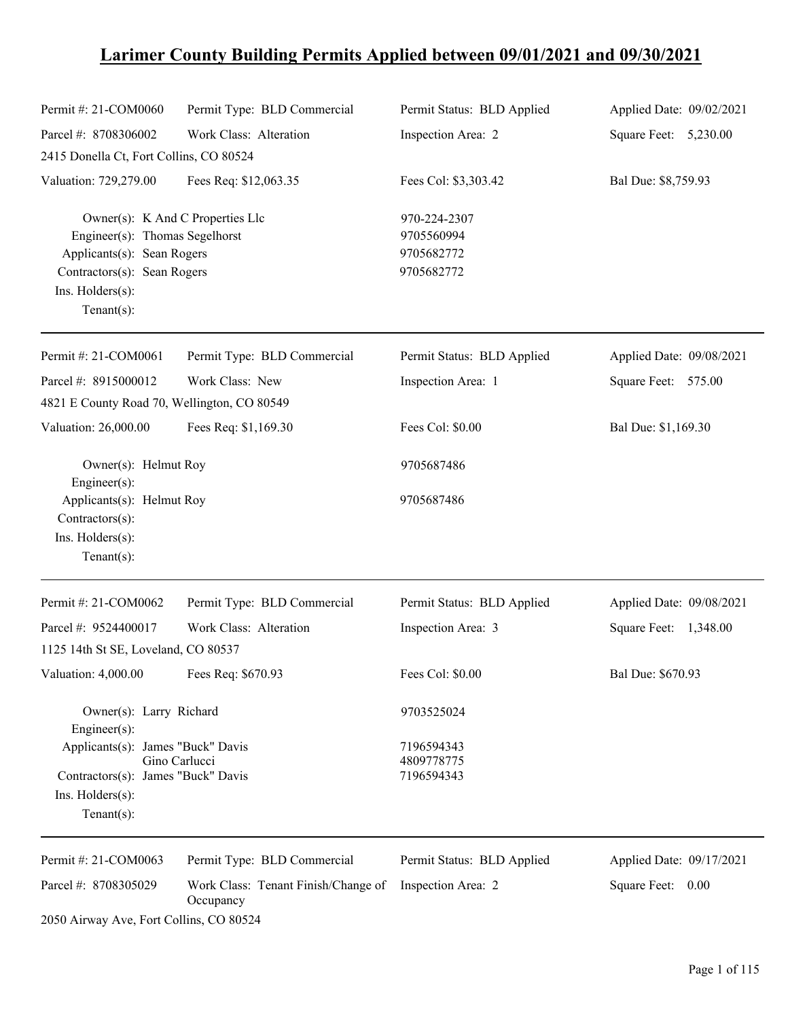# **Larimer County Building Permits Applied between 09/01/2021 and 09/30/2021**

| Permit #: 21-COM0060                                                                                                                                                 | Permit Type: BLD Commercial                      | Permit Status: BLD Applied                             | Applied Date: 09/02/2021 |
|----------------------------------------------------------------------------------------------------------------------------------------------------------------------|--------------------------------------------------|--------------------------------------------------------|--------------------------|
| Parcel #: 8708306002                                                                                                                                                 | Work Class: Alteration                           | Inspection Area: 2                                     | Square Feet: 5,230.00    |
| 2415 Donella Ct, Fort Collins, CO 80524                                                                                                                              |                                                  |                                                        |                          |
| Valuation: 729,279.00                                                                                                                                                | Fees Req: \$12,063.35                            | Fees Col: \$3,303.42                                   | Bal Due: \$8,759.93      |
| Owner(s): K And C Properties Llc<br>Engineer(s): Thomas Segelhorst<br>Applicants(s): Sean Rogers<br>Contractors(s): Sean Rogers<br>Ins. Holders(s):<br>$Tenant(s)$ : |                                                  | 970-224-2307<br>9705560994<br>9705682772<br>9705682772 |                          |
| Permit #: 21-COM0061                                                                                                                                                 | Permit Type: BLD Commercial                      | Permit Status: BLD Applied                             | Applied Date: 09/08/2021 |
| Parcel #: 8915000012                                                                                                                                                 | Work Class: New                                  | Inspection Area: 1                                     | Square Feet: 575.00      |
| 4821 E County Road 70, Wellington, CO 80549                                                                                                                          |                                                  |                                                        |                          |
| Valuation: 26,000.00                                                                                                                                                 | Fees Req: \$1,169.30                             | Fees Col: \$0.00                                       | Bal Due: \$1,169.30      |
| Owner(s): Helmut Roy<br>Engineer(s):                                                                                                                                 |                                                  | 9705687486                                             |                          |
| Applicants(s): Helmut Roy<br>Contractors(s):<br>Ins. Holders(s):<br>$Tenant(s)$ :                                                                                    |                                                  | 9705687486                                             |                          |
| Permit #: 21-COM0062                                                                                                                                                 | Permit Type: BLD Commercial                      | Permit Status: BLD Applied                             | Applied Date: 09/08/2021 |
| Parcel #: 9524400017                                                                                                                                                 | Work Class: Alteration                           | Inspection Area: 3                                     | Square Feet: 1,348.00    |
| 1125 14th St SE, Loveland, CO 80537                                                                                                                                  |                                                  |                                                        |                          |
| Valuation: 4,000.00 Fees Req: \$670.93                                                                                                                               |                                                  | Fees Col: \$0.00                                       | Bal Due: \$670.93        |
| Owner(s): Larry Richard<br>Engineer(s):                                                                                                                              |                                                  | 9703525024                                             |                          |
| Applicants(s): James "Buck" Davis<br>Contractors(s): James "Buck" Davis                                                                                              | Gino Carlucci                                    | 7196594343<br>4809778775<br>7196594343                 |                          |
| Ins. Holders(s):<br>$Tenant(s)$ :                                                                                                                                    |                                                  |                                                        |                          |
| Permit #: 21-COM0063                                                                                                                                                 | Permit Type: BLD Commercial                      | Permit Status: BLD Applied                             | Applied Date: 09/17/2021 |
| Parcel #: 8708305029                                                                                                                                                 | Work Class: Tenant Finish/Change of<br>Occupancy | Inspection Area: 2                                     | Square Feet: 0.00        |
| 2050 Airway Ave, Fort Collins, CO 80524                                                                                                                              |                                                  |                                                        |                          |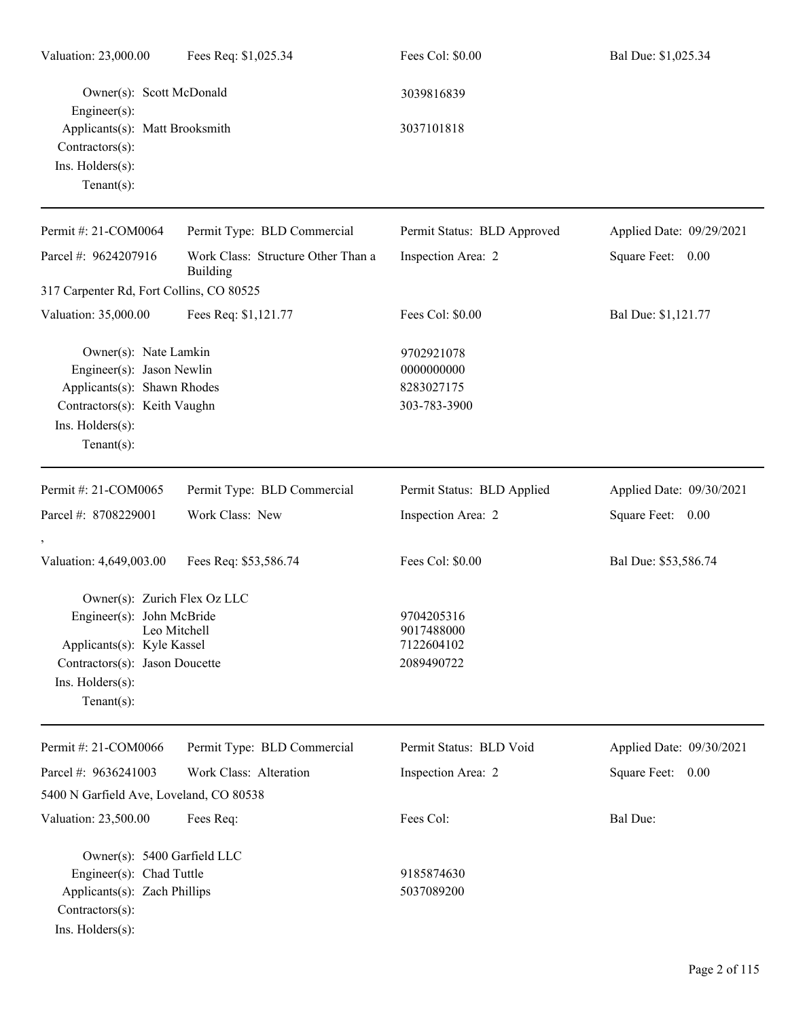| Valuation: 23,000.00                                                                                                                                   | Fees Req: \$1,025.34                                  | Fees Col: \$0.00                                       | Bal Due: \$1,025.34      |
|--------------------------------------------------------------------------------------------------------------------------------------------------------|-------------------------------------------------------|--------------------------------------------------------|--------------------------|
| Owner(s): Scott McDonald<br>Engineer(s):                                                                                                               |                                                       | 3039816839                                             |                          |
| Applicants(s): Matt Brooksmith<br>Contractors(s):<br>Ins. Holders(s):<br>Tenant $(s)$ :                                                                |                                                       | 3037101818                                             |                          |
| Permit #: 21-COM0064                                                                                                                                   | Permit Type: BLD Commercial                           | Permit Status: BLD Approved                            | Applied Date: 09/29/2021 |
| Parcel #: 9624207916                                                                                                                                   | Work Class: Structure Other Than a<br><b>Building</b> | Inspection Area: 2                                     | Square Feet: 0.00        |
| 317 Carpenter Rd, Fort Collins, CO 80525                                                                                                               |                                                       |                                                        |                          |
| Valuation: 35,000.00                                                                                                                                   | Fees Req: \$1,121.77                                  | Fees Col: \$0.00                                       | Bal Due: \$1,121.77      |
| Owner(s): Nate Lamkin<br>Engineer(s): Jason Newlin<br>Applicants(s): Shawn Rhodes<br>Contractors(s): Keith Vaughn<br>Ins. Holders(s):<br>$Tenant(s)$ : |                                                       | 9702921078<br>0000000000<br>8283027175<br>303-783-3900 |                          |
| Permit #: 21-COM0065                                                                                                                                   | Permit Type: BLD Commercial                           | Permit Status: BLD Applied                             | Applied Date: 09/30/2021 |
| Parcel #: 8708229001                                                                                                                                   | Work Class: New                                       | Inspection Area: 2                                     | Square Feet: 0.00        |
| Valuation: 4,649,003.00                                                                                                                                | Fees Req: \$53,586.74                                 | Fees Col: \$0.00                                       | Bal Due: \$53,586.74     |
| Owner(s): Zurich Flex Oz LLC                                                                                                                           |                                                       |                                                        |                          |
| Engineer(s): John McBride                                                                                                                              |                                                       | 9704205316                                             |                          |
| Applicants(s): Kyle Kassel                                                                                                                             | Leo Mitchell                                          | 9017488000<br>7122604102                               |                          |
| Contractors(s): Jason Doucette                                                                                                                         |                                                       | 2089490722                                             |                          |
| Ins. Holders(s):                                                                                                                                       |                                                       |                                                        |                          |
| Tenant $(s)$ :                                                                                                                                         |                                                       |                                                        |                          |
| Permit #: 21-COM0066                                                                                                                                   | Permit Type: BLD Commercial                           | Permit Status: BLD Void                                | Applied Date: 09/30/2021 |
| Parcel #: 9636241003                                                                                                                                   | Work Class: Alteration                                | Inspection Area: 2                                     | Square Feet: 0.00        |
| 5400 N Garfield Ave, Loveland, CO 80538                                                                                                                |                                                       |                                                        |                          |
| Valuation: 23,500.00                                                                                                                                   | Fees Req:                                             | Fees Col:                                              | Bal Due:                 |
| Owner(s): 5400 Garfield LLC                                                                                                                            |                                                       |                                                        |                          |
| Engineer(s): Chad Tuttle                                                                                                                               |                                                       | 9185874630                                             |                          |
| Applicants(s): Zach Phillips                                                                                                                           |                                                       | 5037089200                                             |                          |
| Contractors(s):                                                                                                                                        |                                                       |                                                        |                          |
| Ins. Holders(s):                                                                                                                                       |                                                       |                                                        |                          |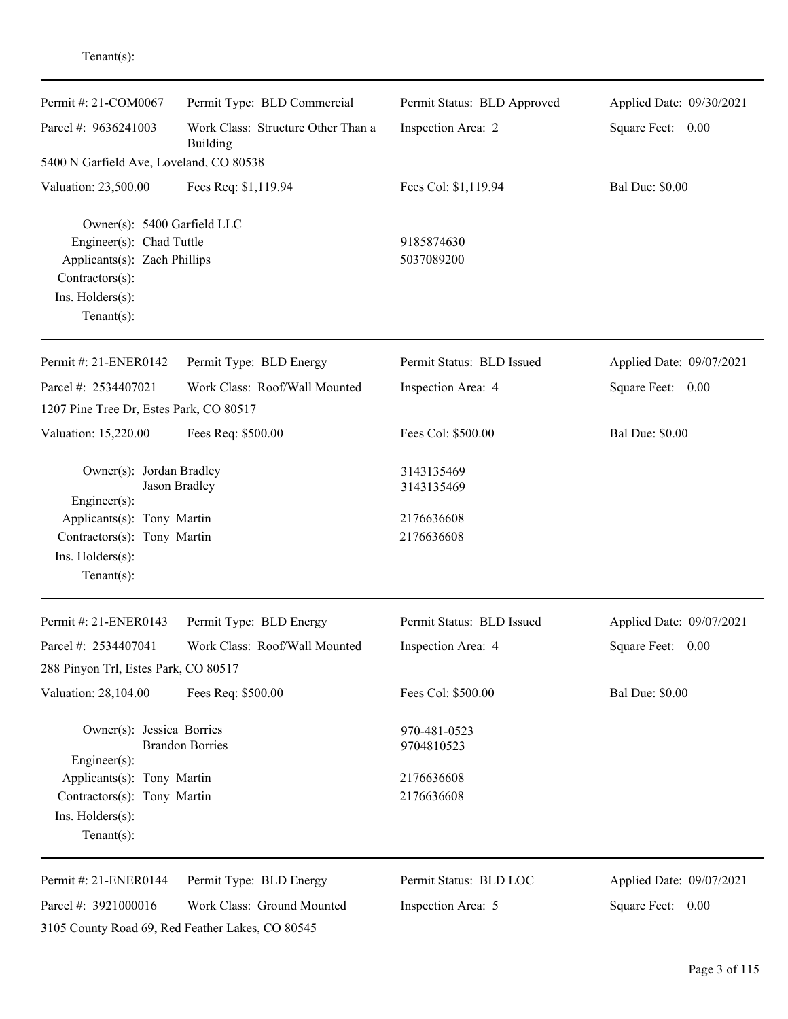| Permit #: 21-COM0067                                                                                                                             | Permit Type: BLD Commercial                      | Permit Status: BLD Approved | Applied Date: 09/30/2021 |  |
|--------------------------------------------------------------------------------------------------------------------------------------------------|--------------------------------------------------|-----------------------------|--------------------------|--|
| Parcel #: 9636241003<br>Work Class: Structure Other Than a<br>Building                                                                           |                                                  | Inspection Area: 2          | Square Feet: 0.00        |  |
| 5400 N Garfield Ave, Loveland, CO 80538                                                                                                          |                                                  |                             |                          |  |
| Valuation: 23,500.00                                                                                                                             | Fees Req: \$1,119.94                             | Fees Col: \$1,119.94        | <b>Bal Due: \$0.00</b>   |  |
| Owner(s): 5400 Garfield LLC<br>Engineer(s): Chad Tuttle<br>Applicants(s): Zach Phillips<br>Contractors(s):<br>Ins. Holders(s):<br>Tenant $(s)$ : |                                                  | 9185874630<br>5037089200    |                          |  |
| Permit #: 21-ENER0142                                                                                                                            | Permit Type: BLD Energy                          | Permit Status: BLD Issued   | Applied Date: 09/07/2021 |  |
| Parcel #: 2534407021                                                                                                                             | Work Class: Roof/Wall Mounted                    | Inspection Area: 4          | Square Feet: 0.00        |  |
| 1207 Pine Tree Dr, Estes Park, CO 80517                                                                                                          |                                                  |                             |                          |  |
| Valuation: 15,220.00                                                                                                                             | Fees Req: \$500.00                               | Fees Col: \$500.00          | <b>Bal Due: \$0.00</b>   |  |
| Owner(s): Jordan Bradley<br>Engineer(s):                                                                                                         | Jason Bradley                                    | 3143135469<br>3143135469    |                          |  |
| Applicants(s): Tony Martin<br>Contractors(s): Tony Martin<br>Ins. Holders(s):<br>Tenant $(s)$ :                                                  |                                                  | 2176636608<br>2176636608    |                          |  |
| Permit #: 21-ENER0143                                                                                                                            | Permit Type: BLD Energy                          | Permit Status: BLD Issued   | Applied Date: 09/07/2021 |  |
| Parcel #: 2534407041                                                                                                                             | Work Class: Roof/Wall Mounted                    | Inspection Area: 4          | Square Feet: 0.00        |  |
| 288 Pinyon Trl, Estes Park, CO 80517                                                                                                             |                                                  |                             |                          |  |
| Valuation: 28,104.00                                                                                                                             | Fees Req: \$500.00                               | Fees Col: \$500.00          | <b>Bal Due: \$0.00</b>   |  |
| Owner(s): Jessica Borries<br>$Engineering(s)$ :                                                                                                  | <b>Brandon Borries</b>                           | 970-481-0523<br>9704810523  |                          |  |
| Applicants(s): Tony Martin                                                                                                                       |                                                  | 2176636608                  |                          |  |
| Contractors(s): Tony Martin                                                                                                                      |                                                  | 2176636608                  |                          |  |
| Ins. Holders(s):                                                                                                                                 |                                                  |                             |                          |  |
| Tenant $(s)$ :                                                                                                                                   |                                                  |                             |                          |  |
| Permit #: 21-ENER0144                                                                                                                            | Permit Type: BLD Energy                          | Permit Status: BLD LOC      | Applied Date: 09/07/2021 |  |
| Parcel #: 3921000016                                                                                                                             | Work Class: Ground Mounted                       | Inspection Area: 5          | Square Feet: 0.00        |  |
|                                                                                                                                                  | 3105 County Road 69, Red Feather Lakes, CO 80545 |                             |                          |  |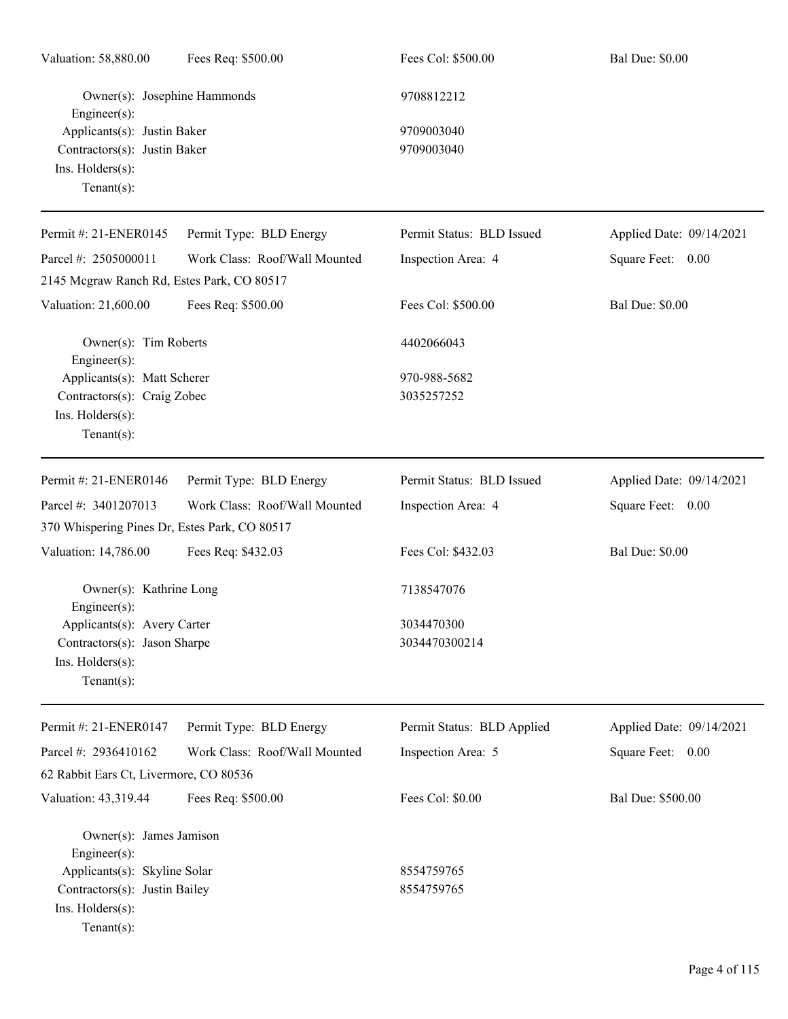| Valuation: 58,880.00                                                                                           | Fees Req: \$500.00            | Fees Col: \$500.00          | <b>Bal Due: \$0.00</b>   |
|----------------------------------------------------------------------------------------------------------------|-------------------------------|-----------------------------|--------------------------|
| Owner(s): Josephine Hammonds<br>$Engineering(s)$ :                                                             |                               | 9708812212                  |                          |
| Applicants(s): Justin Baker<br>Contractors(s): Justin Baker<br>Ins. Holders(s):<br>Tenant $(s)$ :              |                               | 9709003040<br>9709003040    |                          |
| Permit #: 21-ENER0145                                                                                          | Permit Type: BLD Energy       | Permit Status: BLD Issued   | Applied Date: 09/14/2021 |
| Parcel #: 2505000011                                                                                           | Work Class: Roof/Wall Mounted | Inspection Area: 4          | Square Feet: 0.00        |
| 2145 Mcgraw Ranch Rd, Estes Park, CO 80517                                                                     |                               |                             |                          |
| Valuation: 21,600.00                                                                                           | Fees Req: \$500.00            | Fees Col: \$500.00          | <b>Bal Due: \$0.00</b>   |
| Owner(s): Tim Roberts<br>$Engineering(s)$ :                                                                    |                               | 4402066043                  |                          |
| Applicants(s): Matt Scherer<br>Contractors(s): Craig Zobec<br>Ins. Holders(s):<br>Tenant $(s)$ :               |                               | 970-988-5682<br>3035257252  |                          |
| Permit #: 21-ENER0146                                                                                          | Permit Type: BLD Energy       | Permit Status: BLD Issued   | Applied Date: 09/14/2021 |
| Parcel #: 3401207013<br>370 Whispering Pines Dr, Estes Park, CO 80517                                          | Work Class: Roof/Wall Mounted | Inspection Area: 4          | Square Feet: 0.00        |
| Valuation: 14,786.00                                                                                           | Fees Req: \$432.03            | Fees Col: \$432.03          | <b>Bal Due: \$0.00</b>   |
| Owner(s): Kathrine Long<br>$Enginer(s)$ :                                                                      |                               | 7138547076                  |                          |
| Applicants(s): Avery Carter<br>Contractors(s): Jason Sharpe<br>Ins. Holders(s):<br>Tenant $(s)$ :              |                               | 3034470300<br>3034470300214 |                          |
| Permit #: 21-ENER0147                                                                                          | Permit Type: BLD Energy       | Permit Status: BLD Applied  | Applied Date: 09/14/2021 |
| Parcel #: 2936410162<br>62 Rabbit Ears Ct, Livermore, CO 80536                                                 | Work Class: Roof/Wall Mounted | Inspection Area: 5          | Square Feet: 0.00        |
| Valuation: 43,319.44                                                                                           | Fees Req: \$500.00            | Fees Col: \$0.00            | Bal Due: \$500.00        |
| Owner(s): James Jamison<br>$Engineering(s)$ :<br>Applicants(s): Skyline Solar<br>Contractors(s): Justin Bailey |                               | 8554759765<br>8554759765    |                          |
| Ins. Holders(s):<br>Tenant $(s)$ :                                                                             |                               |                             |                          |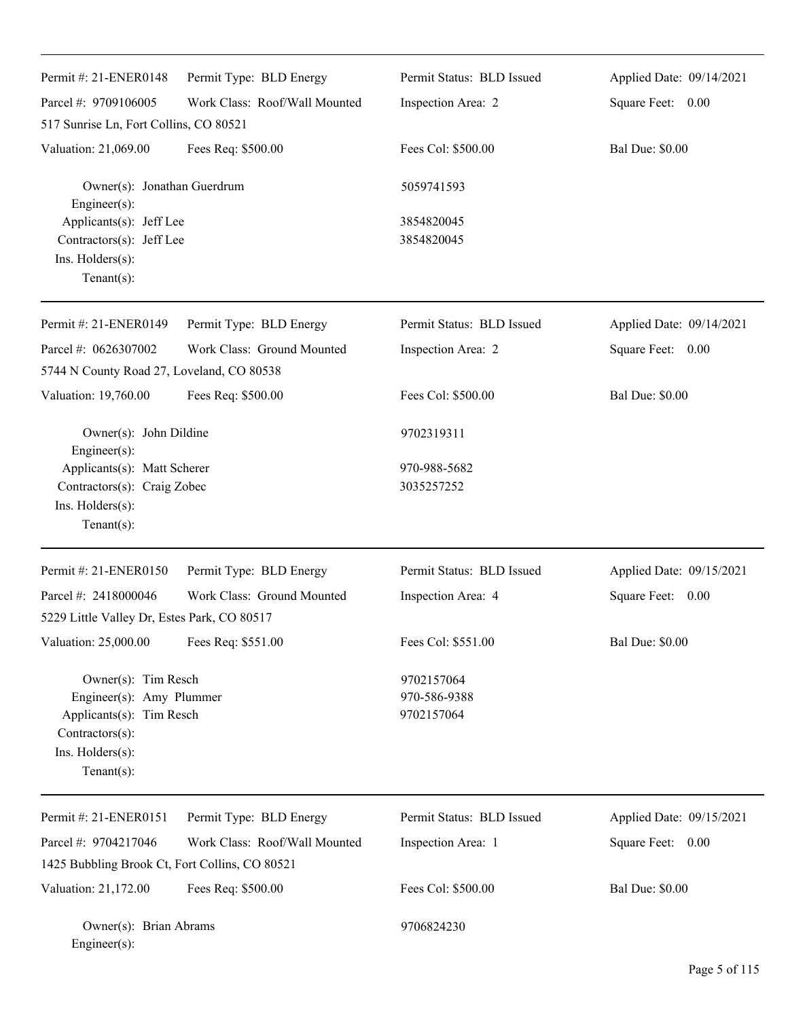| Permit #: 21-ENER0148<br>Parcel #: 9709106005                                                                                        | Permit Type: BLD Energy<br>Work Class: Roof/Wall Mounted | Permit Status: BLD Issued<br>Inspection Area: 2 | Applied Date: 09/14/2021<br>Square Feet: 0.00 |
|--------------------------------------------------------------------------------------------------------------------------------------|----------------------------------------------------------|-------------------------------------------------|-----------------------------------------------|
| 517 Sunrise Ln, Fort Collins, CO 80521                                                                                               |                                                          |                                                 |                                               |
| Valuation: 21,069.00                                                                                                                 | Fees Req: \$500.00                                       | Fees Col: \$500.00                              | <b>Bal Due: \$0.00</b>                        |
| Owner(s): Jonathan Guerdrum<br>Engineer(s):                                                                                          |                                                          | 5059741593                                      |                                               |
| Applicants(s): Jeff Lee<br>Contractors(s): Jeff Lee<br>Ins. Holders(s):<br>$Tenant(s)$ :                                             |                                                          | 3854820045<br>3854820045                        |                                               |
| Permit #: 21-ENER0149                                                                                                                | Permit Type: BLD Energy                                  | Permit Status: BLD Issued                       | Applied Date: 09/14/2021                      |
| Parcel #: 0626307002<br>5744 N County Road 27, Loveland, CO 80538                                                                    | Work Class: Ground Mounted                               | Inspection Area: 2                              | Square Feet: 0.00                             |
| Valuation: 19,760.00                                                                                                                 | Fees Req: \$500.00                                       | Fees Col: \$500.00                              | <b>Bal Due: \$0.00</b>                        |
| Owner(s): John Dildine                                                                                                               |                                                          | 9702319311                                      |                                               |
| Engineer(s):<br>Applicants(s): Matt Scherer<br>Contractors(s): Craig Zobec<br>Ins. Holders(s):<br>$Tenant(s)$ :                      |                                                          | 970-988-5682<br>3035257252                      |                                               |
| Permit #: 21-ENER0150                                                                                                                | Permit Type: BLD Energy                                  | Permit Status: BLD Issued                       | Applied Date: 09/15/2021                      |
| Parcel #: 2418000046<br>5229 Little Valley Dr, Estes Park, CO 80517                                                                  | Work Class: Ground Mounted                               | Inspection Area: 4                              | Square Feet:<br>0.00                          |
| Valuation: 25,000.00                                                                                                                 | Fees Req: \$551.00                                       | Fees Col: \$551.00                              | <b>Bal Due: \$0.00</b>                        |
| Owner(s): Tim Resch<br>Engineer(s): Amy Plummer<br>Applicants(s): Tim Resch<br>Contractors(s):<br>Ins. Holders(s):<br>Tenant $(s)$ : |                                                          | 9702157064<br>970-586-9388<br>9702157064        |                                               |
| Permit #: 21-ENER0151                                                                                                                | Permit Type: BLD Energy                                  | Permit Status: BLD Issued                       | Applied Date: 09/15/2021                      |
| Parcel #: 9704217046                                                                                                                 | Work Class: Roof/Wall Mounted                            | Inspection Area: 1                              | 0.00<br>Square Feet:                          |
| 1425 Bubbling Brook Ct, Fort Collins, CO 80521                                                                                       |                                                          |                                                 |                                               |
| Valuation: 21,172.00                                                                                                                 | Fees Req: \$500.00                                       | Fees Col: \$500.00                              | <b>Bal Due: \$0.00</b>                        |
| Owner(s): Brian Abrams<br>Engineer(s):                                                                                               |                                                          | 9706824230                                      |                                               |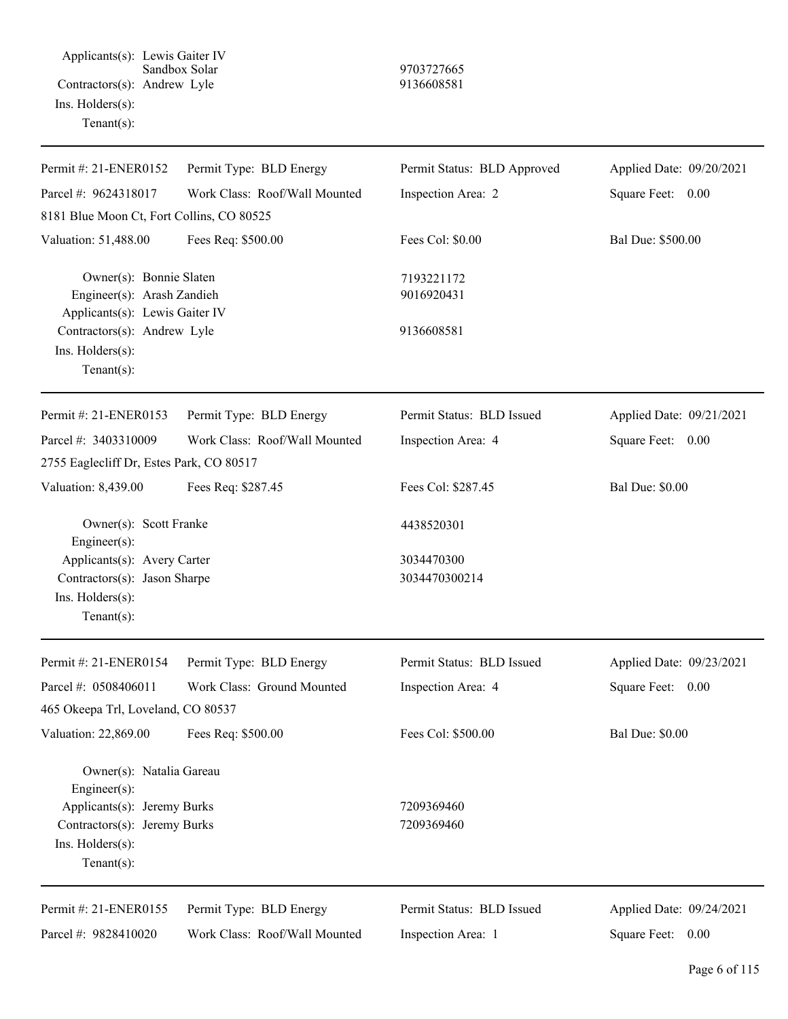Applicants(s): Lewis Gaiter IV Sandbox Solar 9703727665 Contractors(s): Andrew Lyle 9136608581 Ins. Holders(s): Tenant(s):

| Permit #: 21-ENER0152                                                                            | Permit Type: BLD Energy       | Permit Status: BLD Approved | Applied Date: 09/20/2021 |
|--------------------------------------------------------------------------------------------------|-------------------------------|-----------------------------|--------------------------|
| Parcel #: 9624318017                                                                             | Work Class: Roof/Wall Mounted | Inspection Area: 2          | Square Feet: 0.00        |
| 8181 Blue Moon Ct, Fort Collins, CO 80525                                                        |                               |                             |                          |
| Valuation: 51,488.00                                                                             | Fees Req: \$500.00            | Fees Col: \$0.00            | Bal Due: \$500.00        |
| Owner(s): Bonnie Slaten<br>Engineer(s): Arash Zandieh<br>Applicants(s): Lewis Gaiter IV          |                               | 7193221172<br>9016920431    |                          |
| Contractors(s): Andrew Lyle<br>Ins. $H$ olders $(s)$ :<br>Tenant $(s)$ :                         |                               | 9136608581                  |                          |
| Permit #: 21-ENER0153                                                                            | Permit Type: BLD Energy       | Permit Status: BLD Issued   | Applied Date: 09/21/2021 |
| Parcel #: 3403310009                                                                             | Work Class: Roof/Wall Mounted | Inspection Area: 4          | Square Feet: 0.00        |
| 2755 Eaglecliff Dr, Estes Park, CO 80517                                                         |                               |                             |                          |
| Valuation: 8,439.00                                                                              | Fees Req: \$287.45            | Fees Col: \$287.45          | <b>Bal Due: \$0.00</b>   |
| Owner(s): Scott Franke<br>Engineer(s):                                                           |                               | 4438520301                  |                          |
| Applicants(s): Avery Carter<br>Contractors(s): Jason Sharpe<br>Ins. Holders(s):<br>$Tenant(s)$ : |                               | 3034470300<br>3034470300214 |                          |
| Permit #: 21-ENER0154                                                                            | Permit Type: BLD Energy       | Permit Status: BLD Issued   | Applied Date: 09/23/2021 |
| Parcel #: 0508406011                                                                             | Work Class: Ground Mounted    | Inspection Area: 4          | Square Feet: 0.00        |
| 465 Okeepa Trl, Loveland, CO 80537                                                               |                               |                             |                          |
| Valuation: 22,869.00                                                                             | Fees Req: \$500.00            | Fees Col: \$500.00          | <b>Bal Due: \$0.00</b>   |
| Owner(s): Natalia Gareau<br>Engineer(s):                                                         |                               |                             |                          |
| Applicants(s): Jeremy Burks                                                                      |                               | 7209369460                  |                          |
| Contractors(s): Jeremy Burks<br>Ins. Holders(s):<br>$Tenant(s)$ :                                |                               | 7209369460                  |                          |
| Permit #: 21-ENER0155                                                                            | Permit Type: BLD Energy       | Permit Status: BLD Issued   | Applied Date: 09/24/2021 |
| Parcel #: 9828410020                                                                             | Work Class: Roof/Wall Mounted | Inspection Area: 1          | Square Feet: 0.00        |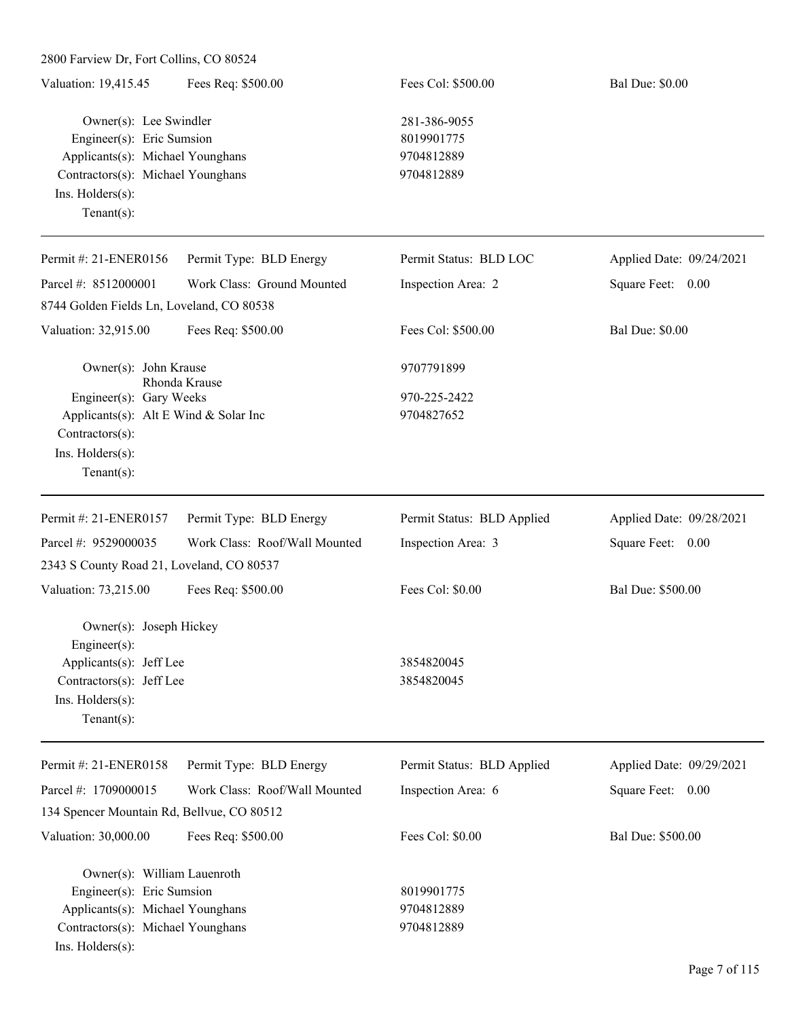| 2800 Farview Dr, Fort Collins, CO 80524                                                                                                          |                               |                                                        |                          |
|--------------------------------------------------------------------------------------------------------------------------------------------------|-------------------------------|--------------------------------------------------------|--------------------------|
| Valuation: 19,415.45                                                                                                                             | Fees Req: \$500.00            | Fees Col: \$500.00                                     | <b>Bal Due: \$0.00</b>   |
| Owner(s): Lee Swindler<br>Engineer(s): Eric Sumsion<br>Applicants(s): Michael Younghans<br>Contractors(s): Michael Younghans<br>Ins. Holders(s): |                               | 281-386-9055<br>8019901775<br>9704812889<br>9704812889 |                          |
| Tenant $(s)$ :                                                                                                                                   |                               |                                                        |                          |
| Permit #: 21-ENER0156                                                                                                                            | Permit Type: BLD Energy       | Permit Status: BLD LOC                                 | Applied Date: 09/24/2021 |
| Parcel #: 8512000001                                                                                                                             | Work Class: Ground Mounted    | Inspection Area: 2                                     | Square Feet: 0.00        |
| 8744 Golden Fields Ln, Loveland, CO 80538                                                                                                        |                               |                                                        |                          |
| Valuation: 32,915.00                                                                                                                             | Fees Req: \$500.00            | Fees Col: \$500.00                                     | <b>Bal Due: \$0.00</b>   |
| Owner(s): John Krause                                                                                                                            |                               | 9707791899                                             |                          |
| Engineer(s): Gary Weeks<br>Applicants(s): Alt E Wind & Solar Inc<br>Contractors(s):<br>Ins. Holders(s):<br>Tenant $(s)$ :                        | Rhonda Krause                 | 970-225-2422<br>9704827652                             |                          |
| Permit #: 21-ENER0157                                                                                                                            | Permit Type: BLD Energy       | Permit Status: BLD Applied                             | Applied Date: 09/28/2021 |
| Parcel #: 9529000035                                                                                                                             | Work Class: Roof/Wall Mounted | Inspection Area: 3                                     | Square Feet: 0.00        |
| 2343 S County Road 21, Loveland, CO 80537                                                                                                        |                               |                                                        |                          |
| Valuation: 73,215.00                                                                                                                             | Fees Req: \$500.00            | Fees Col: \$0.00                                       | Bal Due: \$500.00        |
| Owner(s): Joseph Hickey<br>$Engineering(s)$ :<br>Applicants(s): Jeff Lee<br>Contractors(s): Jeff Lee<br>Ins. Holders(s):<br>Tenant $(s)$ :       |                               | 3854820045<br>3854820045                               |                          |
| Permit #: 21-ENER0158                                                                                                                            | Permit Type: BLD Energy       | Permit Status: BLD Applied                             | Applied Date: 09/29/2021 |
| Parcel #: 1709000015                                                                                                                             | Work Class: Roof/Wall Mounted | Inspection Area: 6                                     | Square Feet: 0.00        |
| 134 Spencer Mountain Rd, Bellvue, CO 80512                                                                                                       |                               |                                                        |                          |
| Valuation: 30,000.00                                                                                                                             | Fees Req: \$500.00            | Fees Col: \$0.00                                       | Bal Due: \$500.00        |
| Owner(s): William Lauenroth<br>Engineer(s): Eric Sumsion<br>Applicants(s): Michael Younghans<br>Contractors(s): Michael Younghans                |                               | 8019901775<br>9704812889<br>9704812889                 |                          |
| Ins. Holders(s):                                                                                                                                 |                               |                                                        |                          |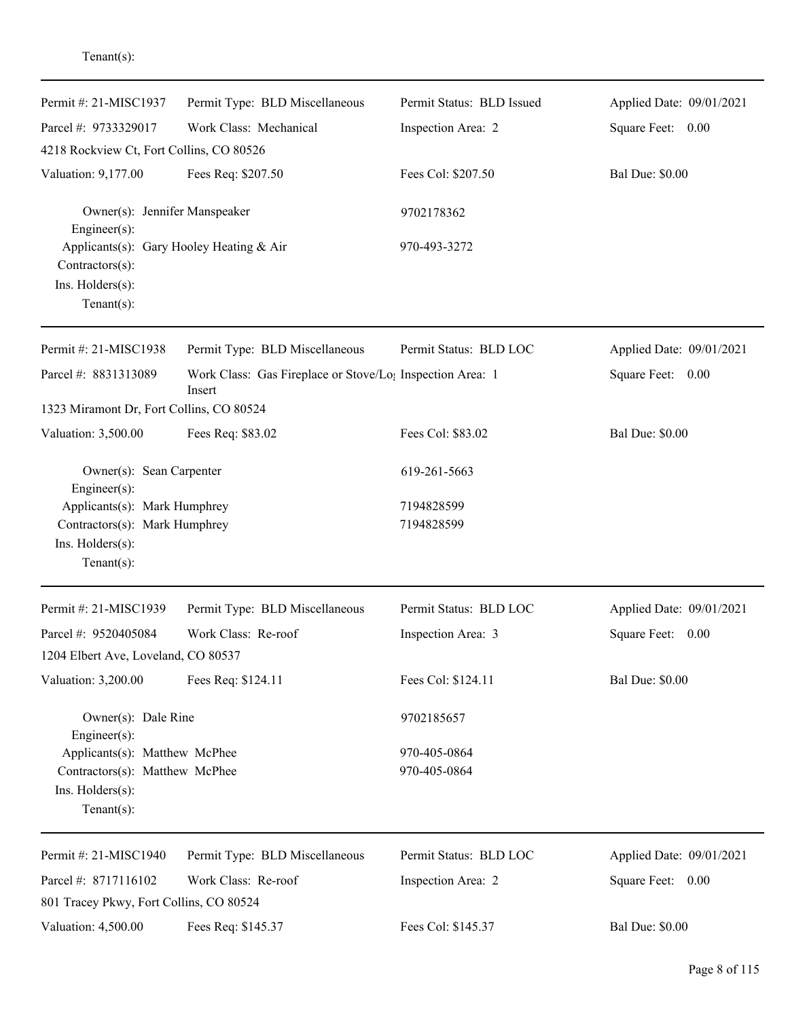| Permit #: 21-MISC1937                         | Permit Type: BLD Miscellaneous                                                  | Permit Status: BLD Issued | Applied Date: 09/01/2021 |
|-----------------------------------------------|---------------------------------------------------------------------------------|---------------------------|--------------------------|
| Parcel #: 9733329017                          | Work Class: Mechanical                                                          | Inspection Area: 2        | Square Feet: 0.00        |
| 4218 Rockview Ct, Fort Collins, CO 80526      |                                                                                 |                           |                          |
| Valuation: 9,177.00                           | Fees Req: \$207.50                                                              | Fees Col: \$207.50        | <b>Bal Due: \$0.00</b>   |
| Owner(s): Jennifer Manspeaker<br>Engineer(s): |                                                                                 | 9702178362                |                          |
| Contractors(s):                               | Applicants(s): Gary Hooley Heating & Air                                        | 970-493-3272              |                          |
| Ins. Holders(s):                              |                                                                                 |                           |                          |
| Tenant $(s)$ :                                |                                                                                 |                           |                          |
| Permit #: 21-MISC1938                         | Permit Type: BLD Miscellaneous                                                  | Permit Status: BLD LOC    | Applied Date: 09/01/2021 |
| Parcel #: 8831313089                          | Work Class: Gas Fireplace or Stove/Lo <sub>1</sub> Inspection Area: 1<br>Insert |                           | Square Feet: 0.00        |
| 1323 Miramont Dr, Fort Collins, CO 80524      |                                                                                 |                           |                          |
| Valuation: 3,500.00                           | Fees Req: \$83.02                                                               | Fees Col: \$83.02         | <b>Bal Due: \$0.00</b>   |
| Owner(s): Sean Carpenter<br>Engineer(s):      |                                                                                 | 619-261-5663              |                          |
| Applicants(s): Mark Humphrey                  |                                                                                 | 7194828599                |                          |
| Contractors(s): Mark Humphrey                 |                                                                                 | 7194828599                |                          |
| Ins. Holders(s):<br>$Tenant(s)$ :             |                                                                                 |                           |                          |
|                                               |                                                                                 |                           |                          |
| Permit #: 21-MISC1939                         | Permit Type: BLD Miscellaneous                                                  | Permit Status: BLD LOC    | Applied Date: 09/01/2021 |
| Parcel #: 9520405084                          | Work Class: Re-roof                                                             | Inspection Area: 3        | Square Feet:<br>0.00     |
| 1204 Elbert Ave, Loveland, CO 80537           |                                                                                 |                           |                          |
| Valuation: 3,200.00                           | Fees Req: \$124.11                                                              | Fees Col: \$124.11        | <b>Bal Due: \$0.00</b>   |
| Owner(s): Dale Rine<br>Engineer(s):           |                                                                                 | 9702185657                |                          |
| Applicants(s): Matthew McPhee                 |                                                                                 | 970-405-0864              |                          |
| Contractors(s): Matthew McPhee                |                                                                                 | 970-405-0864              |                          |
| Ins. Holders(s):<br>Tenant $(s)$ :            |                                                                                 |                           |                          |
| Permit #: 21-MISC1940                         | Permit Type: BLD Miscellaneous                                                  | Permit Status: BLD LOC    | Applied Date: 09/01/2021 |
| Parcel #: 8717116102                          | Work Class: Re-roof                                                             | Inspection Area: 2        | Square Feet: 0.00        |
| 801 Tracey Pkwy, Fort Collins, CO 80524       |                                                                                 |                           |                          |
| Valuation: 4,500.00                           | Fees Req: \$145.37                                                              | Fees Col: \$145.37        | <b>Bal Due: \$0.00</b>   |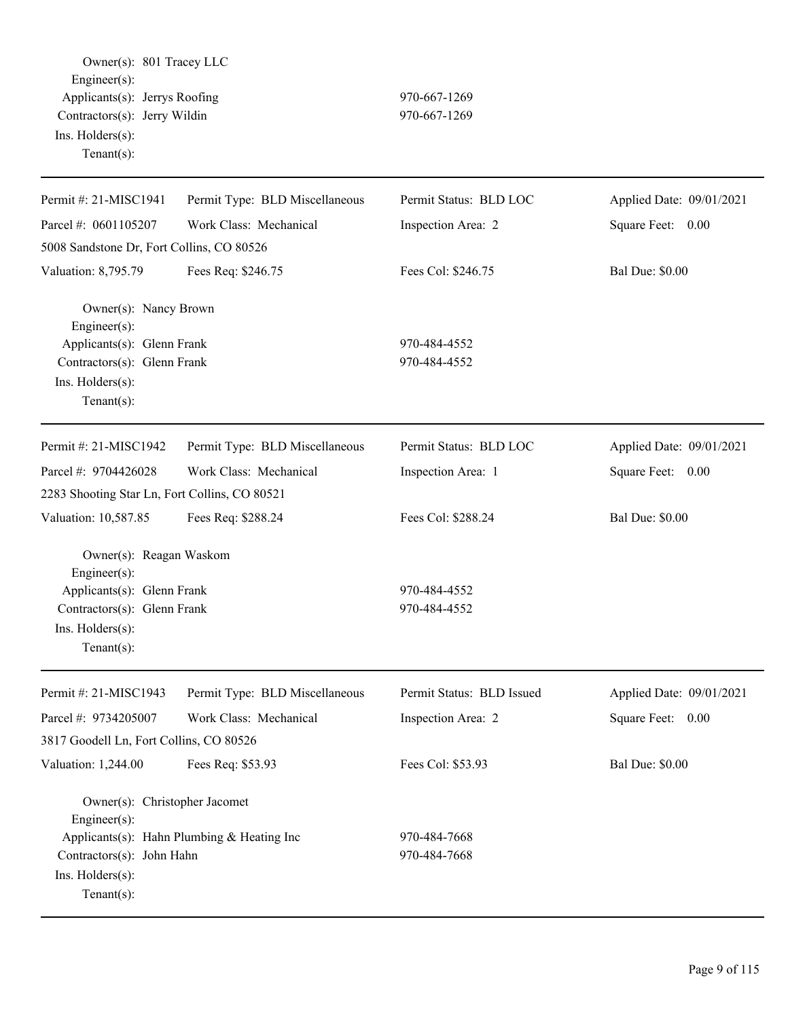Owner(s): 801 Tracey LLC Engineer(s): Applicants(s): Jerrys Roofing 970-667-1269 Contractors(s): Jerry Wildin 970-667-1269 Ins. Holders(s): Tenant(s): Permit #: 21-MISC1941 Parcel #: 0601105207 Permit Type: BLD Miscellaneous Work Class: Mechanical Permit Status: BLD LOC Inspection Area: 2 Applied Date: 09/01/2021 Square Feet: 0.00 5008 Sandstone Dr, Fort Collins, CO 80526 Valuation: 8,795.79 Fees Req: \$246.75 Fees Col: \$246.75 Bal Due: \$0.00 Owner(s): Nancy Brown Engineer(s): Applicants(s): Glenn Frank 970-484-4552 Contractors(s): Glenn Frank 970-484-4552 Ins. Holders(s): Tenant(s): Permit #: 21-MISC1942 Parcel #: 9704426028 Permit Type: BLD Miscellaneous Work Class: Mechanical Permit Status: BLD LOC Inspection Area: 1 Applied Date: 09/01/2021 Square Feet: 0.00 2283 Shooting Star Ln, Fort Collins, CO 80521 Valuation: 10,587.85 Fees Req: \$288.24 Fees Col: \$288.24 Bal Due: \$0.00 Owner(s): Reagan Waskom Engineer(s): Applicants(s): Glenn Frank 970-484-4552 Contractors(s): Glenn Frank 970-484-4552 Ins. Holders(s): Tenant(s): Permit #: 21-MISC1943 Parcel #: 9734205007 Permit Type: BLD Miscellaneous Work Class: Mechanical Permit Status: BLD Issued Inspection Area: 2 Applied Date: 09/01/2021 Square Feet: 0.00 3817 Goodell Ln, Fort Collins, CO 80526 Valuation: 1,244.00 Fees Req: \$53.93 Fees Col: \$53.93 Bal Due: \$0.00 Owner(s): Christopher Jacomet Engineer(s): Applicants(s): Hahn Plumbing & Heating Inc 970-484-7668 Contractors(s): John Hahn 970-484-7668 Ins. Holders(s): Tenant(s):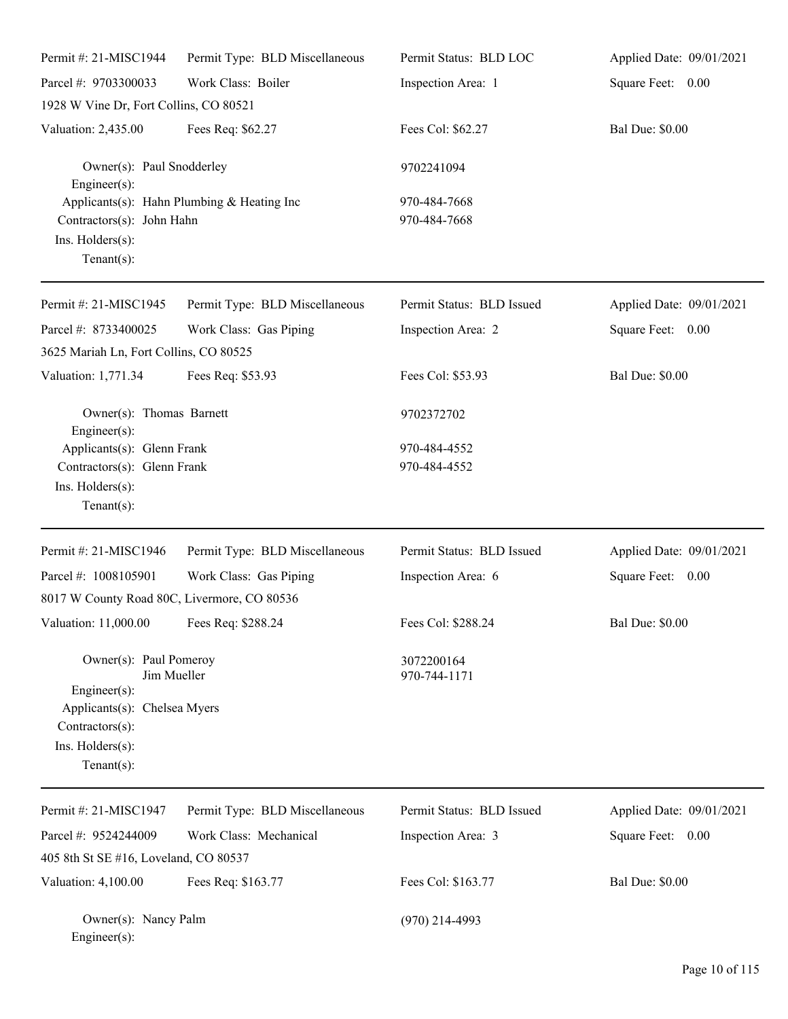| Permit #: 21-MISC1944                                                                 | Permit Type: BLD Miscellaneous             | Permit Status: BLD LOC       | Applied Date: 09/01/2021 |
|---------------------------------------------------------------------------------------|--------------------------------------------|------------------------------|--------------------------|
| Parcel #: 9703300033                                                                  | Work Class: Boiler                         | Inspection Area: 1           | Square Feet: 0.00        |
| 1928 W Vine Dr, Fort Collins, CO 80521                                                |                                            |                              |                          |
| Valuation: 2,435.00                                                                   | Fees Req: \$62.27                          | Fees Col: \$62.27            | <b>Bal Due: \$0.00</b>   |
| Owner(s): Paul Snodderley<br>Engineer(s):                                             |                                            | 9702241094                   |                          |
| Contractors(s): John Hahn<br>Ins. Holders(s):<br>$Tenant(s)$ :                        | Applicants(s): Hahn Plumbing & Heating Inc | 970-484-7668<br>970-484-7668 |                          |
| Permit #: 21-MISC1945                                                                 | Permit Type: BLD Miscellaneous             | Permit Status: BLD Issued    | Applied Date: 09/01/2021 |
| Parcel #: 8733400025                                                                  | Work Class: Gas Piping                     | Inspection Area: 2           | Square Feet: 0.00        |
| 3625 Mariah Ln, Fort Collins, CO 80525                                                |                                            |                              |                          |
| Valuation: 1,771.34                                                                   | Fees Req: \$53.93                          | Fees Col: \$53.93            | <b>Bal Due: \$0.00</b>   |
| Owner(s): Thomas Barnett<br>$Engineering(s)$ :                                        |                                            | 9702372702                   |                          |
| Applicants(s): Glenn Frank                                                            |                                            | 970-484-4552                 |                          |
| Contractors(s): Glenn Frank                                                           |                                            | 970-484-4552                 |                          |
| Ins. Holders(s):<br>$Tenant(s)$ :                                                     |                                            |                              |                          |
| Permit #: 21-MISC1946                                                                 | Permit Type: BLD Miscellaneous             | Permit Status: BLD Issued    | Applied Date: 09/01/2021 |
| Parcel #: 1008105901                                                                  | Work Class: Gas Piping                     | Inspection Area: 6           | Square Feet: 0.00        |
| 8017 W County Road 80C, Livermore, CO 80536                                           |                                            |                              |                          |
| Valuation: 11,000.00                                                                  | Fees Req: \$288.24                         | Fees Col: \$288.24           | <b>Bal Due: \$0.00</b>   |
| Owner(s): Paul Pomeroy<br>Jim Mueller<br>Engineer(s):                                 |                                            | 3072200164<br>970-744-1171   |                          |
| Applicants(s): Chelsea Myers<br>Contractors(s):<br>Ins. Holders(s):<br>Tenant $(s)$ : |                                            |                              |                          |
| Permit #: 21-MISC1947                                                                 | Permit Type: BLD Miscellaneous             | Permit Status: BLD Issued    | Applied Date: 09/01/2021 |
| Parcel #: 9524244009<br>405 8th St SE #16, Loveland, CO 80537                         | Work Class: Mechanical                     | Inspection Area: 3           | Square Feet: 0.00        |
| Valuation: 4,100.00                                                                   | Fees Req: \$163.77                         | Fees Col: \$163.77           | <b>Bal Due: \$0.00</b>   |

Owner(s): Nancy Palm (970) 214-4993

Engineer(s):

Page 10 of 115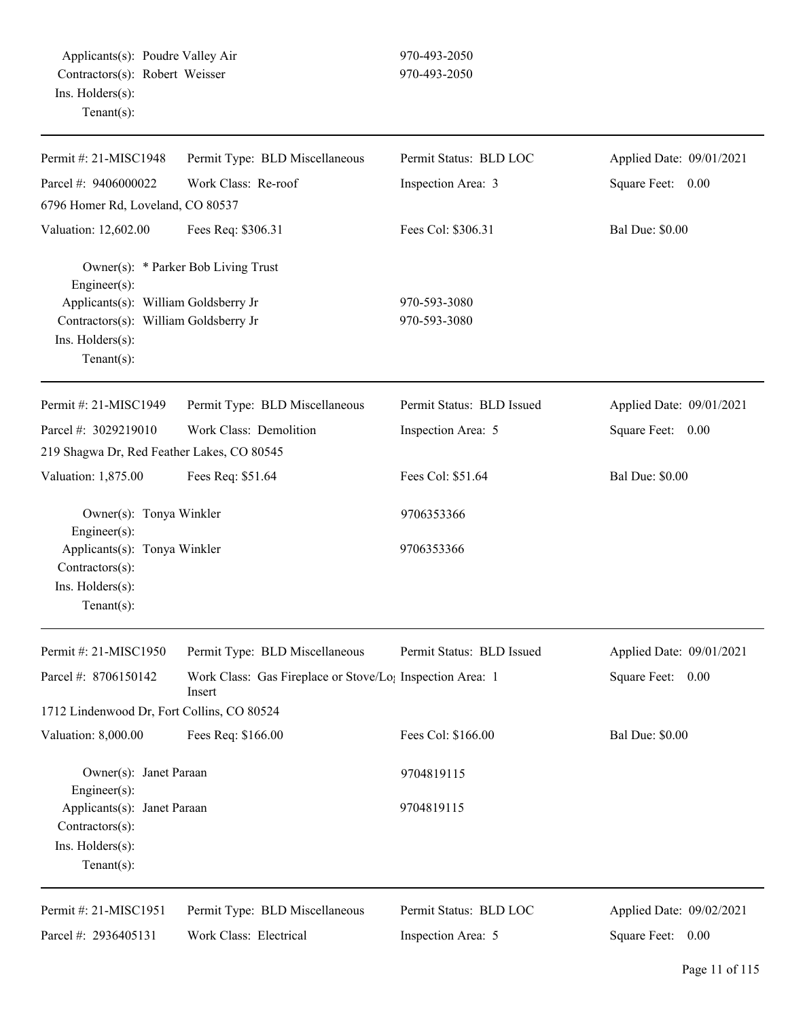Applicants(s): Poudre Valley Air 970-493-2050 Contractors(s): Robert Weisser 970-493-2050 Ins. Holders(s): Tenant(s):

| Permit #: 21-MISC1948                                                                                               | Permit Type: BLD Miscellaneous                                                  | Permit Status: BLD LOC    | Applied Date: 09/01/2021 |
|---------------------------------------------------------------------------------------------------------------------|---------------------------------------------------------------------------------|---------------------------|--------------------------|
| Parcel #: 9406000022                                                                                                | Work Class: Re-roof                                                             | Inspection Area: 3        | Square Feet: 0.00        |
| 6796 Homer Rd, Loveland, CO 80537                                                                                   |                                                                                 |                           |                          |
| Valuation: 12,602.00                                                                                                | Fees Req: \$306.31                                                              | Fees Col: \$306.31        | <b>Bal Due: \$0.00</b>   |
| Engineer(s):                                                                                                        | Owner(s): * Parker Bob Living Trust                                             | 970-593-3080              |                          |
| Applicants(s): William Goldsberry Jr<br>Contractors(s): William Goldsberry Jr<br>Ins. Holders(s):<br>Tenant $(s)$ : |                                                                                 | 970-593-3080              |                          |
| Permit #: 21-MISC1949                                                                                               | Permit Type: BLD Miscellaneous                                                  | Permit Status: BLD Issued | Applied Date: 09/01/2021 |
| Parcel #: 3029219010                                                                                                | Work Class: Demolition                                                          | Inspection Area: 5        | Square Feet: 0.00        |
| 219 Shagwa Dr, Red Feather Lakes, CO 80545                                                                          |                                                                                 |                           |                          |
| Valuation: 1,875.00                                                                                                 | Fees Req: \$51.64                                                               | Fees Col: \$51.64         | <b>Bal Due: \$0.00</b>   |
| Owner(s): Tonya Winkler<br>Engineer(s):                                                                             |                                                                                 | 9706353366                |                          |
| Applicants(s): Tonya Winkler<br>Contractors(s):<br>Ins. Holders(s):<br>Tenant $(s)$ :                               |                                                                                 | 9706353366                |                          |
| Permit #: 21-MISC1950                                                                                               | Permit Type: BLD Miscellaneous                                                  | Permit Status: BLD Issued | Applied Date: 09/01/2021 |
| Parcel #: 8706150142                                                                                                | Work Class: Gas Fireplace or Stove/Lo <sub>1</sub> Inspection Area: 1<br>Insert |                           | Square Feet: 0.00        |
| 1712 Lindenwood Dr, Fort Collins, CO 80524                                                                          |                                                                                 |                           |                          |
| Valuation: 8,000.00                                                                                                 | Fees Req: \$166.00                                                              | Fees Col: \$166.00        | <b>Bal Due: \$0.00</b>   |
| Owner(s): Janet Paraan<br>Engineer(s):                                                                              |                                                                                 | 9704819115                |                          |
| Applicants(s): Janet Paraan<br>Contractors(s):<br>Ins. Holders(s):<br>Tenant $(s)$ :                                |                                                                                 | 9704819115                |                          |
| Permit #: 21-MISC1951                                                                                               | Permit Type: BLD Miscellaneous                                                  | Permit Status: BLD LOC    | Applied Date: 09/02/2021 |
| Parcel #: 2936405131                                                                                                | Work Class: Electrical                                                          | Inspection Area: 5        | Square Feet: 0.00        |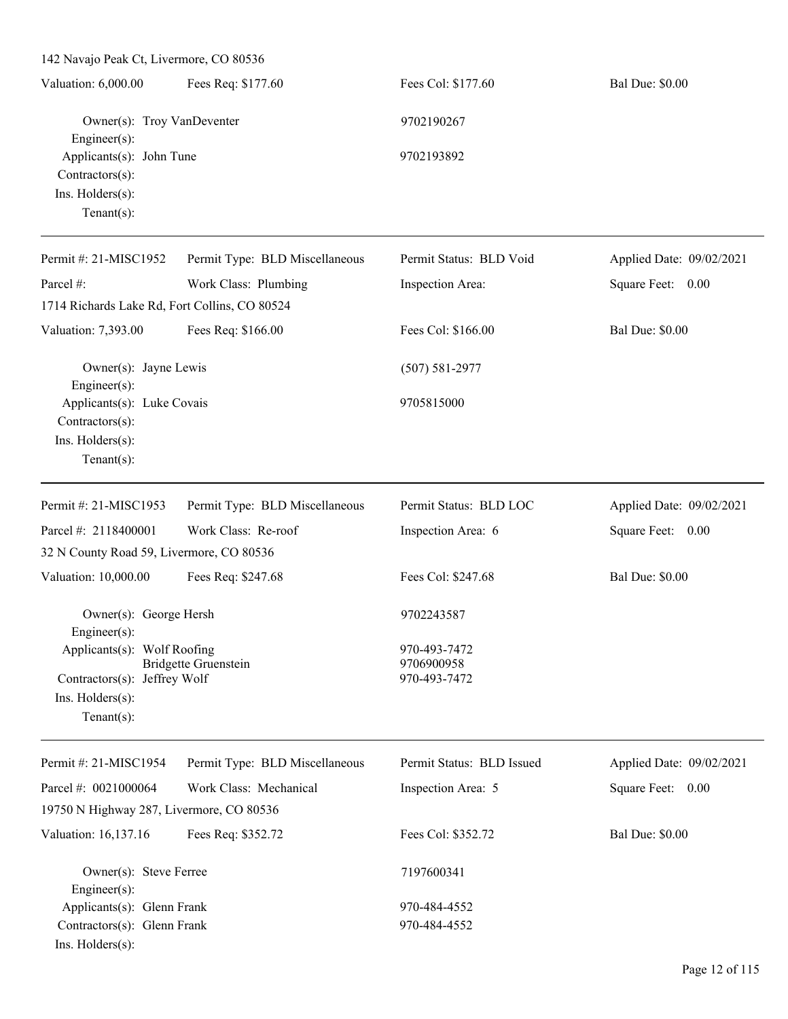| Valuation: 6,000.00                                                | Fees Req: \$177.60             | Fees Col: \$177.60      | <b>Bal Due: \$0.00</b>   |
|--------------------------------------------------------------------|--------------------------------|-------------------------|--------------------------|
| Owner(s): Troy VanDeventer                                         |                                | 9702190267              |                          |
| Engineer $(s)$ :<br>Applicants(s): John Tune<br>$Contractors(s)$ : |                                | 9702193892              |                          |
| $Ins.$ Holders $(s)$ :<br>Tenant $(s)$ :                           |                                |                         |                          |
| Permit #: $21-MISC1952$                                            | Permit Type: BLD Miscellaneous | Permit Status: BLD Void | Applied Date: 09/02/2021 |
| Parcel #:                                                          | Work Class: Plumbing           | Inspection Area:        | Square Feet:<br>0.00     |
| 1714 Richards Lake Rd, Fort Collins, CO 80524                      |                                |                         |                          |
| Valuation: 7,393.00                                                | Fees Req: \$166.00             | Fees Col: \$166.00      | <b>Bal Due: \$0.00</b>   |
| Owner(s): Jayne Lewis<br>$Engineering(s)$ :                        |                                | $(507) 581 - 2977$      |                          |

| $L$ ngincor(5).            |            |
|----------------------------|------------|
| Applicants(s): Luke Covais | 9705815000 |
| $Contractors(s)$ :         |            |
| Ins. Holders(s):           |            |
| Tenant(s):                 |            |

| Permit #: $21-MISC1953$      | Permit Type: BLD Miscellaneous           | Permit Status: BLD LOC | Applied Date: 09/02/2021 |
|------------------------------|------------------------------------------|------------------------|--------------------------|
| Parcel #: $2118400001$       | Work Class: Re-roof                      | Inspection Area: 6     | Square Feet:<br>0.00     |
|                              | 32 N County Road 59, Livermore, CO 80536 |                        |                          |
| Valuation: 10,000.00         | Fees Req: \$247.68                       | Fees Col: \$247.68     | <b>Bal Due: \$0.00</b>   |
|                              | Owner(s): George Hersh                   | 9702243587             |                          |
| $Engineering(s)$ :           |                                          |                        |                          |
| Applicants(s): Wolf Roofing  |                                          | 970-493-7472           |                          |
|                              | Bridgette Gruenstein                     | 9706900958             |                          |
| Contractors(s): Jeffrey Wolf |                                          | 970-493-7472           |                          |
| $Ins.$ Holders $(s)$ :       |                                          |                        |                          |
| Tenant $(s)$ :               |                                          |                        |                          |
|                              |                                          |                        |                          |

| Permit #: $21-MISC1954$                  | Permit Type: BLD Miscellaneous | Permit Status: BLD Issued | Applied Date: 09/02/2021 |
|------------------------------------------|--------------------------------|---------------------------|--------------------------|
| Parcel #: $0021000064$                   | Work Class: Mechanical         | Inspection Area: 5        | Square Feet:<br>0.00     |
| 19750 N Highway 287, Livermore, CO 80536 |                                |                           |                          |
| Valuation: 16,137.16                     | Fees Req: \$352.72             | Fees Col: \$352.72        | <b>Bal Due: \$0.00</b>   |
| Owner(s): Steve Ferree                   |                                | 7197600341                |                          |
| $Engineering(s)$ :                       |                                |                           |                          |
| Applicants(s): Glenn Frank               |                                | 970-484-4552              |                          |
| Contractors(s): Glenn Frank              |                                | 970-484-4552              |                          |
| $Ins.$ Holders $(s)$ :                   |                                |                           |                          |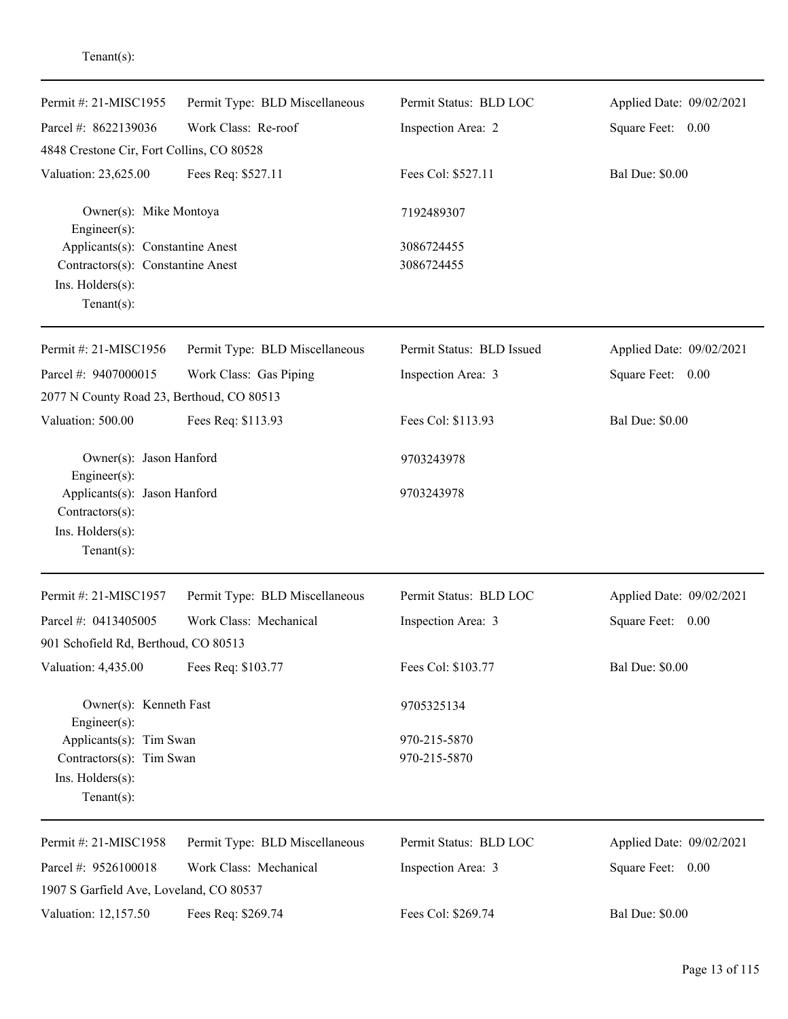| Permit #: 21-MISC1955                           | Permit Type: BLD Miscellaneous | Permit Status: BLD LOC    | Applied Date: 09/02/2021 |
|-------------------------------------------------|--------------------------------|---------------------------|--------------------------|
| Parcel #: 8622139036                            | Work Class: Re-roof            | Inspection Area: 2        | Square Feet:<br>0.00     |
| 4848 Crestone Cir, Fort Collins, CO 80528       |                                |                           |                          |
| Valuation: 23,625.00                            | Fees Req: \$527.11             | Fees Col: \$527.11        | <b>Bal Due: \$0.00</b>   |
| Owner(s): Mike Montoya<br>Engineer $(s)$ :      |                                | 7192489307                |                          |
| Applicants(s): Constantine Anest                |                                | 3086724455                |                          |
| Contractors(s): Constantine Anest               |                                | 3086724455                |                          |
| Ins. Holders(s):<br>$Tenant(s)$ :               |                                |                           |                          |
|                                                 |                                |                           |                          |
| Permit #: 21-MISC1956                           | Permit Type: BLD Miscellaneous | Permit Status: BLD Issued | Applied Date: 09/02/2021 |
| Parcel #: 9407000015                            | Work Class: Gas Piping         | Inspection Area: 3        | Square Feet:<br>0.00     |
| 2077 N County Road 23, Berthoud, CO 80513       |                                |                           |                          |
| Valuation: 500.00                               | Fees Req: \$113.93             | Fees Col: \$113.93        | <b>Bal Due: \$0.00</b>   |
| Owner(s): Jason Hanford<br>Engineer(s):         |                                | 9703243978                |                          |
| Applicants(s): Jason Hanford<br>Contractors(s): |                                | 9703243978                |                          |
| Ins. Holders(s):                                |                                |                           |                          |
| $Tenant(s)$ :                                   |                                |                           |                          |
| Permit #: 21-MISC1957                           | Permit Type: BLD Miscellaneous | Permit Status: BLD LOC    | Applied Date: 09/02/2021 |
| Parcel #: 0413405005                            | Work Class: Mechanical         | Inspection Area: 3        | Square Feet:<br>0.00     |
| 901 Schofield Rd, Berthoud, CO 80513            |                                |                           |                          |
| Valuation: 4,435.00                             | Fees Req: \$103.77             | Fees Col: \$103.77        | <b>Bal Due: \$0.00</b>   |
| Owner(s): Kenneth Fast<br>Engineer(s):          |                                | 9705325134                |                          |
| Applicants(s): Tim Swan                         |                                | 970-215-5870              |                          |
| Contractors(s): Tim Swan                        |                                | 970-215-5870              |                          |
| Ins. Holders(s):<br>Tenant $(s)$ :              |                                |                           |                          |
| Permit #: 21-MISC1958                           | Permit Type: BLD Miscellaneous | Permit Status: BLD LOC    | Applied Date: 09/02/2021 |
| Parcel #: 9526100018                            | Work Class: Mechanical         | Inspection Area: 3        | Square Feet: 0.00        |
| 1907 S Garfield Ave, Loveland, CO 80537         |                                |                           |                          |
| Valuation: 12,157.50                            | Fees Req: \$269.74             | Fees Col: \$269.74        | <b>Bal Due: \$0.00</b>   |
|                                                 |                                |                           |                          |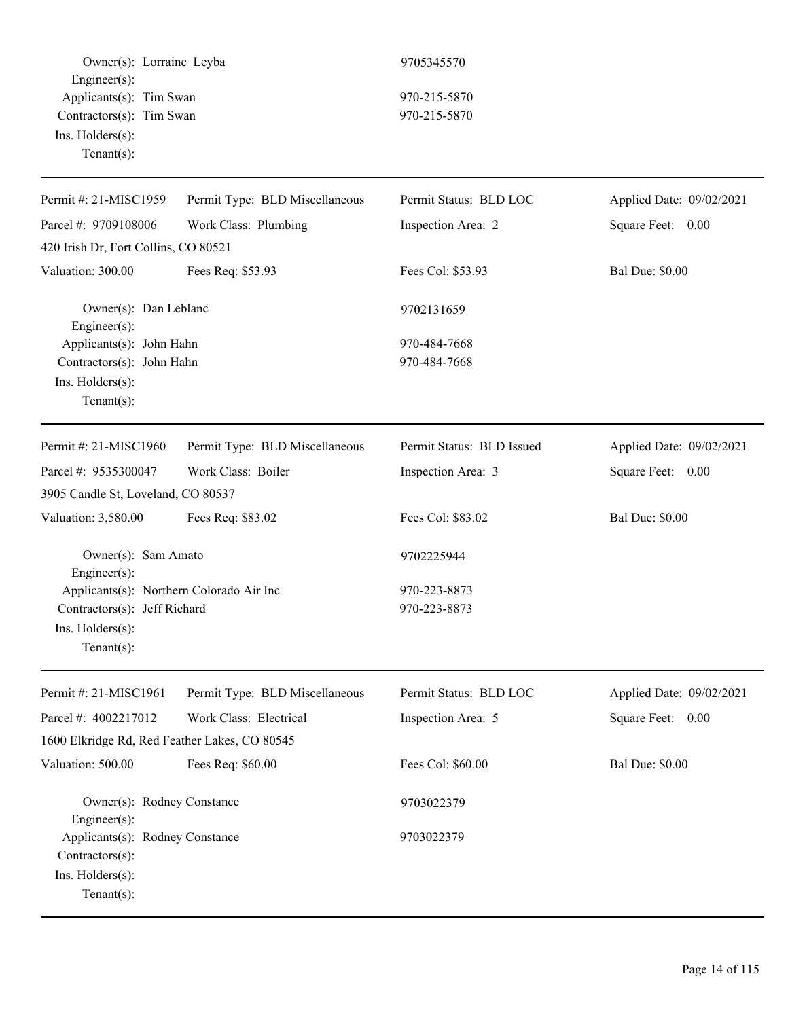Owner(s): Lorraine Leyba 9705345570 Engineer(s): Applicants(s): Tim Swan 970-215-5870 Contractors(s): Tim Swan 970-215-5870 Ins. Holders(s): Tenant(s):

| Permit #: 21-MISC1959                          | Permit Type: BLD Miscellaneous | Permit Status: BLD LOC    | Applied Date: 09/02/2021 |
|------------------------------------------------|--------------------------------|---------------------------|--------------------------|
| Parcel #: 9709108006                           | Work Class: Plumbing           | Inspection Area: 2        | Square Feet: 0.00        |
| 420 Irish Dr, Fort Collins, CO 80521           |                                |                           |                          |
| Valuation: 300.00                              | Fees Req: \$53.93              | Fees Col: \$53.93         | <b>Bal Due: \$0.00</b>   |
| Owner(s): Dan Leblanc<br>Engineer(s):          |                                | 9702131659                |                          |
| Applicants(s): John Hahn                       |                                | 970-484-7668              |                          |
| Contractors(s): John Hahn                      |                                | 970-484-7668              |                          |
| Ins. Holders(s):                               |                                |                           |                          |
| $Tenant(s)$ :                                  |                                |                           |                          |
| Permit #: 21-MISC1960                          | Permit Type: BLD Miscellaneous | Permit Status: BLD Issued | Applied Date: 09/02/2021 |
| Parcel #: 9535300047                           | Work Class: Boiler             | Inspection Area: 3        | Square Feet: 0.00        |
| 3905 Candle St, Loveland, CO 80537             |                                |                           |                          |
| Valuation: 3,580.00                            | Fees Req: \$83.02              | Fees Col: \$83.02         | <b>Bal Due: \$0.00</b>   |
| Owner(s): Sam Amato<br>Engineer $(s)$ :        |                                | 9702225944                |                          |
| Applicants(s): Northern Colorado Air Inc       |                                | 970-223-8873              |                          |
| Contractors(s): Jeff Richard                   |                                | 970-223-8873              |                          |
| Ins. Holders(s):                               |                                |                           |                          |
| $Tenant(s)$ :                                  |                                |                           |                          |
| Permit #: 21-MISC1961                          | Permit Type: BLD Miscellaneous | Permit Status: BLD LOC    | Applied Date: 09/02/2021 |
| Parcel #: 4002217012                           | Work Class: Electrical         | Inspection Area: 5        | Square Feet:<br>0.00     |
| 1600 Elkridge Rd, Red Feather Lakes, CO 80545  |                                |                           |                          |
| Valuation: 500.00                              | Fees Req: \$60.00              | Fees Col: \$60.00         | <b>Bal Due: \$0.00</b>   |
| Owner(s): Rodney Constance<br>Engineer $(s)$ : |                                | 9703022379                |                          |
| Applicants(s): Rodney Constance                |                                | 9703022379                |                          |
| Contractors(s):                                |                                |                           |                          |
| Ins. Holders(s):                               |                                |                           |                          |
| Tenant(s):                                     |                                |                           |                          |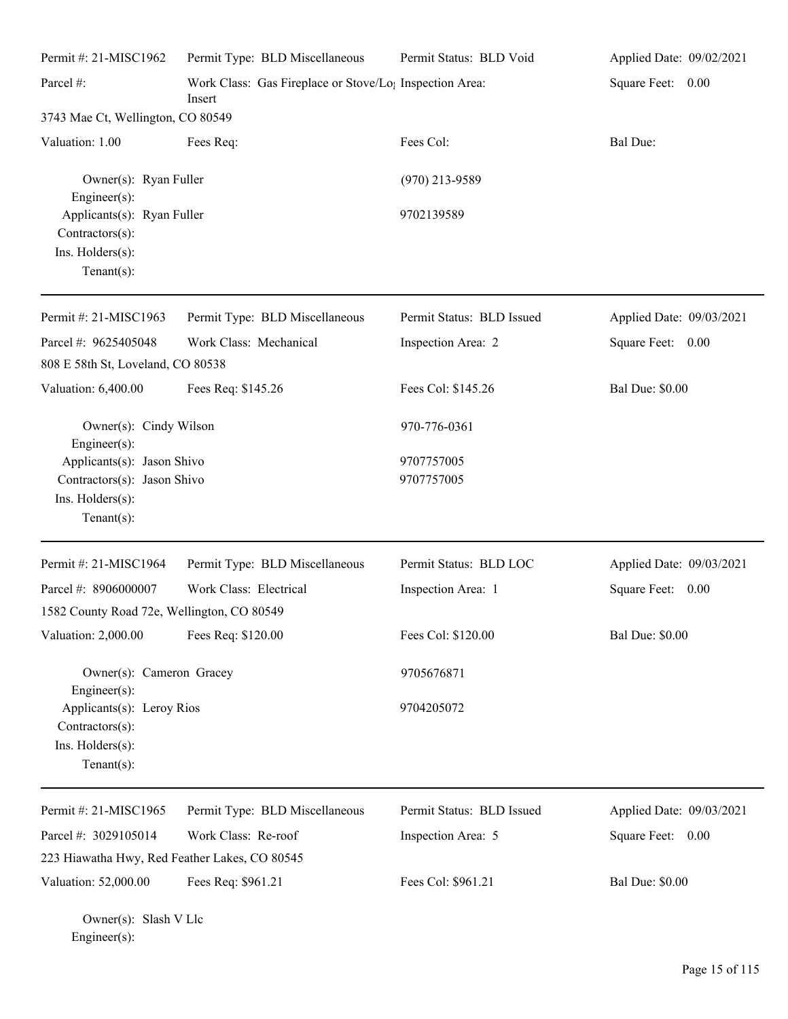| Permit #: 21-MISC1962                                                               | Permit Type: BLD Miscellaneous                                                | Permit Status: BLD Void   | Applied Date: 09/02/2021 |
|-------------------------------------------------------------------------------------|-------------------------------------------------------------------------------|---------------------------|--------------------------|
| Parcel #:                                                                           | Work Class: Gas Fireplace or Stove/Lo <sub>!</sub> Inspection Area:<br>Insert |                           | Square Feet: 0.00        |
| 3743 Mae Ct, Wellington, CO 80549                                                   |                                                                               |                           |                          |
| Valuation: 1.00                                                                     | Fees Req:                                                                     | Fees Col:                 | Bal Due:                 |
| Owner(s): Ryan Fuller<br>$Engineering(s)$ :                                         |                                                                               | $(970)$ 213-9589          |                          |
| Applicants(s): Ryan Fuller<br>Contractors(s):<br>Ins. Holders(s):<br>Tenant $(s)$ : |                                                                               | 9702139589                |                          |
| Permit #: 21-MISC1963                                                               | Permit Type: BLD Miscellaneous                                                | Permit Status: BLD Issued | Applied Date: 09/03/2021 |
| Parcel #: 9625405048                                                                | Work Class: Mechanical                                                        | Inspection Area: 2        | Square Feet: 0.00        |
| 808 E 58th St, Loveland, CO 80538                                                   |                                                                               |                           |                          |
| Valuation: 6,400.00                                                                 | Fees Req: \$145.26                                                            | Fees Col: \$145.26        | <b>Bal Due: \$0.00</b>   |
| Owner(s): Cindy Wilson<br>Engineer(s):                                              |                                                                               | 970-776-0361              |                          |
| Applicants(s): Jason Shivo                                                          |                                                                               | 9707757005                |                          |
| Contractors(s): Jason Shivo<br>Ins. Holders(s):<br>Tenant $(s)$ :                   |                                                                               | 9707757005                |                          |
| Permit #: 21-MISC1964                                                               | Permit Type: BLD Miscellaneous                                                | Permit Status: BLD LOC    | Applied Date: 09/03/2021 |
| Parcel #: 8906000007                                                                | Work Class: Electrical                                                        | Inspection Area: 1        | Square Feet: 0.00        |
| 1582 County Road 72e, Wellington, CO 80549                                          |                                                                               |                           |                          |
| Valuation: 2,000.00                                                                 | Fees Req: \$120.00                                                            | Fees Col: \$120.00        | <b>Bal Due: \$0.00</b>   |
| Owner(s): Cameron Gracey<br>$Engineering(s)$ :                                      |                                                                               | 9705676871                |                          |
| Applicants(s): Leroy Rios<br>Contractors(s):<br>Ins. Holders(s):<br>Tenant $(s)$ :  |                                                                               | 9704205072                |                          |
| Permit #: 21-MISC1965                                                               | Permit Type: BLD Miscellaneous                                                | Permit Status: BLD Issued | Applied Date: 09/03/2021 |
| Parcel #: 3029105014                                                                | Work Class: Re-roof                                                           | Inspection Area: 5        | Square Feet: 0.00        |
| 223 Hiawatha Hwy, Red Feather Lakes, CO 80545                                       |                                                                               |                           |                          |
| Valuation: 52,000.00                                                                | Fees Req: \$961.21                                                            | Fees Col: \$961.21        | <b>Bal Due: \$0.00</b>   |

Owner(s): Slash V Llc Engineer(s):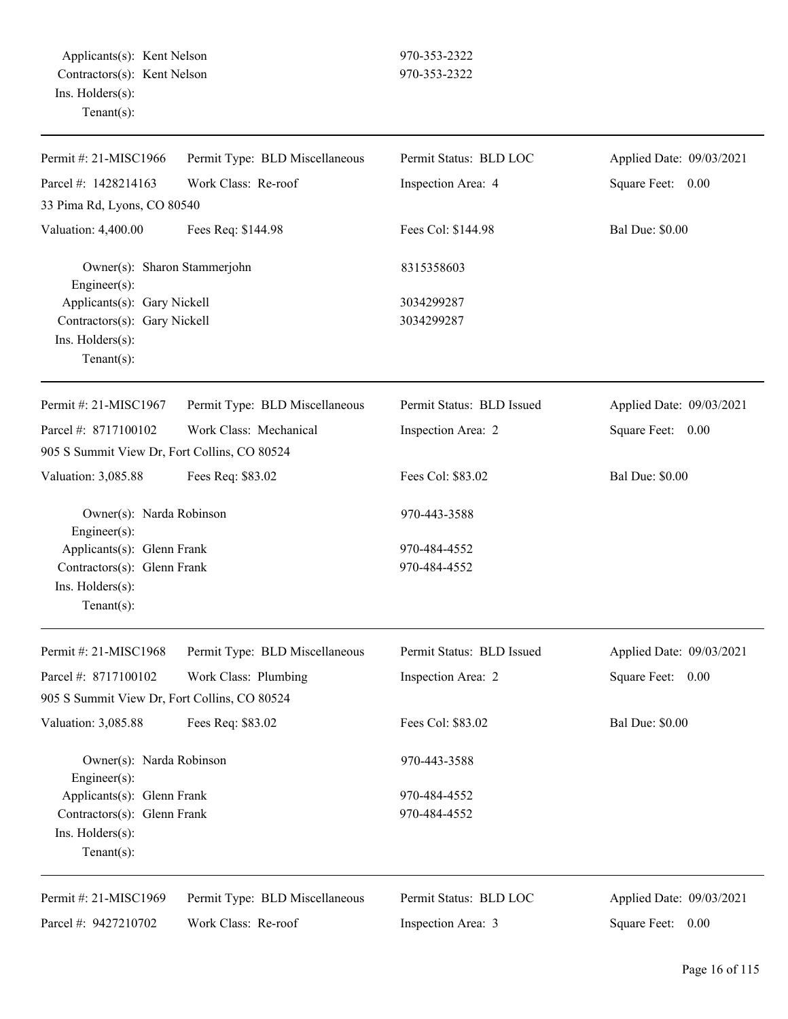| Permit #: 21-MISC1966                                                                             | Permit Type: BLD Miscellaneous | Permit Status: BLD LOC       | Applied Date: 09/03/2021 |
|---------------------------------------------------------------------------------------------------|--------------------------------|------------------------------|--------------------------|
| Parcel #: 1428214163                                                                              | Work Class: Re-roof            | Inspection Area: 4           | Square Feet: 0.00        |
| 33 Pima Rd, Lyons, CO 80540                                                                       |                                |                              |                          |
| Valuation: 4,400.00                                                                               | Fees Req: \$144.98             | Fees Col: \$144.98           | <b>Bal Due: \$0.00</b>   |
| Owner(s): Sharon Stammerjohn<br>Engineer $(s)$ :                                                  |                                | 8315358603                   |                          |
| Applicants(s): Gary Nickell<br>Contractors(s): Gary Nickell<br>Ins. Holders(s):<br>Tenant $(s)$ : |                                | 3034299287<br>3034299287     |                          |
| Permit #: 21-MISC1967                                                                             | Permit Type: BLD Miscellaneous | Permit Status: BLD Issued    | Applied Date: 09/03/2021 |
| Parcel #: 8717100102                                                                              | Work Class: Mechanical         | Inspection Area: 2           | Square Feet: 0.00        |
| 905 S Summit View Dr, Fort Collins, CO 80524                                                      |                                |                              |                          |
| Valuation: 3,085.88                                                                               | Fees Req: \$83.02              | Fees Col: \$83.02            | <b>Bal Due: \$0.00</b>   |
| Owner(s): Narda Robinson<br>Engineer(s):                                                          |                                | 970-443-3588                 |                          |
| Applicants(s): Glenn Frank<br>Contractors(s): Glenn Frank<br>Ins. Holders(s):<br>$Tenant(s)$ :    |                                | 970-484-4552<br>970-484-4552 |                          |
| Permit #: 21-MISC1968                                                                             | Permit Type: BLD Miscellaneous | Permit Status: BLD Issued    | Applied Date: 09/03/2021 |
| Parcel #: 8717100102                                                                              | Work Class: Plumbing           | Inspection Area: 2           | Square Feet: 0.00        |
| 905 S Summit View Dr, Fort Collins, CO 80524                                                      |                                |                              |                          |
| Valuation: 3,085.88                                                                               | Fees Req: \$83.02              | Fees Col: \$83.02            | <b>Bal Due: \$0.00</b>   |
| Owner(s): Narda Robinson<br>Engineer $(s)$ :                                                      |                                | 970-443-3588                 |                          |
| Applicants(s): Glenn Frank                                                                        |                                | 970-484-4552                 |                          |
| Contractors(s): Glenn Frank<br>Ins. Holders(s):<br>$Tenant(s)$ :                                  |                                | 970-484-4552                 |                          |
| Permit #: 21-MISC1969                                                                             | Permit Type: BLD Miscellaneous | Permit Status: BLD LOC       | Applied Date: 09/03/2021 |
| Parcel #: 9427210702                                                                              | Work Class: Re-roof            | Inspection Area: 3           | Square Feet: 0.00        |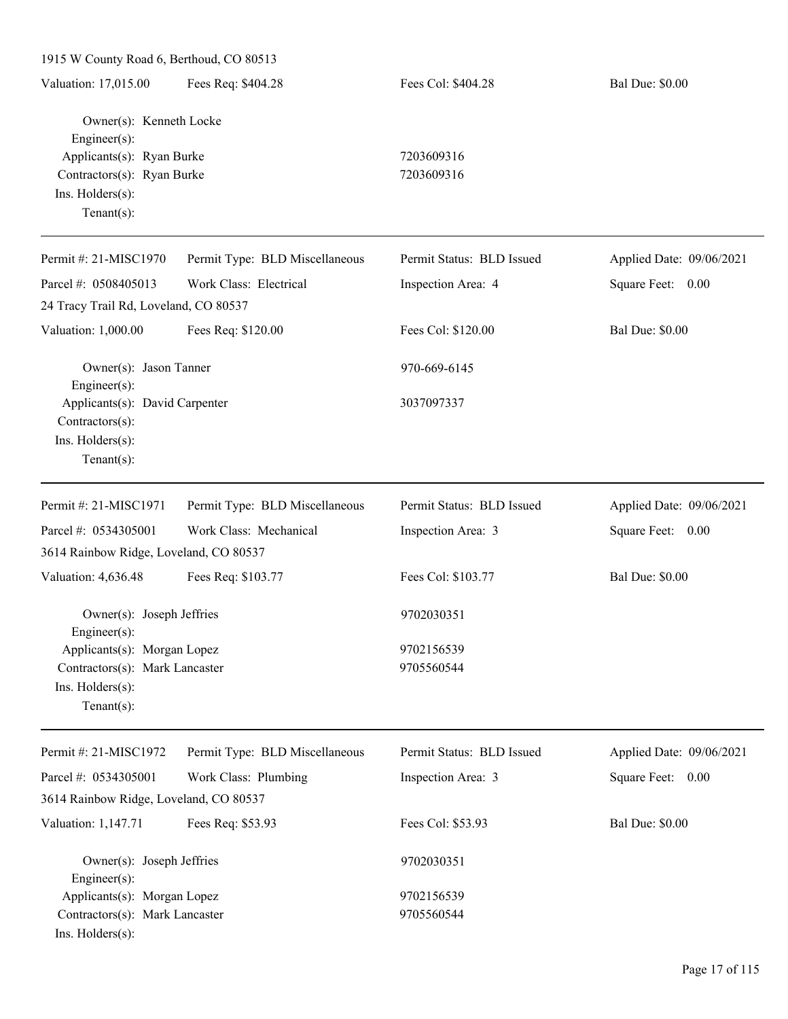| 1915 W County Road 6, Berthoud, CO 80513                                                                                             |                                |                           |                          |
|--------------------------------------------------------------------------------------------------------------------------------------|--------------------------------|---------------------------|--------------------------|
| Valuation: 17,015.00                                                                                                                 | Fees Req: \$404.28             | Fees Col: \$404.28        | <b>Bal Due: \$0.00</b>   |
| Owner(s): Kenneth Locke<br>Engineer(s):<br>Applicants(s): Ryan Burke<br>Contractors(s): Ryan Burke<br>Ins. Holders(s):<br>Tenant(s): |                                | 7203609316<br>7203609316  |                          |
| Permit #: 21-MISC1970                                                                                                                | Permit Type: BLD Miscellaneous | Permit Status: BLD Issued | Applied Date: 09/06/2021 |
| Parcel #: 0508405013                                                                                                                 | Work Class: Electrical         | Inspection Area: 4        | Square Feet: 0.00        |
| 24 Tracy Trail Rd, Loveland, CO 80537                                                                                                |                                |                           |                          |
| Valuation: 1,000.00                                                                                                                  | Fees Req: \$120.00             | Fees Col: \$120.00        | <b>Bal Due: \$0.00</b>   |
| Owner(s): Jason Tanner<br>Engineer(s):                                                                                               |                                | 970-669-6145              |                          |
| Applicants(s): David Carpenter<br>Contractors(s):<br>Ins. Holders(s):<br>Tenant(s):                                                  |                                | 3037097337                |                          |
| Permit #: 21-MISC1971                                                                                                                | Permit Type: BLD Miscellaneous | Permit Status: BLD Issued | Applied Date: 09/06/2021 |
| Parcel #: 0534305001                                                                                                                 | Work Class: Mechanical         | Inspection Area: 3        | Square Feet: 0.00        |
| 3614 Rainbow Ridge, Loveland, CO 80537                                                                                               |                                |                           |                          |
| Valuation: 4,636.48                                                                                                                  | Fees Req: \$103.77             | Fees Col: \$103.77        | <b>Bal Due: \$0.00</b>   |
| Owner(s): Joseph Jeffries<br>Engineer(s):                                                                                            |                                | 9702030351                |                          |
| Applicants(s): Morgan Lopez<br>Contractors(s): Mark Lancaster<br>Ins. Holders(s):<br>$Tenant(s)$ :                                   |                                | 9702156539<br>9705560544  |                          |
| Permit #: 21-MISC1972                                                                                                                | Permit Type: BLD Miscellaneous | Permit Status: BLD Issued | Applied Date: 09/06/2021 |
| Parcel #: 0534305001                                                                                                                 | Work Class: Plumbing           | Inspection Area: 3        | Square Feet: 0.00        |
| 3614 Rainbow Ridge, Loveland, CO 80537                                                                                               |                                |                           |                          |
| Valuation: 1,147.71                                                                                                                  | Fees Req: \$53.93              | Fees Col: \$53.93         | <b>Bal Due: \$0.00</b>   |
| Owner(s): Joseph Jeffries<br>Engineer(s):                                                                                            |                                | 9702030351                |                          |
| Applicants(s): Morgan Lopez                                                                                                          |                                | 9702156539                |                          |
| Contractors(s): Mark Lancaster<br>Ins. Holders(s):                                                                                   |                                | 9705560544                |                          |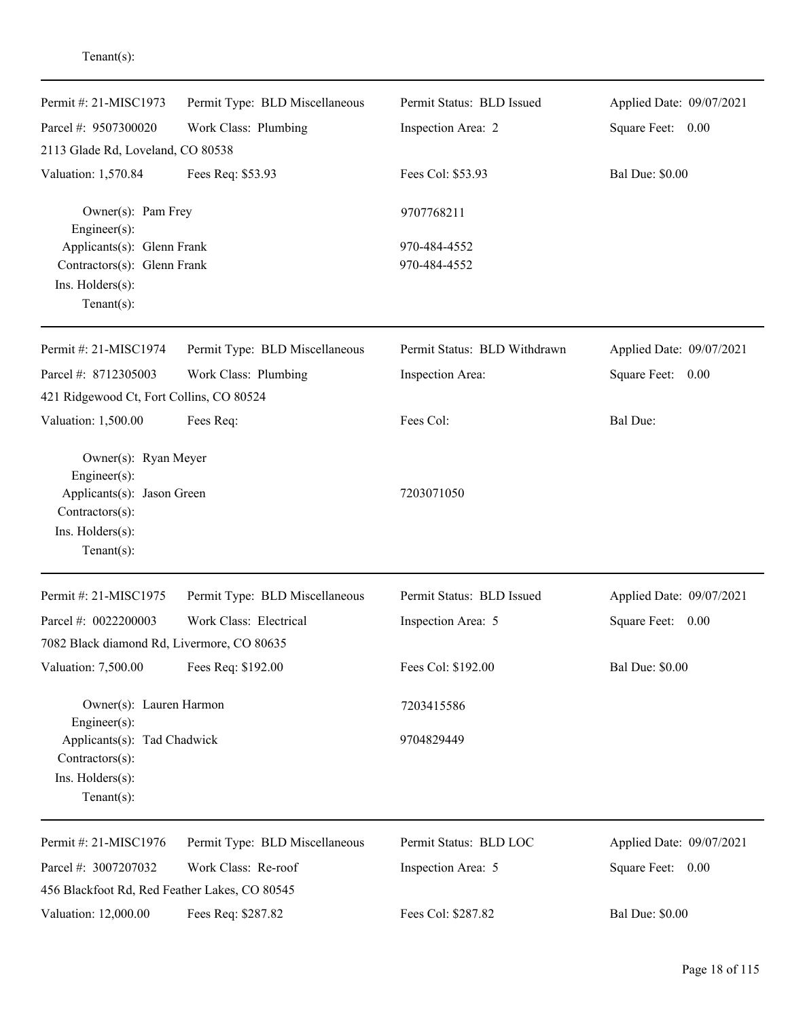| Permit #: 21-MISC1973                                     | Permit Type: BLD Miscellaneous | Permit Status: BLD Issued    | Applied Date: 09/07/2021 |
|-----------------------------------------------------------|--------------------------------|------------------------------|--------------------------|
| Parcel #: 9507300020                                      | Work Class: Plumbing           | Inspection Area: 2           | Square Feet: 0.00        |
| 2113 Glade Rd, Loveland, CO 80538                         |                                |                              |                          |
| Valuation: 1,570.84                                       | Fees Req: \$53.93              | Fees Col: \$53.93            | <b>Bal Due: \$0.00</b>   |
| Owner(s): Pam Frey<br>Engineer(s):                        |                                | 9707768211                   |                          |
| Applicants(s): Glenn Frank<br>Contractors(s): Glenn Frank |                                | 970-484-4552<br>970-484-4552 |                          |
| Ins. Holders(s):                                          |                                |                              |                          |
| $Tenant(s)$ :                                             |                                |                              |                          |
| Permit #: 21-MISC1974                                     | Permit Type: BLD Miscellaneous | Permit Status: BLD Withdrawn | Applied Date: 09/07/2021 |
| Parcel #: 8712305003                                      | Work Class: Plumbing           | Inspection Area:             | Square Feet: 0.00        |
| 421 Ridgewood Ct, Fort Collins, CO 80524                  |                                |                              |                          |
| Valuation: 1,500.00                                       | Fees Req:                      | Fees Col:                    | <b>Bal Due:</b>          |
| Owner(s): Ryan Meyer                                      |                                |                              |                          |
| Engineer(s):<br>Applicants(s): Jason Green                |                                | 7203071050                   |                          |
| Contractors(s):                                           |                                |                              |                          |
| Ins. Holders(s):                                          |                                |                              |                          |
| $Tenant(s)$ :                                             |                                |                              |                          |
| Permit #: 21-MISC1975                                     | Permit Type: BLD Miscellaneous | Permit Status: BLD Issued    | Applied Date: 09/07/2021 |
| Parcel #: 0022200003                                      | Work Class: Electrical         | Inspection Area: 5           | Square Feet: 0.00        |
| 7082 Black diamond Rd, Livermore, CO 80635                |                                |                              |                          |
| Valuation: 7,500.00                                       | Fees Req: \$192.00             | Fees Col: \$192.00           | <b>Bal Due: \$0.00</b>   |
| Owner(s): Lauren Harmon<br>Engineer(s):                   |                                | 7203415586                   |                          |
| Applicants(s): Tad Chadwick                               |                                | 9704829449                   |                          |
| Contractors(s):<br>Ins. Holders(s):                       |                                |                              |                          |
| $Tenant(s)$ :                                             |                                |                              |                          |
| Permit #: 21-MISC1976                                     | Permit Type: BLD Miscellaneous | Permit Status: BLD LOC       | Applied Date: 09/07/2021 |
| Parcel #: 3007207032                                      | Work Class: Re-roof            | Inspection Area: 5           | Square Feet: 0.00        |
| 456 Blackfoot Rd, Red Feather Lakes, CO 80545             |                                |                              |                          |
| Valuation: 12,000.00                                      | Fees Req: \$287.82             | Fees Col: \$287.82           | <b>Bal Due: \$0.00</b>   |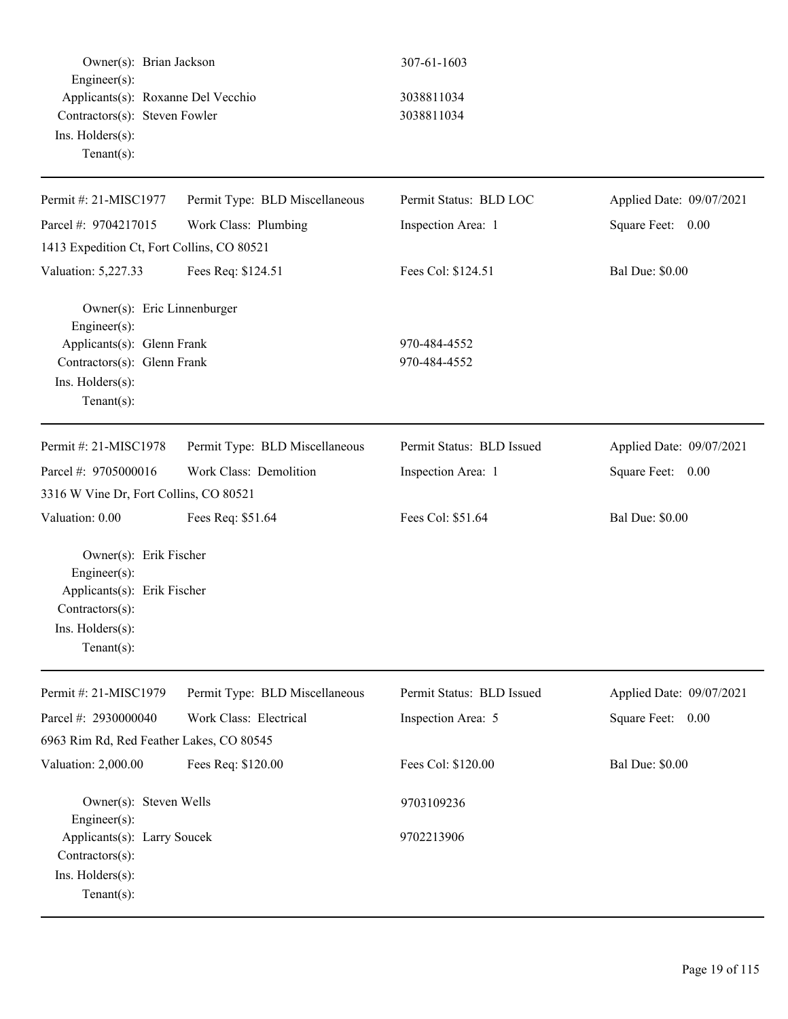| Owner(s): Brian Jackson<br>Engineer(s):                                                                                                       |                                | 307-61-1603                  |                          |  |
|-----------------------------------------------------------------------------------------------------------------------------------------------|--------------------------------|------------------------------|--------------------------|--|
| Applicants(s): Roxanne Del Vecchio<br>Contractors(s): Steven Fowler<br>Ins. Holders(s):<br>$Tenant(s)$ :                                      |                                | 3038811034<br>3038811034     |                          |  |
| Permit #: 21-MISC1977                                                                                                                         | Permit Type: BLD Miscellaneous | Permit Status: BLD LOC       | Applied Date: 09/07/2021 |  |
| Parcel #: 9704217015                                                                                                                          | Work Class: Plumbing           | Inspection Area: 1           | Square Feet: 0.00        |  |
| 1413 Expedition Ct, Fort Collins, CO 80521                                                                                                    |                                |                              |                          |  |
| Valuation: 5,227.33                                                                                                                           | Fees Req: \$124.51             | Fees Col: \$124.51           | <b>Bal Due: \$0.00</b>   |  |
| Owner(s): Eric Linnenburger<br>Engineer(s):<br>Applicants(s): Glenn Frank<br>Contractors(s): Glenn Frank<br>Ins. Holders(s):<br>$Tenant(s)$ : |                                | 970-484-4552<br>970-484-4552 |                          |  |
| Permit #: 21-MISC1978                                                                                                                         | Permit Type: BLD Miscellaneous | Permit Status: BLD Issued    | Applied Date: 09/07/2021 |  |
| Parcel #: 9705000016                                                                                                                          | Work Class: Demolition         | Inspection Area: 1           | Square Feet: 0.00        |  |
| 3316 W Vine Dr, Fort Collins, CO 80521                                                                                                        |                                |                              |                          |  |
| Valuation: 0.00                                                                                                                               | Fees Req: \$51.64              | Fees Col: \$51.64            | <b>Bal Due: \$0.00</b>   |  |
| Owner(s): Erik Fischer<br>Engineer(s):<br>Applicants(s): Erik Fischer<br>Contractors(s):<br>Ins. Holders(s):<br>Tenant $(s)$ :                |                                |                              |                          |  |
| Permit #: 21-MISC1979                                                                                                                         | Permit Type: BLD Miscellaneous | Permit Status: BLD Issued    | Applied Date: 09/07/2021 |  |
| Parcel #: 2930000040                                                                                                                          | Work Class: Electrical         | Inspection Area: 5           | Square Feet: 0.00        |  |
| 6963 Rim Rd, Red Feather Lakes, CO 80545                                                                                                      |                                |                              |                          |  |
| Valuation: 2,000.00                                                                                                                           | Fees Req: \$120.00             | Fees Col: \$120.00           | <b>Bal Due: \$0.00</b>   |  |
| Owner(s): Steven Wells<br>Engineer(s):                                                                                                        |                                | 9703109236                   |                          |  |
| Applicants(s): Larry Soucek<br>Contractors(s):<br>Ins. Holders(s):<br>$Tenant(s)$ :                                                           |                                | 9702213906                   |                          |  |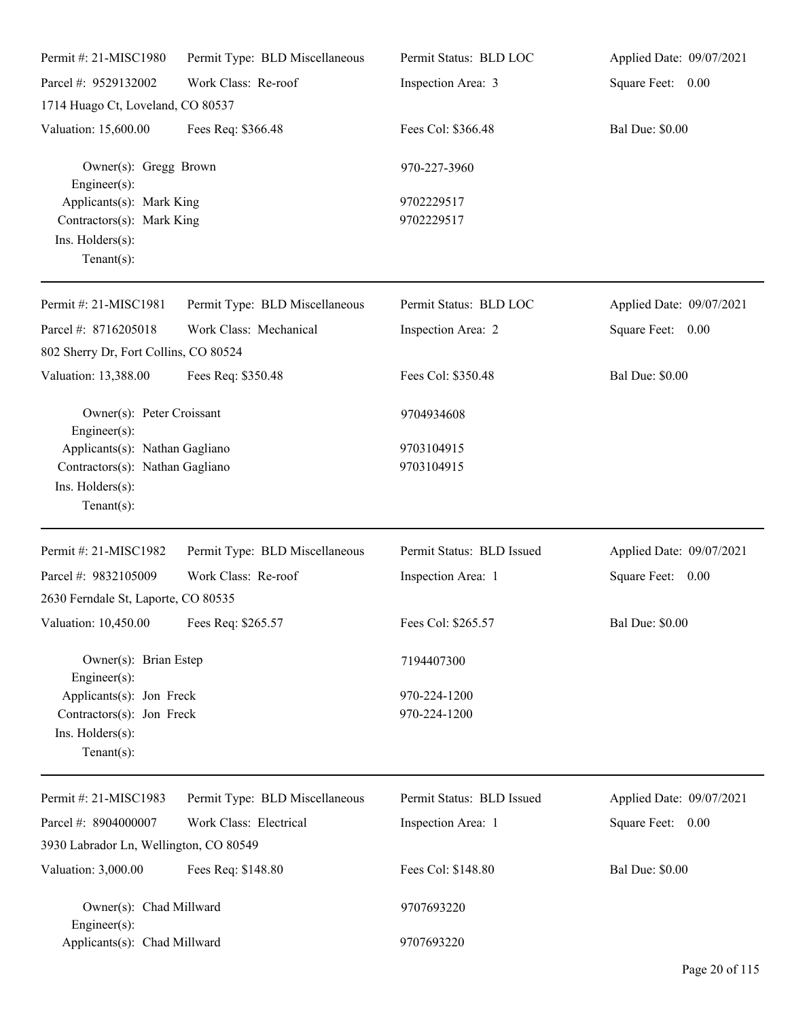| Permit #: 21-MISC1980                                                                       | Permit Type: BLD Miscellaneous | Permit Status: BLD LOC       | Applied Date: 09/07/2021 |
|---------------------------------------------------------------------------------------------|--------------------------------|------------------------------|--------------------------|
| Parcel #: 9529132002                                                                        | Work Class: Re-roof            | Inspection Area: 3           | Square Feet: 0.00        |
| 1714 Huago Ct, Loveland, CO 80537                                                           |                                |                              |                          |
| Valuation: 15,600.00                                                                        | Fees Req: \$366.48             | Fees Col: \$366.48           | <b>Bal Due: \$0.00</b>   |
| Owner(s): Gregg Brown<br>Engineer $(s)$ :                                                   |                                | 970-227-3960                 |                          |
| Applicants(s): Mark King<br>Contractors(s): Mark King<br>Ins. Holders(s):<br>Tenant $(s)$ : |                                | 9702229517<br>9702229517     |                          |
| Permit #: 21-MISC1981                                                                       | Permit Type: BLD Miscellaneous | Permit Status: BLD LOC       | Applied Date: 09/07/2021 |
| Parcel #: 8716205018                                                                        | Work Class: Mechanical         | Inspection Area: 2           | Square Feet: 0.00        |
| 802 Sherry Dr, Fort Collins, CO 80524                                                       |                                |                              |                          |
| Valuation: 13,388.00                                                                        | Fees Req: \$350.48             | Fees Col: \$350.48           | <b>Bal Due: \$0.00</b>   |
| Owner(s): Peter Croissant<br>Engineer(s):                                                   |                                | 9704934608                   |                          |
| Applicants(s): Nathan Gagliano                                                              |                                | 9703104915                   |                          |
| Contractors(s): Nathan Gagliano<br>Ins. Holders(s):<br>$Tenant(s)$ :                        |                                | 9703104915                   |                          |
| Permit #: 21-MISC1982                                                                       | Permit Type: BLD Miscellaneous | Permit Status: BLD Issued    | Applied Date: 09/07/2021 |
| Parcel #: 9832105009                                                                        | Work Class: Re-roof            | Inspection Area: 1           | Square Feet: 0.00        |
| 2630 Ferndale St, Laporte, CO 80535                                                         |                                |                              |                          |
| Valuation: 10,450.00 Fees Req: \$265.57                                                     |                                | Fees Col: \$265.57           | <b>Bal Due: \$0.00</b>   |
| Owner(s): Brian Estep<br>Engineer(s):                                                       |                                | 7194407300                   |                          |
| Applicants(s): Jon Freck<br>Contractors(s): Jon Freck<br>Ins. Holders(s):<br>Tenant $(s)$ : |                                | 970-224-1200<br>970-224-1200 |                          |
| Permit #: 21-MISC1983                                                                       | Permit Type: BLD Miscellaneous | Permit Status: BLD Issued    | Applied Date: 09/07/2021 |
| Parcel #: 8904000007                                                                        | Work Class: Electrical         | Inspection Area: 1           | Square Feet: 0.00        |
| 3930 Labrador Ln, Wellington, CO 80549                                                      |                                |                              |                          |
| Valuation: 3,000.00                                                                         | Fees Req: \$148.80             | Fees Col: \$148.80           | <b>Bal Due: \$0.00</b>   |
| Owner(s): Chad Millward<br>Engineer $(s)$ :                                                 |                                | 9707693220                   |                          |
| Applicants(s): Chad Millward                                                                |                                | 9707693220                   |                          |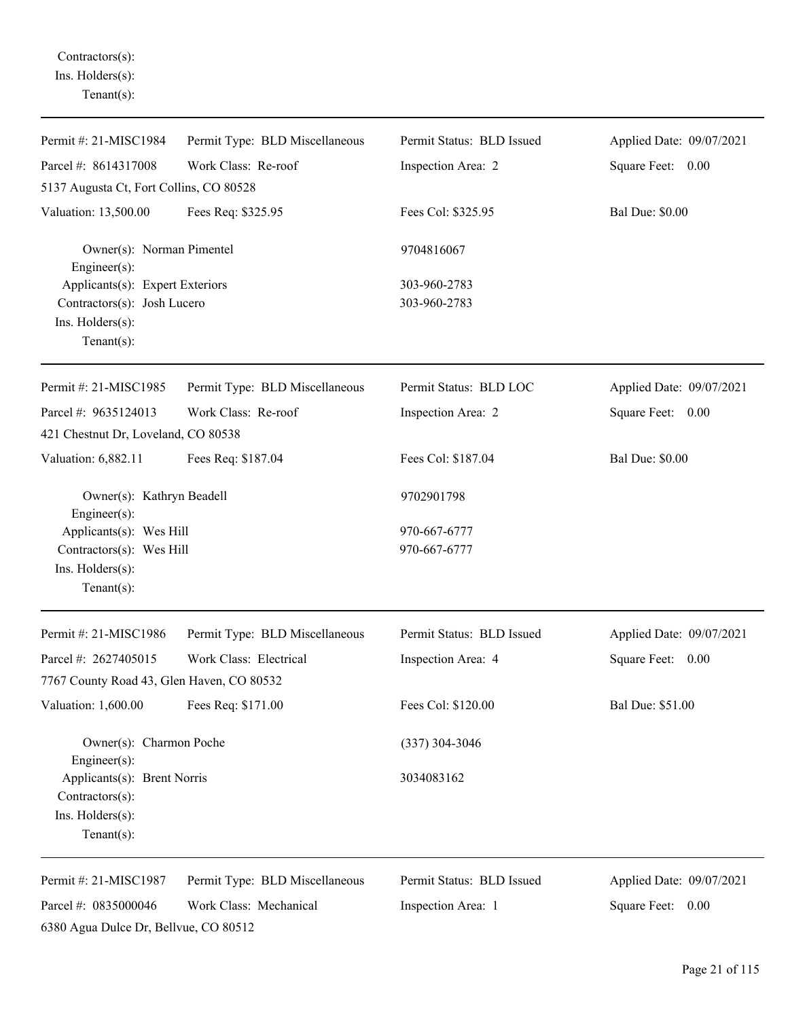Contractors(s): Ins. Holders(s): Tenant(s):

| Permit #: 21-MISC1984                                                                                | Permit Type: BLD Miscellaneous | Permit Status: BLD Issued    | Applied Date: 09/07/2021 |
|------------------------------------------------------------------------------------------------------|--------------------------------|------------------------------|--------------------------|
| Parcel #: 8614317008                                                                                 | Work Class: Re-roof            | Inspection Area: 2           | Square Feet: 0.00        |
| 5137 Augusta Ct, Fort Collins, CO 80528                                                              |                                |                              |                          |
| Valuation: 13,500.00                                                                                 | Fees Req: \$325.95             | Fees Col: \$325.95           | <b>Bal Due: \$0.00</b>   |
| Owner(s): Norman Pimentel<br>Engineer $(s)$ :                                                        |                                | 9704816067                   |                          |
| Applicants(s): Expert Exteriors<br>Contractors(s): Josh Lucero<br>Ins. Holders(s):<br>Tenant $(s)$ : |                                | 303-960-2783<br>303-960-2783 |                          |
| Permit #: 21-MISC1985                                                                                | Permit Type: BLD Miscellaneous | Permit Status: BLD LOC       | Applied Date: 09/07/2021 |
| Parcel #: 9635124013<br>421 Chestnut Dr, Loveland, CO 80538                                          | Work Class: Re-roof            | Inspection Area: 2           | Square Feet: 0.00        |
| Valuation: 6,882.11                                                                                  | Fees Req: \$187.04             | Fees Col: \$187.04           | <b>Bal Due: \$0.00</b>   |
| Owner(s): Kathryn Beadell<br>Engineer $(s)$ :                                                        |                                | 9702901798                   |                          |
| Applicants(s): Wes Hill<br>Contractors(s): Wes Hill<br>Ins. Holders(s):<br>Tenant $(s)$ :            |                                | 970-667-6777<br>970-667-6777 |                          |
| Permit #: 21-MISC1986                                                                                | Permit Type: BLD Miscellaneous | Permit Status: BLD Issued    | Applied Date: 09/07/2021 |
| Parcel #: 2627405015                                                                                 | Work Class: Electrical         | Inspection Area: 4           | Square Feet: 0.00        |
| 7767 County Road 43, Glen Haven, CO 80532                                                            |                                |                              |                          |
| Valuation: 1,600.00                                                                                  | Fees Req: \$171.00             | Fees Col: \$120.00           | Bal Due: \$51.00         |
| Owner(s): Charmon Poche<br>$Engineering(s)$ :                                                        |                                | $(337)$ 304-3046             |                          |
| Applicants(s): Brent Norris<br>Contractors(s):<br>Ins. Holders(s):<br>Tenant $(s)$ :                 |                                | 3034083162                   |                          |
| Permit #: 21-MISC1987                                                                                | Permit Type: BLD Miscellaneous | Permit Status: BLD Issued    | Applied Date: 09/07/2021 |
| Parcel #: 0835000046<br>6380 Agua Dulce Dr, Bellvue, CO 80512                                        | Work Class: Mechanical         | Inspection Area: 1           | Square Feet:<br>0.00     |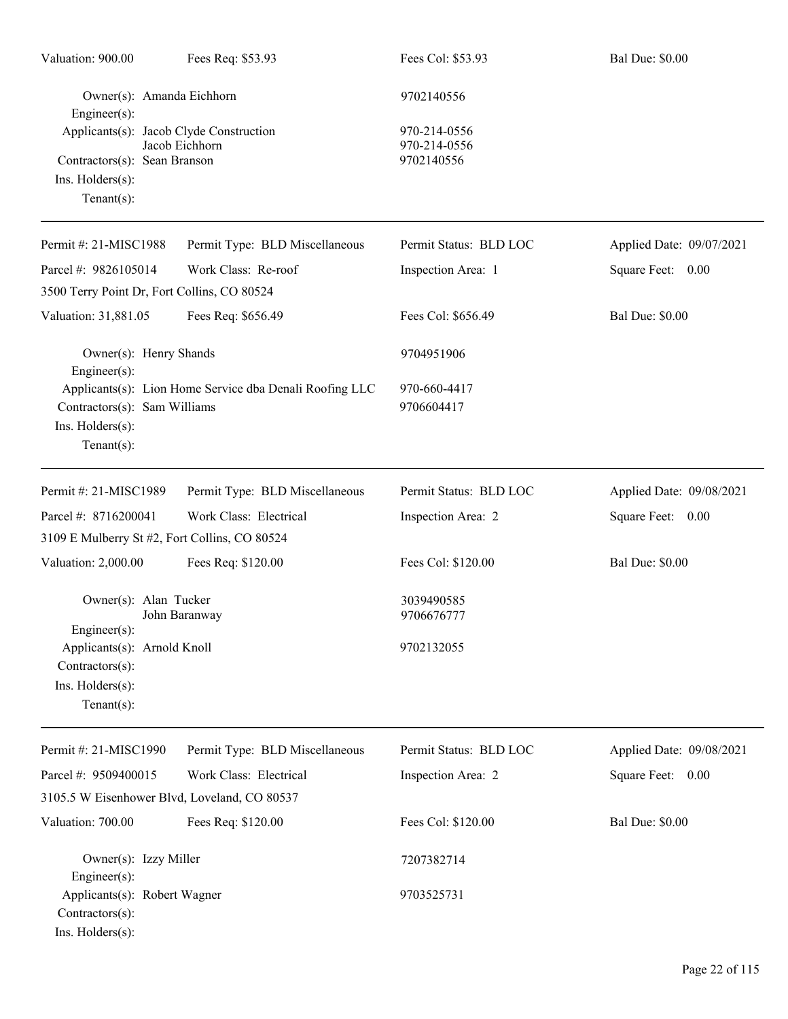| Valuation: 900.00                                                                                                                                          | Fees Req: \$53.93                                       | Fees Col: \$53.93                                        | <b>Bal Due: \$0.00</b>   |
|------------------------------------------------------------------------------------------------------------------------------------------------------------|---------------------------------------------------------|----------------------------------------------------------|--------------------------|
| Owner(s): Amanda Eichhorn<br>Engineer(s):<br>Applicants(s): Jacob Clyde Construction<br>Contractors(s): Sean Branson<br>Ins. Holders(s):<br>Tenant $(s)$ : | Jacob Eichhorn                                          | 9702140556<br>970-214-0556<br>970-214-0556<br>9702140556 |                          |
| Permit #: 21-MISC1988                                                                                                                                      | Permit Type: BLD Miscellaneous                          | Permit Status: BLD LOC                                   | Applied Date: 09/07/2021 |
| Parcel #: 9826105014<br>3500 Terry Point Dr, Fort Collins, CO 80524                                                                                        | Work Class: Re-roof                                     | Inspection Area: 1                                       | Square Feet: 0.00        |
| Valuation: 31,881.05                                                                                                                                       | Fees Req: \$656.49                                      | Fees Col: \$656.49                                       | <b>Bal Due: \$0.00</b>   |
| Owner(s): Henry Shands<br>Engineer(s):<br>Contractors(s): Sam Williams<br>Ins. Holders(s):<br>$Tenant(s)$ :                                                | Applicants(s): Lion Home Service dba Denali Roofing LLC | 9704951906<br>970-660-4417<br>9706604417                 |                          |
| Permit #: 21-MISC1989                                                                                                                                      | Permit Type: BLD Miscellaneous                          | Permit Status: BLD LOC                                   | Applied Date: 09/08/2021 |
| Parcel #: 8716200041                                                                                                                                       | Work Class: Electrical                                  | Inspection Area: 2                                       | Square Feet: 0.00        |
| 3109 E Mulberry St #2, Fort Collins, CO 80524                                                                                                              |                                                         |                                                          |                          |
| Valuation: 2,000.00                                                                                                                                        | Fees Req: \$120.00                                      | Fees Col: \$120.00                                       | <b>Bal Due: \$0.00</b>   |
| Owner(s): Alan Tucker<br>Engineer(s):<br>Applicants(s): Arnold Knoll<br>Contractors(s):<br>Ins. Holders(s):<br>Tenant $(s)$ :                              | John Baranway                                           | 3039490585<br>9706676777<br>9702132055                   |                          |
| Permit #: 21-MISC1990                                                                                                                                      | Permit Type: BLD Miscellaneous                          | Permit Status: BLD LOC                                   | Applied Date: 09/08/2021 |
| Parcel #: 9509400015                                                                                                                                       | Work Class: Electrical                                  | Inspection Area: 2                                       | Square Feet: 0.00        |
| 3105.5 W Eisenhower Blvd, Loveland, CO 80537                                                                                                               |                                                         |                                                          |                          |
| Valuation: 700.00                                                                                                                                          | Fees Req: \$120.00                                      | Fees Col: \$120.00                                       | <b>Bal Due: \$0.00</b>   |
| Owner(s): Izzy Miller<br>Engineer(s):                                                                                                                      |                                                         | 7207382714                                               |                          |
| Applicants(s): Robert Wagner<br>Contractors(s):<br>Ins. Holders(s):                                                                                        |                                                         | 9703525731                                               |                          |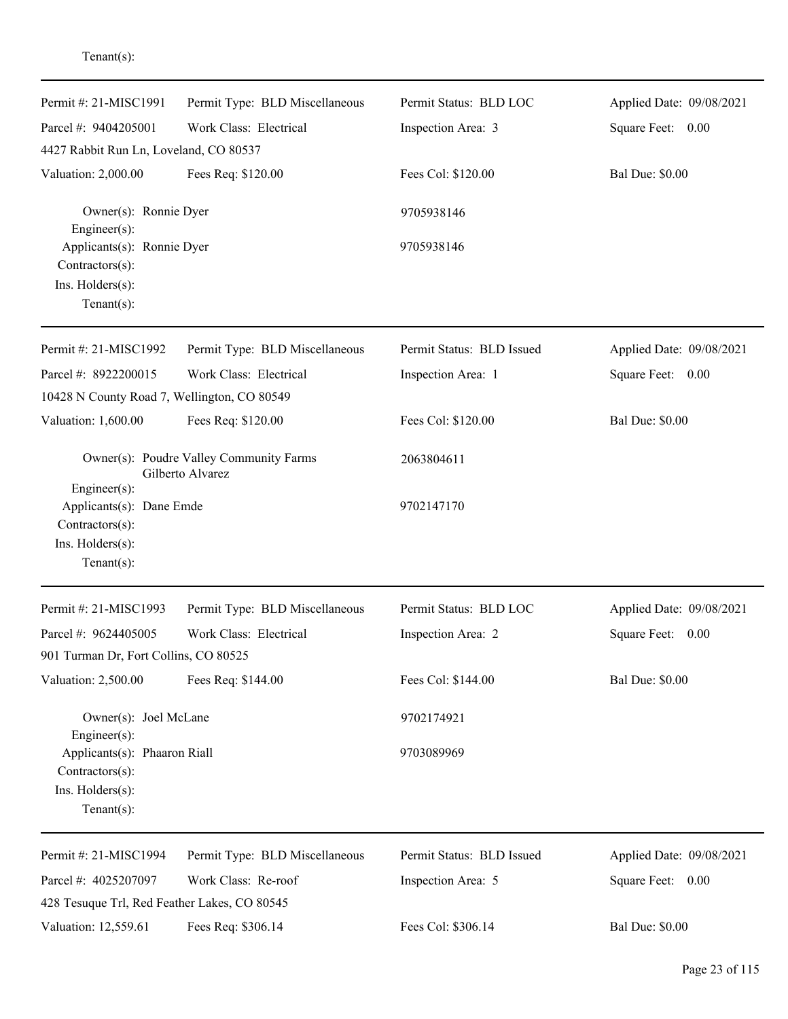| Permit #: 21-MISC1991<br>Parcel #: 9404205001                                                         | Permit Type: BLD Miscellaneous<br>Work Class: Electrical    | Permit Status: BLD LOC<br>Inspection Area: 3 | Applied Date: 09/08/2021<br>Square Feet: 0.00 |
|-------------------------------------------------------------------------------------------------------|-------------------------------------------------------------|----------------------------------------------|-----------------------------------------------|
| 4427 Rabbit Run Ln, Loveland, CO 80537                                                                |                                                             |                                              |                                               |
| Valuation: 2,000.00                                                                                   | Fees Req: \$120.00                                          | Fees Col: \$120.00                           | <b>Bal Due: \$0.00</b>                        |
| Owner(s): Ronnie Dyer<br>Engineer(s):                                                                 |                                                             | 9705938146                                   |                                               |
| Applicants(s): Ronnie Dyer<br>Contractors(s):<br>Ins. Holders(s):<br>$Tenant(s)$ :                    |                                                             | 9705938146                                   |                                               |
| Permit #: 21-MISC1992                                                                                 | Permit Type: BLD Miscellaneous                              | Permit Status: BLD Issued                    | Applied Date: 09/08/2021                      |
| Parcel #: 8922200015<br>10428 N County Road 7, Wellington, CO 80549                                   | Work Class: Electrical                                      | Inspection Area: 1                           | Square Feet: 0.00                             |
| Valuation: 1,600.00                                                                                   | Fees Req: \$120.00                                          | Fees Col: \$120.00                           | <b>Bal Due: \$0.00</b>                        |
| Engineer(s):                                                                                          | Owner(s): Poudre Valley Community Farms<br>Gilberto Alvarez | 2063804611                                   |                                               |
| Applicants(s): Dane Emde<br>Contractors(s):<br>Ins. Holders(s):<br>$Tenant(s)$ :                      |                                                             | 9702147170                                   |                                               |
| Permit #: 21-MISC1993                                                                                 | Permit Type: BLD Miscellaneous                              | Permit Status: BLD LOC                       | Applied Date: 09/08/2021                      |
| Parcel #: 9624405005                                                                                  | Work Class: Electrical                                      | Inspection Area: 2                           | Square Feet:<br>0.00                          |
| 901 Turman Dr, Fort Collins, CO 80525                                                                 |                                                             |                                              |                                               |
| Valuation: 2,500.00                                                                                   | Fees Req: \$144.00                                          | Fees Col: \$144.00                           | <b>Bal Due: \$0.00</b>                        |
| Owner(s): Joel McLane                                                                                 |                                                             | 9702174921                                   |                                               |
| Engineer(s):<br>Applicants(s): Phaaron Riall<br>Contractors(s):<br>Ins. Holders(s):<br>Tenant $(s)$ : |                                                             | 9703089969                                   |                                               |
| Permit #: 21-MISC1994                                                                                 | Permit Type: BLD Miscellaneous                              | Permit Status: BLD Issued                    | Applied Date: 09/08/2021                      |
| Parcel #: 4025207097<br>428 Tesuque Trl, Red Feather Lakes, CO 80545                                  | Work Class: Re-roof                                         | Inspection Area: 5                           | Square Feet: 0.00                             |
| Valuation: 12,559.61                                                                                  | Fees Req: \$306.14                                          | Fees Col: \$306.14                           | <b>Bal Due: \$0.00</b>                        |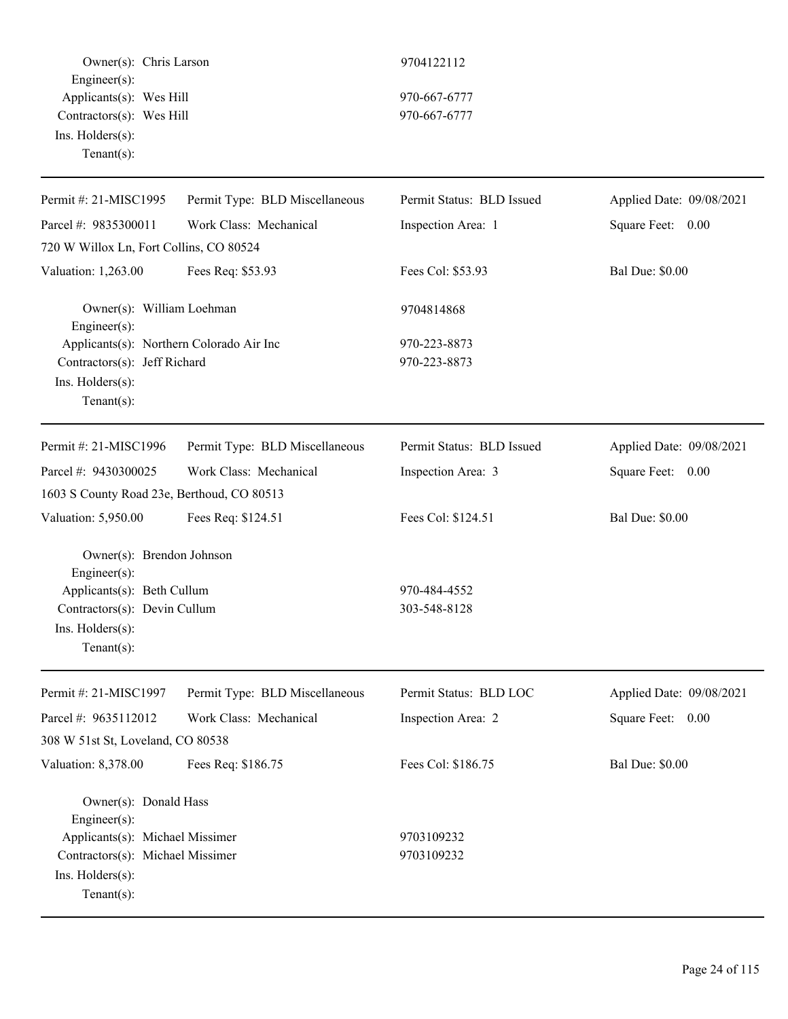Owner(s): Chris Larson 9704122112 Engineer(s): Applicants(s): Wes Hill 970-667-6777 Contractors(s): Wes Hill 970-667-6777 Ins. Holders(s): Tenant(s):

| Permit #: 21-MISC1995                      | Permit Type: BLD Miscellaneous | Permit Status: BLD Issued | Applied Date: 09/08/2021 |
|--------------------------------------------|--------------------------------|---------------------------|--------------------------|
| Parcel #: 9835300011                       | Work Class: Mechanical         | Inspection Area: 1        | Square Feet: 0.00        |
| 720 W Willox Ln, Fort Collins, CO 80524    |                                |                           |                          |
| Valuation: 1,263.00                        | Fees Req: \$53.93              | Fees Col: \$53.93         | <b>Bal Due: \$0.00</b>   |
| Owner(s): William Loehman<br>Engineer(s):  |                                | 9704814868                |                          |
| Applicants(s): Northern Colorado Air Inc   |                                | 970-223-8873              |                          |
| Contractors(s): Jeff Richard               |                                | 970-223-8873              |                          |
| Ins. Holders(s):                           |                                |                           |                          |
| Tenant $(s)$ :                             |                                |                           |                          |
| Permit #: 21-MISC1996                      | Permit Type: BLD Miscellaneous | Permit Status: BLD Issued | Applied Date: 09/08/2021 |
| Parcel #: 9430300025                       | Work Class: Mechanical         | Inspection Area: 3        | Square Feet: 0.00        |
| 1603 S County Road 23e, Berthoud, CO 80513 |                                |                           |                          |
| Valuation: 5,950.00                        | Fees Req: \$124.51             | Fees Col: \$124.51        | <b>Bal Due: \$0.00</b>   |
| Owner(s): Brendon Johnson                  |                                |                           |                          |
| Engineer(s):                               |                                |                           |                          |
| Applicants(s): Beth Cullum                 |                                | 970-484-4552              |                          |
| Contractors(s): Devin Cullum               |                                | 303-548-8128              |                          |
| Ins. Holders(s):                           |                                |                           |                          |
| Tenant $(s)$ :                             |                                |                           |                          |
| Permit #: 21-MISC1997                      | Permit Type: BLD Miscellaneous | Permit Status: BLD LOC    | Applied Date: 09/08/2021 |
| Parcel #: 9635112012                       | Work Class: Mechanical         | Inspection Area: 2        | Square Feet:<br>0.00     |
| 308 W 51st St, Loveland, CO 80538          |                                |                           |                          |
| Valuation: 8,378.00                        | Fees Req: \$186.75             | Fees Col: \$186.75        | <b>Bal Due: \$0.00</b>   |
| Owner(s): Donald Hass                      |                                |                           |                          |
| Engineer $(s)$ :                           |                                |                           |                          |
| Applicants(s): Michael Missimer            |                                | 9703109232                |                          |
| Contractors(s): Michael Missimer           |                                | 9703109232                |                          |
| Ins. Holders(s):                           |                                |                           |                          |
| $Tenant(s)$ :                              |                                |                           |                          |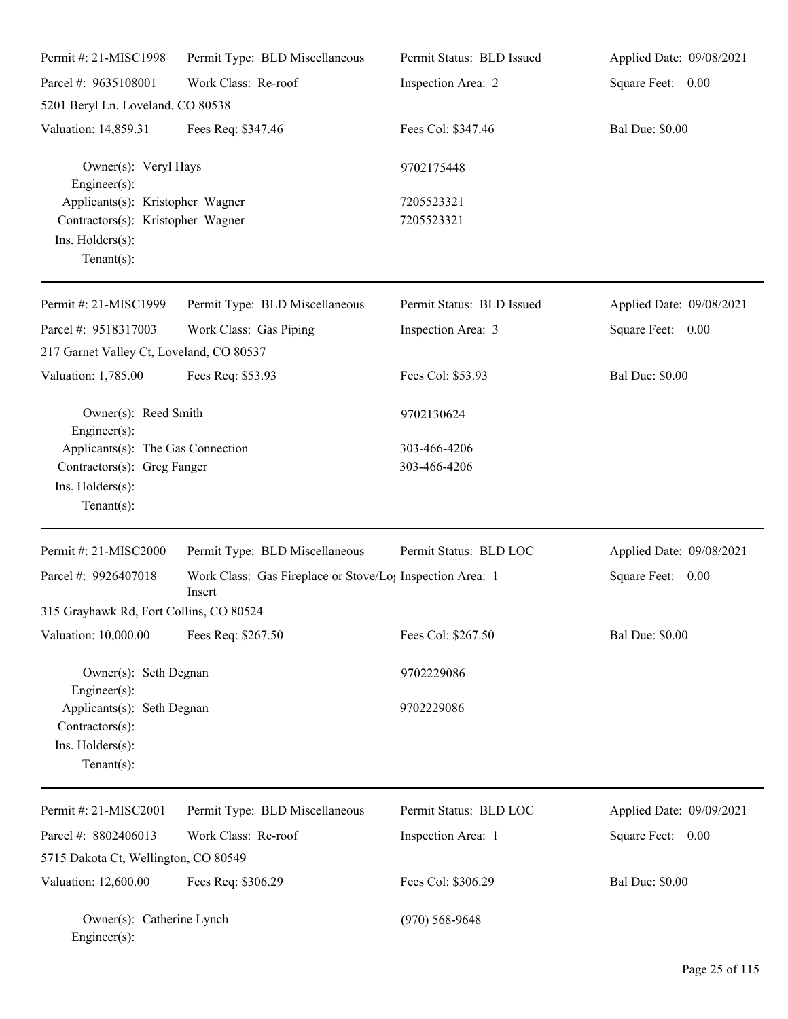| Permit #: 21-MISC1998                                                                                       | Permit Type: BLD Miscellaneous                                                  | Permit Status: BLD Issued | Applied Date: 09/08/2021 |
|-------------------------------------------------------------------------------------------------------------|---------------------------------------------------------------------------------|---------------------------|--------------------------|
| Parcel #: 9635108001                                                                                        | Work Class: Re-roof                                                             | Inspection Area: 2        | Square Feet: 0.00        |
| 5201 Beryl Ln, Loveland, CO 80538                                                                           |                                                                                 |                           |                          |
| Valuation: 14,859.31                                                                                        | Fees Req: \$347.46                                                              | Fees Col: \$347.46        | <b>Bal Due: \$0.00</b>   |
| Owner(s): Veryl Hays<br>Engineer(s):                                                                        |                                                                                 | 9702175448                |                          |
| Applicants(s): Kristopher Wagner<br>Contractors(s): Kristopher Wagner<br>Ins. Holders(s):<br>Tenant $(s)$ : |                                                                                 | 7205523321<br>7205523321  |                          |
| Permit #: 21-MISC1999                                                                                       | Permit Type: BLD Miscellaneous                                                  | Permit Status: BLD Issued | Applied Date: 09/08/2021 |
| Parcel #: 9518317003                                                                                        | Work Class: Gas Piping                                                          | Inspection Area: 3        | Square Feet: 0.00        |
| 217 Garnet Valley Ct, Loveland, CO 80537                                                                    |                                                                                 |                           |                          |
| Valuation: 1,785.00                                                                                         | Fees Req: \$53.93                                                               | Fees Col: \$53.93         | <b>Bal Due: \$0.00</b>   |
| Owner(s): Reed Smith<br>Engineer(s):                                                                        |                                                                                 | 9702130624                |                          |
| Applicants(s): The Gas Connection                                                                           |                                                                                 | 303-466-4206              |                          |
| Contractors(s): Greg Fanger                                                                                 |                                                                                 | 303-466-4206              |                          |
| Ins. Holders(s):<br>$Tenant(s)$ :                                                                           |                                                                                 |                           |                          |
| Permit #: 21-MISC2000                                                                                       | Permit Type: BLD Miscellaneous                                                  | Permit Status: BLD LOC    | Applied Date: 09/08/2021 |
| Parcel #: 9926407018                                                                                        | Work Class: Gas Fireplace or Stove/Lo <sub>1</sub> Inspection Area: 1<br>Insert |                           | Square Feet: 0.00        |
| 315 Grayhawk Rd, Fort Collins, CO 80524                                                                     |                                                                                 |                           |                          |
| Valuation: 10,000.00                                                                                        | Fees Req: \$267.50                                                              | Fees Col: \$267.50        | <b>Bal Due: \$0.00</b>   |
| Owner(s): Seth Degnan<br>Engineer(s):                                                                       |                                                                                 | 9702229086                |                          |
| Applicants(s): Seth Degnan<br>Contractors(s):<br>Ins. Holders(s):<br>$Tenant(s)$ :                          |                                                                                 | 9702229086                |                          |
| Permit #: 21-MISC2001                                                                                       | Permit Type: BLD Miscellaneous                                                  | Permit Status: BLD LOC    | Applied Date: 09/09/2021 |
| Parcel #: 8802406013                                                                                        | Work Class: Re-roof                                                             | Inspection Area: 1        | Square Feet: 0.00        |
| 5715 Dakota Ct, Wellington, CO 80549                                                                        |                                                                                 |                           |                          |
| Valuation: 12,600.00                                                                                        | Fees Req: \$306.29                                                              | Fees Col: \$306.29        | <b>Bal Due: \$0.00</b>   |
| Owner(s): Catherine Lynch<br>$Engineer(s)$ :                                                                |                                                                                 | $(970)$ 568-9648          |                          |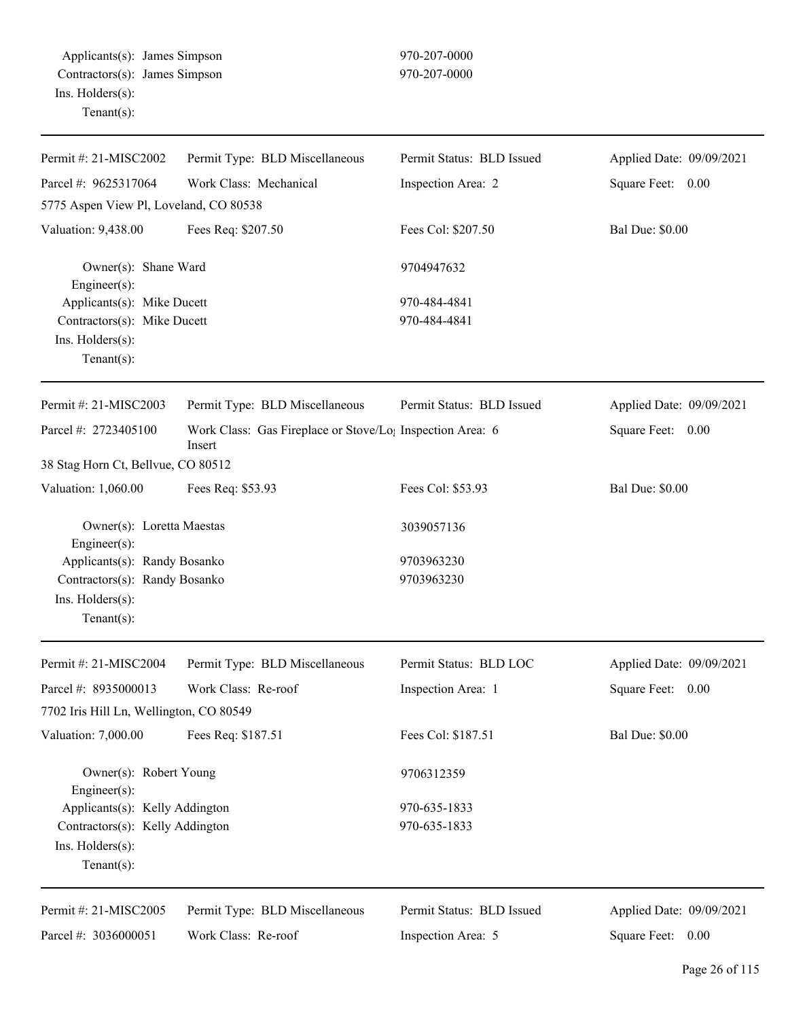| Permit #: 21-MISC2002                                                 | Permit Type: BLD Miscellaneous                                                  | Permit Status: BLD Issued | Applied Date: 09/09/2021 |
|-----------------------------------------------------------------------|---------------------------------------------------------------------------------|---------------------------|--------------------------|
| Parcel #: 9625317064                                                  | Work Class: Mechanical                                                          | Inspection Area: 2        | Square Feet: 0.00        |
| 5775 Aspen View Pl, Loveland, CO 80538                                |                                                                                 |                           |                          |
| Valuation: 9,438.00                                                   | Fees Req: \$207.50                                                              | Fees Col: \$207.50        | <b>Bal Due: \$0.00</b>   |
| Owner(s): Shane Ward<br>Engineer $(s)$ :                              |                                                                                 | 9704947632                |                          |
| Applicants(s): Mike Ducett                                            |                                                                                 | 970-484-4841              |                          |
| Contractors(s): Mike Ducett                                           |                                                                                 | 970-484-4841              |                          |
| Ins. Holders(s):<br>Tenant $(s)$ :                                    |                                                                                 |                           |                          |
| Permit #: 21-MISC2003                                                 | Permit Type: BLD Miscellaneous                                                  | Permit Status: BLD Issued | Applied Date: 09/09/2021 |
| Parcel #: 2723405100                                                  | Work Class: Gas Fireplace or Stove/Lo <sub>1</sub> Inspection Area: 6<br>Insert |                           | Square Feet: 0.00        |
| 38 Stag Horn Ct, Bellvue, CO 80512                                    |                                                                                 |                           |                          |
| Valuation: 1,060.00                                                   | Fees Req: \$53.93                                                               | Fees Col: \$53.93         | <b>Bal Due: \$0.00</b>   |
| Owner(s): Loretta Maestas<br>Engineer $(s)$ :                         |                                                                                 | 3039057136                |                          |
| Applicants(s): Randy Bosanko                                          |                                                                                 | 9703963230                |                          |
| Contractors(s): Randy Bosanko<br>Ins. Holders(s):<br>$Tenant(s)$ :    |                                                                                 | 9703963230                |                          |
| Permit #: 21-MISC2004                                                 | Permit Type: BLD Miscellaneous                                                  | Permit Status: BLD LOC    | Applied Date: 09/09/2021 |
| Parcel #: 8935000013                                                  | Work Class: Re-roof                                                             | Inspection Area: 1        | Square Feet:<br>0.00     |
| 7702 Iris Hill Ln, Wellington, CO 80549                               |                                                                                 |                           |                          |
| Valuation: 7,000.00                                                   | Fees Req: \$187.51                                                              | Fees Col: \$187.51        | <b>Bal Due: \$0.00</b>   |
| Owner(s): Robert Young<br>Engineer(s):                                |                                                                                 | 9706312359                |                          |
| Applicants(s): Kelly Addington                                        |                                                                                 | 970-635-1833              |                          |
| Contractors(s): Kelly Addington<br>Ins. Holders(s):<br>Tenant $(s)$ : |                                                                                 | 970-635-1833              |                          |
| Permit #: 21-MISC2005                                                 | Permit Type: BLD Miscellaneous                                                  | Permit Status: BLD Issued | Applied Date: 09/09/2021 |
| Parcel #: 3036000051                                                  | Work Class: Re-roof                                                             | Inspection Area: 5        | Square Feet: 0.00        |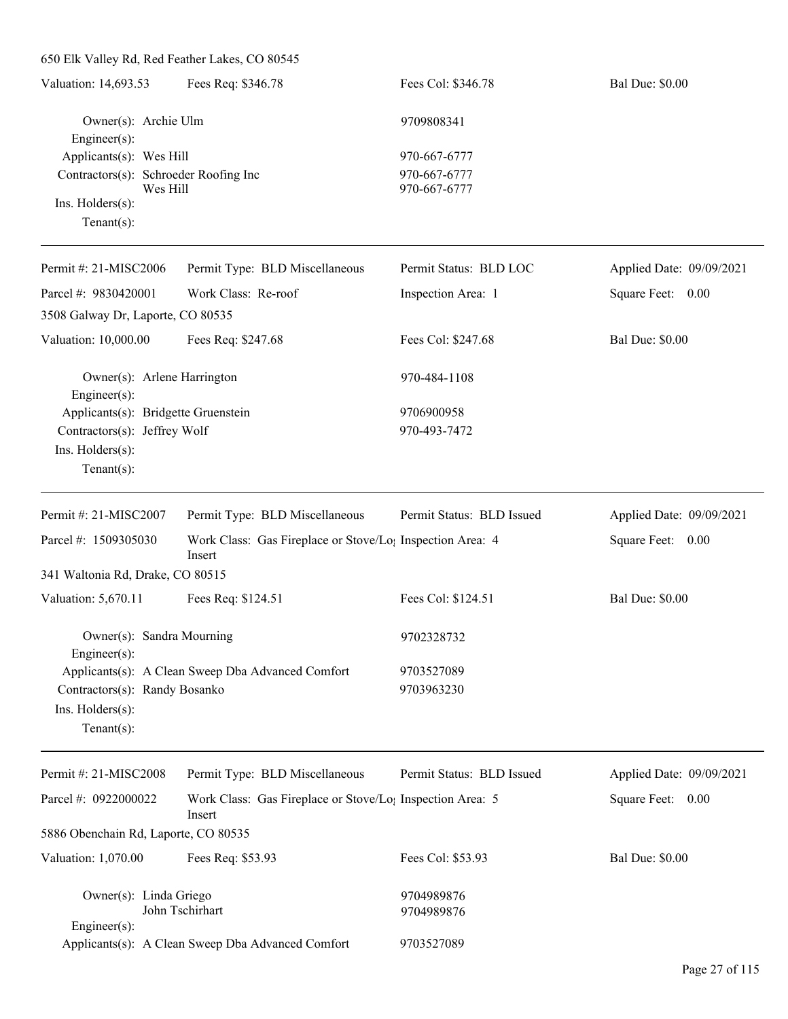| 650 Elk Valley Rd, Red Feather Lakes, CO 80545 |                                                                                 |                           |                          |
|------------------------------------------------|---------------------------------------------------------------------------------|---------------------------|--------------------------|
| Valuation: 14,693.53                           | Fees Req: \$346.78                                                              | Fees Col: \$346.78        | <b>Bal Due: \$0.00</b>   |
| Owner(s): Archie Ulm<br>Engineer(s):           |                                                                                 | 9709808341                |                          |
| Applicants(s): Wes Hill                        |                                                                                 | 970-667-6777              |                          |
| Contractors(s): Schroeder Roofing Inc          |                                                                                 | 970-667-6777              |                          |
| Wes Hill<br>Ins. Holders(s):                   |                                                                                 | 970-667-6777              |                          |
| $Tenant(s)$ :                                  |                                                                                 |                           |                          |
| Permit #: 21-MISC2006                          | Permit Type: BLD Miscellaneous                                                  | Permit Status: BLD LOC    | Applied Date: 09/09/2021 |
| Parcel #: 9830420001                           | Work Class: Re-roof                                                             | Inspection Area: 1        | Square Feet: 0.00        |
| 3508 Galway Dr, Laporte, CO 80535              |                                                                                 |                           |                          |
| Valuation: 10,000.00                           | Fees Req: \$247.68                                                              | Fees Col: \$247.68        | <b>Bal Due: \$0.00</b>   |
| Owner(s): Arlene Harrington<br>Engineer(s):    |                                                                                 | 970-484-1108              |                          |
| Applicants(s): Bridgette Gruenstein            |                                                                                 | 9706900958                |                          |
| Contractors(s): Jeffrey Wolf                   |                                                                                 | 970-493-7472              |                          |
| Ins. Holders(s):                               |                                                                                 |                           |                          |
| $Tenant(s)$ :                                  |                                                                                 |                           |                          |
| Permit #: 21-MISC2007                          | Permit Type: BLD Miscellaneous                                                  | Permit Status: BLD Issued | Applied Date: 09/09/2021 |
| Parcel #: 1509305030                           | Work Class: Gas Fireplace or Stove/Lo <sub>1</sub> Inspection Area: 4<br>Insert |                           | Square Feet: 0.00        |
| 341 Waltonia Rd, Drake, CO 80515               |                                                                                 |                           |                          |
| Valuation: 5,670.11                            | Fees Req: \$124.51                                                              | Fees Col: \$124.51        | <b>Bal Due: \$0.00</b>   |
| Owner(s): Sandra Mourning<br>Engineer $(s)$ :  |                                                                                 | 9702328732                |                          |
|                                                | Applicants(s): A Clean Sweep Dba Advanced Comfort                               | 9703527089                |                          |
| Contractors(s): Randy Bosanko                  |                                                                                 | 9703963230                |                          |
| Ins. Holders(s):                               |                                                                                 |                           |                          |
| Tenant $(s)$ :                                 |                                                                                 |                           |                          |
| Permit #: 21-MISC2008                          | Permit Type: BLD Miscellaneous                                                  | Permit Status: BLD Issued | Applied Date: 09/09/2021 |
| Parcel #: 0922000022                           | Work Class: Gas Fireplace or Stove/Lo <sub>1</sub> Inspection Area: 5<br>Insert |                           | Square Feet: 0.00        |
| 5886 Obenchain Rd, Laporte, CO 80535           |                                                                                 |                           |                          |
| Valuation: 1,070.00                            | Fees Req: \$53.93                                                               | Fees Col: \$53.93         | <b>Bal Due: \$0.00</b>   |
| Owner(s): Linda Griego                         |                                                                                 | 9704989876                |                          |
|                                                | John Tschirhart                                                                 | 9704989876                |                          |
| Engineer(s):                                   | Applicants(s): A Clean Sweep Dba Advanced Comfort                               | 9703527089                |                          |
|                                                |                                                                                 |                           |                          |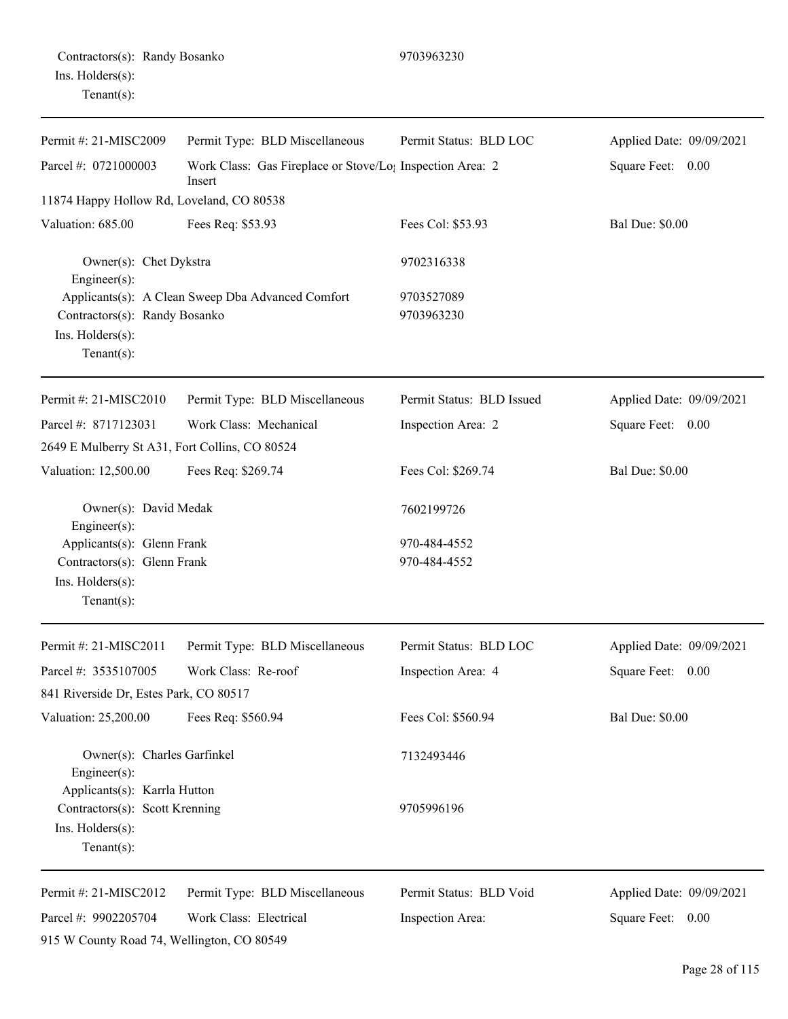## Contractors(s): Randy Bosanko 9703963230 Ins. Holders(s): Tenant(s):

| Permit #: 21-MISC2009                                                                           | Permit Type: BLD Miscellaneous                                      | Permit Status: BLD LOC       | Applied Date: 09/09/2021 |
|-------------------------------------------------------------------------------------------------|---------------------------------------------------------------------|------------------------------|--------------------------|
| Parcel #: 0721000003                                                                            | Work Class: Gas Fireplace or Stove/Lo; Inspection Area: 2<br>Insert |                              | Square Feet: 0.00        |
| 11874 Happy Hollow Rd, Loveland, CO 80538                                                       |                                                                     |                              |                          |
| Valuation: 685.00                                                                               | Fees Req: \$53.93                                                   | Fees Col: \$53.93            | <b>Bal Due: \$0.00</b>   |
| Owner(s): Chet Dykstra<br>Engineer(s):                                                          |                                                                     | 9702316338                   |                          |
| Contractors(s): Randy Bosanko<br>Ins. Holders(s):<br>Tenant $(s)$ :                             | Applicants(s): A Clean Sweep Dba Advanced Comfort                   | 9703527089<br>9703963230     |                          |
| Permit #: 21-MISC2010                                                                           | Permit Type: BLD Miscellaneous                                      | Permit Status: BLD Issued    | Applied Date: 09/09/2021 |
| Parcel #: 8717123031                                                                            | Work Class: Mechanical                                              | Inspection Area: 2           | Square Feet: 0.00        |
| 2649 E Mulberry St A31, Fort Collins, CO 80524                                                  |                                                                     |                              |                          |
| Valuation: 12,500.00                                                                            | Fees Req: \$269.74                                                  | Fees Col: \$269.74           | <b>Bal Due: \$0.00</b>   |
| Owner(s): David Medak<br>Engineer(s):                                                           |                                                                     | 7602199726                   |                          |
| Applicants(s): Glenn Frank<br>Contractors(s): Glenn Frank<br>Ins. Holders(s):<br>Tenant $(s)$ : |                                                                     | 970-484-4552<br>970-484-4552 |                          |
| Permit #: 21-MISC2011                                                                           | Permit Type: BLD Miscellaneous                                      | Permit Status: BLD LOC       | Applied Date: 09/09/2021 |
| Parcel #: 3535107005                                                                            | Work Class: Re-roof                                                 | Inspection Area: 4           | Square Feet:<br>0.00     |
| 841 Riverside Dr, Estes Park, CO 80517                                                          |                                                                     |                              |                          |
| Valuation: 25,200.00                                                                            | Fees Req: \$560.94                                                  | Fees Col: \$560.94           | <b>Bal Due: \$0.00</b>   |
| Owner(s): Charles Garfinkel<br>Engineer(s):<br>Applicants(s): Karrla Hutton                     |                                                                     | 7132493446                   |                          |
| Contractors(s): Scott Krenning<br>Ins. Holders(s):<br>Tenant $(s)$ :                            |                                                                     | 9705996196                   |                          |
| Permit #: 21-MISC2012                                                                           | Permit Type: BLD Miscellaneous                                      | Permit Status: BLD Void      | Applied Date: 09/09/2021 |
| Parcel #: 9902205704                                                                            | Work Class: Electrical                                              | Inspection Area:             | Square Feet: 0.00        |
| 915 W County Road 74, Wellington, CO 80549                                                      |                                                                     |                              |                          |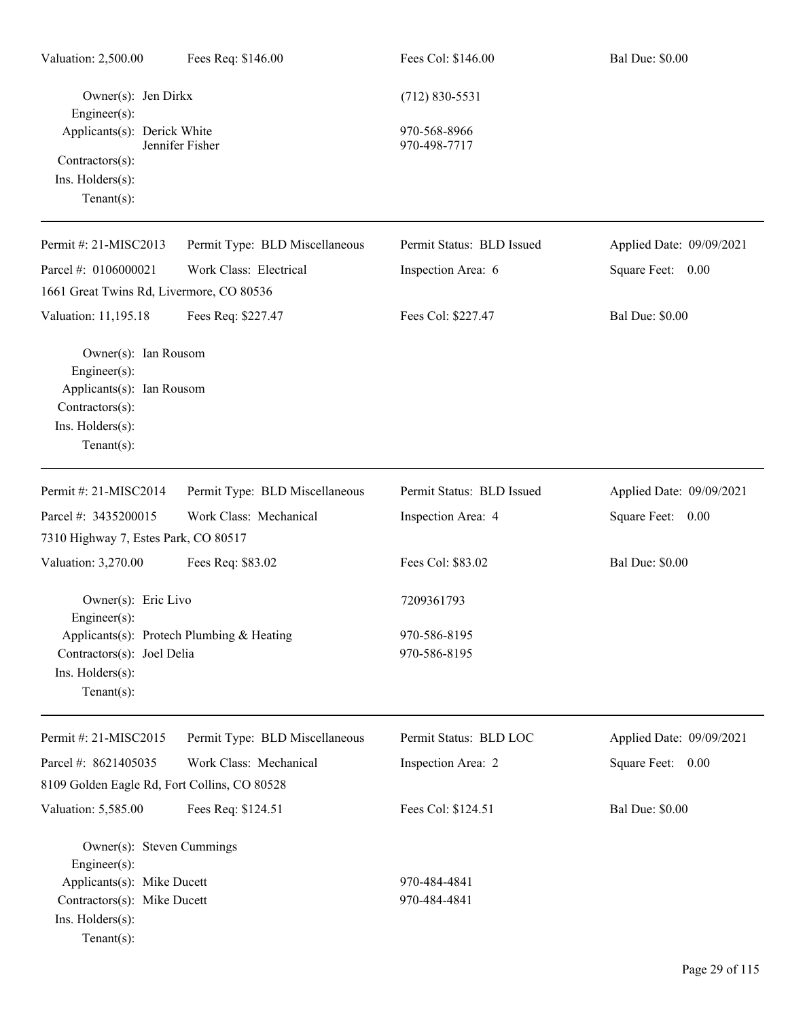| Valuation: 2,500.00                                                                                                              | Fees Req: \$146.00                        | Fees Col: \$146.00           | <b>Bal Due: \$0.00</b>   |
|----------------------------------------------------------------------------------------------------------------------------------|-------------------------------------------|------------------------------|--------------------------|
| Owner(s): Jen Dirkx<br>$Engineering(s)$ :                                                                                        |                                           | $(712) 830 - 5531$           |                          |
| Applicants(s): Derick White<br>Contractors(s):                                                                                   | Jennifer Fisher                           | 970-568-8966<br>970-498-7717 |                          |
| Ins. Holders(s):<br>$Tenant(s)$ :                                                                                                |                                           |                              |                          |
| Permit #: 21-MISC2013                                                                                                            | Permit Type: BLD Miscellaneous            | Permit Status: BLD Issued    | Applied Date: 09/09/2021 |
| Parcel #: 0106000021                                                                                                             | Work Class: Electrical                    | Inspection Area: 6           | Square Feet: 0.00        |
| 1661 Great Twins Rd, Livermore, CO 80536                                                                                         |                                           |                              |                          |
| Valuation: 11,195.18                                                                                                             | Fees Req: \$227.47                        | Fees Col: \$227.47           | <b>Bal Due: \$0.00</b>   |
| Owner(s): Ian Rousom<br>$Engineering(s)$ :<br>Applicants(s): Ian Rousom<br>Contractors(s):<br>Ins. Holders(s):<br>Tenant $(s)$ : |                                           |                              |                          |
| Permit #: 21-MISC2014                                                                                                            | Permit Type: BLD Miscellaneous            | Permit Status: BLD Issued    | Applied Date: 09/09/2021 |
| Parcel #: 3435200015                                                                                                             | Work Class: Mechanical                    | Inspection Area: 4           | Square Feet: 0.00        |
| 7310 Highway 7, Estes Park, CO 80517                                                                                             |                                           |                              |                          |
| Valuation: 3,270.00                                                                                                              | Fees Req: \$83.02                         | Fees Col: \$83.02            | <b>Bal Due: \$0.00</b>   |
| Owner(s): Eric Livo<br>Engineer $(s)$ :                                                                                          |                                           | 7209361793                   |                          |
| Contractors(s): Joel Delia<br>Ins. Holders(s):                                                                                   | Applicants(s): Protech Plumbing & Heating | 970-586-8195<br>970-586-8195 |                          |
| Tenant $(s)$ :                                                                                                                   |                                           |                              |                          |
| Permit #: 21-MISC2015                                                                                                            | Permit Type: BLD Miscellaneous            | Permit Status: BLD LOC       | Applied Date: 09/09/2021 |
| Parcel #: 8621405035                                                                                                             | Work Class: Mechanical                    | Inspection Area: 2           | Square Feet: 0.00        |
| 8109 Golden Eagle Rd, Fort Collins, CO 80528                                                                                     |                                           |                              |                          |
| Valuation: 5,585.00                                                                                                              | Fees Req: \$124.51                        | Fees Col: \$124.51           | <b>Bal Due: \$0.00</b>   |
| Owner(s): Steven Cummings<br>$Engineering(s)$ :                                                                                  |                                           |                              |                          |
| Applicants(s): Mike Ducett<br>Contractors(s): Mike Ducett<br>Ins. Holders(s):<br>Tenant $(s)$ :                                  |                                           | 970-484-4841<br>970-484-4841 |                          |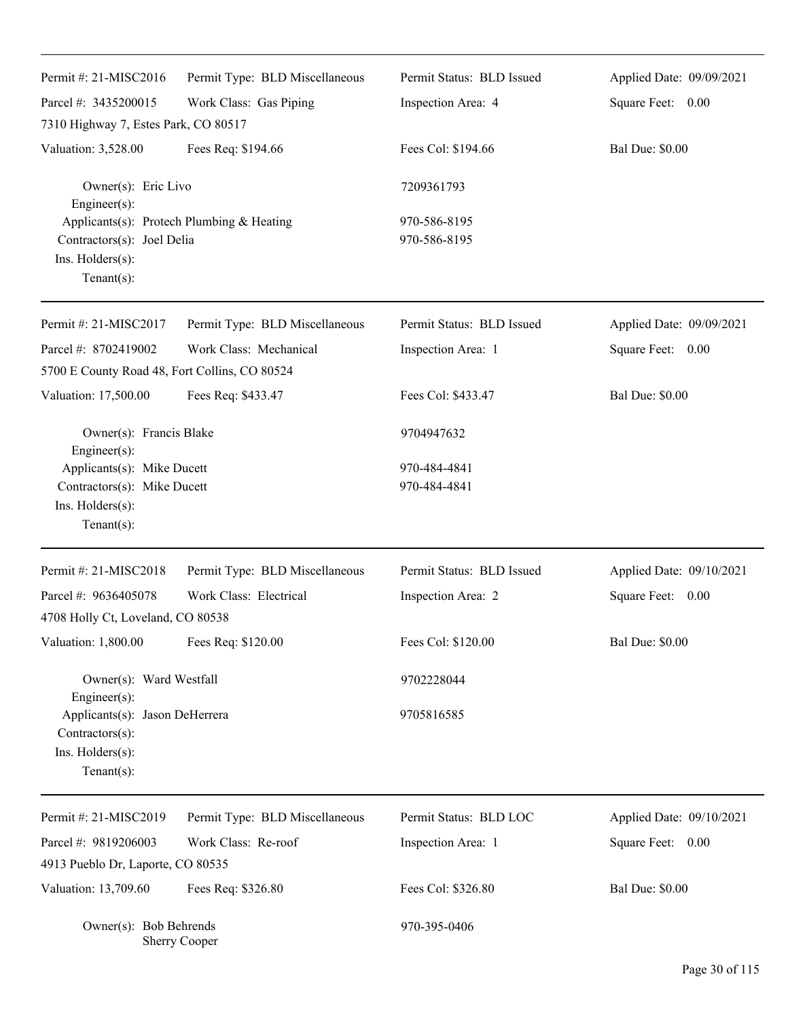| Permit #: 21-MISC2016<br>Parcel #: 3435200015<br>7310 Highway 7, Estes Park, CO 80517                         | Permit Type: BLD Miscellaneous<br>Work Class: Gas Piping | Permit Status: BLD Issued<br>Inspection Area: 4 | Applied Date: 09/09/2021<br>Square Feet: 0.00 |
|---------------------------------------------------------------------------------------------------------------|----------------------------------------------------------|-------------------------------------------------|-----------------------------------------------|
| Valuation: 3,528.00                                                                                           | Fees Req: \$194.66                                       | Fees Col: \$194.66                              | <b>Bal Due: \$0.00</b>                        |
| Owner(s): Eric Livo<br>Engineer(s):                                                                           |                                                          | 7209361793                                      |                                               |
| Applicants(s): Protech Plumbing & Heating<br>Contractors(s): Joel Delia<br>Ins. Holders(s):<br>Tenant $(s)$ : |                                                          | 970-586-8195<br>970-586-8195                    |                                               |
| Permit#: 21-MISC2017                                                                                          | Permit Type: BLD Miscellaneous                           | Permit Status: BLD Issued                       | Applied Date: 09/09/2021                      |
| Parcel #: 8702419002                                                                                          | Work Class: Mechanical                                   | Inspection Area: 1                              | Square Feet: 0.00                             |
| 5700 E County Road 48, Fort Collins, CO 80524                                                                 |                                                          |                                                 |                                               |
| Valuation: 17,500.00                                                                                          | Fees Req: \$433.47                                       | Fees Col: \$433.47                              | <b>Bal Due: \$0.00</b>                        |
| Owner(s): Francis Blake<br>Engineer(s):                                                                       |                                                          | 9704947632                                      |                                               |
| Applicants(s): Mike Ducett                                                                                    |                                                          | 970-484-4841                                    |                                               |
| Contractors(s): Mike Ducett<br>Ins. Holders(s):<br>Tenant $(s)$ :                                             |                                                          | 970-484-4841                                    |                                               |
| Permit #: 21-MISC2018                                                                                         | Permit Type: BLD Miscellaneous                           | Permit Status: BLD Issued                       | Applied Date: 09/10/2021                      |
| Parcel #: 9636405078                                                                                          | Work Class: Electrical                                   | Inspection Area: 2                              | Square Feet: 0.00                             |
| 4708 Holly Ct, Loveland, CO 80538                                                                             |                                                          |                                                 |                                               |
| Valuation: 1,800.00                                                                                           | Fees Req: \$120.00                                       | Fees Col: \$120.00                              | <b>Bal Due: \$0.00</b>                        |
| Owner(s): Ward Westfall                                                                                       |                                                          | 9702228044                                      |                                               |
| Engineer $(s)$ :<br>Applicants(s): Jason DeHerrera<br>Contractors(s):<br>Ins. Holders(s):                     |                                                          | 9705816585                                      |                                               |
| $Tenant(s)$ :                                                                                                 |                                                          |                                                 |                                               |
| Permit #: 21-MISC2019                                                                                         | Permit Type: BLD Miscellaneous                           | Permit Status: BLD LOC                          | Applied Date: 09/10/2021                      |
| Parcel #: 9819206003                                                                                          | Work Class: Re-roof                                      | Inspection Area: 1                              | 0.00<br>Square Feet:                          |
| 4913 Pueblo Dr, Laporte, CO 80535                                                                             |                                                          |                                                 |                                               |
| Valuation: 13,709.60                                                                                          | Fees Req: \$326.80                                       | Fees Col: \$326.80                              | <b>Bal Due: \$0.00</b>                        |
| Owner(s): Bob Behrends                                                                                        | <b>Sherry Cooper</b>                                     | 970-395-0406                                    |                                               |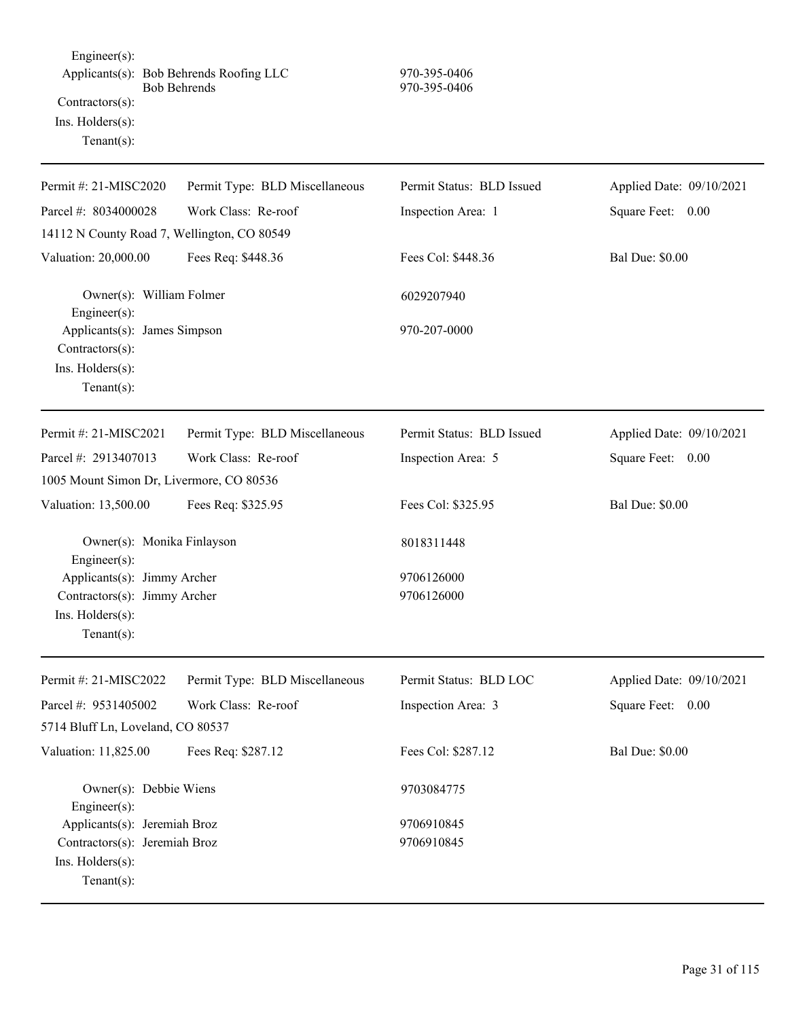Engineer(s): Applicants(s): Bob Behrends Roofing LLC 970-395-0406 Bob Behrends 970-395-0406 Contractors(s): Ins. Holders(s): Tenant(s):

| Permit #: 21-MISC2020                                                                    | Permit Type: BLD Miscellaneous | Permit Status: BLD Issued | Applied Date: 09/10/2021 |
|------------------------------------------------------------------------------------------|--------------------------------|---------------------------|--------------------------|
| Parcel #: 8034000028                                                                     | Work Class: Re-roof            | Inspection Area: 1        | Square Feet: 0.00        |
| 14112 N County Road 7, Wellington, CO 80549                                              |                                |                           |                          |
| Valuation: 20,000.00                                                                     | Fees Req: \$448.36             | Fees Col: \$448.36        | <b>Bal Due: \$0.00</b>   |
| Owner(s): William Folmer<br>Engineer $(s)$ :                                             |                                | 6029207940                |                          |
| Applicants(s): James Simpson<br>$Contractors(s)$ :<br>Ins. Holders(s):<br>Tenant $(s)$ : |                                | 970-207-0000              |                          |
| Permit #: 21-MISC2021                                                                    | Permit Type: BLD Miscellaneous | Permit Status: BLD Issued | Applied Date: 09/10/2021 |
| Parcel #: 2913407013                                                                     | Work Class: Re-roof            | Inspection Area: 5        | Square Feet: 0.00        |
| 1005 Mount Simon Dr, Livermore, CO 80536                                                 |                                |                           |                          |
| Valuation: 13,500.00                                                                     | Fees Req: \$325.95             | Fees Col: \$325.95        | <b>Bal Due: \$0.00</b>   |
| Owner(s): Monika Finlayson<br>$Engineering(s)$ :                                         |                                | 8018311448                |                          |
| Applicants(s): Jimmy Archer                                                              |                                | 9706126000                |                          |
| Contractors(s): Jimmy Archer                                                             |                                | 9706126000                |                          |
| Ins. Holders(s):                                                                         |                                |                           |                          |
| $Tenant(s)$ :                                                                            |                                |                           |                          |
| Permit #: 21-MISC2022                                                                    | Permit Type: BLD Miscellaneous | Permit Status: BLD LOC    | Applied Date: 09/10/2021 |
| Parcel #: 9531405002                                                                     | Work Class: Re-roof            | Inspection Area: 3        | Square Feet: 0.00        |
| 5714 Bluff Ln, Loveland, CO 80537                                                        |                                |                           |                          |
| Valuation: 11,825.00                                                                     | Fees Req: \$287.12             | Fees Col: \$287.12        | <b>Bal Due: \$0.00</b>   |
| Owner(s): Debbie Wiens<br>Engineer(s):                                                   |                                | 9703084775                |                          |
| Applicants(s): Jeremiah Broz                                                             |                                | 9706910845                |                          |
| Contractors(s): Jeremiah Broz                                                            |                                | 9706910845                |                          |
| Ins. Holders(s):                                                                         |                                |                           |                          |
| Tenant $(s)$ :                                                                           |                                |                           |                          |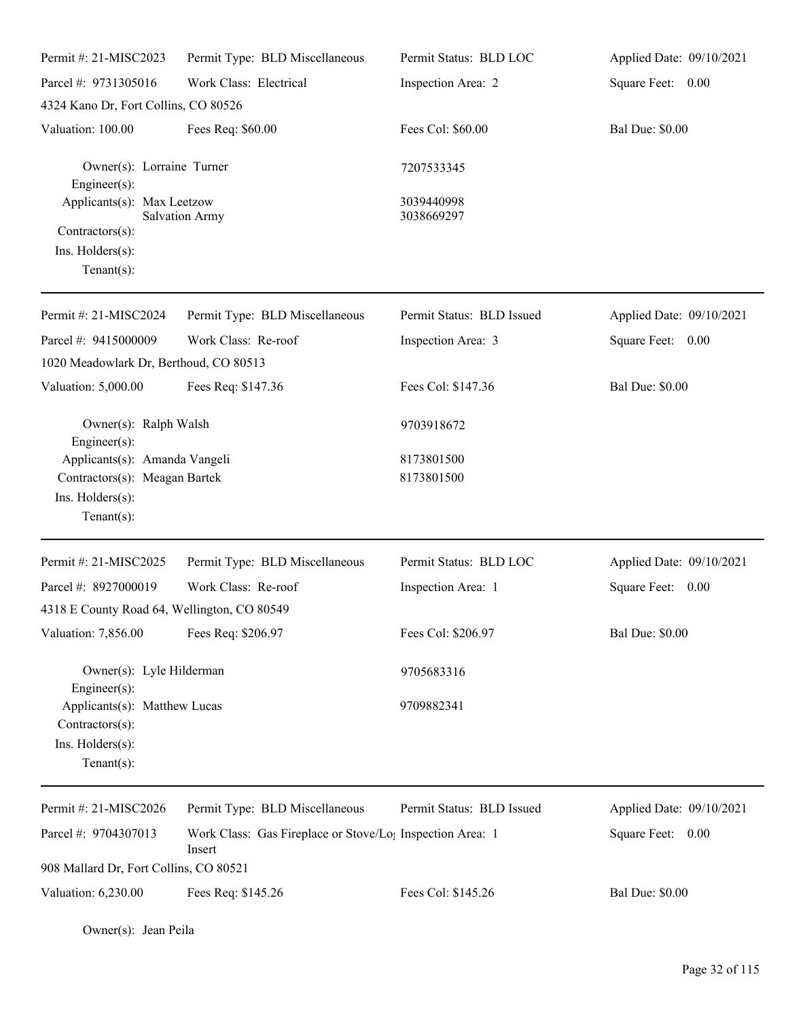| Permit #: 21-MISC2023                                                                 | Permit Type: BLD Miscellaneous                                                  | Permit Status: BLD LOC    | Applied Date: 09/10/2021 |
|---------------------------------------------------------------------------------------|---------------------------------------------------------------------------------|---------------------------|--------------------------|
| Parcel #: 9731305016                                                                  | Work Class: Electrical                                                          | Inspection Area: 2        | Square Feet: 0.00        |
| 4324 Kano Dr, Fort Collins, CO 80526                                                  |                                                                                 |                           |                          |
| Valuation: 100.00                                                                     | Fees Req: \$60.00                                                               | Fees Col: \$60.00         | <b>Bal Due: \$0.00</b>   |
| Owner(s): Lorraine Turner<br>Engineer $(s)$ :                                         |                                                                                 | 7207533345                |                          |
| Applicants(s): Max Leetzow                                                            | <b>Salvation Army</b>                                                           | 3039440998<br>3038669297  |                          |
| Contractors(s):<br>Ins. Holders(s):                                                   |                                                                                 |                           |                          |
| Tenant $(s)$ :                                                                        |                                                                                 |                           |                          |
| Permit #: 21-MISC2024                                                                 | Permit Type: BLD Miscellaneous                                                  | Permit Status: BLD Issued | Applied Date: 09/10/2021 |
| Parcel #: 9415000009                                                                  | Work Class: Re-roof                                                             | Inspection Area: 3        | Square Feet: 0.00        |
| 1020 Meadowlark Dr, Berthoud, CO 80513                                                |                                                                                 |                           |                          |
| Valuation: 5,000.00                                                                   | Fees Req: \$147.36                                                              | Fees Col: \$147.36        | <b>Bal Due: \$0.00</b>   |
| Owner(s): Ralph Walsh<br>$Engineering(s)$ :                                           |                                                                                 | 9703918672                |                          |
| Applicants(s): Amanda Vangeli                                                         |                                                                                 | 8173801500                |                          |
| Contractors(s): Meagan Bartek                                                         |                                                                                 | 8173801500                |                          |
| Ins. Holders(s):<br>Tenant $(s)$ :                                                    |                                                                                 |                           |                          |
| Permit #: 21-MISC2025                                                                 | Permit Type: BLD Miscellaneous                                                  | Permit Status: BLD LOC    | Applied Date: 09/10/2021 |
| Parcel #: 8927000019                                                                  | Work Class: Re-roof                                                             | Inspection Area: 1        | Square Feet:<br>0.00     |
| 4318 E County Road 64, Wellington, CO 80549                                           |                                                                                 |                           |                          |
| Valuation: 7,856.00                                                                   | Fees Req: \$206.97                                                              | Fees Col: \$206.97        | <b>Bal Due: \$0.00</b>   |
| Owner(s): Lyle Hilderman<br>Engineer(s):                                              |                                                                                 | 9705683316                |                          |
| Applicants(s): Matthew Lucas<br>Contractors(s):<br>Ins. Holders(s):<br>Tenant $(s)$ : |                                                                                 | 9709882341                |                          |
| Permit #: 21-MISC2026                                                                 | Permit Type: BLD Miscellaneous                                                  | Permit Status: BLD Issued | Applied Date: 09/10/2021 |
| Parcel #: 9704307013                                                                  | Work Class: Gas Fireplace or Stove/Lo <sub>1</sub> Inspection Area: 1<br>Insert |                           | Square Feet: 0.00        |
| 908 Mallard Dr, Fort Collins, CO 80521                                                |                                                                                 |                           |                          |
| Valuation: 6,230.00                                                                   | Fees Req: \$145.26                                                              | Fees Col: \$145.26        | <b>Bal Due: \$0.00</b>   |

Owner(s): Jean Peila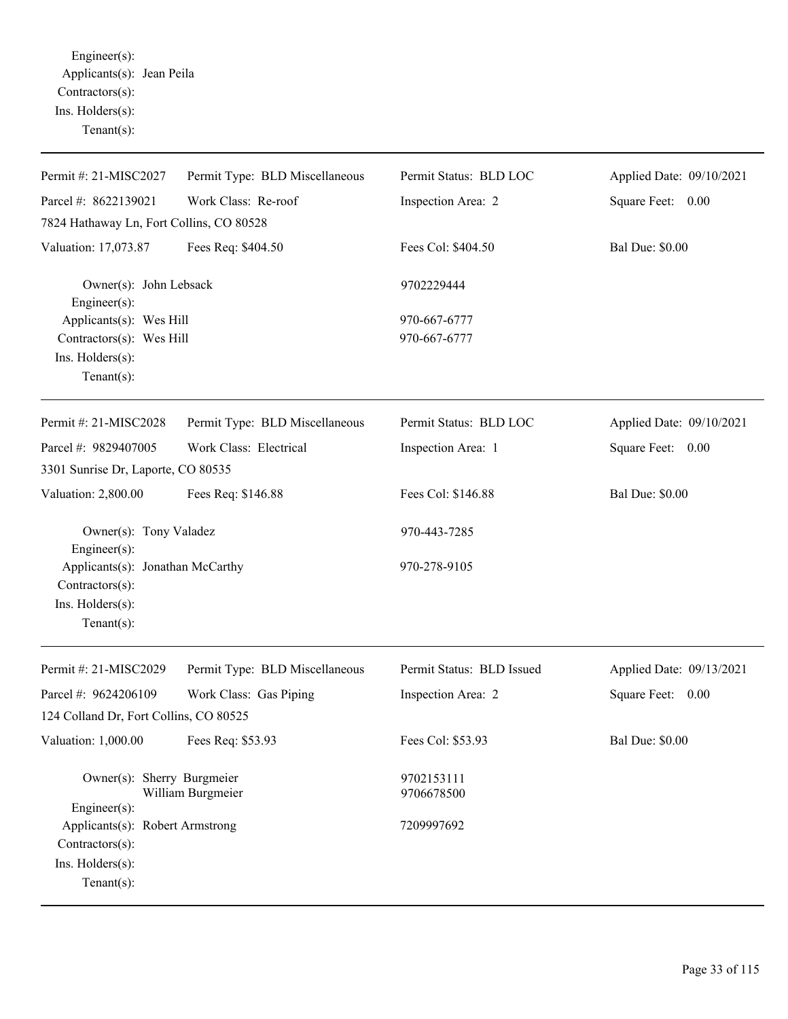Engineer(s): Applicants(s): Jean Peila Contractors(s): Ins. Holders(s): Tenant(s):

| Permit #: 21-MISC2027                                                                    | Permit Type: BLD Miscellaneous | Permit Status: BLD LOC    | Applied Date: 09/10/2021 |
|------------------------------------------------------------------------------------------|--------------------------------|---------------------------|--------------------------|
| Parcel #: 8622139021                                                                     | Work Class: Re-roof            | Inspection Area: 2        | Square Feet: 0.00        |
| 7824 Hathaway Ln, Fort Collins, CO 80528                                                 |                                |                           |                          |
| Valuation: 17,073.87                                                                     | Fees Req: \$404.50             | Fees Col: \$404.50        | <b>Bal Due: \$0.00</b>   |
| Owner(s): John Lebsack<br>Engineer(s):                                                   |                                | 9702229444                |                          |
| Applicants(s): Wes Hill                                                                  |                                | 970-667-6777              |                          |
| Contractors(s): Wes Hill                                                                 |                                | 970-667-6777              |                          |
| Ins. Holders(s):<br>Tenant $(s)$ :                                                       |                                |                           |                          |
| Permit #: 21-MISC2028                                                                    | Permit Type: BLD Miscellaneous | Permit Status: BLD LOC    | Applied Date: 09/10/2021 |
| Parcel #: 9829407005                                                                     | Work Class: Electrical         | Inspection Area: 1        | Square Feet: 0.00        |
| 3301 Sunrise Dr, Laporte, CO 80535                                                       |                                |                           |                          |
| Valuation: 2,800.00                                                                      | Fees Req: \$146.88             | Fees Col: \$146.88        | <b>Bal Due: \$0.00</b>   |
| Owner(s): Tony Valadez<br>Engineer(s):                                                   |                                | 970-443-7285              |                          |
| Applicants(s): Jonathan McCarthy                                                         |                                | 970-278-9105              |                          |
| Contractors(s):                                                                          |                                |                           |                          |
| Ins. Holders(s):<br>Tenant $(s)$ :                                                       |                                |                           |                          |
| Permit #: 21-MISC2029                                                                    | Permit Type: BLD Miscellaneous | Permit Status: BLD Issued | Applied Date: 09/13/2021 |
| Parcel #: 9624206109                                                                     | Work Class: Gas Piping         | Inspection Area: 2        | Square Feet: 0.00        |
| 124 Colland Dr, Fort Collins, CO 80525                                                   |                                |                           |                          |
| Valuation: 1,000.00                                                                      | Fees Req: \$53.93              | Fees Col: \$53.93         | <b>Bal Due: \$0.00</b>   |
| Owner(s): Sherry Burgmeier<br>Engineer(s):                                               | William Burgmeier              | 9702153111<br>9706678500  |                          |
| Applicants(s): Robert Armstrong<br>Contractors(s):<br>Ins. Holders(s):<br>Tenant $(s)$ : |                                | 7209997692                |                          |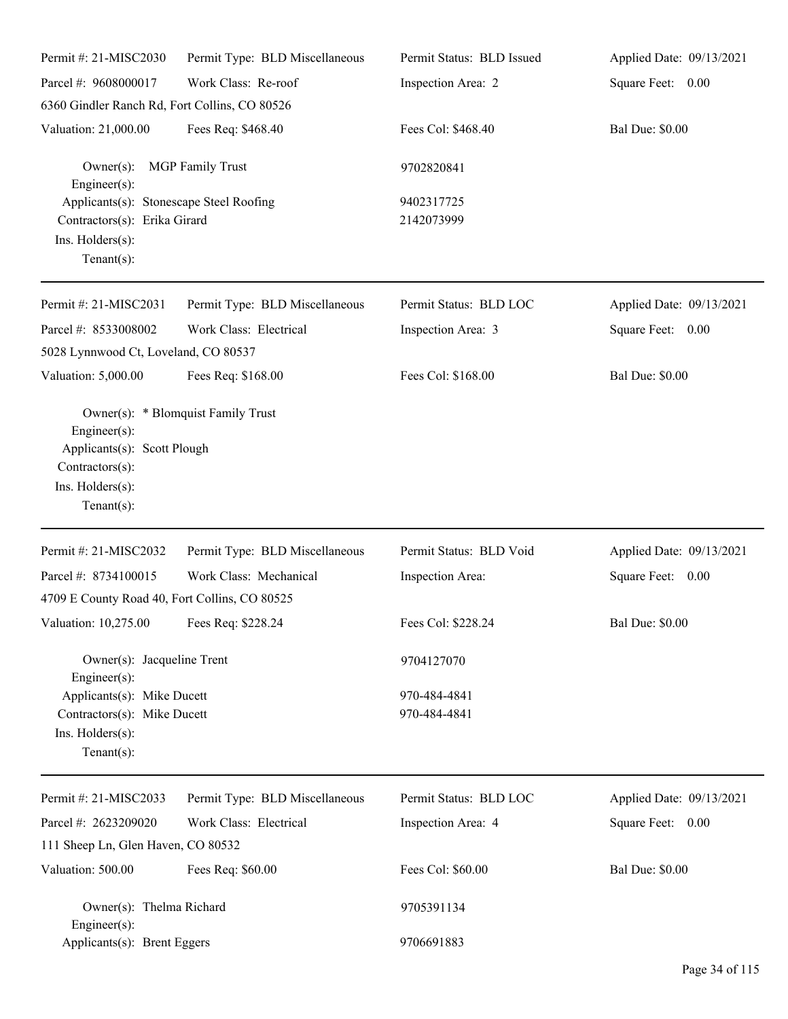| Permit #: 21-MISC2030                                                                                         | Permit Type: BLD Miscellaneous     | Permit Status: BLD Issued    | Applied Date: 09/13/2021 |
|---------------------------------------------------------------------------------------------------------------|------------------------------------|------------------------------|--------------------------|
| Parcel #: 9608000017                                                                                          | Work Class: Re-roof                | Inspection Area: 2           | Square Feet: 0.00        |
| 6360 Gindler Ranch Rd, Fort Collins, CO 80526                                                                 |                                    |                              |                          |
| Valuation: 21,000.00                                                                                          | Fees Req: \$468.40                 | Fees Col: \$468.40           | <b>Bal Due: \$0.00</b>   |
| $Owner(s)$ :<br>$Engineering(s)$ :                                                                            | <b>MGP</b> Family Trust            | 9702820841                   |                          |
| Applicants(s): Stonescape Steel Roofing<br>Contractors(s): Erika Girard<br>Ins. Holders(s):<br>Tenant $(s)$ : |                                    | 9402317725<br>2142073999     |                          |
| Permit #: 21-MISC2031                                                                                         | Permit Type: BLD Miscellaneous     | Permit Status: BLD LOC       | Applied Date: 09/13/2021 |
| Parcel #: 8533008002<br>5028 Lynnwood Ct, Loveland, CO 80537                                                  | Work Class: Electrical             | Inspection Area: 3           | Square Feet: 0.00        |
| Valuation: 5,000.00                                                                                           | Fees Req: \$168.00                 | Fees Col: \$168.00           | <b>Bal Due: \$0.00</b>   |
| $Engineering(s)$ :<br>Applicants(s): Scott Plough<br>Contractors(s):<br>Ins. Holders(s):<br>$Tenant(s)$ :     | Owner(s): * Blomquist Family Trust |                              |                          |
| Permit #: 21-MISC2032                                                                                         | Permit Type: BLD Miscellaneous     | Permit Status: BLD Void      | Applied Date: 09/13/2021 |
| Parcel #: 8734100015                                                                                          | Work Class: Mechanical             | Inspection Area:             | Square Feet: 0.00        |
| 4709 E County Road 40, Fort Collins, CO 80525                                                                 |                                    |                              |                          |
| Valuation: 10,275.00 Fees Req: \$228.24                                                                       |                                    | Fees Col: \$228.24           | <b>Bal Due: \$0.00</b>   |
| Owner(s): Jacqueline Trent<br>$Engineering(s)$ :                                                              |                                    | 9704127070                   |                          |
| Applicants(s): Mike Ducett<br>Contractors(s): Mike Ducett<br>Ins. Holders(s):<br>Tenant $(s)$ :               |                                    | 970-484-4841<br>970-484-4841 |                          |
| Permit #: 21-MISC2033                                                                                         | Permit Type: BLD Miscellaneous     | Permit Status: BLD LOC       | Applied Date: 09/13/2021 |
| Parcel #: 2623209020                                                                                          | Work Class: Electrical             | Inspection Area: 4           | Square Feet: 0.00        |
| 111 Sheep Ln, Glen Haven, CO 80532                                                                            |                                    |                              |                          |
| Valuation: 500.00                                                                                             | Fees Req: \$60.00                  | Fees Col: \$60.00            | <b>Bal Due: \$0.00</b>   |
| Owner(s): Thelma Richard<br>Engineer $(s)$ :                                                                  |                                    | 9705391134                   |                          |
| Applicants(s): Brent Eggers                                                                                   |                                    | 9706691883                   |                          |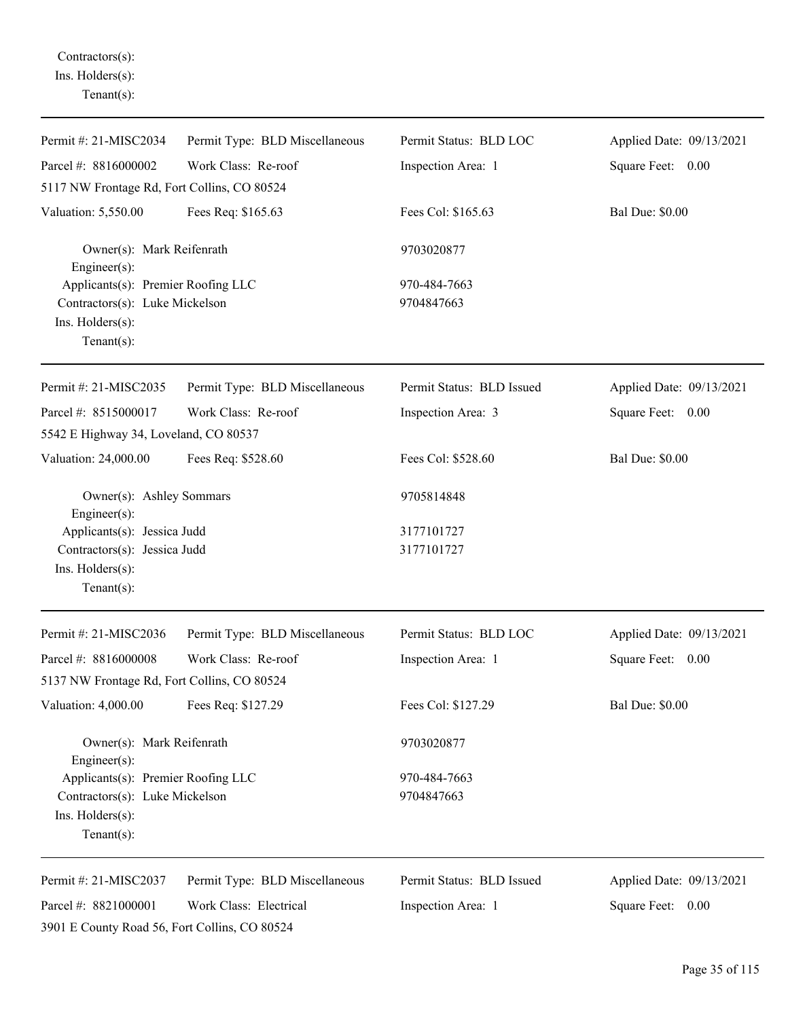Contractors(s): Ins. Holders(s): Tenant(s):

| Permit #: 21-MISC2034                                                                                                                             | Permit Type: BLD Miscellaneous | Permit Status: BLD LOC     | Applied Date: 09/13/2021 |
|---------------------------------------------------------------------------------------------------------------------------------------------------|--------------------------------|----------------------------|--------------------------|
| Parcel #: 8816000002                                                                                                                              | Work Class: Re-roof            | Inspection Area: 1         | Square Feet: 0.00        |
| 5117 NW Frontage Rd, Fort Collins, CO 80524                                                                                                       |                                |                            |                          |
| Valuation: 5,550.00                                                                                                                               | Fees Req: \$165.63             | Fees Col: \$165.63         | <b>Bal Due: \$0.00</b>   |
| Owner(s): Mark Reifenrath<br>Engineer $(s)$ :                                                                                                     |                                | 9703020877                 |                          |
| Applicants(s): Premier Roofing LLC<br>Contractors(s): Luke Mickelson<br>Ins. Holders(s):<br>$Tenant(s)$ :                                         |                                | 970-484-7663<br>9704847663 |                          |
| Permit #: 21-MISC2035                                                                                                                             | Permit Type: BLD Miscellaneous | Permit Status: BLD Issued  | Applied Date: 09/13/2021 |
| Parcel #: 8515000017<br>5542 E Highway 34, Loveland, CO 80537                                                                                     | Work Class: Re-roof            | Inspection Area: 3         | Square Feet: 0.00        |
| Valuation: 24,000.00                                                                                                                              | Fees Req: \$528.60             | Fees Col: \$528.60         | <b>Bal Due: \$0.00</b>   |
| Owner(s): Ashley Sommars<br>Engineer $(s)$ :<br>Applicants(s): Jessica Judd<br>Contractors(s): Jessica Judd<br>Ins. Holders(s):<br>Tenant $(s)$ : |                                | 9705814848                 |                          |
|                                                                                                                                                   |                                | 3177101727<br>3177101727   |                          |
| Permit #: 21-MISC2036                                                                                                                             | Permit Type: BLD Miscellaneous | Permit Status: BLD LOC     | Applied Date: 09/13/2021 |
| Parcel #: 8816000008                                                                                                                              | Work Class: Re-roof            | Inspection Area: 1         | Square Feet: 0.00        |
| 5137 NW Frontage Rd, Fort Collins, CO 80524                                                                                                       |                                |                            |                          |
| Valuation: 4,000.00                                                                                                                               | Fees Req: \$127.29             | Fees Col: \$127.29         | <b>Bal Due: \$0.00</b>   |
| Owner(s): Mark Reifenrath<br>Engineer $(s)$ :                                                                                                     |                                | 9703020877                 |                          |
| Applicants(s): Premier Roofing LLC                                                                                                                |                                | 970-484-7663               |                          |
| Contractors(s): Luke Mickelson<br>Ins. Holders(s):<br>Tenant $(s)$ :                                                                              |                                | 9704847663                 |                          |
| Permit #: 21-MISC2037                                                                                                                             | Permit Type: BLD Miscellaneous | Permit Status: BLD Issued  | Applied Date: 09/13/2021 |
| Parcel #: 8821000001<br>3901 E County Road 56, Fort Collins, CO 80524                                                                             | Work Class: Electrical         | Inspection Area: 1         | Square Feet: 0.00        |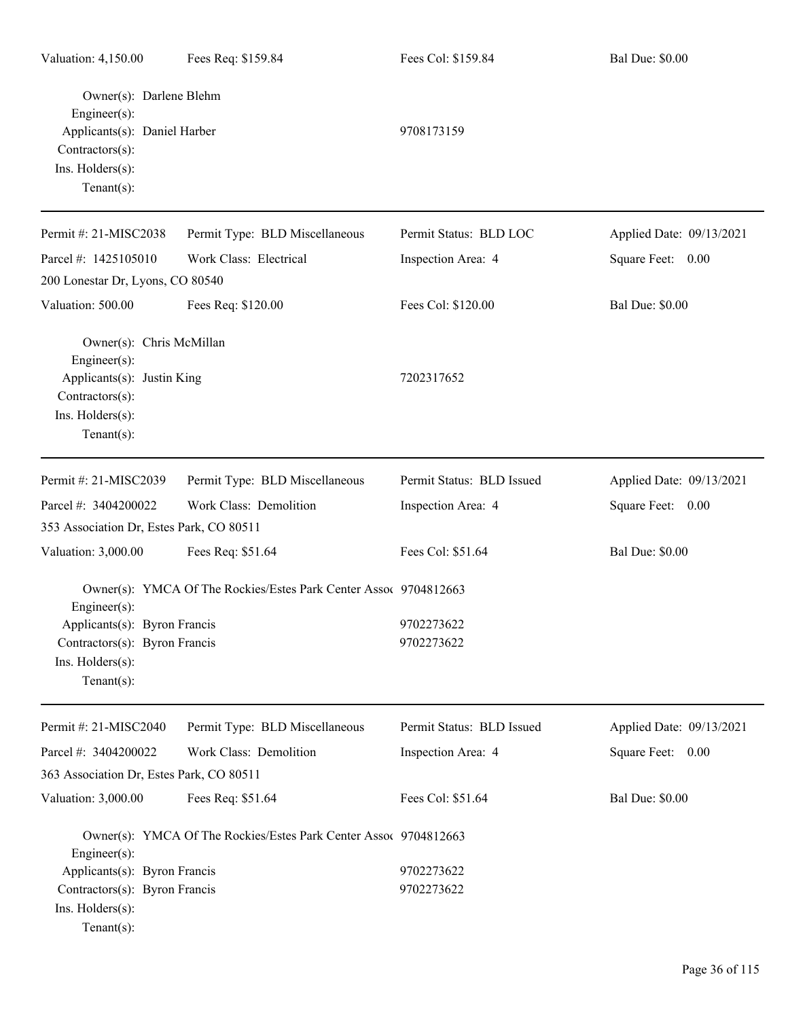| Valuation: 4,150.00                                                                                                             | Fees Req: \$159.84                                               | Fees Col: \$159.84        | <b>Bal Due: \$0.00</b>   |
|---------------------------------------------------------------------------------------------------------------------------------|------------------------------------------------------------------|---------------------------|--------------------------|
| Owner(s): Darlene Blehm<br>Engineer(s):<br>Applicants(s): Daniel Harber<br>Contractors(s):<br>Ins. Holders(s):<br>$Tenant(s)$ : |                                                                  | 9708173159                |                          |
| Permit #: 21-MISC2038                                                                                                           | Permit Type: BLD Miscellaneous                                   | Permit Status: BLD LOC    | Applied Date: 09/13/2021 |
| Parcel #: 1425105010                                                                                                            | Work Class: Electrical                                           | Inspection Area: 4        | Square Feet: 0.00        |
| 200 Lonestar Dr, Lyons, CO 80540                                                                                                |                                                                  |                           |                          |
| Valuation: 500.00                                                                                                               | Fees Req: \$120.00                                               | Fees Col: \$120.00        | <b>Bal Due: \$0.00</b>   |
| Owner(s): Chris McMillan<br>Engineer(s):<br>Applicants(s): Justin King<br>Contractors(s):<br>Ins. Holders(s):<br>Tenant $(s)$ : |                                                                  | 7202317652                |                          |
| Permit #: 21-MISC2039                                                                                                           | Permit Type: BLD Miscellaneous                                   | Permit Status: BLD Issued | Applied Date: 09/13/2021 |
| Parcel #: 3404200022                                                                                                            | Work Class: Demolition                                           | Inspection Area: 4        | Square Feet: 0.00        |
| 353 Association Dr, Estes Park, CO 80511                                                                                        |                                                                  |                           |                          |
| Valuation: 3,000.00                                                                                                             | Fees Req: \$51.64                                                | Fees Col: \$51.64         | <b>Bal Due: \$0.00</b>   |
| Engineer(s):<br>Applicants(s): Byron Francis<br>Contractors(s): Byron Francis<br>Ins. Holders(s):<br>Tenant $(s)$ :             | Owner(s): YMCA Of The Rockies/Estes Park Center Assoc 9704812663 | 9702273622<br>9702273622  |                          |
| Permit #: 21-MISC2040                                                                                                           | Permit Type: BLD Miscellaneous                                   | Permit Status: BLD Issued | Applied Date: 09/13/2021 |
| Parcel #: 3404200022                                                                                                            | Work Class: Demolition                                           | Inspection Area: 4        | Square Feet: 0.00        |
| 363 Association Dr, Estes Park, CO 80511                                                                                        |                                                                  |                           |                          |
| Valuation: 3,000.00                                                                                                             | Fees Req: \$51.64                                                | Fees Col: \$51.64         | <b>Bal Due: \$0.00</b>   |
| Engineer(s):<br>Applicants(s): Byron Francis<br>Contractors(s): Byron Francis<br>Ins. Holders(s):<br>Tenant $(s)$ :             | Owner(s): YMCA Of The Rockies/Estes Park Center Assoc 9704812663 | 9702273622<br>9702273622  |                          |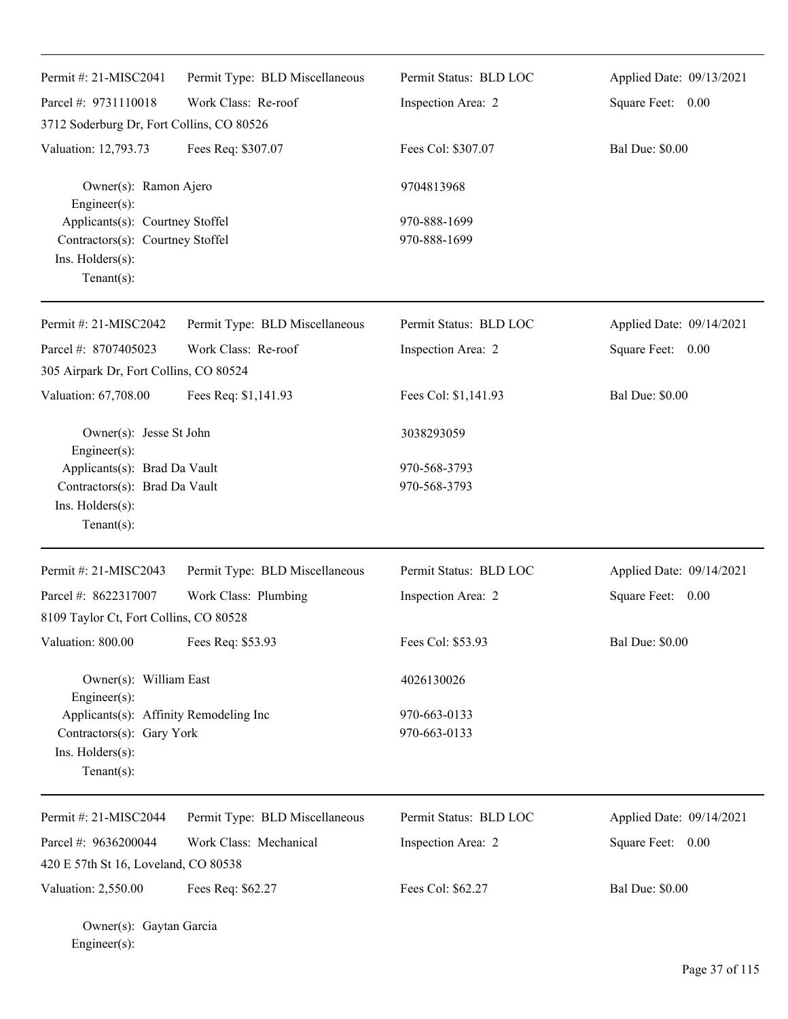| Permit #: 21-MISC2041                                                                                     | Permit Type: BLD Miscellaneous | Permit Status: BLD LOC       | Applied Date: 09/13/2021 |
|-----------------------------------------------------------------------------------------------------------|--------------------------------|------------------------------|--------------------------|
| Parcel #: 9731110018                                                                                      | Work Class: Re-roof            | Inspection Area: 2           | Square Feet: 0.00        |
| 3712 Soderburg Dr, Fort Collins, CO 80526                                                                 |                                |                              |                          |
| Valuation: 12,793.73                                                                                      | Fees Req: \$307.07             | Fees Col: \$307.07           | <b>Bal Due: \$0.00</b>   |
| Owner(s): Ramon Ajero<br>Engineer(s):                                                                     |                                | 9704813968                   |                          |
| Applicants(s): Courtney Stoffel<br>Contractors(s): Courtney Stoffel<br>Ins. Holders(s):<br>$Tenant(s)$ :  |                                | 970-888-1699<br>970-888-1699 |                          |
| Permit #: 21-MISC2042                                                                                     | Permit Type: BLD Miscellaneous | Permit Status: BLD LOC       | Applied Date: 09/14/2021 |
| Parcel #: 8707405023                                                                                      | Work Class: Re-roof            | Inspection Area: 2           | Square Feet: 0.00        |
| 305 Airpark Dr, Fort Collins, CO 80524                                                                    |                                |                              |                          |
| Valuation: 67,708.00                                                                                      | Fees Req: \$1,141.93           | Fees Col: \$1,141.93         | <b>Bal Due: \$0.00</b>   |
| Owner(s): Jesse St John<br>Engineer(s):                                                                   |                                | 3038293059                   |                          |
| Applicants(s): Brad Da Vault                                                                              |                                | 970-568-3793                 |                          |
| Contractors(s): Brad Da Vault<br>Ins. Holders(s):<br>$Tenant(s)$ :                                        |                                | 970-568-3793                 |                          |
| Permit #: 21-MISC2043                                                                                     | Permit Type: BLD Miscellaneous | Permit Status: BLD LOC       | Applied Date: 09/14/2021 |
| Parcel #: 8622317007                                                                                      | Work Class: Plumbing           | Inspection Area: 2           | Square Feet: 0.00        |
| 8109 Taylor Ct, Fort Collins, CO 80528                                                                    |                                |                              |                          |
| Valuation: 800.00                                                                                         | Fees Req: \$53.93              | Fees Col: \$53.93            | <b>Bal Due: \$0.00</b>   |
| Owner(s): William East<br>Engineer(s):                                                                    |                                | 4026130026                   |                          |
| Applicants(s): Affinity Remodeling Inc<br>Contractors(s): Gary York<br>Ins. Holders(s):<br>Tenant $(s)$ : |                                | 970-663-0133<br>970-663-0133 |                          |
| Permit #: 21-MISC2044                                                                                     | Permit Type: BLD Miscellaneous | Permit Status: BLD LOC       | Applied Date: 09/14/2021 |
| Parcel #: 9636200044                                                                                      | Work Class: Mechanical         | Inspection Area: 2           | 0.00<br>Square Feet:     |
| 420 E 57th St 16, Loveland, CO 80538                                                                      |                                |                              |                          |
| Valuation: 2,550.00                                                                                       | Fees Req: \$62.27              | Fees Col: \$62.27            | <b>Bal Due: \$0.00</b>   |
| Owner(s): Gaytan Garcia                                                                                   |                                |                              |                          |

Engineer(s):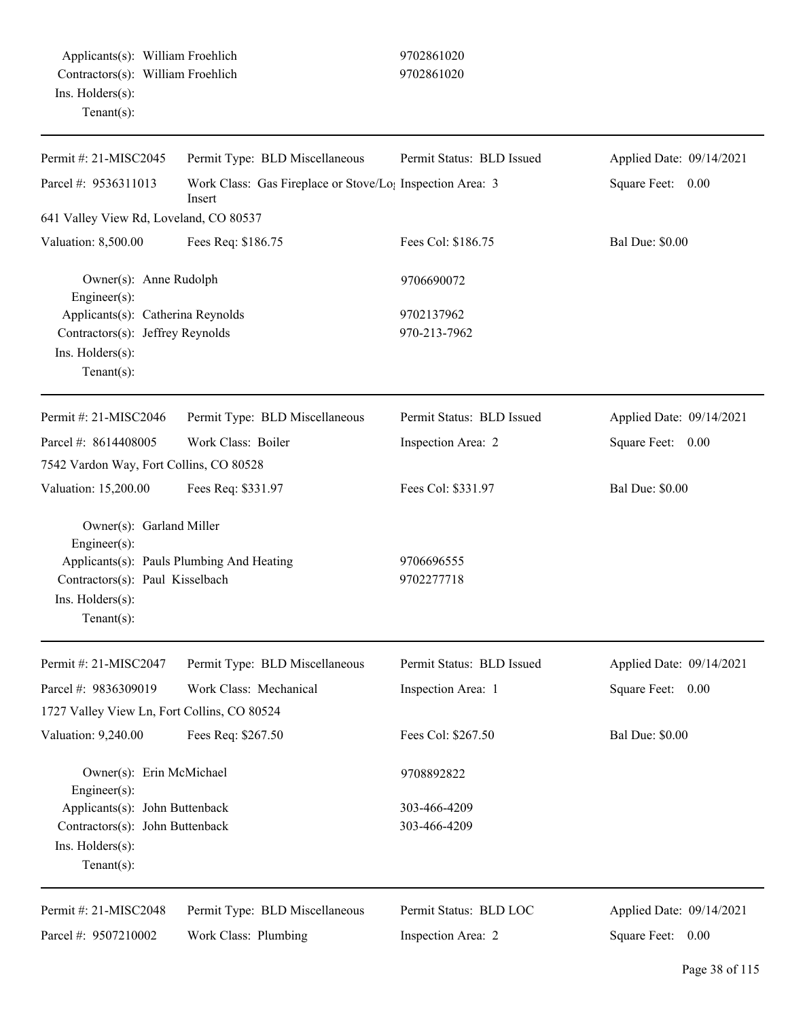| Permit #: 21-MISC2045                                                                                            | Permit Type: BLD Miscellaneous            | Permit Status: BLD Issued    | Applied Date: 09/14/2021 |  |
|------------------------------------------------------------------------------------------------------------------|-------------------------------------------|------------------------------|--------------------------|--|
| Parcel #: 9536311013<br>Work Class: Gas Fireplace or Stove/Lo <sub>1</sub> Inspection Area: 3<br>Insert          |                                           |                              | Square Feet: 0.00        |  |
| 641 Valley View Rd, Loveland, CO 80537                                                                           |                                           |                              |                          |  |
| Valuation: 8,500.00                                                                                              | Fees Req: \$186.75                        | Fees Col: \$186.75           | <b>Bal Due: \$0.00</b>   |  |
| Owner(s): Anne Rudolph<br>Engineer(s):                                                                           |                                           | 9706690072                   |                          |  |
| Applicants(s): Catherina Reynolds<br>Contractors(s): Jeffrey Reynolds<br>Ins. Holders(s):<br>$Tenant(s)$ :       |                                           | 9702137962<br>970-213-7962   |                          |  |
| Permit #: 21-MISC2046                                                                                            | Permit Type: BLD Miscellaneous            | Permit Status: BLD Issued    | Applied Date: 09/14/2021 |  |
| Parcel #: 8614408005<br>7542 Vardon Way, Fort Collins, CO 80528                                                  | Work Class: Boiler                        | Inspection Area: 2           | Square Feet: 0.00        |  |
| Valuation: 15,200.00                                                                                             | Fees Req: \$331.97                        | Fees Col: \$331.97           | <b>Bal Due: \$0.00</b>   |  |
| Owner(s): Garland Miller<br>Engineer(s):<br>Contractors(s): Paul Kisselbach<br>Ins. Holders(s):<br>$Tenant(s)$ : | Applicants(s): Pauls Plumbing And Heating | 9706696555<br>9702277718     |                          |  |
| Permit #: 21-MISC2047                                                                                            | Permit Type: BLD Miscellaneous            | Permit Status: BLD Issued    | Applied Date: 09/14/2021 |  |
| Parcel #: 9836309019<br>1727 Valley View Ln, Fort Collins, CO 80524                                              | Work Class: Mechanical                    | Inspection Area: 1           | Square Feet:<br>0.00     |  |
| Valuation: 9,240.00                                                                                              | Fees Req: \$267.50                        | Fees Col: \$267.50           | <b>Bal Due: \$0.00</b>   |  |
| Owner(s): Erin McMichael<br>Engineer(s):                                                                         |                                           | 9708892822                   |                          |  |
| Applicants(s): John Buttenback<br>Contractors(s): John Buttenback<br>Ins. Holders(s):<br>Tenant $(s)$ :          |                                           | 303-466-4209<br>303-466-4209 |                          |  |
| Permit #: 21-MISC2048                                                                                            | Permit Type: BLD Miscellaneous            | Permit Status: BLD LOC       | Applied Date: 09/14/2021 |  |
| Parcel #: 9507210002                                                                                             | Work Class: Plumbing                      | Inspection Area: 2           | Square Feet: 0.00        |  |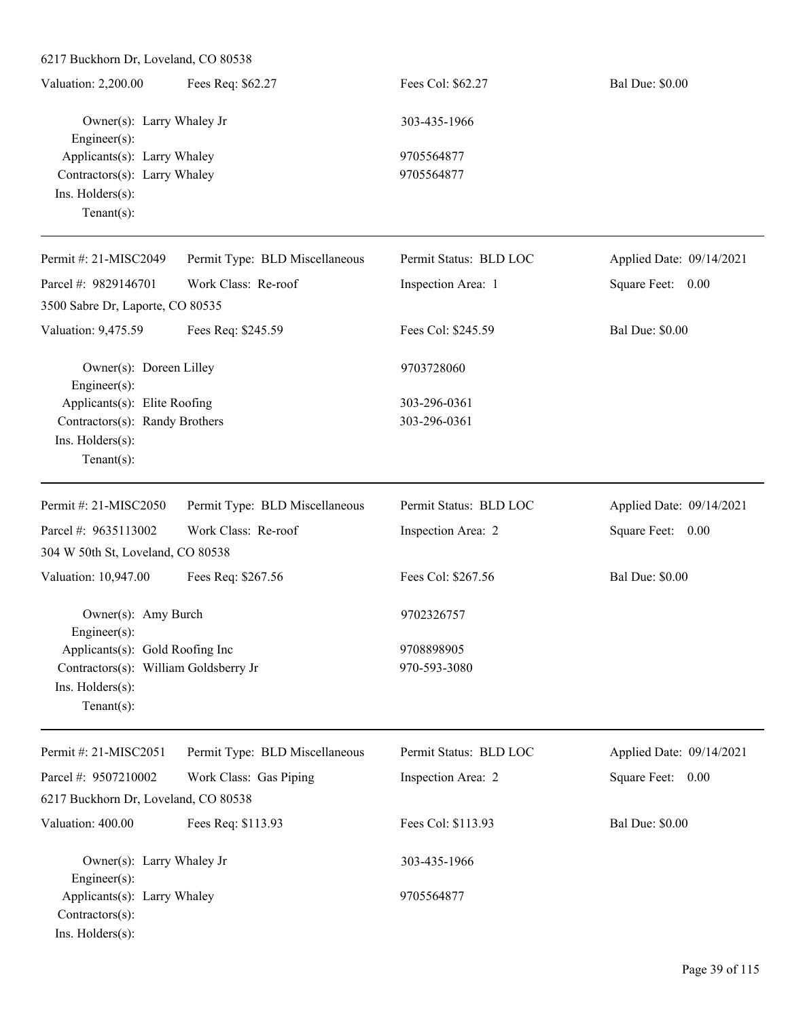| Valuation: 2,200.00          | Fees Req: \$62.27 | Fees Col: \$62.27 | <b>Bal Due: \$0.00</b> |
|------------------------------|-------------------|-------------------|------------------------|
| Owner(s): Larry Whaley Jr    |                   | 303-435-1966      |                        |
| Engineer $(s)$ :             |                   |                   |                        |
| Applicants(s): Larry Whaley  |                   | 9705564877        |                        |
| Contractors(s): Larry Whaley |                   | 9705564877        |                        |
| $Ins.$ Holders $(s)$ :       |                   |                   |                        |
| $Tenant(s)$ :                |                   |                   |                        |

| Permit #: $21-MISC2049$                                                                                       | Permit Type: BLD Miscellaneous | Permit Status: BLD LOC       | Applied Date: 09/14/2021 |
|---------------------------------------------------------------------------------------------------------------|--------------------------------|------------------------------|--------------------------|
| Parcel #: $9829146701$                                                                                        | Work Class: Re-roof            | Inspection Area: 1           | Square Feet: 0.00        |
| 3500 Sabre Dr, Laporte, CO 80535                                                                              |                                |                              |                          |
| Valuation: 9,475.59                                                                                           | Fees Req: \$245.59             | Fees Col: \$245.59           | <b>Bal Due: \$0.00</b>   |
| Owner(s): Doreen Lilley<br>Engineer $(s)$ :<br>Applicants(s): Elite Roofing<br>Contractors(s): Randy Brothers |                                | 9703728060                   |                          |
|                                                                                                               |                                | 303-296-0361<br>303-296-0361 |                          |
|                                                                                                               |                                |                              |                          |
| $Ins.$ Holders $(s)$ :                                                                                        |                                |                              |                          |
| Tenant $(s)$ :                                                                                                |                                |                              |                          |
| Permit #: 21-MISC2050                                                                                         | Permit Type: BLD Miscellaneous | Permit Status: BLD LOC       | Applied Date: 09/14/2021 |
| Parcel #: 9635113002                                                                                          | Work Class: Re-roof            | Inspection Area: 2           | Square Feet:<br>$0.00\,$ |
| 304 W 50th St, Loveland, CO 80538                                                                             |                                |                              |                          |
| Valuation: 10,947.00                                                                                          | Fees Req: \$267.56             | Fees Col: \$267.56           | <b>Bal Due: \$0.00</b>   |

Owner(s): Amy Burch 9702326757 Engineer(s): Applicants(s): Gold Roofing Inc 9708898905 Contractors(s): William Goldsberry Jr 970-593-3080 Ins. Holders(s):

Tenant(s):

| Permit #: $21-MISC2051$              | Permit Type: BLD Miscellaneous | Permit Status: BLD LOC | Applied Date: 09/14/2021 |
|--------------------------------------|--------------------------------|------------------------|--------------------------|
| Parcel #: $9507210002$               | Work Class: Gas Piping         | Inspection Area: 2     | Square Feet: 0.00        |
| 6217 Buckhorn Dr, Loveland, CO 80538 |                                |                        |                          |
| Valuation: 400.00                    | Fees Req: \$113.93             | Fees Col: \$113.93     | <b>Bal Due: \$0.00</b>   |
| Owner(s): Larry Whaley Jr            |                                | 303-435-1966           |                          |
| $Engineering(s)$ :                   |                                |                        |                          |
| Applicants(s): Larry Whaley          |                                | 9705564877             |                          |
| $Contractors(s)$ :                   |                                |                        |                          |
| $Ins.$ Holders $(s)$ :               |                                |                        |                          |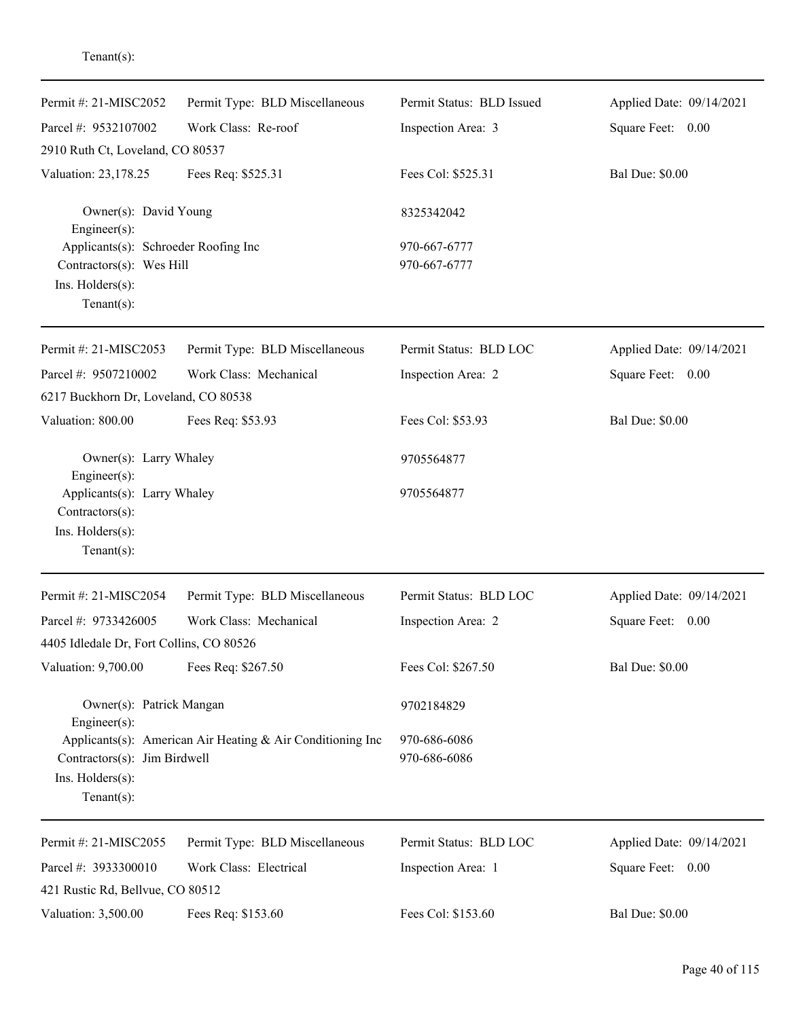| Permit #: 21-MISC2052                                                                              | Permit Type: BLD Miscellaneous                             | Permit Status: BLD Issued    | Applied Date: 09/14/2021 |
|----------------------------------------------------------------------------------------------------|------------------------------------------------------------|------------------------------|--------------------------|
| Parcel #: 9532107002                                                                               | Work Class: Re-roof                                        | Inspection Area: 3           | Square Feet: 0.00        |
| 2910 Ruth Ct, Loveland, CO 80537                                                                   |                                                            |                              |                          |
| Valuation: 23,178.25                                                                               | Fees Req: \$525.31                                         | Fees Col: \$525.31           | <b>Bal Due: \$0.00</b>   |
| Owner(s): David Young<br>$Engineering(s)$ :                                                        |                                                            | 8325342042                   |                          |
| Applicants(s): Schroeder Roofing Inc<br>Contractors(s): Wes Hill<br>Ins. Holders(s):<br>Tenant(s): |                                                            | 970-667-6777<br>970-667-6777 |                          |
| Permit #: 21-MISC2053                                                                              | Permit Type: BLD Miscellaneous                             | Permit Status: BLD LOC       | Applied Date: 09/14/2021 |
| Parcel #: 9507210002                                                                               | Work Class: Mechanical                                     | Inspection Area: 2           | Square Feet: 0.00        |
| 6217 Buckhorn Dr, Loveland, CO 80538                                                               |                                                            |                              |                          |
| Valuation: 800.00                                                                                  | Fees Req: \$53.93                                          | Fees Col: \$53.93            | <b>Bal Due: \$0.00</b>   |
| Owner(s): Larry Whaley<br>Engineer(s):                                                             |                                                            | 9705564877                   |                          |
| Applicants(s): Larry Whaley<br>Contractors(s):<br>Ins. Holders(s):<br>Tenant $(s)$ :               |                                                            | 9705564877                   |                          |
| Permit #: 21-MISC2054                                                                              | Permit Type: BLD Miscellaneous                             | Permit Status: BLD LOC       | Applied Date: 09/14/2021 |
| Parcel #: 9733426005                                                                               | Work Class: Mechanical                                     | Inspection Area: 2           | Square Feet: 0.00        |
| 4405 Idledale Dr, Fort Collins, CO 80526                                                           |                                                            |                              |                          |
| Valuation: 9,700.00                                                                                | Fees Req: \$267.50                                         | Fees Col: \$267.50           | <b>Bal Due: \$0.00</b>   |
| Owner(s): Patrick Mangan<br>Engineer(s):                                                           |                                                            | 9702184829                   |                          |
| Contractors(s): Jim Birdwell<br>Ins. Holders(s):<br>$Tenant(s)$ :                                  | Applicants(s): American Air Heating & Air Conditioning Inc | 970-686-6086<br>970-686-6086 |                          |
| Permit #: 21-MISC2055                                                                              | Permit Type: BLD Miscellaneous                             | Permit Status: BLD LOC       | Applied Date: 09/14/2021 |
| Parcel #: 3933300010                                                                               | Work Class: Electrical                                     | Inspection Area: 1           | Square Feet: 0.00        |
| 421 Rustic Rd, Bellvue, CO 80512                                                                   |                                                            |                              |                          |
| Valuation: 3,500.00                                                                                | Fees Req: \$153.60                                         | Fees Col: \$153.60           | <b>Bal Due: \$0.00</b>   |

Tenant(s):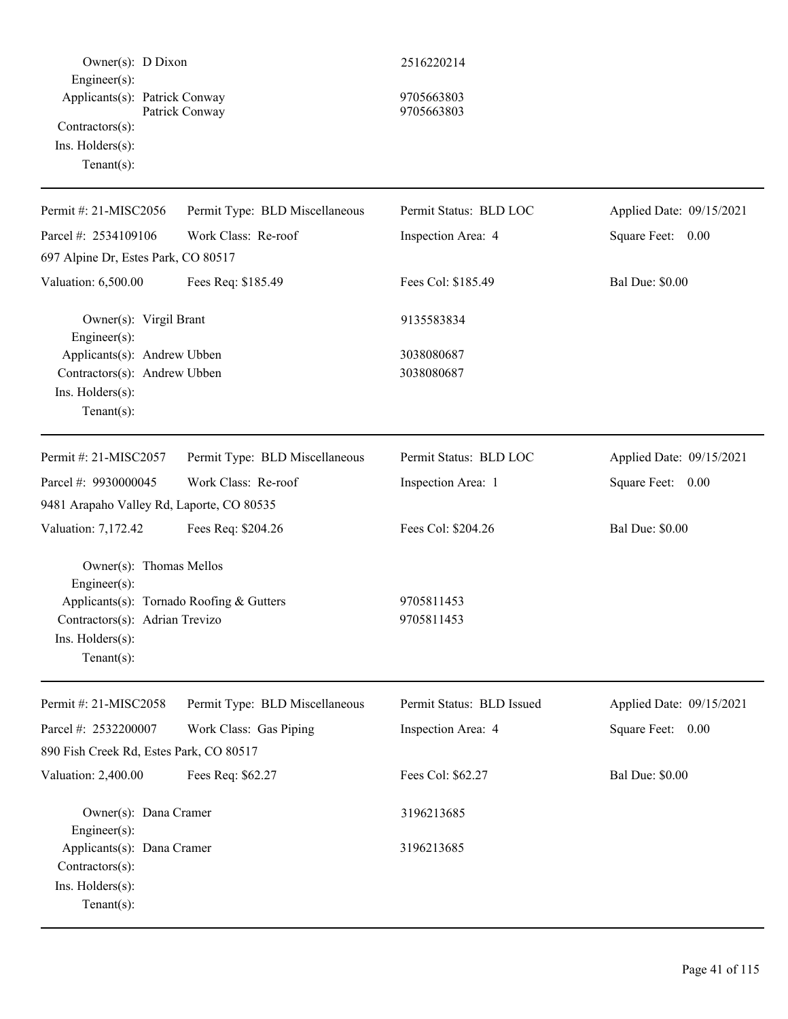| Owner(s): D Dixon                                                                                                                                           |                                | 2516220214                |                          |
|-------------------------------------------------------------------------------------------------------------------------------------------------------------|--------------------------------|---------------------------|--------------------------|
| Engineer(s):<br>Applicants(s): Patrick Conway<br>Contractors(s):<br>$Ins.$ Holders $(s)$ :<br>Tenant $(s)$ :                                                | Patrick Conway                 | 9705663803<br>9705663803  |                          |
| Permit #: 21-MISC2056                                                                                                                                       | Permit Type: BLD Miscellaneous | Permit Status: BLD LOC    | Applied Date: 09/15/2021 |
| Parcel #: 2534109106                                                                                                                                        | Work Class: Re-roof            | Inspection Area: 4        | Square Feet: 0.00        |
| 697 Alpine Dr, Estes Park, CO 80517                                                                                                                         |                                |                           |                          |
| Valuation: 6,500.00                                                                                                                                         | Fees Req: \$185.49             | Fees Col: \$185.49        | <b>Bal Due: \$0.00</b>   |
| Owner(s): Virgil Brant<br>Engineer(s):                                                                                                                      |                                | 9135583834                |                          |
| Applicants(s): Andrew Ubben<br>Contractors(s): Andrew Ubben<br>Ins. Holders(s):<br>Tenant $(s)$ :                                                           |                                | 3038080687<br>3038080687  |                          |
| Permit #: 21-MISC2057                                                                                                                                       | Permit Type: BLD Miscellaneous | Permit Status: BLD LOC    | Applied Date: 09/15/2021 |
| Parcel #: 9930000045                                                                                                                                        | Work Class: Re-roof            | Inspection Area: 1        | Square Feet: 0.00        |
| 9481 Arapaho Valley Rd, Laporte, CO 80535                                                                                                                   |                                |                           |                          |
| Valuation: 7,172.42                                                                                                                                         | Fees Req: \$204.26             | Fees Col: \$204.26        | <b>Bal Due: \$0.00</b>   |
| Owner(s): Thomas Mellos<br>Engineer(s):<br>Applicants(s): Tornado Roofing & Gutters<br>Contractors(s): Adrian Trevizo<br>Ins. Holders(s):<br>Tenant $(s)$ : |                                | 9705811453<br>9705811453  |                          |
| Permit #: 21-MISC2058                                                                                                                                       | Permit Type: BLD Miscellaneous | Permit Status: BLD Issued | Applied Date: 09/15/2021 |
| Parcel #: 2532200007                                                                                                                                        | Work Class: Gas Piping         | Inspection Area: 4        | Square Feet: 0.00        |
| 890 Fish Creek Rd, Estes Park, CO 80517                                                                                                                     |                                |                           |                          |
| Valuation: 2,400.00                                                                                                                                         | Fees Req: \$62.27              | Fees Col: \$62.27         | <b>Bal Due: \$0.00</b>   |
| Owner(s): Dana Cramer<br>$Engineering(s)$ :                                                                                                                 |                                | 3196213685                |                          |
| Applicants(s): Dana Cramer<br>Contractors(s):<br>Ins. Holders(s):<br>Tenant $(s)$ :                                                                         |                                | 3196213685                |                          |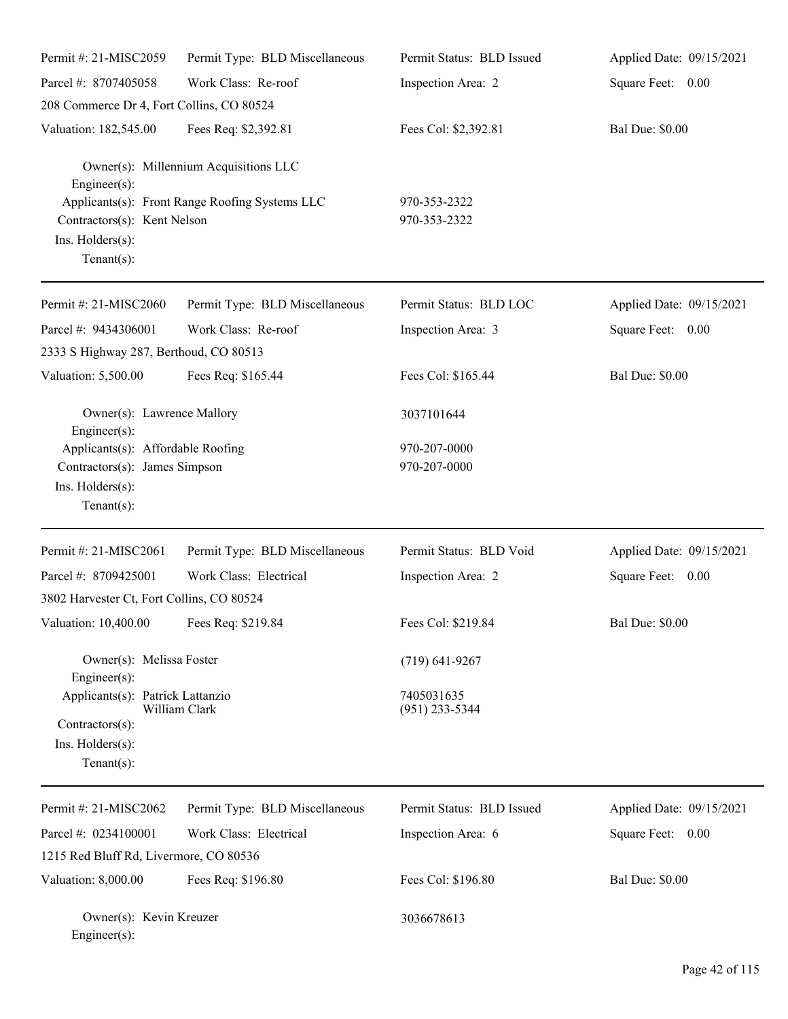| Permit #: 21-MISC2059                                                                     | Permit Type: BLD Miscellaneous                 | Permit Status: BLD Issued      | Applied Date: 09/15/2021 |
|-------------------------------------------------------------------------------------------|------------------------------------------------|--------------------------------|--------------------------|
| Parcel #: 8707405058                                                                      | Work Class: Re-roof                            | Inspection Area: 2             | Square Feet: 0.00        |
| 208 Commerce Dr 4, Fort Collins, CO 80524                                                 |                                                |                                |                          |
| Valuation: 182,545.00                                                                     | Fees Req: \$2,392.81                           | Fees Col: \$2,392.81           | <b>Bal Due: \$0.00</b>   |
| Engineer(s):                                                                              | Owner(s): Millennium Acquisitions LLC          |                                |                          |
| Contractors(s): Kent Nelson<br>Ins. Holders(s):<br>$Tenant(s)$ :                          | Applicants(s): Front Range Roofing Systems LLC | 970-353-2322<br>970-353-2322   |                          |
| Permit #: 21-MISC2060                                                                     | Permit Type: BLD Miscellaneous                 | Permit Status: BLD LOC         | Applied Date: 09/15/2021 |
| Parcel #: 9434306001<br>2333 S Highway 287, Berthoud, CO 80513                            | Work Class: Re-roof                            | Inspection Area: 3             | Square Feet: 0.00        |
| Valuation: 5,500.00                                                                       | Fees Req: \$165.44                             | Fees Col: \$165.44             | <b>Bal Due: \$0.00</b>   |
| Owner(s): Lawrence Mallory<br>Engineer(s):                                                |                                                | 3037101644                     |                          |
| Applicants(s): Affordable Roofing                                                         |                                                | 970-207-0000                   |                          |
| Contractors(s): James Simpson<br>Ins. Holders(s):<br>Tenant $(s)$ :                       |                                                | 970-207-0000                   |                          |
| Permit #: 21-MISC2061                                                                     | Permit Type: BLD Miscellaneous                 | Permit Status: BLD Void        | Applied Date: 09/15/2021 |
| Parcel #: 8709425001                                                                      | Work Class: Electrical                         | Inspection Area: 2             | Square Feet: 0.00        |
| 3802 Harvester Ct, Fort Collins, CO 80524                                                 |                                                |                                |                          |
| Valuation: 10,400.00 Fees Req: \$219.84                                                   |                                                | Fees Col: \$219.84             | <b>Bal Due: \$0.00</b>   |
| Owner(s): Melissa Foster<br>Engineer(s):                                                  |                                                | $(719) 641 - 9267$             |                          |
| Applicants(s): Patrick Lattanzio<br>Contractors(s):<br>Ins. Holders(s):<br>Tenant $(s)$ : | William Clark                                  | 7405031635<br>$(951)$ 233-5344 |                          |
| Permit #: 21-MISC2062                                                                     | Permit Type: BLD Miscellaneous                 | Permit Status: BLD Issued      | Applied Date: 09/15/2021 |
| Parcel #: 0234100001                                                                      | Work Class: Electrical                         | Inspection Area: 6             | Square Feet: 0.00        |
| 1215 Red Bluff Rd, Livermore, CO 80536                                                    |                                                |                                |                          |
| Valuation: 8,000.00                                                                       | Fees Req: \$196.80                             | Fees Col: \$196.80             | <b>Bal Due: \$0.00</b>   |
| Owner(s): Kevin Kreuzer<br>Engineer(s):                                                   |                                                | 3036678613                     |                          |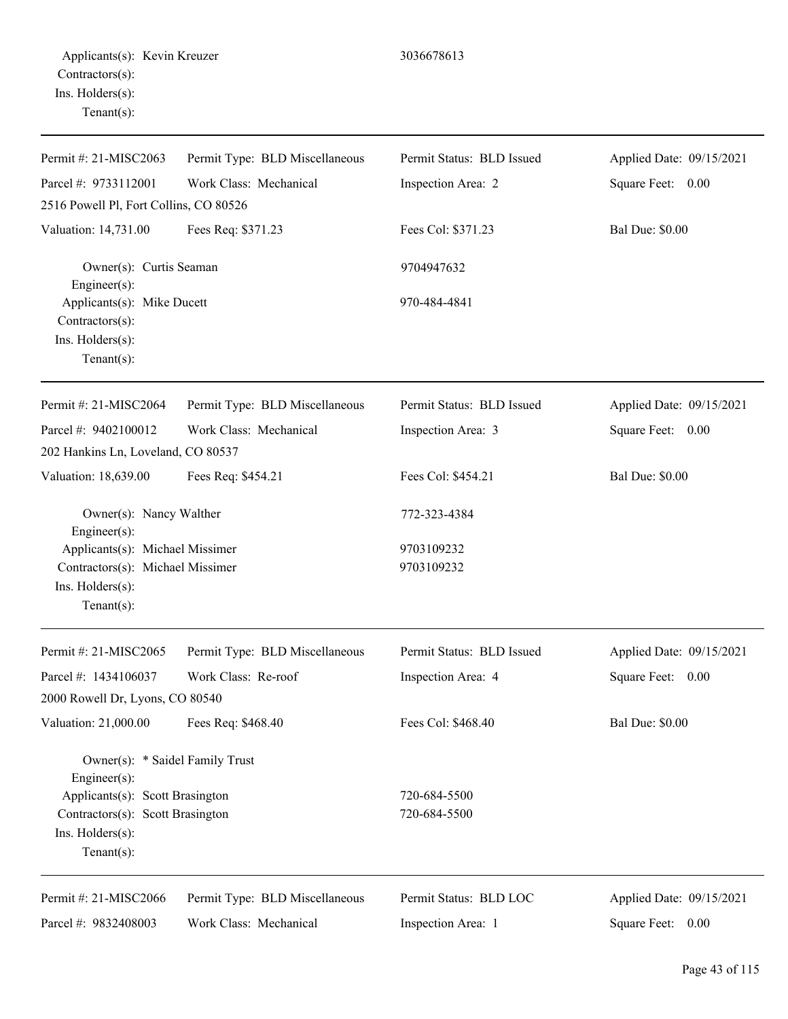| Permit #: 21-MISC2063                                                                                    | Permit Type: BLD Miscellaneous | Permit Status: BLD Issued | Applied Date: 09/15/2021 |
|----------------------------------------------------------------------------------------------------------|--------------------------------|---------------------------|--------------------------|
| Parcel #: 9733112001                                                                                     | Work Class: Mechanical         | Inspection Area: 2        | Square Feet: 0.00        |
| 2516 Powell Pl, Fort Collins, CO 80526                                                                   |                                |                           |                          |
| Valuation: 14,731.00                                                                                     | Fees Req: \$371.23             | Fees Col: \$371.23        | <b>Bal Due: \$0.00</b>   |
| Owner(s): Curtis Seaman<br>Engineer(s):                                                                  |                                | 9704947632                |                          |
| Applicants(s): Mike Ducett<br>Contractors(s):<br>Ins. Holders(s):                                        |                                | 970-484-4841              |                          |
| $Tenant(s)$ :                                                                                            |                                |                           |                          |
| Permit #: 21-MISC2064                                                                                    | Permit Type: BLD Miscellaneous | Permit Status: BLD Issued | Applied Date: 09/15/2021 |
| Parcel #: 9402100012                                                                                     | Work Class: Mechanical         | Inspection Area: 3        | Square Feet: 0.00        |
| 202 Hankins Ln, Loveland, CO 80537                                                                       |                                |                           |                          |
| Valuation: 18,639.00                                                                                     | Fees Req: \$454.21             | Fees Col: \$454.21        | <b>Bal Due: \$0.00</b>   |
| Owner(s): Nancy Walther<br>Engineer(s):                                                                  |                                | 772-323-4384              |                          |
| Applicants(s): Michael Missimer<br>Contractors(s): Michael Missimer<br>Ins. Holders(s):<br>$Tenant(s)$ : |                                | 9703109232<br>9703109232  |                          |
| Permit #: 21-MISC2065                                                                                    | Permit Type: BLD Miscellaneous | Permit Status: BLD Issued | Applied Date: 09/15/2021 |
| Parcel #: 1434106037                                                                                     | Work Class: Re-roof            | Inspection Area: 4        | Square Feet: 0.00        |
| 2000 Rowell Dr, Lyons, CO 80540                                                                          |                                |                           |                          |
| Valuation: 21,000.00                                                                                     | Fees Req: \$468.40             | Fees Col: \$468.40        | <b>Bal Due: \$0.00</b>   |
| Owner(s): * Saidel Family Trust<br>Engineer(s):                                                          |                                |                           |                          |
| Applicants(s): Scott Brasington                                                                          |                                | 720-684-5500              |                          |
| Contractors(s): Scott Brasington                                                                         |                                | 720-684-5500              |                          |
| Ins. Holders(s):<br>Tenant(s):                                                                           |                                |                           |                          |
| Permit #: 21-MISC2066                                                                                    | Permit Type: BLD Miscellaneous | Permit Status: BLD LOC    | Applied Date: 09/15/2021 |
| Parcel #: 9832408003                                                                                     | Work Class: Mechanical         | Inspection Area: 1        | Square Feet: 0.00        |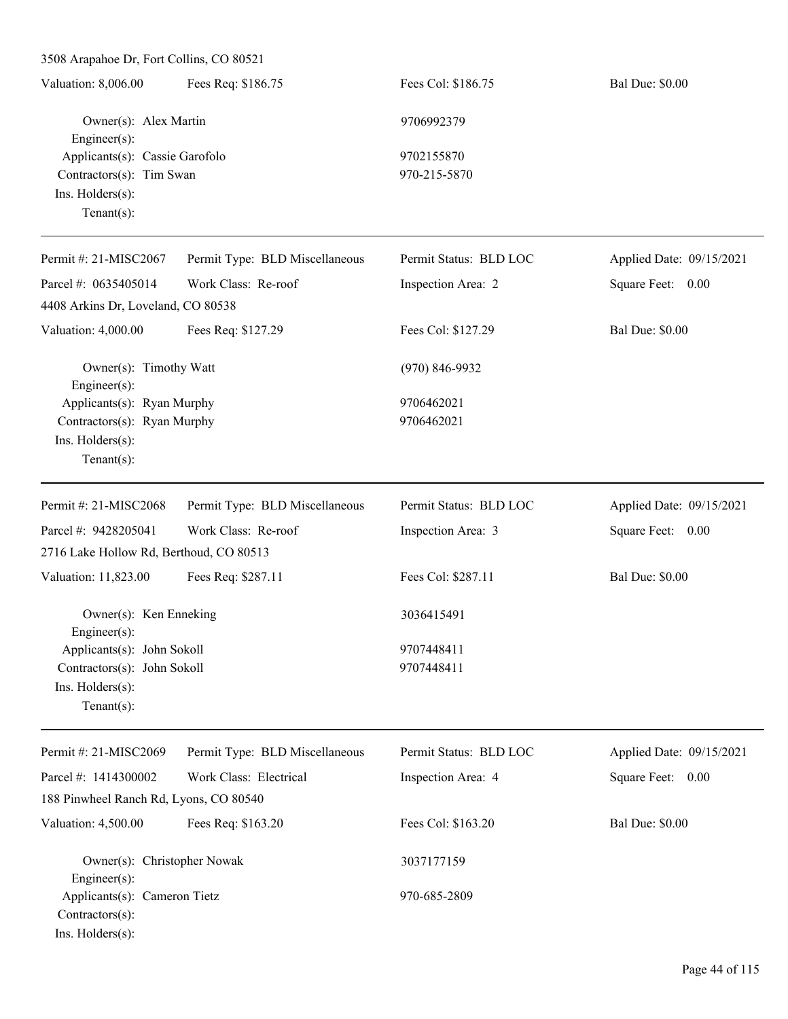3508 Arapahoe Dr, Fort Collins, CO 80521

| Valuation: 8,006.00            | Fees Req: \$186.75 | Fees Col: \$186.75 | <b>Bal Due: \$0.00</b> |
|--------------------------------|--------------------|--------------------|------------------------|
| Owner(s): Alex Martin          |                    | 9706992379         |                        |
| Engineer $(s)$ :               |                    |                    |                        |
| Applicants(s): Cassie Garofolo |                    | 9702155870         |                        |
| Contractors(s): Tim Swan       |                    | 970-215-5870       |                        |
| Ins. $H$ olders $(s)$ :        |                    |                    |                        |
| Tenant $(s)$ :                 |                    |                    |                        |
|                                |                    |                    |                        |

| Permit #: 21-MISC2067                      | Permit Type: BLD Miscellaneous | Permit Status: BLD LOC | Applied Date: 09/15/2021 |
|--------------------------------------------|--------------------------------|------------------------|--------------------------|
| Parcel #: 0635405014                       | Work Class: Re-roof            | Inspection Area: 2     | Square Feet: 0.00        |
| 4408 Arkins Dr, Loveland, CO 80538         |                                |                        |                          |
| Valuation: 4,000.00                        | Fees Req: \$127.29             | Fees Col: \$127.29     | <b>Bal Due: \$0.00</b>   |
| Owner(s): Timothy Watt<br>Engineer $(s)$ : |                                | $(970) 846 - 9932$     |                          |
| Applicants(s): Ryan Murphy                 |                                | 9706462021             |                          |
| Contractors(s): Ryan Murphy                |                                | 9706462021             |                          |
| Ins. Holders(s):                           |                                |                        |                          |
| Tenant $(s)$ :                             |                                |                        |                          |
| Permit #: $21-MISC2068$                    | Permit Type: BLD Miscellaneous | Permit Status: BLD LOC | Applied Date: 09/15/2021 |
| Parcel #: 9428205041                       | Work Class: Re-roof            | Inspection Area: 3     | Square Feet: 0.00        |
| 2716 Lake Hollow Rd, Berthoud, CO 80513    |                                |                        |                          |
| Valuation: 11,823.00                       | Fees Req: \$287.11             | Fees Col: \$287.11     | <b>Bal Due: \$0.00</b>   |
| Owner(s): Ken Enneking<br>Engineer $(s)$ : |                                | 3036415491             |                          |
| Applicants(s): John Sokoll                 |                                | 9707448411             |                          |
| Contractors(s): John Sokoll                |                                | 9707448411             |                          |
| Ins. Holders(s):                           |                                |                        |                          |
| Tenant $(s)$ :                             |                                |                        |                          |
| Permit #: 21-MISC2069                      | Permit Type: BLD Miscellaneous | Permit Status: BLD LOC | Applied Date: 09/15/2021 |

| Parcel #: $1414300002$                 | Work Class: Electrical | Inspection Area: 4 | Square Feet:<br>0.00   |
|----------------------------------------|------------------------|--------------------|------------------------|
| 188 Pinwheel Ranch Rd, Lyons, CO 80540 |                        |                    |                        |
| Valuation: 4,500.00                    | Fees Req: \$163.20     | Fees Col: \$163.20 | <b>Bal Due: \$0.00</b> |
| Owner(s): Christopher Nowak            |                        | 3037177159         |                        |
| $Engineering(s)$ :                     |                        |                    |                        |
| Applicants(s): Cameron Tietz           |                        | 970-685-2809       |                        |
| $Contractors(s)$ :                     |                        |                    |                        |
| $Ins.$ Holders $(s)$ :                 |                        |                    |                        |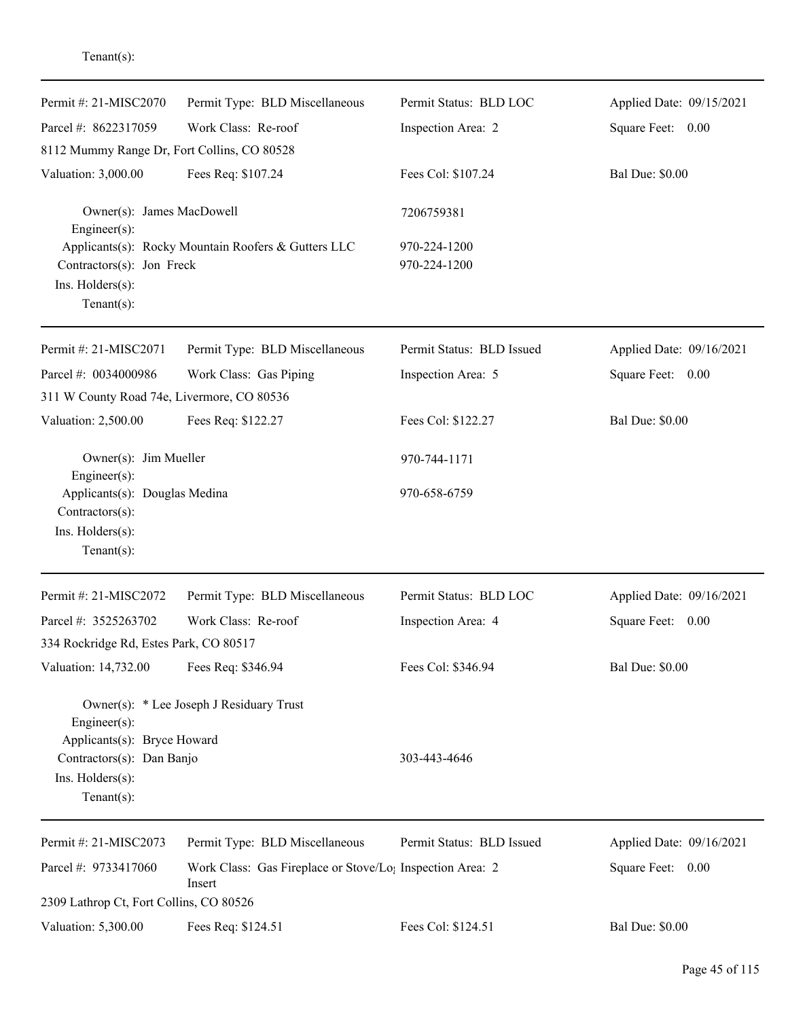| Permit #: 21-MISC2070                                                                                                | Permit Type: BLD Miscellaneous                                                  | Permit Status: BLD LOC       | Applied Date: 09/15/2021 |
|----------------------------------------------------------------------------------------------------------------------|---------------------------------------------------------------------------------|------------------------------|--------------------------|
| Parcel #: 8622317059                                                                                                 | Work Class: Re-roof                                                             | Inspection Area: 2           | Square Feet: 0.00        |
| 8112 Mummy Range Dr, Fort Collins, CO 80528                                                                          |                                                                                 |                              |                          |
| Valuation: 3,000.00                                                                                                  | Fees Req: \$107.24                                                              | Fees Col: \$107.24           | <b>Bal Due: \$0.00</b>   |
| Owner(s): James MacDowell<br>Engineer(s):                                                                            |                                                                                 | 7206759381                   |                          |
| Contractors(s): Jon Freck<br>Ins. Holders(s):<br>Tenant $(s)$ :                                                      | Applicants(s): Rocky Mountain Roofers & Gutters LLC                             | 970-224-1200<br>970-224-1200 |                          |
| Permit #: 21-MISC2071                                                                                                | Permit Type: BLD Miscellaneous                                                  | Permit Status: BLD Issued    | Applied Date: 09/16/2021 |
| Parcel #: 0034000986                                                                                                 | Work Class: Gas Piping                                                          | Inspection Area: 5           | Square Feet: 0.00        |
| 311 W County Road 74e, Livermore, CO 80536                                                                           |                                                                                 |                              |                          |
| Valuation: 2,500.00                                                                                                  | Fees Req: \$122.27                                                              | Fees Col: \$122.27           | <b>Bal Due: \$0.00</b>   |
| Owner(s): Jim Mueller<br>Engineer(s):                                                                                |                                                                                 | 970-744-1171                 |                          |
| Applicants(s): Douglas Medina<br>Contractors(s):<br>Ins. Holders(s):<br>$Tenant(s)$ :                                |                                                                                 | 970-658-6759                 |                          |
| Permit #: 21-MISC2072                                                                                                | Permit Type: BLD Miscellaneous                                                  | Permit Status: BLD LOC       | Applied Date: 09/16/2021 |
| Parcel #: 3525263702                                                                                                 | Work Class: Re-roof                                                             | Inspection Area: 4           | Square Feet:<br>0.00     |
| 334 Rockridge Rd, Estes Park, CO 80517                                                                               |                                                                                 |                              |                          |
| Valuation: 14,732.00                                                                                                 | Fees Req: \$346.94                                                              | Fees Col: \$346.94           | <b>Bal Due: \$0.00</b>   |
| $Engineering(s)$ :<br>Applicants(s): Bryce Howard<br>Contractors(s): Dan Banjo<br>Ins. Holders(s):<br>Tenant $(s)$ : | Owner(s): * Lee Joseph J Residuary Trust                                        | 303-443-4646                 |                          |
| Permit #: 21-MISC2073                                                                                                | Permit Type: BLD Miscellaneous                                                  | Permit Status: BLD Issued    | Applied Date: 09/16/2021 |
| Parcel #: 9733417060                                                                                                 | Work Class: Gas Fireplace or Stove/Lo <sub>1</sub> Inspection Area: 2<br>Insert |                              | Square Feet: 0.00        |
| 2309 Lathrop Ct, Fort Collins, CO 80526                                                                              |                                                                                 |                              |                          |
| Valuation: 5,300.00                                                                                                  | Fees Req: \$124.51                                                              | Fees Col: \$124.51           | <b>Bal Due: \$0.00</b>   |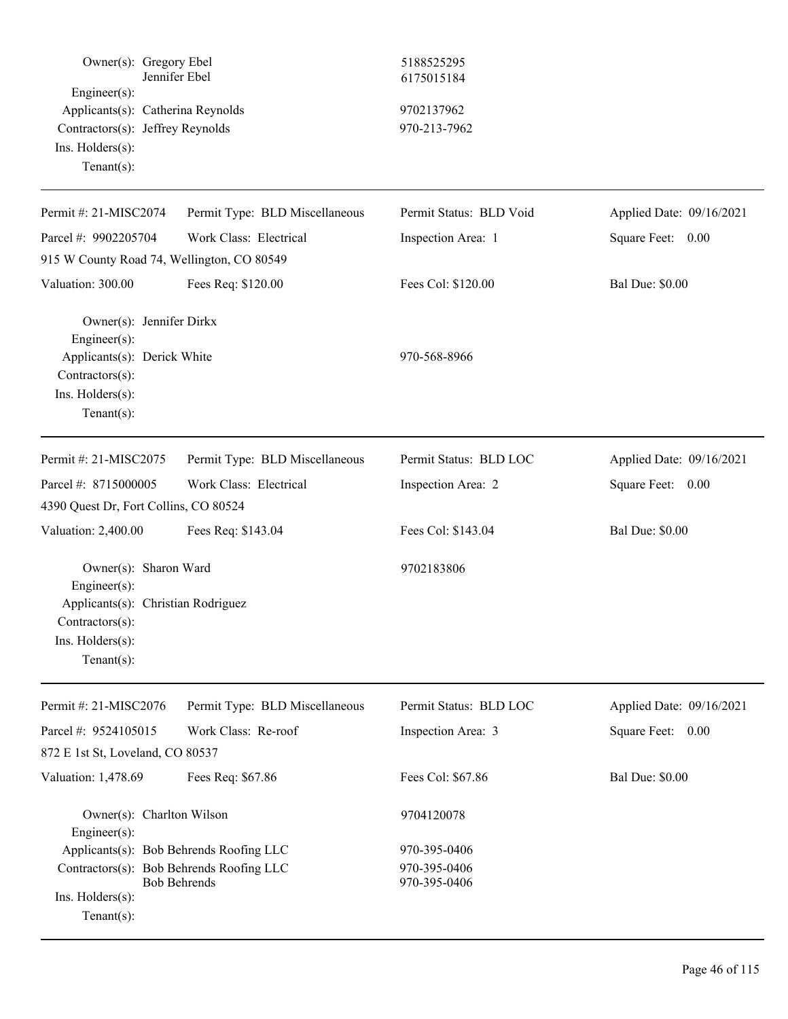| Owner(s): Gregory Ebel<br>Engineer(s):<br>Applicants(s): Catherina Reynolds<br>Contractors(s): Jeffrey Reynolds<br>Ins. Holders(s):<br>Tenant $(s)$ : | Jennifer Ebel                  | 5188525295<br>6175015184<br>9702137962<br>970-213-7962 |                          |
|-------------------------------------------------------------------------------------------------------------------------------------------------------|--------------------------------|--------------------------------------------------------|--------------------------|
| Permit#: 21-MISC2074                                                                                                                                  | Permit Type: BLD Miscellaneous | Permit Status: BLD Void                                | Applied Date: 09/16/2021 |
| Parcel #: 9902205704                                                                                                                                  | Work Class: Electrical         | Inspection Area: 1                                     | Square Feet: 0.00        |
| 915 W County Road 74, Wellington, CO 80549                                                                                                            |                                |                                                        |                          |
| Valuation: 300.00                                                                                                                                     | Fees Req: \$120.00             | Fees Col: \$120.00                                     | <b>Bal Due: \$0.00</b>   |
| Owner(s): Jennifer Dirkx<br>Engineer(s):<br>Applicants(s): Derick White<br>Contractors(s):<br>Ins. Holders(s):<br>Tenant $(s)$ :                      |                                | 970-568-8966                                           |                          |
| Permit #: 21-MISC2075                                                                                                                                 | Permit Type: BLD Miscellaneous | Permit Status: BLD LOC                                 | Applied Date: 09/16/2021 |
| Parcel #: 8715000005                                                                                                                                  | Work Class: Electrical         | Inspection Area: 2                                     | Square Feet: 0.00        |
| 4390 Quest Dr, Fort Collins, CO 80524                                                                                                                 |                                |                                                        |                          |
| Valuation: 2,400.00                                                                                                                                   | Fees Req: \$143.04             | Fees Col: \$143.04                                     | <b>Bal Due: \$0.00</b>   |
| Owner(s): Sharon Ward<br>Engineer(s):<br>Applicants(s): Christian Rodriguez<br>$Contractors(s)$ :<br>$Ins.$ Holders $(s)$ :<br>$Tenant(s)$ :          |                                | 9702183806                                             |                          |
| Permit #: 21-MISC2076                                                                                                                                 | Permit Type: BLD Miscellaneous | Permit Status: BLD LOC                                 | Applied Date: 09/16/2021 |
| Parcel #: 9524105015                                                                                                                                  | Work Class: Re-roof            | Inspection Area: 3                                     | Square Feet: 0.00        |
| 872 E 1st St, Loveland, CO 80537                                                                                                                      |                                |                                                        |                          |
| Valuation: 1,478.69                                                                                                                                   | Fees Req: \$67.86              | Fees Col: \$67.86                                      | <b>Bal Due: \$0.00</b>   |
| Owner(s): Charlton Wilson<br>Engineer(s):                                                                                                             |                                | 9704120078                                             |                          |
| Applicants(s): Bob Behrends Roofing LLC                                                                                                               |                                | 970-395-0406                                           |                          |
| Contractors(s): Bob Behrends Roofing LLC<br>Ins. Holders(s):<br>Tenant $(s)$ :                                                                        | <b>Bob Behrends</b>            | 970-395-0406<br>970-395-0406                           |                          |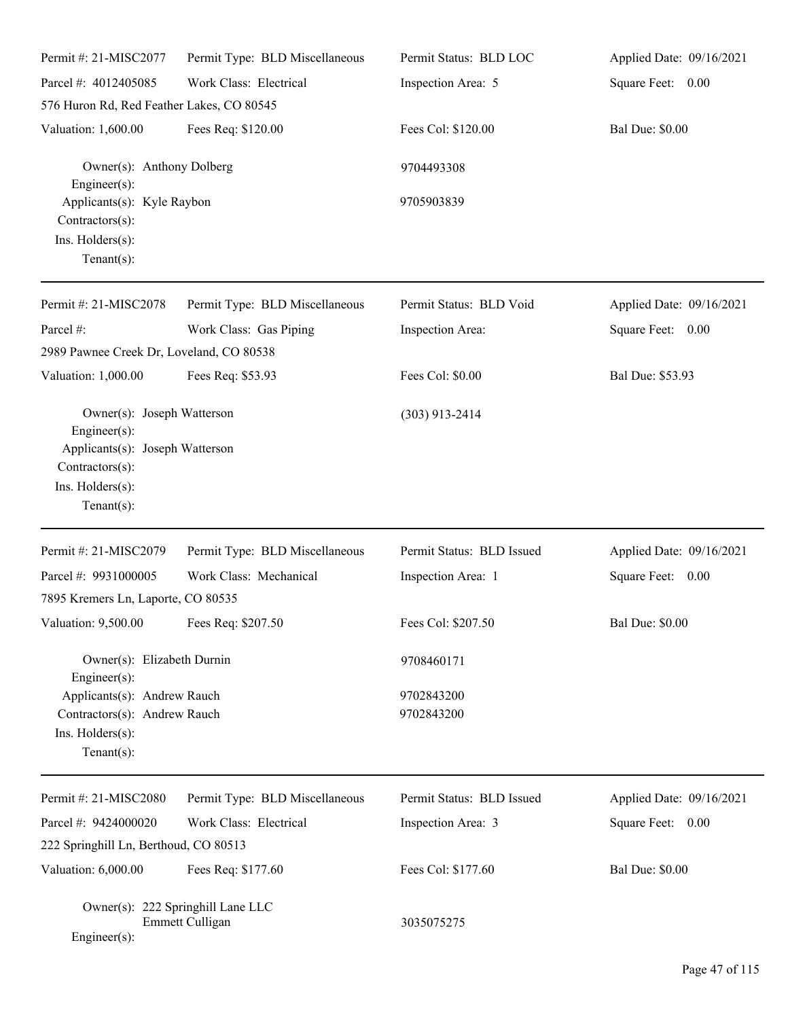| Permit #: 21-MISC2077                                                                                                                        | Permit Type: BLD Miscellaneous                       | Permit Status: BLD LOC    | Applied Date: 09/16/2021 |
|----------------------------------------------------------------------------------------------------------------------------------------------|------------------------------------------------------|---------------------------|--------------------------|
| Parcel #: 4012405085                                                                                                                         | Work Class: Electrical                               | Inspection Area: 5        | Square Feet: 0.00        |
| 576 Huron Rd, Red Feather Lakes, CO 80545                                                                                                    |                                                      |                           |                          |
| Valuation: 1,600.00                                                                                                                          | Fees Req: \$120.00                                   | Fees Col: \$120.00        | <b>Bal Due: \$0.00</b>   |
| Owner(s): Anthony Dolberg<br>Engineer $(s)$ :                                                                                                |                                                      | 9704493308                |                          |
| Applicants(s): Kyle Raybon<br>Contractors(s):<br>Ins. Holders(s):<br>Tenant $(s)$ :                                                          |                                                      | 9705903839                |                          |
| Permit #: 21-MISC2078                                                                                                                        | Permit Type: BLD Miscellaneous                       | Permit Status: BLD Void   | Applied Date: 09/16/2021 |
| Parcel #:                                                                                                                                    | Work Class: Gas Piping                               | Inspection Area:          | Square Feet: 0.00        |
| 2989 Pawnee Creek Dr, Loveland, CO 80538                                                                                                     |                                                      |                           |                          |
| Valuation: 1,000.00                                                                                                                          | Fees Req: \$53.93                                    | Fees Col: \$0.00          | Bal Due: \$53.93         |
| Owner(s): Joseph Watterson<br>$Engineering(s)$ :<br>Applicants(s): Joseph Watterson<br>Contractors(s):<br>Ins. Holders(s):<br>Tenant $(s)$ : |                                                      | $(303)$ 913-2414          |                          |
| Permit #: 21-MISC2079                                                                                                                        | Permit Type: BLD Miscellaneous                       | Permit Status: BLD Issued | Applied Date: 09/16/2021 |
| Parcel #: 9931000005                                                                                                                         | Work Class: Mechanical                               | Inspection Area: 1        | Square Feet: 0.00        |
| 7895 Kremers Ln, Laporte, CO 80535                                                                                                           |                                                      |                           |                          |
| Valuation: 9,500.00 Fees Req: \$207.50                                                                                                       |                                                      | Fees Col: \$207.50        | <b>Bal Due: \$0.00</b>   |
| Owner(s): Elizabeth Durnin<br>Engineer $(s)$ :                                                                                               |                                                      | 9708460171                |                          |
| Applicants(s): Andrew Rauch                                                                                                                  |                                                      | 9702843200                |                          |
| Contractors(s): Andrew Rauch                                                                                                                 |                                                      | 9702843200                |                          |
| Ins. Holders(s):<br>Tenant $(s)$ :                                                                                                           |                                                      |                           |                          |
|                                                                                                                                              |                                                      |                           |                          |
| Permit #: 21-MISC2080                                                                                                                        | Permit Type: BLD Miscellaneous                       | Permit Status: BLD Issued | Applied Date: 09/16/2021 |
| Parcel #: 9424000020                                                                                                                         | Work Class: Electrical                               | Inspection Area: 3        | Square Feet: 0.00        |
| 222 Springhill Ln, Berthoud, CO 80513                                                                                                        |                                                      |                           |                          |
| Valuation: 6,000.00                                                                                                                          | Fees Req: \$177.60                                   | Fees Col: \$177.60        | <b>Bal Due: \$0.00</b>   |
| $Engineer(s)$ :                                                                                                                              | Owner(s): 222 Springhill Lane LLC<br>Emmett Culligan | 3035075275                |                          |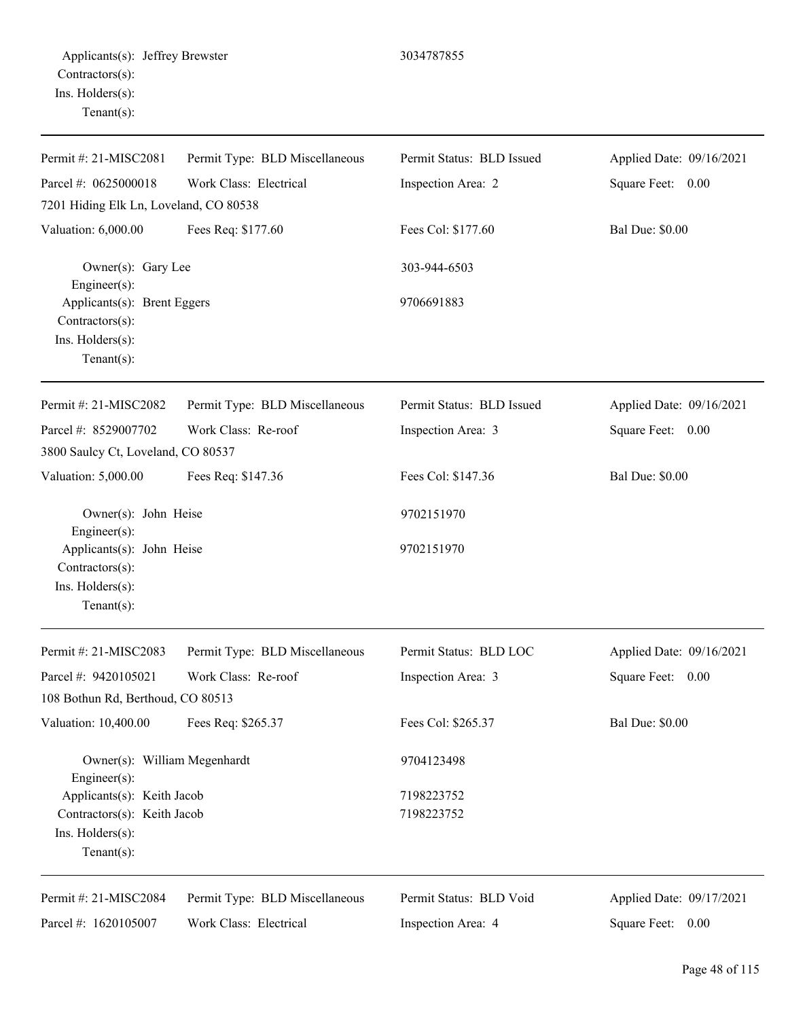| Permit #: 21-MISC2081                                                                                    | Permit Type: BLD Miscellaneous | Permit Status: BLD Issued | Applied Date: 09/16/2021 |
|----------------------------------------------------------------------------------------------------------|--------------------------------|---------------------------|--------------------------|
| Parcel #: 0625000018                                                                                     | Work Class: Electrical         | Inspection Area: 2        | Square Feet: 0.00        |
| 7201 Hiding Elk Ln, Loveland, CO 80538                                                                   |                                |                           |                          |
| Valuation: 6,000.00                                                                                      | Fees Req: \$177.60             | Fees Col: \$177.60        | <b>Bal Due: \$0.00</b>   |
| Owner(s): Gary Lee<br>Engineer(s):                                                                       |                                | 303-944-6503              |                          |
| Applicants(s): Brent Eggers<br>Contractors(s):<br>Ins. Holders(s):<br>Tenant $(s)$ :                     |                                | 9706691883                |                          |
| Permit #: 21-MISC2082                                                                                    | Permit Type: BLD Miscellaneous | Permit Status: BLD Issued | Applied Date: 09/16/2021 |
| Parcel #: 8529007702                                                                                     | Work Class: Re-roof            | Inspection Area: 3        | Square Feet: 0.00        |
| 3800 Saulcy Ct, Loveland, CO 80537                                                                       |                                |                           |                          |
| Valuation: 5,000.00                                                                                      | Fees Req: \$147.36             | Fees Col: \$147.36        | <b>Bal Due: \$0.00</b>   |
| Owner(s): John Heise                                                                                     |                                | 9702151970                |                          |
| $Engineering(s)$ :<br>Applicants(s): John Heise<br>Contractors(s):<br>Ins. Holders(s):<br>Tenant $(s)$ : |                                | 9702151970                |                          |
|                                                                                                          |                                |                           |                          |
| Permit #: 21-MISC2083                                                                                    | Permit Type: BLD Miscellaneous | Permit Status: BLD LOC    | Applied Date: 09/16/2021 |
| Parcel #: 9420105021<br>108 Bothun Rd, Berthoud, CO 80513                                                | Work Class: Re-roof            | Inspection Area: 3        | Square Feet: 0.00        |
| Valuation: 10,400.00                                                                                     | Fees Req: \$265.37             | Fees Col: \$265.37        | <b>Bal Due: \$0.00</b>   |
| Owner(s): William Megenhardt<br>Engineer $(s)$ :                                                         |                                | 9704123498                |                          |
| Applicants(s): Keith Jacob                                                                               |                                | 7198223752                |                          |
| Contractors(s): Keith Jacob<br>Ins. Holders(s):<br>Tenant $(s)$ :                                        |                                | 7198223752                |                          |
| Permit #: 21-MISC2084                                                                                    | Permit Type: BLD Miscellaneous | Permit Status: BLD Void   | Applied Date: 09/17/2021 |
| Parcel #: 1620105007                                                                                     | Work Class: Electrical         | Inspection Area: 4        | Square Feet: 0.00        |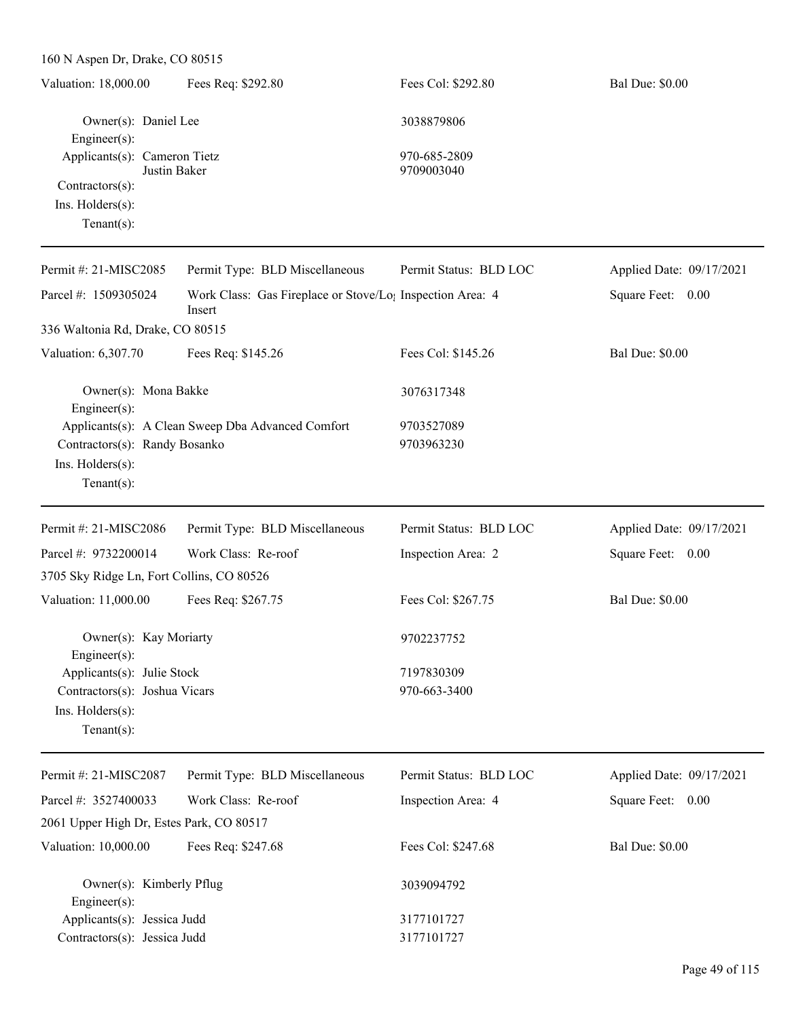| 160 N Aspen Dr, Drake, CO 80515                                                                      |                                                                                 |                            |                          |
|------------------------------------------------------------------------------------------------------|---------------------------------------------------------------------------------|----------------------------|--------------------------|
| Valuation: 18,000.00                                                                                 | Fees Req: \$292.80                                                              | Fees Col: \$292.80         | <b>Bal Due: \$0.00</b>   |
| Owner(s): Daniel Lee<br>Engineer(s):                                                                 |                                                                                 | 3038879806                 |                          |
| Applicants(s): Cameron Tietz<br>Justin Baker<br>Contractors(s):<br>Ins. Holders(s):<br>$Tenant(s)$ : |                                                                                 | 970-685-2809<br>9709003040 |                          |
| Permit #: 21-MISC2085                                                                                | Permit Type: BLD Miscellaneous                                                  | Permit Status: BLD LOC     | Applied Date: 09/17/2021 |
| Parcel #: 1509305024                                                                                 | Work Class: Gas Fireplace or Stove/Lo <sub>1</sub> Inspection Area: 4<br>Insert |                            | Square Feet: 0.00        |
| 336 Waltonia Rd, Drake, CO 80515                                                                     |                                                                                 |                            |                          |
| Valuation: 6,307.70                                                                                  | Fees Req: \$145.26                                                              | Fees Col: \$145.26         | <b>Bal Due: \$0.00</b>   |
| Owner(s): Mona Bakke<br>Engineer(s):                                                                 |                                                                                 | 3076317348                 |                          |
| Contractors(s): Randy Bosanko<br>Ins. Holders(s):<br>Tenant $(s)$ :                                  | Applicants(s): A Clean Sweep Dba Advanced Comfort                               | 9703527089<br>9703963230   |                          |
| Permit #: 21-MISC2086                                                                                | Permit Type: BLD Miscellaneous                                                  | Permit Status: BLD LOC     | Applied Date: 09/17/2021 |
| Parcel #: 9732200014                                                                                 | Work Class: Re-roof                                                             | Inspection Area: 2         | Square Feet: 0.00        |
| 3705 Sky Ridge Ln, Fort Collins, CO 80526<br>Valuation: 11,000.00                                    | Fees Req: \$267.75                                                              | Fees Col: \$267.75         | <b>Bal Due: \$0.00</b>   |
| Owner(s): Kay Moriarty<br>Engineer(s):                                                               |                                                                                 | 9702237752                 |                          |
| Applicants(s): Julie Stock<br>Contractors(s): Joshua Vicars<br>Ins. Holders(s):<br>Tenant $(s)$ :    |                                                                                 | 7197830309<br>970-663-3400 |                          |
| Permit #: 21-MISC2087                                                                                | Permit Type: BLD Miscellaneous                                                  | Permit Status: BLD LOC     | Applied Date: 09/17/2021 |
| Parcel #: 3527400033                                                                                 | Work Class: Re-roof                                                             | Inspection Area: 4         | Square Feet: 0.00        |
| 2061 Upper High Dr, Estes Park, CO 80517                                                             |                                                                                 |                            |                          |
| Valuation: 10,000.00                                                                                 | Fees Req: \$247.68                                                              | Fees Col: \$247.68         | <b>Bal Due: \$0.00</b>   |

Owner(s): Kimberly Pflug 3039094792

Applicants(s): Jessica Judd 3177101727 Contractors(s): Jessica Judd 3177101727

Engineer(s):

Page 49 of 115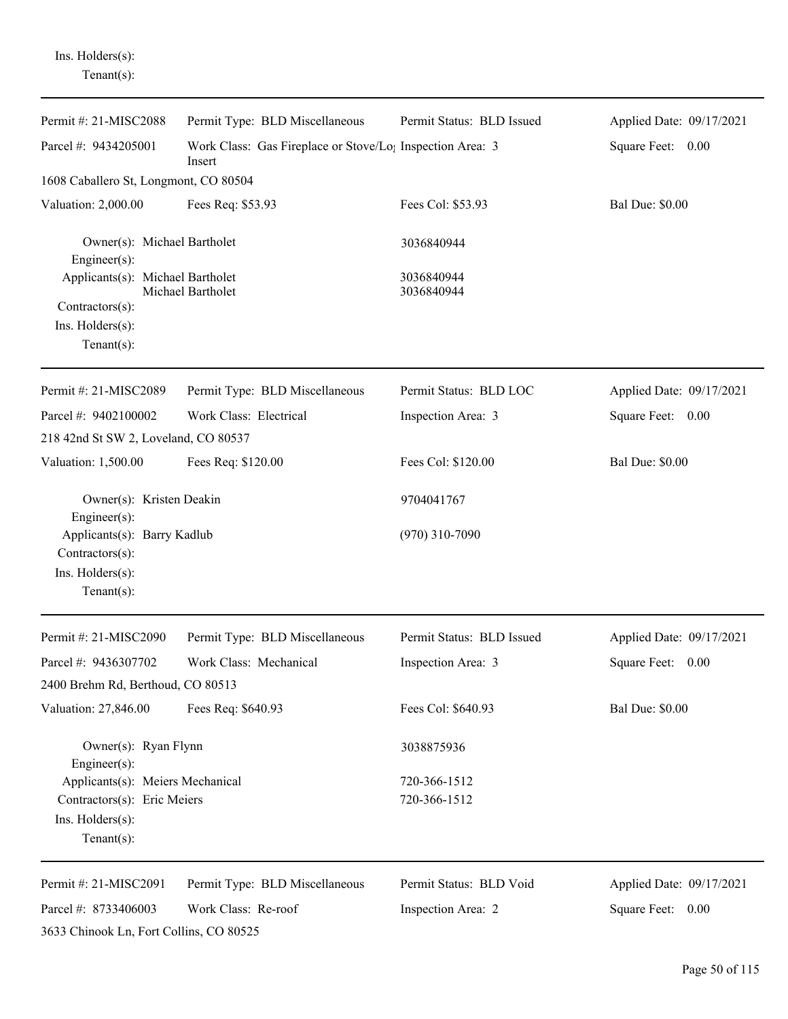Ins. Holders(s): Tenant(s):

| Permit #: 21-MISC2088                                                                | Permit Type: BLD Miscellaneous                                                  | Permit Status: BLD Issued | Applied Date: 09/17/2021    |
|--------------------------------------------------------------------------------------|---------------------------------------------------------------------------------|---------------------------|-----------------------------|
| Parcel #: 9434205001                                                                 | Work Class: Gas Fireplace or Stove/Lo <sub>1</sub> Inspection Area: 3<br>Insert |                           | Square Feet: 0.00           |
| 1608 Caballero St, Longmont, CO 80504                                                |                                                                                 |                           |                             |
| Valuation: 2,000.00                                                                  | Fees Req: \$53.93                                                               | Fees Col: \$53.93         | <b>Bal Due: \$0.00</b>      |
| Owner(s): Michael Bartholet<br>$Engineering(s)$ :                                    |                                                                                 | 3036840944                |                             |
| Applicants(s): Michael Bartholet                                                     | Michael Bartholet                                                               | 3036840944<br>3036840944  |                             |
| $Contractors(s)$ :                                                                   |                                                                                 |                           |                             |
| Ins. Holders(s):                                                                     |                                                                                 |                           |                             |
| Tenant $(s)$ :                                                                       |                                                                                 |                           |                             |
| Permit #: 21-MISC2089                                                                | Permit Type: BLD Miscellaneous                                                  | Permit Status: BLD LOC    | Applied Date: 09/17/2021    |
| Parcel #: 9402100002                                                                 | Work Class: Electrical                                                          | Inspection Area: 3        | Square Feet: 0.00           |
| 218 42nd St SW 2, Loveland, CO 80537                                                 |                                                                                 |                           |                             |
| Valuation: 1,500.00                                                                  | Fees Req: \$120.00                                                              | Fees Col: \$120.00        | <b>Bal Due: \$0.00</b>      |
| Owner(s): Kristen Deakin<br>$Engineering(s)$ :                                       |                                                                                 | 9704041767                |                             |
| Applicants(s): Barry Kadlub<br>Contractors(s):<br>Ins. Holders(s):<br>Tenant $(s)$ : |                                                                                 | $(970)$ 310-7090          |                             |
|                                                                                      |                                                                                 |                           |                             |
| Permit #: 21-MISC2090                                                                | Permit Type: BLD Miscellaneous                                                  | Permit Status: BLD Issued | Applied Date: 09/17/2021    |
| Parcel #: 9436307702                                                                 | Work Class: Mechanical                                                          | Inspection Area: 3        | <b>Square Feet:</b><br>0.00 |
| 2400 Brehm Rd, Berthoud, CO 80513                                                    |                                                                                 |                           |                             |
| Valuation: 27,846.00                                                                 | Fees Req: \$640.93                                                              | Fees Col: \$640.93        | <b>Bal Due: \$0.00</b>      |
| Owner(s): Ryan Flynn<br>Engineer(s):                                                 |                                                                                 | 3038875936                |                             |
| Applicants(s): Meiers Mechanical                                                     |                                                                                 | 720-366-1512              |                             |
| Contractors(s): Eric Meiers                                                          |                                                                                 | 720-366-1512              |                             |
| Ins. Holders(s):<br>Tenant $(s)$ :                                                   |                                                                                 |                           |                             |
| Permit #: 21-MISC2091                                                                | Permit Type: BLD Miscellaneous                                                  | Permit Status: BLD Void   | Applied Date: 09/17/2021    |
| Parcel #: 8733406003                                                                 | Work Class: Re-roof                                                             | Inspection Area: 2        | Square Feet: 0.00           |
| 3633 Chinook Ln, Fort Collins, CO 80525                                              |                                                                                 |                           |                             |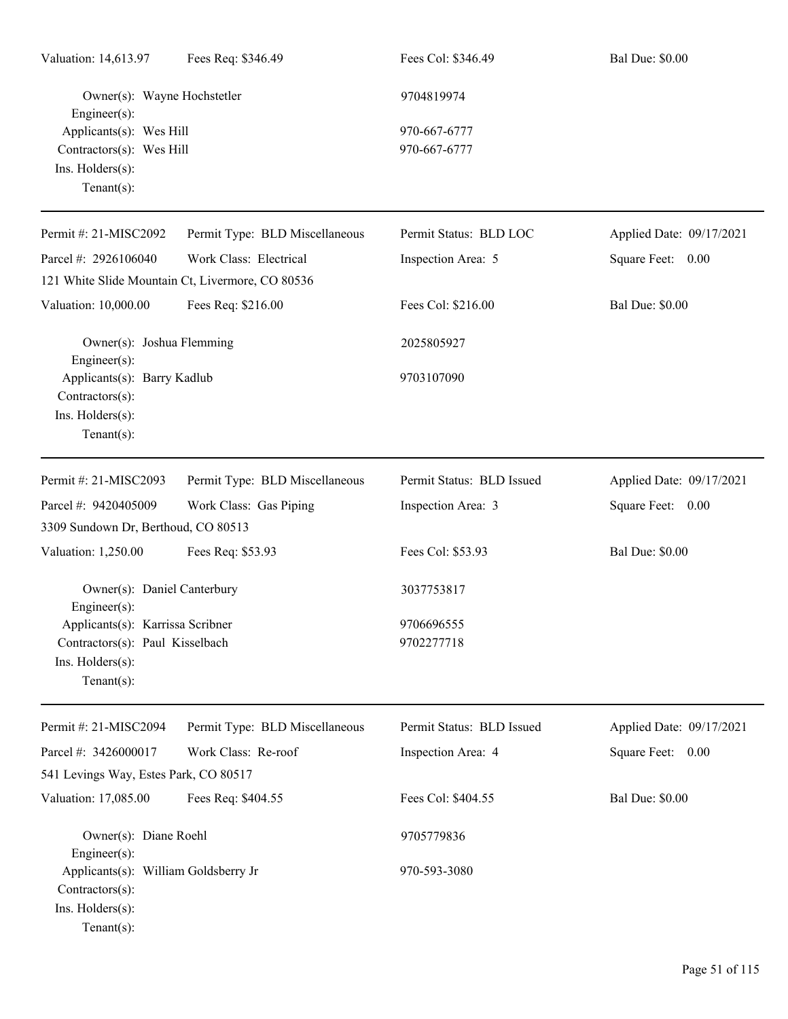| Valuation: 14,613.97                                                                          | Fees Req: \$346.49                               | Fees Col: \$346.49           | <b>Bal Due: \$0.00</b>   |
|-----------------------------------------------------------------------------------------------|--------------------------------------------------|------------------------------|--------------------------|
| Owner(s): Wayne Hochstetler<br>$Engineering(s)$ :                                             |                                                  | 9704819974                   |                          |
| Applicants(s): Wes Hill<br>Contractors(s): Wes Hill<br>Ins. Holders(s):<br>Tenant $(s)$ :     |                                                  | 970-667-6777<br>970-667-6777 |                          |
| Permit #: 21-MISC2092                                                                         | Permit Type: BLD Miscellaneous                   | Permit Status: BLD LOC       | Applied Date: 09/17/2021 |
| Parcel #: 2926106040                                                                          | Work Class: Electrical                           | Inspection Area: 5           | Square Feet: 0.00        |
|                                                                                               | 121 White Slide Mountain Ct, Livermore, CO 80536 |                              |                          |
| Valuation: 10,000.00                                                                          | Fees Req: \$216.00                               | Fees Col: \$216.00           | <b>Bal Due: \$0.00</b>   |
| Owner(s): Joshua Flemming<br>$Engineering(s)$ :                                               |                                                  | 2025805927                   |                          |
| Applicants(s): Barry Kadlub<br>Contractors(s):<br>Ins. Holders(s):<br>Tenant $(s)$ :          |                                                  | 9703107090                   |                          |
| Permit #: 21-MISC2093                                                                         | Permit Type: BLD Miscellaneous                   | Permit Status: BLD Issued    | Applied Date: 09/17/2021 |
| Parcel #: 9420405009                                                                          | Work Class: Gas Piping                           | Inspection Area: 3           | Square Feet: 0.00        |
| 3309 Sundown Dr, Berthoud, CO 80513                                                           |                                                  |                              |                          |
| Valuation: 1,250.00                                                                           | Fees Req: \$53.93                                | Fees Col: \$53.93            | <b>Bal Due: \$0.00</b>   |
| Owner(s): Daniel Canterbury<br>$Enginer(s)$ :                                                 |                                                  | 3037753817                   |                          |
| Applicants(s): Karrissa Scribner                                                              |                                                  | 9706696555                   |                          |
| Contractors(s): Paul Kisselbach<br>Ins. Holders(s):<br>Tenant $(s)$ :                         |                                                  | 9702277718                   |                          |
| Permit #: 21-MISC2094                                                                         | Permit Type: BLD Miscellaneous                   | Permit Status: BLD Issued    | Applied Date: 09/17/2021 |
| Parcel #: 3426000017                                                                          | Work Class: Re-roof                              | Inspection Area: 4           | Square Feet: 0.00        |
| 541 Levings Way, Estes Park, CO 80517                                                         |                                                  |                              |                          |
| Valuation: 17,085.00                                                                          | Fees Req: \$404.55                               | Fees Col: \$404.55           | <b>Bal Due: \$0.00</b>   |
| Owner(s): Diane Roehl<br>$Engineering(s)$ :                                                   |                                                  | 9705779836                   |                          |
| Applicants(s): William Goldsberry Jr<br>Contractors(s):<br>Ins. Holders(s):<br>Tenant $(s)$ : |                                                  | 970-593-3080                 |                          |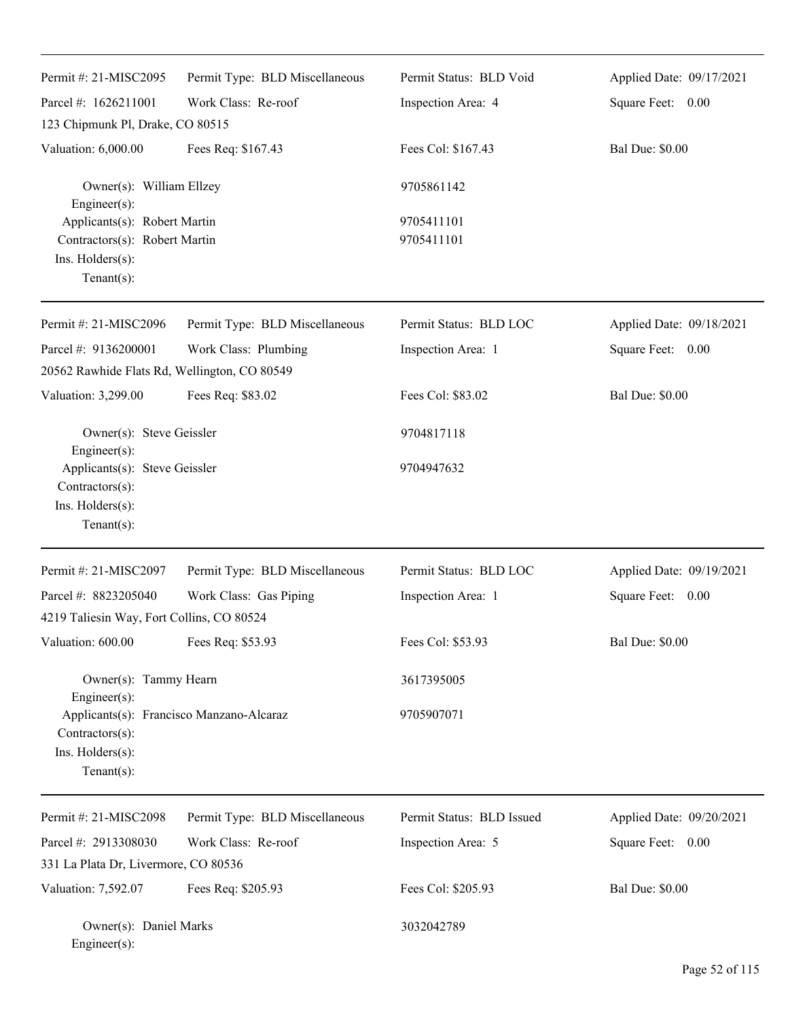| Permit #: 21-MISC2095                                                                                             | Permit Type: BLD Miscellaneous | Permit Status: BLD Void   | Applied Date: 09/17/2021 |
|-------------------------------------------------------------------------------------------------------------------|--------------------------------|---------------------------|--------------------------|
| Parcel #: 1626211001                                                                                              | Work Class: Re-roof            | Inspection Area: 4        | Square Feet: 0.00        |
| 123 Chipmunk Pl, Drake, CO 80515                                                                                  |                                |                           |                          |
| Valuation: 6,000.00                                                                                               | Fees Req: \$167.43             | Fees Col: \$167.43        | <b>Bal Due: \$0.00</b>   |
| Owner(s): William Ellzey<br>Engineer(s):                                                                          |                                | 9705861142                |                          |
| Applicants(s): Robert Martin<br>Contractors(s): Robert Martin<br>Ins. Holders(s):<br>Tenant $(s)$ :               |                                | 9705411101<br>9705411101  |                          |
| Permit #: 21-MISC2096                                                                                             | Permit Type: BLD Miscellaneous | Permit Status: BLD LOC    | Applied Date: 09/18/2021 |
| Parcel #: 9136200001                                                                                              | Work Class: Plumbing           | Inspection Area: 1        | Square Feet: 0.00        |
| 20562 Rawhide Flats Rd, Wellington, CO 80549                                                                      |                                |                           |                          |
| Valuation: 3,299.00                                                                                               | Fees Req: \$83.02              | Fees Col: \$83.02         | <b>Bal Due: \$0.00</b>   |
| Owner(s): Steve Geissler<br>Engineer(s):                                                                          |                                | 9704817118                |                          |
| Applicants(s): Steve Geissler<br>Contractors(s):<br>Ins. Holders(s):<br>$Tenant(s)$ :                             |                                | 9704947632                |                          |
| Permit #: 21-MISC2097                                                                                             | Permit Type: BLD Miscellaneous | Permit Status: BLD LOC    | Applied Date: 09/19/2021 |
| Parcel #: 8823205040                                                                                              | Work Class: Gas Piping         | Inspection Area: 1        | Square Feet: 0.00        |
| 4219 Taliesin Way, Fort Collins, CO 80524                                                                         |                                |                           |                          |
| Valuation: 600.00                                                                                                 | Fees Req: \$53.93              | Fees Col: \$53.93         | <b>Bal Due: \$0.00</b>   |
| Owner(s): Tammy Hearn                                                                                             |                                | 3617395005                |                          |
| Engineer(s):<br>Applicants(s): Francisco Manzano-Alcaraz<br>Contractors(s):<br>Ins. Holders(s):<br>Tenant $(s)$ : |                                | 9705907071                |                          |
| Permit #: 21-MISC2098                                                                                             | Permit Type: BLD Miscellaneous | Permit Status: BLD Issued | Applied Date: 09/20/2021 |
| Parcel #: 2913308030                                                                                              | Work Class: Re-roof            | Inspection Area: 5        | Square Feet: 0.00        |
| 331 La Plata Dr, Livermore, CO 80536                                                                              |                                |                           |                          |
| Valuation: 7,592.07                                                                                               | Fees Req: \$205.93             | Fees Col: \$205.93        | <b>Bal Due: \$0.00</b>   |
| Owner(s): Daniel Marks<br>Engineer(s):                                                                            |                                | 3032042789                |                          |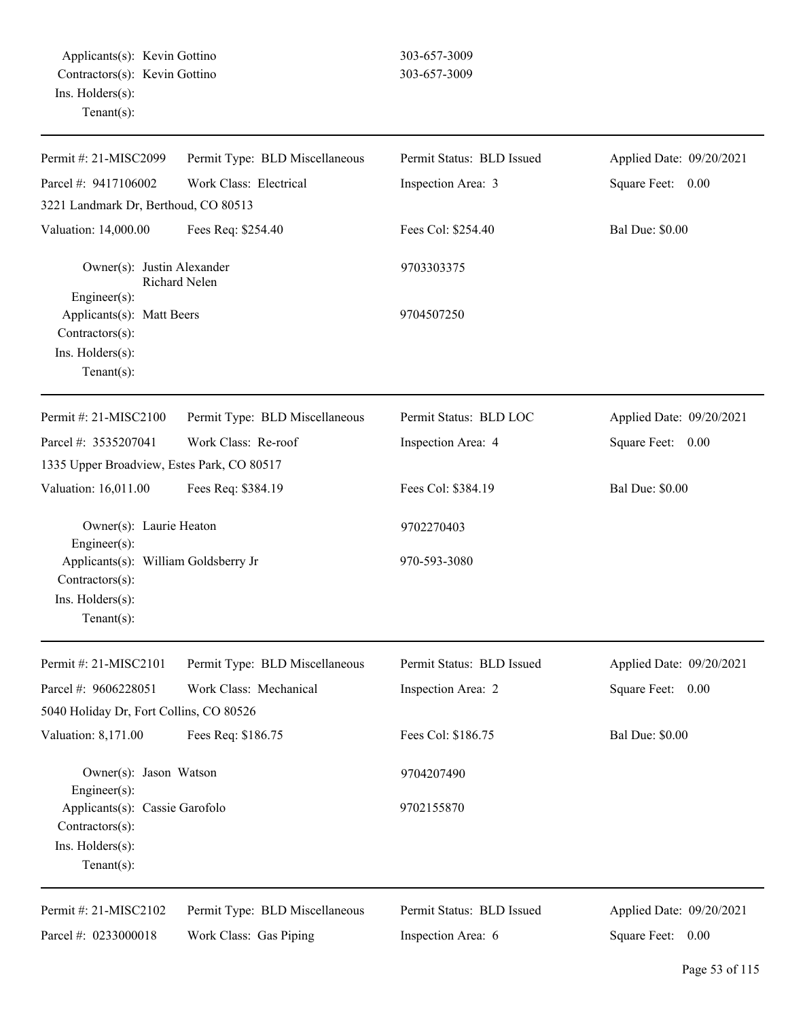Applicants(s): Kevin Gottino 303-657-3009 Contractors(s): Kevin Gottino 303-657-3009 Ins. Holders(s): Tenant(s):

| Permit #: 21-MISC2099                                                                              | Permit Type: BLD Miscellaneous | Permit Status: BLD Issued | Applied Date: 09/20/2021 |
|----------------------------------------------------------------------------------------------------|--------------------------------|---------------------------|--------------------------|
| Parcel #: 9417106002                                                                               | Work Class: Electrical         | Inspection Area: 3        | Square Feet: 0.00        |
| 3221 Landmark Dr, Berthoud, CO 80513                                                               |                                |                           |                          |
| Valuation: 14,000.00                                                                               | Fees Req: \$254.40             | Fees Col: \$254.40        | <b>Bal Due: \$0.00</b>   |
| Owner(s): Justin Alexander                                                                         | Richard Nelen                  | 9703303375                |                          |
| Engineer(s):<br>Applicants(s): Matt Beers<br>Contractors(s):<br>Ins. Holders(s):<br>Tenant $(s)$ : |                                | 9704507250                |                          |
| Permit #: 21-MISC2100                                                                              | Permit Type: BLD Miscellaneous | Permit Status: BLD LOC    | Applied Date: 09/20/2021 |
| Parcel #: 3535207041                                                                               | Work Class: Re-roof            | Inspection Area: 4        | Square Feet: 0.00        |
| 1335 Upper Broadview, Estes Park, CO 80517                                                         |                                |                           |                          |
| Valuation: 16,011.00                                                                               | Fees Req: \$384.19             | Fees Col: \$384.19        | <b>Bal Due: \$0.00</b>   |
| Owner(s): Laurie Heaton<br>$Engineering(s)$ :                                                      |                                | 9702270403                |                          |
| Applicants(s): William Goldsberry Jr<br>Contractors(s):<br>Ins. Holders(s):<br>Tenant $(s)$ :      |                                | 970-593-3080              |                          |
| Permit #: 21-MISC2101                                                                              | Permit Type: BLD Miscellaneous | Permit Status: BLD Issued | Applied Date: 09/20/2021 |
| Parcel #: 9606228051                                                                               | Work Class: Mechanical         | Inspection Area: 2        | Square Feet:<br>0.00     |
| 5040 Holiday Dr, Fort Collins, CO 80526                                                            |                                |                           |                          |
| Valuation: 8,171.00                                                                                | Fees Req: \$186.75             | Fees Col: \$186.75        | <b>Bal Due: \$0.00</b>   |
| Owner(s): Jason Watson<br>$Engineering(s)$ :                                                       |                                | 9704207490                |                          |
| Applicants(s): Cassie Garofolo<br>Contractors(s):<br>Ins. Holders(s):<br>Tenant $(s)$ :            |                                | 9702155870                |                          |
| Permit #: 21-MISC2102                                                                              | Permit Type: BLD Miscellaneous | Permit Status: BLD Issued | Applied Date: 09/20/2021 |
| Parcel #: 0233000018                                                                               | Work Class: Gas Piping         | Inspection Area: 6        | Square Feet: 0.00        |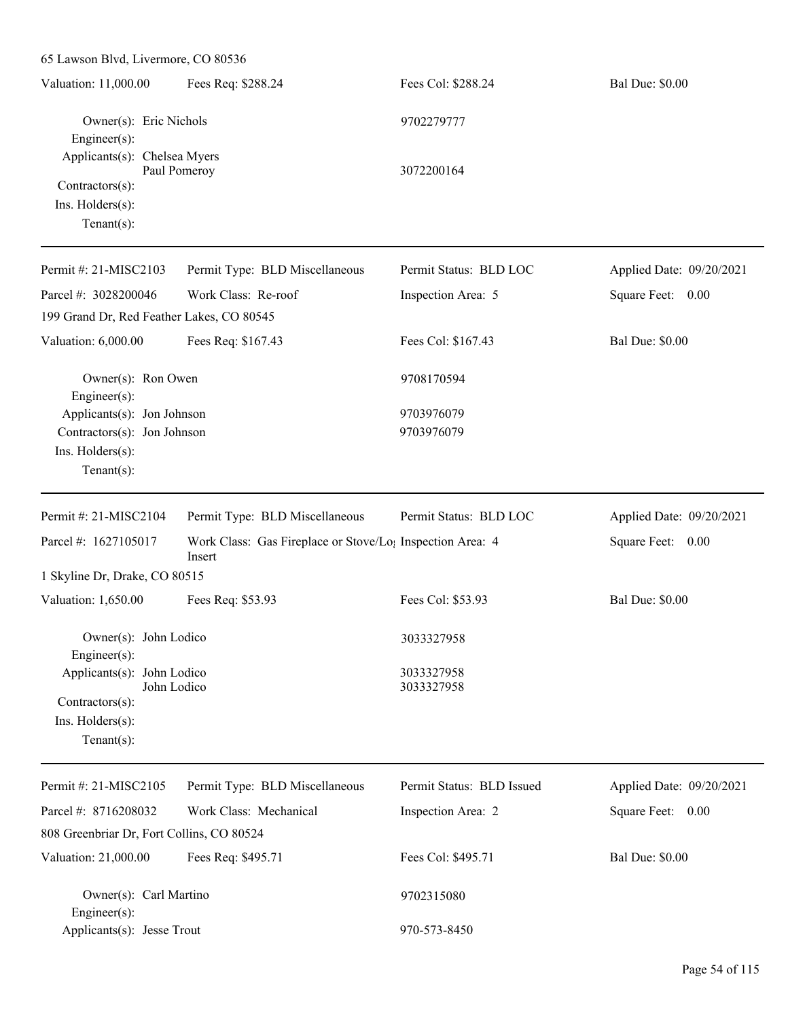| 65 Lawson Blvd, Livermore, CO 80536                                                                   |                                                                                 |                           |                          |
|-------------------------------------------------------------------------------------------------------|---------------------------------------------------------------------------------|---------------------------|--------------------------|
| Valuation: 11,000.00                                                                                  | Fees Req: \$288.24                                                              | Fees Col: \$288.24        | <b>Bal Due: \$0.00</b>   |
| Owner(s): Eric Nichols<br>Engineer(s):                                                                |                                                                                 | 9702279777                |                          |
| Applicants(s): Chelsea Myers<br>Paul Pomeroy<br>Contractors(s):<br>Ins. Holders(s):<br>Tenant $(s)$ : |                                                                                 | 3072200164                |                          |
| Permit #: 21-MISC2103                                                                                 | Permit Type: BLD Miscellaneous                                                  | Permit Status: BLD LOC    | Applied Date: 09/20/2021 |
| Parcel #: 3028200046                                                                                  | Work Class: Re-roof                                                             | Inspection Area: 5        | Square Feet: 0.00        |
| 199 Grand Dr, Red Feather Lakes, CO 80545                                                             |                                                                                 |                           |                          |
| Valuation: 6,000.00                                                                                   | Fees Req: \$167.43                                                              | Fees Col: \$167.43        | <b>Bal Due: \$0.00</b>   |
| Owner(s): Ron Owen<br>Engineer $(s)$ :                                                                |                                                                                 | 9708170594                |                          |
| Applicants(s): Jon Johnson                                                                            |                                                                                 | 9703976079                |                          |
| Contractors(s): Jon Johnson                                                                           |                                                                                 | 9703976079                |                          |
| Ins. Holders(s):                                                                                      |                                                                                 |                           |                          |
| $Tenant(s)$ :                                                                                         |                                                                                 |                           |                          |
| Permit #: 21-MISC2104                                                                                 | Permit Type: BLD Miscellaneous                                                  | Permit Status: BLD LOC    | Applied Date: 09/20/2021 |
| Parcel #: 1627105017                                                                                  | Work Class: Gas Fireplace or Stove/Lo <sub>1</sub> Inspection Area: 4<br>Insert |                           | Square Feet: 0.00        |
| 1 Skyline Dr, Drake, CO 80515                                                                         |                                                                                 |                           |                          |
| Valuation: 1,650.00                                                                                   | Fees Req: \$53.93                                                               | Fees Col: \$53.93         | <b>Bal Due: \$0.00</b>   |
| Owner(s): John Lodico<br>Engineer $(s)$ :                                                             |                                                                                 | 3033327958                |                          |
| Applicants(s): John Lodico<br>John Lodico                                                             |                                                                                 | 3033327958<br>3033327958  |                          |
| $Contractors(s)$ :<br>Ins. Holders(s):<br>Tenant $(s)$ :                                              |                                                                                 |                           |                          |
| Permit #: 21-MISC2105                                                                                 | Permit Type: BLD Miscellaneous                                                  | Permit Status: BLD Issued | Applied Date: 09/20/2021 |
| Parcel #: 8716208032                                                                                  | Work Class: Mechanical                                                          | Inspection Area: 2        | Square Feet: 0.00        |
| 808 Greenbriar Dr, Fort Collins, CO 80524                                                             |                                                                                 |                           |                          |
| Valuation: 21,000.00                                                                                  |                                                                                 |                           |                          |
|                                                                                                       | Fees Req: \$495.71                                                              | Fees Col: \$495.71        | <b>Bal Due: \$0.00</b>   |
| Owner(s): Carl Martino<br>Engineer(s):                                                                |                                                                                 | 9702315080                |                          |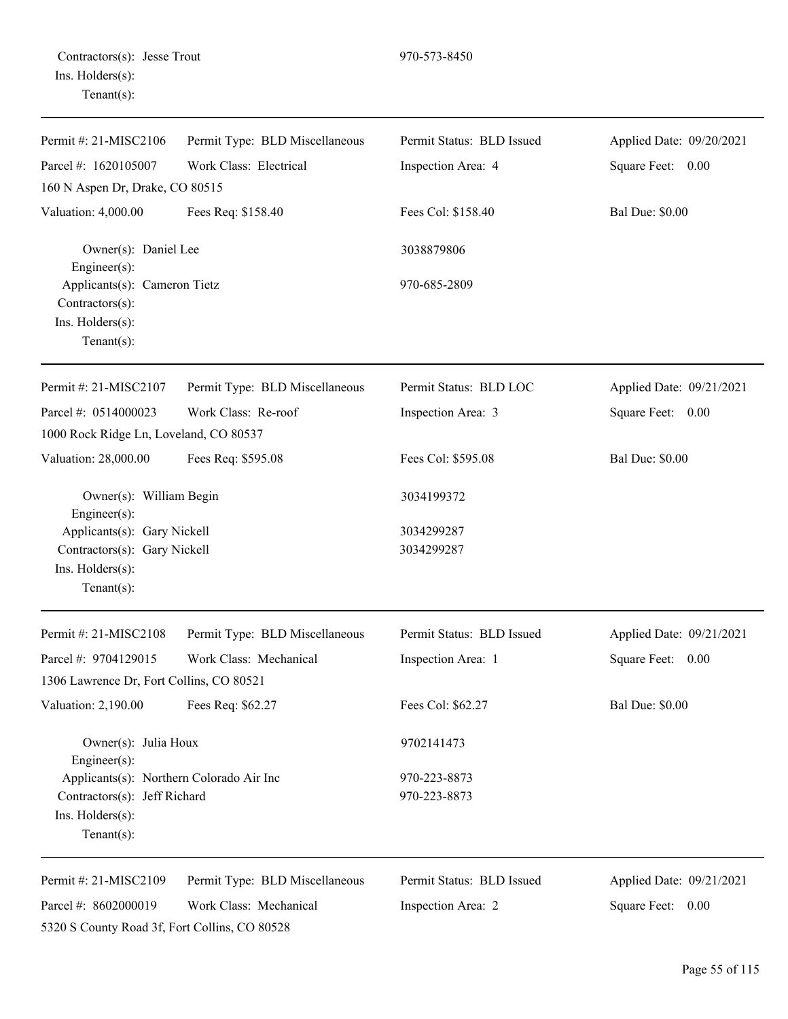| Permit #: 21-MISC2106                                                                             | Permit Type: BLD Miscellaneous | Permit Status: BLD Issued | Applied Date: 09/20/2021 |
|---------------------------------------------------------------------------------------------------|--------------------------------|---------------------------|--------------------------|
| Parcel #: 1620105007                                                                              | Work Class: Electrical         | Inspection Area: 4        | Square Feet: 0.00        |
| 160 N Aspen Dr, Drake, CO 80515                                                                   |                                |                           |                          |
| Valuation: 4,000.00                                                                               | Fees Req: \$158.40             | Fees Col: \$158.40        | <b>Bal Due: \$0.00</b>   |
| Owner(s): Daniel Lee<br>Engineer $(s)$ :                                                          |                                | 3038879806                |                          |
| Applicants(s): Cameron Tietz<br>Contractors(s):<br>Ins. Holders(s):<br>Tenant $(s)$ :             |                                | 970-685-2809              |                          |
| Permit #: 21-MISC2107                                                                             | Permit Type: BLD Miscellaneous | Permit Status: BLD LOC    | Applied Date: 09/21/2021 |
| Parcel #: 0514000023                                                                              | Work Class: Re-roof            | Inspection Area: 3        | Square Feet: 0.00        |
| 1000 Rock Ridge Ln, Loveland, CO 80537                                                            |                                |                           |                          |
| Valuation: 28,000.00                                                                              | Fees Req: \$595.08             | Fees Col: \$595.08        | <b>Bal Due: \$0.00</b>   |
| Owner(s): William Begin<br>Engineer(s):                                                           |                                | 3034199372                |                          |
| Applicants(s): Gary Nickell<br>Contractors(s): Gary Nickell<br>Ins. Holders(s):<br>Tenant $(s)$ : |                                | 3034299287<br>3034299287  |                          |
| Permit #: 21-MISC2108                                                                             | Permit Type: BLD Miscellaneous | Permit Status: BLD Issued | Applied Date: 09/21/2021 |
| Parcel #: 9704129015                                                                              | Work Class: Mechanical         | Inspection Area: 1        | Square Feet: 0.00        |
| 1306 Lawrence Dr, Fort Collins, CO 80521                                                          |                                |                           |                          |
| Valuation: 2,190.00                                                                               | Fees Req: \$62.27              | Fees Col: \$62.27         | <b>Bal Due: \$0.00</b>   |
| Owner(s): Julia Houx<br>Engineer(s):                                                              |                                | 9702141473                |                          |
| Applicants(s): Northern Colorado Air Inc                                                          |                                | 970-223-8873              |                          |
| Contractors(s): Jeff Richard<br>Ins. Holders(s):<br>Tenant $(s)$ :                                |                                | 970-223-8873              |                          |
| Permit #: 21-MISC2109                                                                             | Permit Type: BLD Miscellaneous | Permit Status: BLD Issued | Applied Date: 09/21/2021 |
| Parcel #: 8602000019<br>5320 S County Road 3f, Fort Collins, CO 80528                             | Work Class: Mechanical         | Inspection Area: 2        | Square Feet: 0.00        |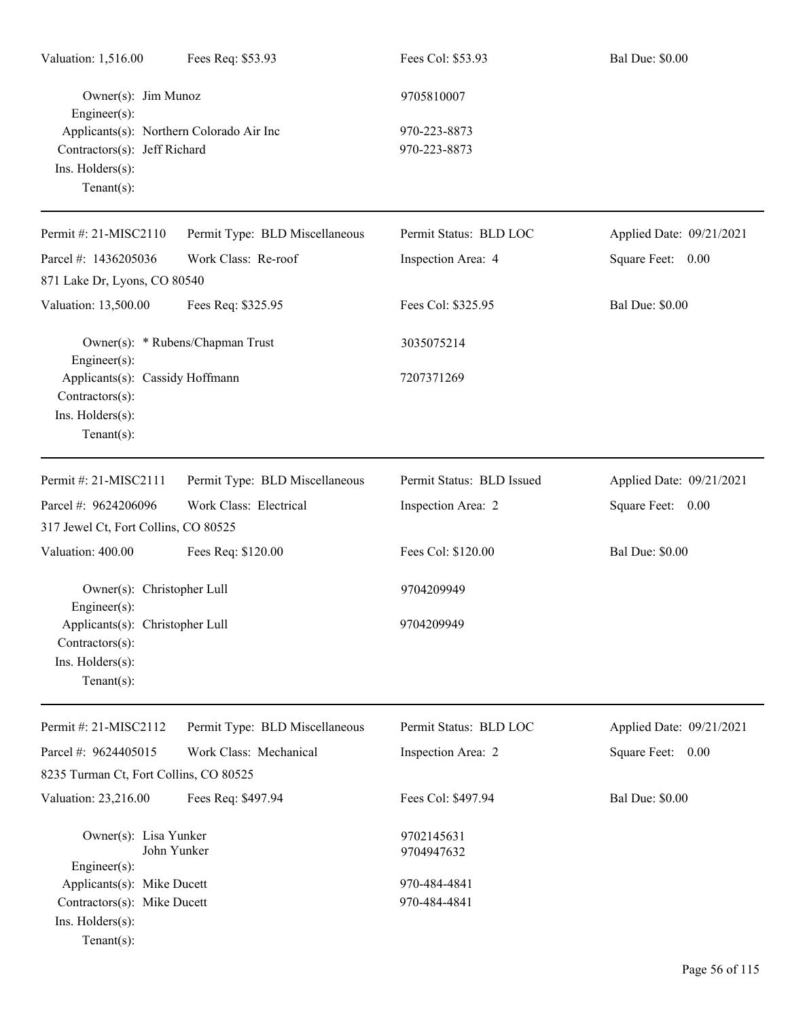| Valuation: 1,516.00                                                                                            | Fees Req: \$53.93                | Fees Col: \$53.93            | <b>Bal Due: \$0.00</b>   |
|----------------------------------------------------------------------------------------------------------------|----------------------------------|------------------------------|--------------------------|
| Owner(s): Jim Munoz<br>Engineer(s):                                                                            |                                  | 9705810007                   |                          |
| Applicants(s): Northern Colorado Air Inc<br>Contractors(s): Jeff Richard<br>Ins. Holders(s):<br>Tenant $(s)$ : |                                  | 970-223-8873<br>970-223-8873 |                          |
| Permit#: 21-MISC2110                                                                                           | Permit Type: BLD Miscellaneous   | Permit Status: BLD LOC       | Applied Date: 09/21/2021 |
| Parcel #: 1436205036<br>871 Lake Dr, Lyons, CO 80540                                                           | Work Class: Re-roof              | Inspection Area: 4           | Square Feet: 0.00        |
| Valuation: 13,500.00                                                                                           | Fees Req: \$325.95               | Fees Col: \$325.95           | <b>Bal Due: \$0.00</b>   |
| Engineer(s):                                                                                                   | Owner(s): * Rubens/Chapman Trust | 3035075214                   |                          |
| Applicants(s): Cassidy Hoffmann<br>Contractors(s):<br>Ins. Holders(s):<br>Tenant $(s)$ :                       |                                  | 7207371269                   |                          |
| Permit #: 21-MISC2111                                                                                          | Permit Type: BLD Miscellaneous   | Permit Status: BLD Issued    | Applied Date: 09/21/2021 |
| Parcel #: 9624206096                                                                                           | Work Class: Electrical           | Inspection Area: 2           | Square Feet: 0.00        |
| 317 Jewel Ct, Fort Collins, CO 80525                                                                           |                                  |                              |                          |
| Valuation: 400.00                                                                                              | Fees Req: \$120.00               | Fees Col: \$120.00           | <b>Bal Due: \$0.00</b>   |
| Owner(s): Christopher Lull<br>$Engineering(s)$ :                                                               |                                  | 9704209949                   |                          |
| Applicants(s): Christopher Lull<br>Contractors(s):<br>Ins. Holders(s):<br>Tenant $(s)$ :                       |                                  | 9704209949                   |                          |
| Permit #: 21-MISC2112                                                                                          | Permit Type: BLD Miscellaneous   | Permit Status: BLD LOC       | Applied Date: 09/21/2021 |
| Parcel #: 9624405015                                                                                           | Work Class: Mechanical           | Inspection Area: 2           | Square Feet:<br>0.00     |
| 8235 Turman Ct, Fort Collins, CO 80525                                                                         |                                  |                              |                          |
| Valuation: 23,216.00                                                                                           | Fees Req: \$497.94               | Fees Col: \$497.94           | <b>Bal Due: \$0.00</b>   |
| Owner(s): Lisa Yunker<br>John Yunker<br>$Engineering(s)$ :                                                     |                                  | 9702145631<br>9704947632     |                          |
| Applicants(s): Mike Ducett                                                                                     |                                  | 970-484-4841                 |                          |
| Contractors(s): Mike Ducett<br>Ins. Holders(s):<br>Tenant $(s)$ :                                              |                                  | 970-484-4841                 |                          |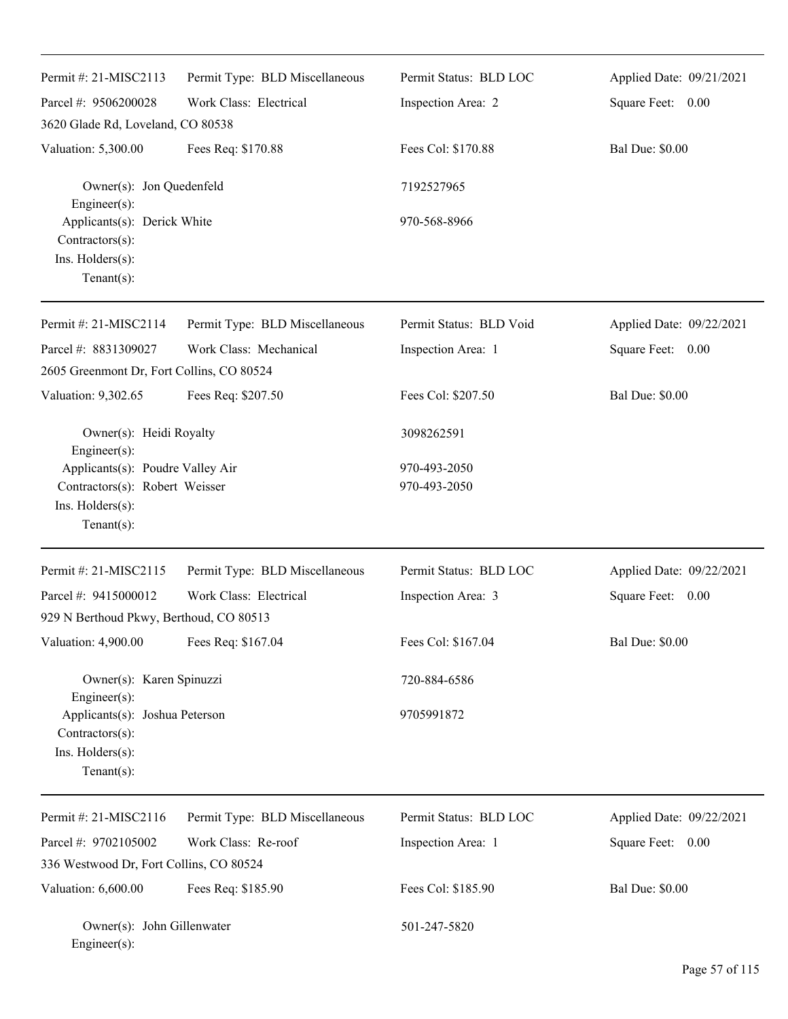| Permit #: $21-MISC2113$                                                                 | Permit Type: BLD Miscellaneous | Permit Status: BLD LOC  | Applied Date: 09/21/2021 |
|-----------------------------------------------------------------------------------------|--------------------------------|-------------------------|--------------------------|
| Parcel #: 9506200028                                                                    | Work Class: Electrical         | Inspection Area: 2      | Square Feet: 0.00        |
| 3620 Glade Rd, Loveland, CO 80538                                                       |                                |                         |                          |
| Valuation: 5,300.00                                                                     | Fees Req: \$170.88             | Fees Col: \$170.88      | <b>Bal Due: \$0.00</b>   |
| Owner(s): Jon Quedenfeld<br>Engineer(s):                                                |                                | 7192527965              |                          |
| Applicants(s): Derick White<br>Contractors(s):<br>Ins. Holders(s):<br>Tenant $(s)$ :    |                                | 970-568-8966            |                          |
| Permit #: 21-MISC2114                                                                   | Permit Type: BLD Miscellaneous | Permit Status: BLD Void | Applied Date: 09/22/2021 |
| Parcel #: 8831309027                                                                    | Work Class: Mechanical         | Inspection Area: 1      | Square Feet: 0.00        |
| 2605 Greenmont Dr, Fort Collins, CO 80524                                               |                                |                         |                          |
| Valuation: 9,302.65                                                                     | Fees Req: \$207.50             | Fees Col: \$207.50      | <b>Bal Due: \$0.00</b>   |
| Owner(s): Heidi Royalty<br>Engineer(s):                                                 |                                | 3098262591              |                          |
| Applicants(s): Poudre Valley Air                                                        |                                | 970-493-2050            |                          |
| Contractors(s): Robert Weisser<br>Ins. Holders(s):<br>$Tenant(s)$ :                     |                                | 970-493-2050            |                          |
| Permit #: 21-MISC2115                                                                   | Permit Type: BLD Miscellaneous | Permit Status: BLD LOC  | Applied Date: 09/22/2021 |
| Parcel #: 9415000012                                                                    | Work Class: Electrical         | Inspection Area: 3      | Square Feet: 0.00        |
| 929 N Berthoud Pkwy, Berthoud, CO 80513                                                 |                                |                         |                          |
| Valuation: 4,900.00                                                                     | Fees Req: \$167.04             | Fees Col: \$167.04      | <b>Bal Due: \$0.00</b>   |
| Owner(s): Karen Spinuzzi<br>Engineer(s):                                                |                                | 720-884-6586            |                          |
| Applicants(s): Joshua Peterson<br>Contractors(s):<br>Ins. Holders(s):<br>Tenant $(s)$ : |                                | 9705991872              |                          |
| Permit #: 21-MISC2116                                                                   | Permit Type: BLD Miscellaneous | Permit Status: BLD LOC  | Applied Date: 09/22/2021 |
| Parcel #: 9702105002                                                                    | Work Class: Re-roof            | Inspection Area: 1      | Square Feet: 0.00        |
| 336 Westwood Dr, Fort Collins, CO 80524                                                 |                                |                         |                          |
| Valuation: 6,600.00                                                                     | Fees Req: \$185.90             | Fees Col: \$185.90      | <b>Bal Due: \$0.00</b>   |
| Owner(s): John Gillenwater<br>Engineer(s):                                              |                                | 501-247-5820            |                          |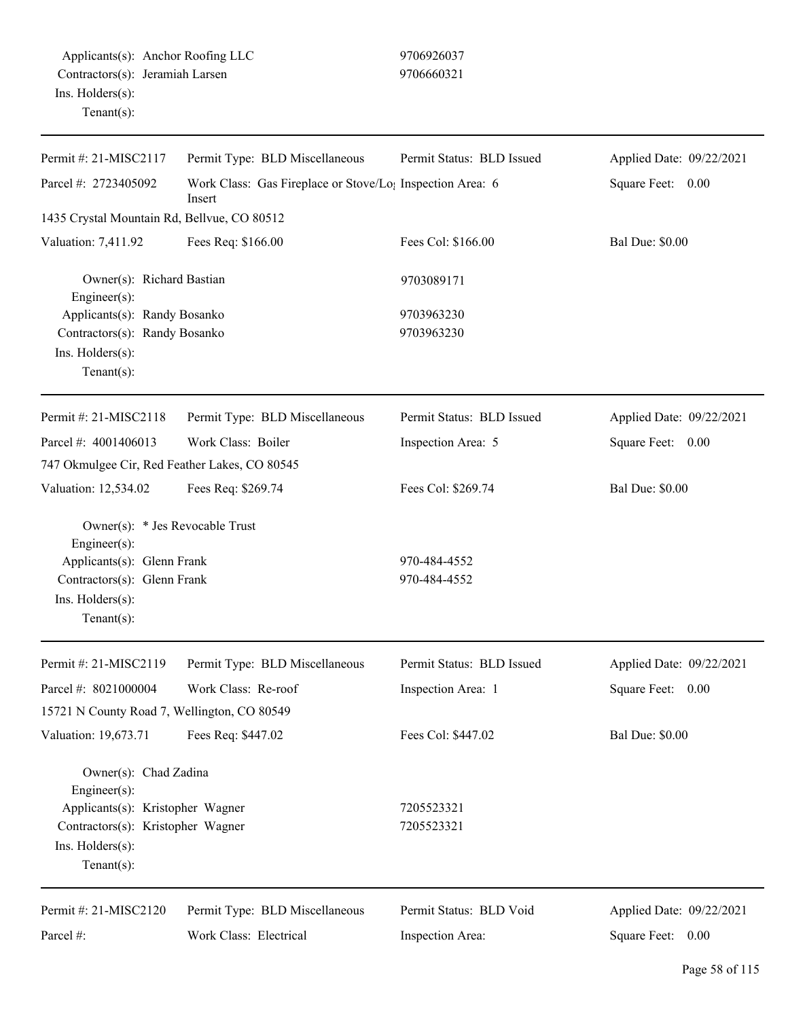| Permit #: 21-MISC2117                                                                                                                             | Permit Type: BLD Miscellaneous                                                  | Permit Status: BLD Issued    | Applied Date: 09/22/2021 |
|---------------------------------------------------------------------------------------------------------------------------------------------------|---------------------------------------------------------------------------------|------------------------------|--------------------------|
| Parcel #: 2723405092                                                                                                                              | Work Class: Gas Fireplace or Stove/Lo <sub>l</sub> Inspection Area: 6<br>Insert |                              | Square Feet: 0.00        |
| 1435 Crystal Mountain Rd, Bellvue, CO 80512                                                                                                       |                                                                                 |                              |                          |
| Valuation: 7,411.92                                                                                                                               | Fees Req: \$166.00                                                              | Fees Col: \$166.00           | <b>Bal Due: \$0.00</b>   |
| Owner(s): Richard Bastian<br>Engineer(s):                                                                                                         |                                                                                 | 9703089171                   |                          |
| Applicants(s): Randy Bosanko                                                                                                                      |                                                                                 | 9703963230                   |                          |
| Contractors(s): Randy Bosanko<br>Ins. Holders(s):<br>Tenant $(s)$ :                                                                               |                                                                                 | 9703963230                   |                          |
| Permit #: $21-MISC2118$                                                                                                                           | Permit Type: BLD Miscellaneous                                                  | Permit Status: BLD Issued    | Applied Date: 09/22/2021 |
| Parcel #: 4001406013                                                                                                                              | Work Class: Boiler                                                              | Inspection Area: 5           | Square Feet: 0.00        |
| 747 Okmulgee Cir, Red Feather Lakes, CO 80545                                                                                                     |                                                                                 |                              |                          |
| Valuation: 12,534.02                                                                                                                              | Fees Req: \$269.74                                                              | Fees Col: \$269.74           | <b>Bal Due: \$0.00</b>   |
| Owner(s): * Jes Revocable Trust<br>Engineer(s):<br>Applicants(s): Glenn Frank<br>Contractors(s): Glenn Frank<br>Ins. Holders(s):<br>$Tenant(s)$ : |                                                                                 | 970-484-4552<br>970-484-4552 |                          |
| Permit #: 21-MISC2119                                                                                                                             | Permit Type: BLD Miscellaneous                                                  | Permit Status: BLD Issued    | Applied Date: 09/22/2021 |
| Parcel #: 8021000004                                                                                                                              | Work Class: Re-roof                                                             | Inspection Area: 1           | Square Feet:<br>0.00     |
| 15721 N County Road 7, Wellington, CO 80549                                                                                                       |                                                                                 |                              |                          |
| Valuation: 19,673.71                                                                                                                              | Fees Req: \$447.02                                                              | Fees Col: \$447.02           | <b>Bal Due: \$0.00</b>   |
| Owner(s): Chad Zadina<br>Engineer(s):                                                                                                             |                                                                                 |                              |                          |
| Applicants(s): Kristopher Wagner<br>Contractors(s): Kristopher Wagner<br>Ins. Holders(s):<br>Tenant $(s)$ :                                       |                                                                                 | 7205523321<br>7205523321     |                          |
| Permit #: 21-MISC2120                                                                                                                             | Permit Type: BLD Miscellaneous                                                  | Permit Status: BLD Void      | Applied Date: 09/22/2021 |
| Parcel #:                                                                                                                                         | Work Class: Electrical                                                          | Inspection Area:             | Square Feet: 0.00        |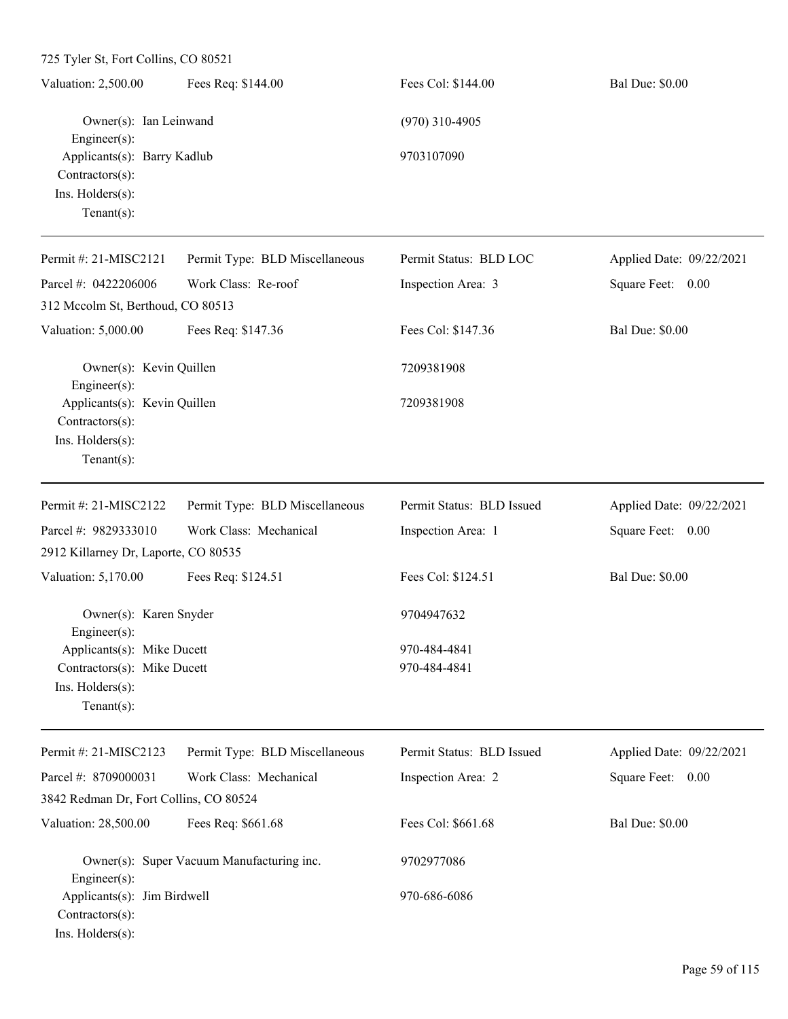| $125$ Tyler St, Fort Collins, CO 80521                                                          |                                           |                              |                          |
|-------------------------------------------------------------------------------------------------|-------------------------------------------|------------------------------|--------------------------|
| Valuation: 2,500.00                                                                             | Fees Req: \$144.00                        | Fees Col: \$144.00           | <b>Bal Due: \$0.00</b>   |
| Owner(s): Ian Leinwand<br>Engineer(s):                                                          |                                           | $(970)$ 310-4905             |                          |
| Applicants(s): Barry Kadlub<br>Contractors(s):<br>Ins. Holders(s):<br>Tenant $(s)$ :            |                                           | 9703107090                   |                          |
| Permit #: 21-MISC2121                                                                           | Permit Type: BLD Miscellaneous            | Permit Status: BLD LOC       | Applied Date: 09/22/2021 |
| Parcel #: 0422206006                                                                            | Work Class: Re-roof                       | Inspection Area: 3           | Square Feet: 0.00        |
| 312 Mccolm St, Berthoud, CO 80513                                                               |                                           |                              |                          |
| Valuation: 5,000.00                                                                             | Fees Req: \$147.36                        | Fees Col: \$147.36           | <b>Bal Due: \$0.00</b>   |
| Owner(s): Kevin Quillen<br>Engineer(s):                                                         |                                           | 7209381908                   |                          |
| Applicants(s): Kevin Quillen<br>Contractors(s):<br>Ins. Holders(s):<br>Tenant $(s)$ :           |                                           | 7209381908                   |                          |
| Permit #: 21-MISC2122                                                                           | Permit Type: BLD Miscellaneous            | Permit Status: BLD Issued    | Applied Date: 09/22/2021 |
| Parcel #: 9829333010<br>2912 Killarney Dr, Laporte, CO 80535                                    | Work Class: Mechanical                    | Inspection Area: 1           | Square Feet: 0.00        |
| Valuation: 5,170.00                                                                             | Fees Req: \$124.51                        | Fees Col: \$124.51           | <b>Bal Due: \$0.00</b>   |
| Owner(s): Karen Snyder<br>$Engineering(s)$ :                                                    |                                           | 9704947632                   |                          |
| Applicants(s): Mike Ducett<br>Contractors(s): Mike Ducett<br>Ins. Holders(s):<br>Tenant $(s)$ : |                                           | 970-484-4841<br>970-484-4841 |                          |
| Permit #: 21-MISC2123                                                                           | Permit Type: BLD Miscellaneous            | Permit Status: BLD Issued    | Applied Date: 09/22/2021 |
| Parcel #: 8709000031                                                                            | Work Class: Mechanical                    | Inspection Area: 2           | Square Feet: 0.00        |
| 3842 Redman Dr, Fort Collins, CO 80524                                                          |                                           |                              |                          |
| Valuation: 28,500.00                                                                            | Fees Req: \$661.68                        | Fees Col: \$661.68           | <b>Bal Due: \$0.00</b>   |
| $Engineering(s)$ :                                                                              | Owner(s): Super Vacuum Manufacturing inc. | 9702977086                   |                          |
| Applicants(s): Jim Birdwell                                                                     |                                           | 970-686-6086                 |                          |

Contractors(s):

Ins. Holders(s):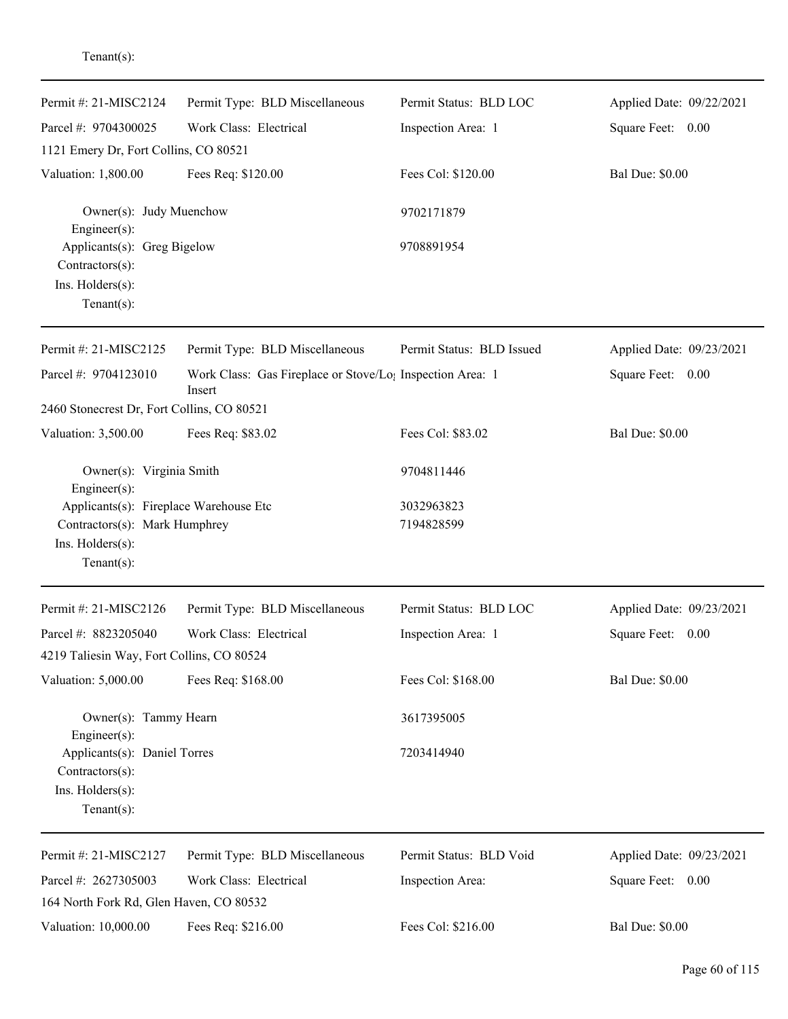| Permit #: 21-MISC2124                                                                                         | Permit Type: BLD Miscellaneous                                                  | Permit Status: BLD LOC    | Applied Date: 09/22/2021 |
|---------------------------------------------------------------------------------------------------------------|---------------------------------------------------------------------------------|---------------------------|--------------------------|
| Parcel #: 9704300025                                                                                          | Work Class: Electrical                                                          | Inspection Area: 1        | Square Feet: 0.00        |
| 1121 Emery Dr, Fort Collins, CO 80521                                                                         |                                                                                 |                           |                          |
| Valuation: 1,800.00                                                                                           | Fees Req: \$120.00                                                              | Fees Col: \$120.00        | <b>Bal Due: \$0.00</b>   |
| Owner(s): Judy Muenchow<br>Engineer(s):                                                                       |                                                                                 | 9702171879                |                          |
| Applicants(s): Greg Bigelow<br>Contractors(s):                                                                |                                                                                 | 9708891954                |                          |
| Ins. Holders(s):<br>Tenant $(s)$ :                                                                            |                                                                                 |                           |                          |
| Permit #: 21-MISC2125                                                                                         | Permit Type: BLD Miscellaneous                                                  | Permit Status: BLD Issued | Applied Date: 09/23/2021 |
| Parcel #: 9704123010                                                                                          | Work Class: Gas Fireplace or Stove/Lo <sub>1</sub> Inspection Area: 1<br>Insert |                           | Square Feet: 0.00        |
| 2460 Stonecrest Dr, Fort Collins, CO 80521                                                                    |                                                                                 |                           |                          |
| Valuation: 3,500.00                                                                                           | Fees Req: \$83.02                                                               | Fees Col: \$83.02         | <b>Bal Due: \$0.00</b>   |
| Owner(s): Virginia Smith<br>Engineer(s):                                                                      |                                                                                 | 9704811446                |                          |
| Applicants(s): Fireplace Warehouse Etc<br>Contractors(s): Mark Humphrey<br>Ins. Holders(s):<br>Tenant $(s)$ : |                                                                                 | 3032963823<br>7194828599  |                          |
| Permit #: 21-MISC2126                                                                                         | Permit Type: BLD Miscellaneous                                                  | Permit Status: BLD LOC    | Applied Date: 09/23/2021 |
| Parcel #: 8823205040<br>4219 Taliesin Way, Fort Collins, CO 80524                                             | Work Class: Electrical                                                          | Inspection Area: 1        | Square Feet:<br>0.00     |
| Valuation: 5,000.00                                                                                           | Fees Req: \$168.00                                                              | Fees Col: \$168.00        | <b>Bal Due: \$0.00</b>   |
| Owner(s): Tammy Hearn                                                                                         |                                                                                 | 3617395005                |                          |
| Engineer $(s)$ :<br>Applicants(s): Daniel Torres<br>Contractors(s):<br>Ins. Holders(s):<br>$Tenant(s)$ :      |                                                                                 | 7203414940                |                          |
| Permit #: 21-MISC2127                                                                                         | Permit Type: BLD Miscellaneous                                                  | Permit Status: BLD Void   | Applied Date: 09/23/2021 |
| Parcel #: 2627305003<br>164 North Fork Rd, Glen Haven, CO 80532                                               | Work Class: Electrical                                                          | Inspection Area:          | Square Feet: 0.00        |
| Valuation: 10,000.00                                                                                          | Fees Req: \$216.00                                                              | Fees Col: \$216.00        | <b>Bal Due: \$0.00</b>   |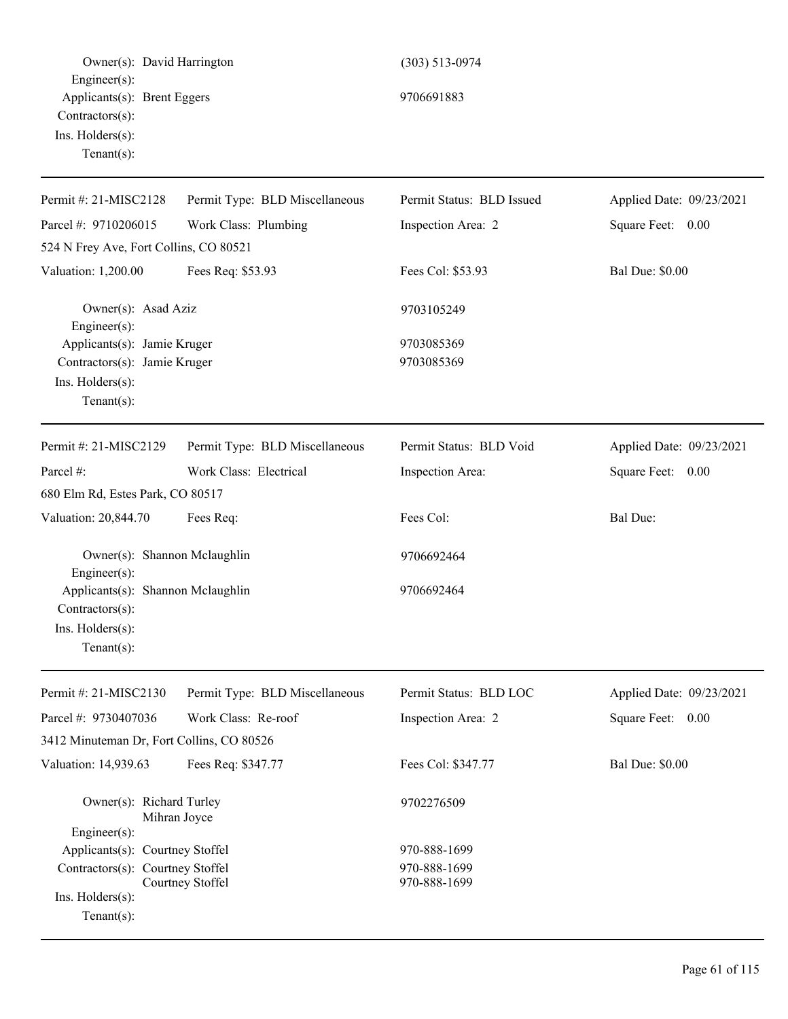| Owner(s): David Harrington                                                                                 |                                | $(303)$ 513-0974             |                          |
|------------------------------------------------------------------------------------------------------------|--------------------------------|------------------------------|--------------------------|
| $Engineering(s)$ :<br>Applicants(s): Brent Eggers<br>Contractors(s):<br>Ins. Holders(s):<br>Tenant $(s)$ : |                                | 9706691883                   |                          |
| Permit #: 21-MISC2128                                                                                      | Permit Type: BLD Miscellaneous | Permit Status: BLD Issued    | Applied Date: 09/23/2021 |
| Parcel #: 9710206015                                                                                       | Work Class: Plumbing           | Inspection Area: 2           | Square Feet: 0.00        |
| 524 N Frey Ave, Fort Collins, CO 80521                                                                     |                                |                              |                          |
| Valuation: 1,200.00                                                                                        | Fees Req: \$53.93              | Fees Col: \$53.93            | <b>Bal Due: \$0.00</b>   |
| Owner(s): Asad Aziz<br>Engineer(s):                                                                        |                                | 9703105249                   |                          |
| Applicants(s): Jamie Kruger<br>Contractors(s): Jamie Kruger<br>Ins. Holders(s):<br>Tenant $(s)$ :          |                                | 9703085369<br>9703085369     |                          |
| Permit #: 21-MISC2129                                                                                      | Permit Type: BLD Miscellaneous | Permit Status: BLD Void      | Applied Date: 09/23/2021 |
| Parcel #:<br>680 Elm Rd, Estes Park, CO 80517                                                              | Work Class: Electrical         | Inspection Area:             | Square Feet: 0.00        |
| Valuation: 20,844.70                                                                                       | Fees Req:                      | Fees Col:                    | Bal Due:                 |
| Owner(s): Shannon Mclaughlin<br>Engineer(s):                                                               |                                | 9706692464                   |                          |
| Applicants(s): Shannon Mclaughlin<br>Contractors(s):<br>Ins. Holders(s):<br>Tenant $(s)$ :                 |                                | 9706692464                   |                          |
| Permit #: $21-MISC2130$                                                                                    | Permit Type: BLD Miscellaneous | Permit Status: BLD LOC       | Applied Date: 09/23/2021 |
| Parcel #: 9730407036                                                                                       | Work Class: Re-roof            | Inspection Area: 2           | Square Feet: 0.00        |
| 3412 Minuteman Dr, Fort Collins, CO 80526                                                                  |                                |                              |                          |
| Valuation: 14,939.63                                                                                       | Fees Req: \$347.77             | Fees Col: \$347.77           | <b>Bal Due: \$0.00</b>   |
| Owner(s): Richard Turley<br>Mihran Joyce<br>$Engineering(s)$ :                                             |                                | 9702276509                   |                          |
| Applicants(s): Courtney Stoffel                                                                            |                                | 970-888-1699                 |                          |
| Contractors(s): Courtney Stoffel<br>Ins. Holders(s):<br>Tenant $(s)$ :                                     | Courtney Stoffel               | 970-888-1699<br>970-888-1699 |                          |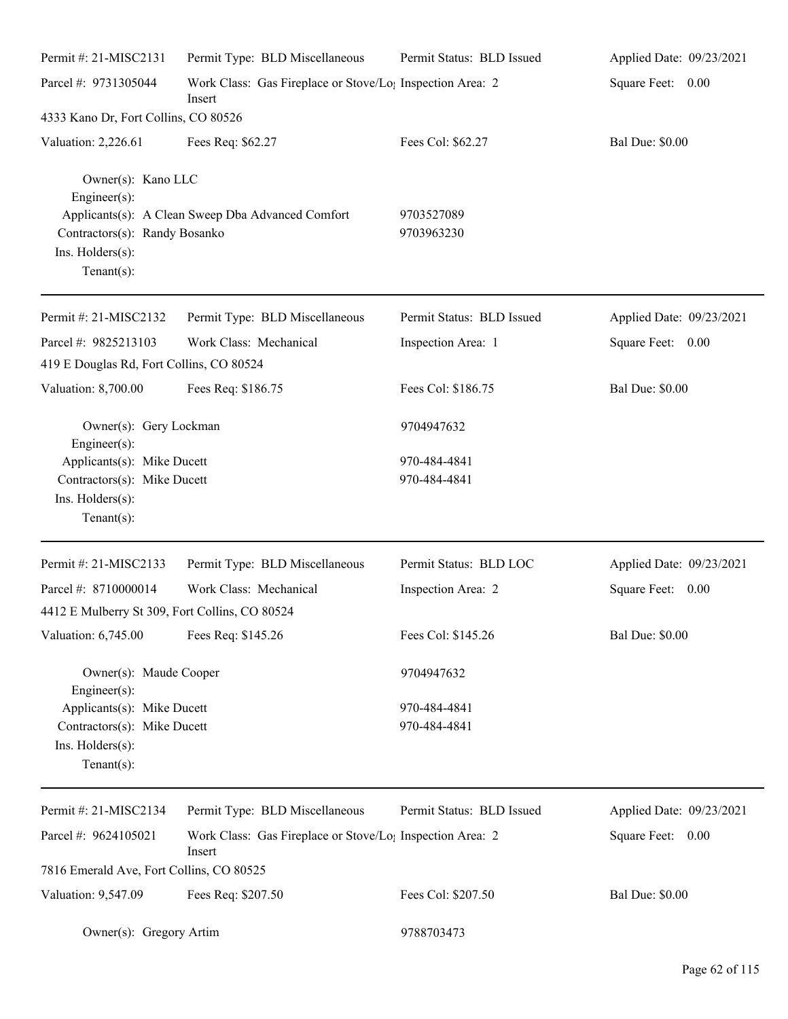| Permit #: 21-MISC2131                                                                                     | Permit Type: BLD Miscellaneous                                                  | Permit Status: BLD Issued | Applied Date: 09/23/2021 |
|-----------------------------------------------------------------------------------------------------------|---------------------------------------------------------------------------------|---------------------------|--------------------------|
| Parcel #: 9731305044                                                                                      | Work Class: Gas Fireplace or Stove/Lo; Inspection Area: 2<br>Insert             |                           | Square Feet: 0.00        |
| 4333 Kano Dr, Fort Collins, CO 80526                                                                      |                                                                                 |                           |                          |
| Valuation: 2,226.61                                                                                       | Fees Req: \$62.27                                                               | Fees Col: \$62.27         | <b>Bal Due: \$0.00</b>   |
| Owner(s): Kano LLC<br>Engineer(s):<br>Contractors(s): Randy Bosanko<br>Ins. Holders(s):<br>Tenant $(s)$ : | Applicants(s): A Clean Sweep Dba Advanced Comfort                               | 9703527089<br>9703963230  |                          |
| Permit #: 21-MISC2132                                                                                     | Permit Type: BLD Miscellaneous                                                  | Permit Status: BLD Issued | Applied Date: 09/23/2021 |
| Parcel #: 9825213103                                                                                      | Work Class: Mechanical                                                          | Inspection Area: 1        | Square Feet: 0.00        |
| 419 E Douglas Rd, Fort Collins, CO 80524                                                                  |                                                                                 |                           |                          |
| Valuation: 8,700.00                                                                                       | Fees Req: \$186.75                                                              | Fees Col: \$186.75        | <b>Bal Due: \$0.00</b>   |
| Owner(s): Gery Lockman<br>Engineer(s):                                                                    |                                                                                 | 9704947632                |                          |
| Applicants(s): Mike Ducett                                                                                |                                                                                 | 970-484-4841              |                          |
| Contractors(s): Mike Ducett                                                                               |                                                                                 | 970-484-4841              |                          |
| Ins. Holders(s):<br>$Tenant(s)$ :                                                                         |                                                                                 |                           |                          |
| Permit #: 21-MISC2133                                                                                     | Permit Type: BLD Miscellaneous                                                  | Permit Status: BLD LOC    | Applied Date: 09/23/2021 |
| Parcel #: 8710000014                                                                                      | Work Class: Mechanical                                                          | Inspection Area: 2        | Square Feet:<br>0.00     |
| 4412 E Mulberry St 309, Fort Collins, CO 80524                                                            |                                                                                 |                           |                          |
| Valuation: 6,745.00                                                                                       | Fees Req: \$145.26                                                              | Fees Col: \$145.26        | <b>Bal Due: \$0.00</b>   |
| Owner(s): Maude Cooper<br>Engineer(s):                                                                    |                                                                                 | 9704947632                |                          |
| Applicants(s): Mike Ducett                                                                                |                                                                                 | 970-484-4841              |                          |
| Contractors(s): Mike Ducett                                                                               |                                                                                 | 970-484-4841              |                          |
| Ins. Holders(s):                                                                                          |                                                                                 |                           |                          |
| Tenant $(s)$ :                                                                                            |                                                                                 |                           |                          |
| Permit #: 21-MISC2134                                                                                     | Permit Type: BLD Miscellaneous                                                  | Permit Status: BLD Issued | Applied Date: 09/23/2021 |
| Parcel #: 9624105021                                                                                      | Work Class: Gas Fireplace or Stove/Lo <sub>1</sub> Inspection Area: 2<br>Insert |                           | Square Feet: 0.00        |
| 7816 Emerald Ave, Fort Collins, CO 80525                                                                  |                                                                                 |                           |                          |
| Valuation: 9,547.09                                                                                       | Fees Req: \$207.50                                                              | Fees Col: \$207.50        | <b>Bal Due: \$0.00</b>   |
| Owner(s): Gregory Artim                                                                                   |                                                                                 | 9788703473                |                          |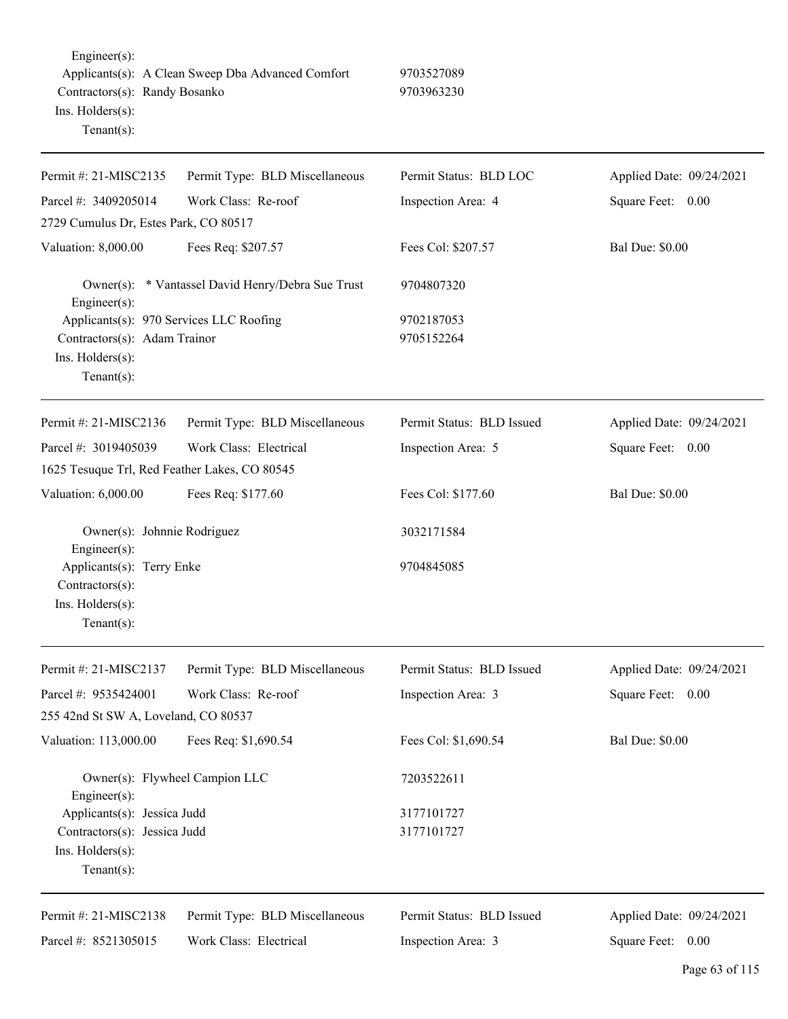Engineer(s): Applicants(s): A Clean Sweep Dba Advanced Comfort 9703527089 Contractors(s): Randy Bosanko 9703963230 Ins. Holders(s): Tenant(s): Permit #: 21-MISC2135 Parcel #: 3409205014 Permit Type: BLD Miscellaneous Work Class: Re-roof Permit Status: BLD LOC Inspection Area: 4 Applied Date: 09/24/2021 Square Feet: 0.00 2729 Cumulus Dr, Estes Park, CO 80517 Valuation: 8,000.00 Fees Req: \$207.57 Fees Col: \$207.57 Bal Due: \$0.00 Owner(s): \* Vantassel David Henry/Debra Sue Trust 9704807320 Engineer(s): Applicants(s): 970 Services LLC Roofing 9702187053 Contractors(s): Adam Trainor 9705152264 Ins. Holders(s): Tenant(s): Permit #: 21-MISC2136 Parcel #: 3019405039 Permit Type: BLD Miscellaneous Work Class: Electrical Permit Status: BLD Issued Inspection Area: 5 Applied Date: 09/24/2021 Square Feet: 0.00 1625 Tesuque Trl, Red Feather Lakes, CO 80545 Valuation: 6,000.00 Fees Req: \$177.60 Fees Col: \$177.60 Bal Due: \$0.00 Owner(s): Johnnie Rodriguez 3032171584 Engineer(s): Applicants(s): Terry Enke 9704845085 Contractors(s): Ins. Holders(s): Tenant(s): Permit #: 21-MISC2137 Parcel #: 9535424001 Permit Type: BLD Miscellaneous Work Class: Re-roof Permit Status: BLD Issued Inspection Area: 3 Applied Date: 09/24/2021 Square Feet: 0.00 255 42nd St SW A, Loveland, CO 80537 Valuation: 113,000.00 Fees Req: \$1,690.54 Fees Col: \$1,690.54 Bal Due: \$0.00 Owner(s): Flywheel Campion LLC 7203522611 Engineer(s): Applicants(s): Jessica Judd 3177101727 Contractors(s): Jessica Judd 3177101727 Ins. Holders(s): Tenant(s): Permit #: 21-MISC2138 Permit Type: BLD Miscellaneous Permit Status: BLD Issued Applied Date: 09/24/2021 Square Feet: 0.00

Inspection Area: 3

Parcel #: 8521305015

Work Class: Electrical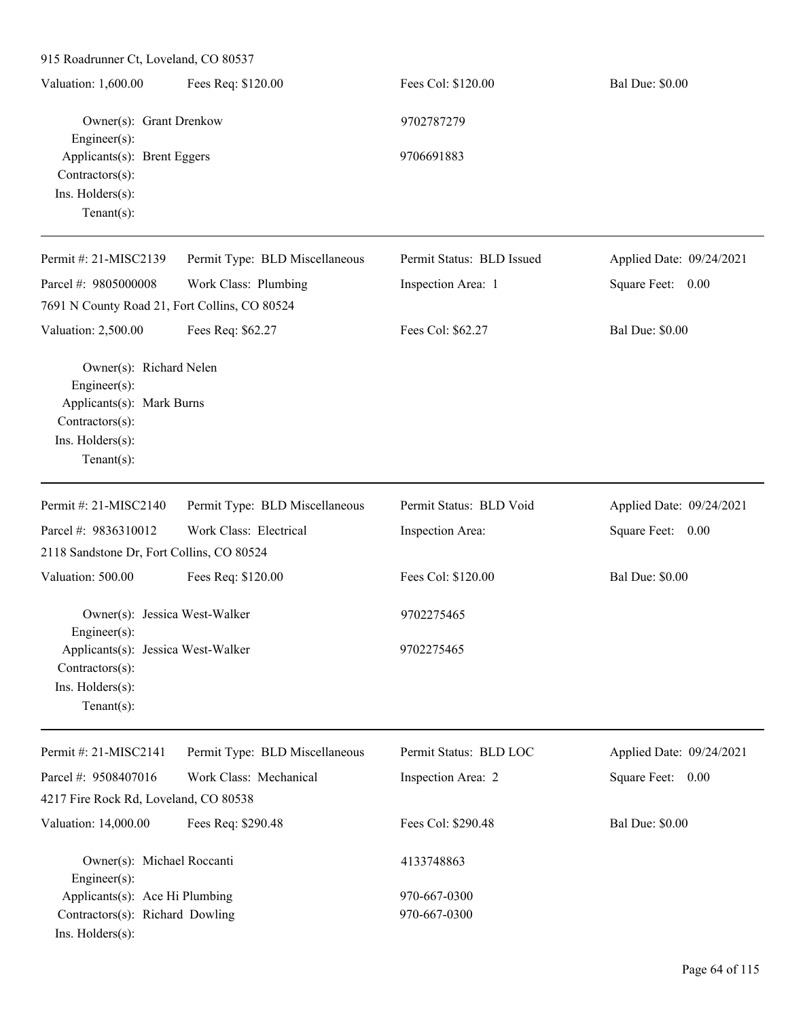| Valuation: 1,600.00                                                                                                               | Fees Req: \$120.00             | Fees Col: \$120.00        | <b>Bal Due: \$0.00</b>   |
|-----------------------------------------------------------------------------------------------------------------------------------|--------------------------------|---------------------------|--------------------------|
| Owner(s): Grant Drenkow<br>Engineer(s):                                                                                           |                                | 9702787279                |                          |
| Applicants(s): Brent Eggers<br>Contractors(s):<br>Ins. Holders(s):<br>Tenant $(s)$ :                                              |                                | 9706691883                |                          |
| Permit #: 21-MISC2139                                                                                                             | Permit Type: BLD Miscellaneous | Permit Status: BLD Issued | Applied Date: 09/24/2021 |
| Parcel #: 9805000008                                                                                                              | Work Class: Plumbing           | Inspection Area: 1        | Square Feet: 0.00        |
| 7691 N County Road 21, Fort Collins, CO 80524                                                                                     |                                |                           |                          |
| Valuation: 2,500.00                                                                                                               | Fees Req: \$62.27              | Fees Col: \$62.27         | <b>Bal Due: \$0.00</b>   |
| Owner(s): Richard Nelen<br>Engineer $(s)$ :<br>Applicants(s): Mark Burns<br>Contractors(s):<br>Ins. Holders(s):<br>Tenant $(s)$ : |                                |                           |                          |
| Permit #: 21-MISC2140                                                                                                             | Permit Type: BLD Miscellaneous | Permit Status: BLD Void   | Applied Date: 09/24/2021 |
| Parcel #: 9836310012                                                                                                              | Work Class: Electrical         | Inspection Area:          | Square Feet: 0.00        |
| 2118 Sandstone Dr, Fort Collins, CO 80524                                                                                         |                                |                           |                          |
| Valuation: 500.00                                                                                                                 | Fees Req: \$120.00             | Fees Col: \$120.00        | <b>Bal Due: \$0.00</b>   |
| Owner(s): Jessica West-Walker<br>Engineer(s):                                                                                     |                                | 9702275465                |                          |
| Applicants(s): Jessica West-Walker<br>Contractors(s):<br>Ins. Holders(s):<br>Tenant(s):                                           |                                | 9702275465                |                          |
| Permit #: 21-MISC2141                                                                                                             | Permit Type: BLD Miscellaneous | Permit Status: BLD LOC    | Applied Date: 09/24/2021 |
| Parcel #: 9508407016                                                                                                              | Work Class: Mechanical         | Inspection Area: 2        | Square Feet: 0.00        |
| 4217 Fire Rock Rd, Loveland, CO 80538                                                                                             |                                |                           |                          |
| Valuation: 14,000.00                                                                                                              | Fees Req: \$290.48             | Fees Col: \$290.48        | <b>Bal Due: \$0.00</b>   |
| Owner(s): Michael Roccanti<br>Engineer(s):                                                                                        |                                | 4133748863                |                          |
| Applicants(s): Ace Hi Plumbing                                                                                                    |                                | 970-667-0300              |                          |
| Contractors(s): Richard Dowling<br>Ins. Holders(s):                                                                               |                                | 970-667-0300              |                          |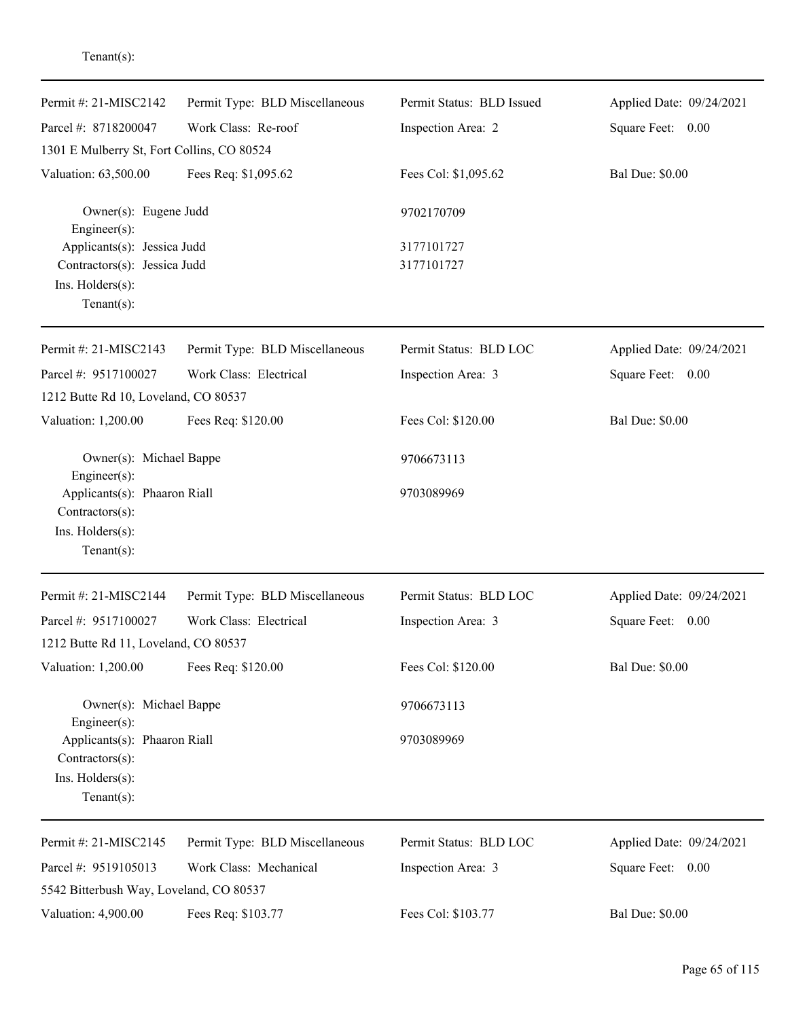| Permit #: 21-MISC2142                                                                                | Permit Type: BLD Miscellaneous | Permit Status: BLD Issued | Applied Date: 09/24/2021 |
|------------------------------------------------------------------------------------------------------|--------------------------------|---------------------------|--------------------------|
| Parcel #: 8718200047                                                                                 | Work Class: Re-roof            | Inspection Area: 2        | Square Feet:<br>0.00     |
| 1301 E Mulberry St, Fort Collins, CO 80524                                                           |                                |                           |                          |
| Valuation: 63,500.00                                                                                 | Fees Req: \$1,095.62           | Fees Col: \$1,095.62      | <b>Bal Due: \$0.00</b>   |
| Owner(s): Eugene Judd<br>Engineer(s):                                                                |                                | 9702170709                |                          |
| Applicants(s): Jessica Judd                                                                          |                                | 3177101727                |                          |
| Contractors(s): Jessica Judd                                                                         |                                | 3177101727                |                          |
| Ins. Holders(s):                                                                                     |                                |                           |                          |
| Tenant $(s)$ :                                                                                       |                                |                           |                          |
| Permit #: $21-MISC2143$                                                                              | Permit Type: BLD Miscellaneous | Permit Status: BLD LOC    | Applied Date: 09/24/2021 |
| Parcel #: 9517100027                                                                                 | Work Class: Electrical         | Inspection Area: 3        | Square Feet: 0.00        |
| 1212 Butte Rd 10, Loveland, CO 80537                                                                 |                                |                           |                          |
| Valuation: 1,200.00                                                                                  | Fees Req: \$120.00             | Fees Col: \$120.00        | <b>Bal Due: \$0.00</b>   |
| Owner(s): Michael Bappe                                                                              |                                | 9706673113                |                          |
| Engineer(s):<br>Applicants(s): Phaaron Riall<br>Contractors(s):<br>Ins. Holders(s):<br>$Tenant(s)$ : |                                | 9703089969                |                          |
| Permit #: 21-MISC2144                                                                                | Permit Type: BLD Miscellaneous | Permit Status: BLD LOC    | Applied Date: 09/24/2021 |
| Parcel #: 9517100027                                                                                 | Work Class: Electrical         | Inspection Area: 3        | Square Feet:<br>0.00     |
| 1212 Butte Rd 11, Loveland, CO 80537                                                                 |                                |                           |                          |
| Valuation: 1,200.00                                                                                  | Fees Req: \$120.00             | Fees Col: \$120.00        | <b>Bal Due: \$0.00</b>   |
| Owner(s): Michael Bappe<br>Engineer(s):                                                              |                                | 9706673113                |                          |
| Applicants(s): Phaaron Riall<br>Contractors(s):                                                      |                                | 9703089969                |                          |
| Ins. Holders(s):                                                                                     |                                |                           |                          |
| Tenant $(s)$ :                                                                                       |                                |                           |                          |
| Permit #: 21-MISC2145                                                                                | Permit Type: BLD Miscellaneous | Permit Status: BLD LOC    | Applied Date: 09/24/2021 |
| Parcel #: 9519105013                                                                                 | Work Class: Mechanical         | Inspection Area: 3        | Square Feet: 0.00        |
| 5542 Bitterbush Way, Loveland, CO 80537                                                              |                                |                           |                          |
| Valuation: 4,900.00                                                                                  | Fees Req: \$103.77             | Fees Col: \$103.77        | <b>Bal Due: \$0.00</b>   |
|                                                                                                      |                                |                           |                          |

Tenant(s):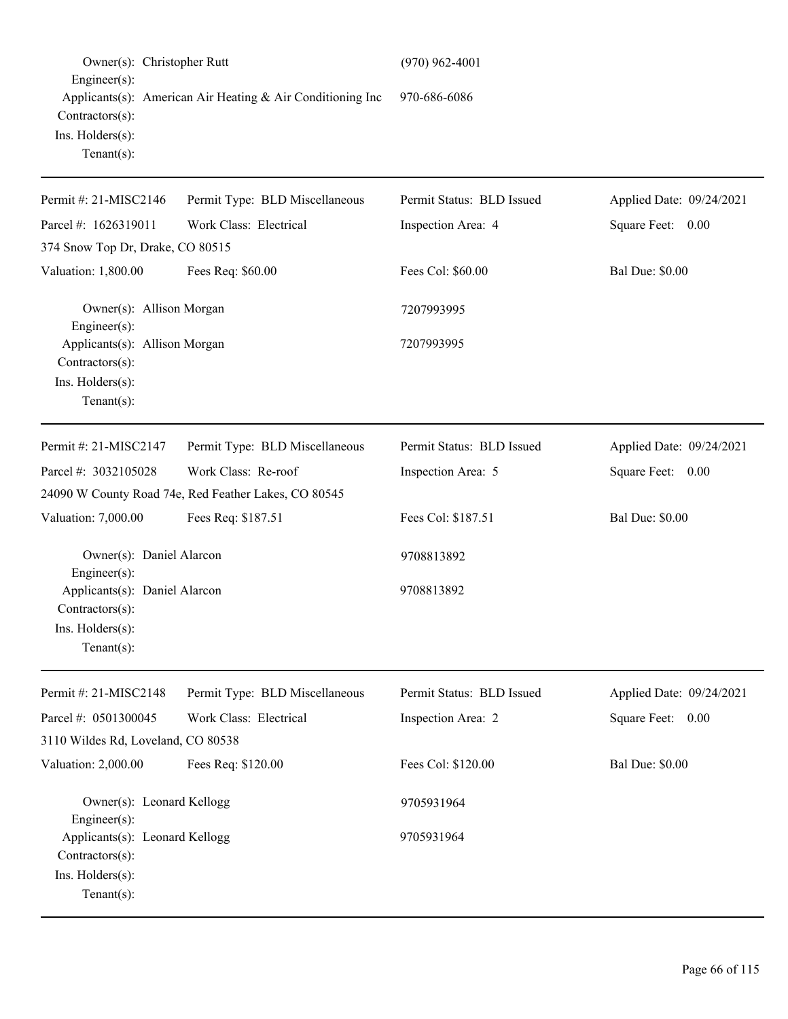| Owner(s): Christopher Rutt<br>$Engineering(s)$ :                                        |                                                            | $(970)$ 962-4001          |                          |
|-----------------------------------------------------------------------------------------|------------------------------------------------------------|---------------------------|--------------------------|
| Contractors(s):<br>Ins. Holders(s):<br>Tenant $(s)$ :                                   | Applicants(s): American Air Heating & Air Conditioning Inc | 970-686-6086              |                          |
| Permit #: 21-MISC2146                                                                   | Permit Type: BLD Miscellaneous                             | Permit Status: BLD Issued | Applied Date: 09/24/2021 |
| Parcel #: 1626319011                                                                    | Work Class: Electrical                                     | Inspection Area: 4        | Square Feet: 0.00        |
| 374 Snow Top Dr, Drake, CO 80515                                                        |                                                            |                           |                          |
| Valuation: 1,800.00                                                                     | Fees Req: \$60.00                                          | Fees Col: \$60.00         | <b>Bal Due: \$0.00</b>   |
| Owner(s): Allison Morgan<br>Engineer(s):                                                |                                                            | 7207993995                |                          |
| Applicants(s): Allison Morgan<br>Contractors(s):<br>Ins. Holders(s):<br>Tenant $(s)$ :  |                                                            | 7207993995                |                          |
| Permit #: 21-MISC2147                                                                   | Permit Type: BLD Miscellaneous                             | Permit Status: BLD Issued | Applied Date: 09/24/2021 |
| Parcel #: 3032105028                                                                    | Work Class: Re-roof                                        | Inspection Area: 5        | Square Feet: 0.00        |
|                                                                                         | 24090 W County Road 74e, Red Feather Lakes, CO 80545       |                           |                          |
| Valuation: 7,000.00                                                                     | Fees Req: \$187.51                                         | Fees Col: \$187.51        | <b>Bal Due: \$0.00</b>   |
| Owner(s): Daniel Alarcon<br>Engineer(s):                                                |                                                            | 9708813892                |                          |
| Applicants(s): Daniel Alarcon<br>Contractors(s):<br>Ins. Holders(s):<br>Tenant $(s)$ :  |                                                            | 9708813892                |                          |
| Permit #: 21-MISC2148                                                                   | Permit Type: BLD Miscellaneous                             | Permit Status: BLD Issued | Applied Date: 09/24/2021 |
| Parcel #: 0501300045<br>3110 Wildes Rd, Loveland, CO 80538                              | Work Class: Electrical                                     | Inspection Area: 2        | Square Feet: 0.00        |
| Valuation: 2,000.00                                                                     | Fees Req: \$120.00                                         | Fees Col: \$120.00        | <b>Bal Due: \$0.00</b>   |
| Owner(s): Leonard Kellogg<br>Engineer(s):                                               |                                                            | 9705931964                |                          |
| Applicants(s): Leonard Kellogg<br>Contractors(s):<br>Ins. Holders(s):<br>Tenant $(s)$ : |                                                            | 9705931964                |                          |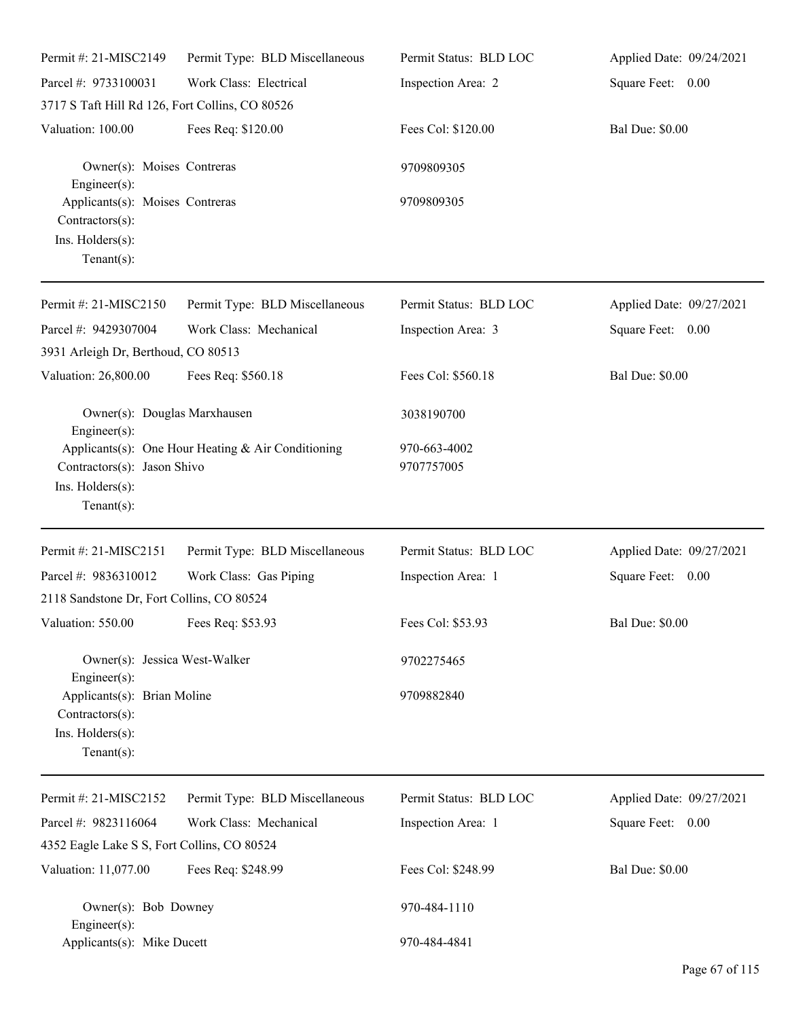| Permit #: 21-MISC2149                                                                    | Permit Type: BLD Miscellaneous                     | Permit Status: BLD LOC     | Applied Date: 09/24/2021 |
|------------------------------------------------------------------------------------------|----------------------------------------------------|----------------------------|--------------------------|
| Parcel #: 9733100031                                                                     | Work Class: Electrical                             | Inspection Area: 2         | Square Feet: 0.00        |
| 3717 S Taft Hill Rd 126, Fort Collins, CO 80526                                          |                                                    |                            |                          |
| Valuation: 100.00                                                                        | Fees Req: \$120.00                                 | Fees Col: \$120.00         | <b>Bal Due: \$0.00</b>   |
| Owner(s): Moises Contreras<br>Engineer $(s)$ :                                           |                                                    | 9709809305                 |                          |
| Applicants(s): Moises Contreras<br>Contractors(s):<br>Ins. Holders(s):<br>Tenant $(s)$ : |                                                    | 9709809305                 |                          |
| Permit #: 21-MISC2150                                                                    | Permit Type: BLD Miscellaneous                     | Permit Status: BLD LOC     | Applied Date: 09/27/2021 |
| Parcel #: 9429307004<br>3931 Arleigh Dr, Berthoud, CO 80513                              | Work Class: Mechanical                             | Inspection Area: 3         | Square Feet: 0.00        |
| Valuation: 26,800.00                                                                     | Fees Req: \$560.18                                 | Fees Col: \$560.18         | <b>Bal Due: \$0.00</b>   |
| Owner(s): Douglas Marxhausen<br>$Engineering(s)$ :                                       |                                                    | 3038190700                 |                          |
| Contractors(s): Jason Shivo<br>Ins. Holders(s):<br>Tenant $(s)$ :                        | Applicants(s): One Hour Heating & Air Conditioning | 970-663-4002<br>9707757005 |                          |
| Permit #: 21-MISC2151                                                                    | Permit Type: BLD Miscellaneous                     | Permit Status: BLD LOC     | Applied Date: 09/27/2021 |
| Parcel #: 9836310012                                                                     | Work Class: Gas Piping                             | Inspection Area: 1         | Square Feet: 0.00        |
| 2118 Sandstone Dr, Fort Collins, CO 80524                                                |                                                    |                            |                          |
| Valuation: 550.00 Fees Req: \$53.93                                                      |                                                    | Fees Col: \$53.93          | <b>Bal Due: \$0.00</b>   |
| Owner(s): Jessica West-Walker<br>$Engineering(s)$ :                                      |                                                    | 9702275465                 |                          |
| Applicants(s): Brian Moline<br>Contractors(s):<br>Ins. Holders(s):<br>Tenant $(s)$ :     |                                                    | 9709882840                 |                          |
| Permit #: 21-MISC2152                                                                    | Permit Type: BLD Miscellaneous                     | Permit Status: BLD LOC     | Applied Date: 09/27/2021 |
| Parcel #: 9823116064                                                                     | Work Class: Mechanical                             | Inspection Area: 1         | Square Feet: 0.00        |
| 4352 Eagle Lake S S, Fort Collins, CO 80524                                              |                                                    |                            |                          |
| Valuation: 11,077.00                                                                     | Fees Req: \$248.99                                 | Fees Col: \$248.99         | <b>Bal Due: \$0.00</b>   |
| Owner(s): Bob Downey<br>Engineer $(s)$ :                                                 |                                                    | 970-484-1110               |                          |
| Applicants(s): Mike Ducett                                                               |                                                    | 970-484-4841               |                          |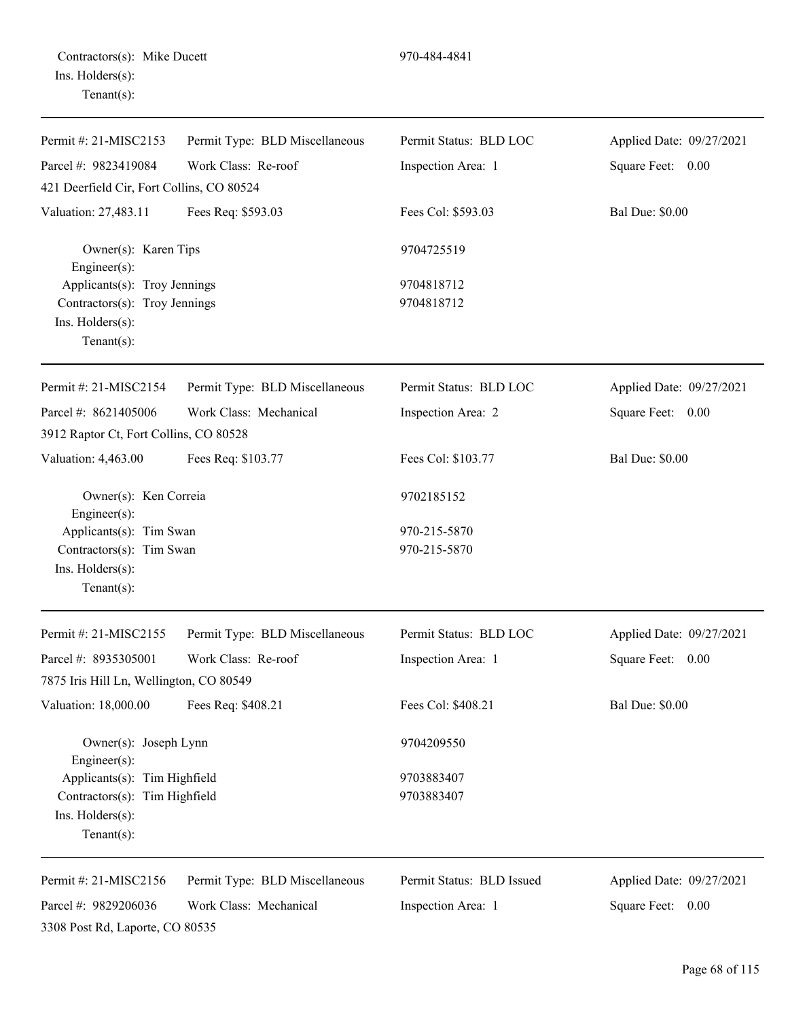| Contractors(s): Mike Ducett |  |
|-----------------------------|--|
| Ins. Holders(s):            |  |
| $Tenant(s)$ :               |  |

| Parcel #: 9823419084<br>Work Class: Re-roof<br>Inspection Area: 1<br>Square Feet: 0.00<br>421 Deerfield Cir, Fort Collins, CO 80524<br><b>Bal Due: \$0.00</b><br>Valuation: 27,483.11<br>Fees Req: \$593.03<br>Fees Col: \$593.03<br>Owner(s): Karen Tips<br>9704725519<br>Engineer $(s)$ :<br>Applicants(s): Troy Jennings<br>9704818712<br>Contractors(s): Troy Jennings<br>9704818712<br>Ins. Holders(s):<br>Tenant $(s)$ :<br>Permit #: 21-MISC2154<br>Permit Type: BLD Miscellaneous<br>Permit Status: BLD LOC<br>Applied Date: 09/27/2021<br>Work Class: Mechanical<br>Inspection Area: 2<br>Square Feet: 0.00<br>3912 Raptor Ct, Fort Collins, CO 80528<br><b>Bal Due: \$0.00</b><br>Fees Req: \$103.77<br>Fees Col: \$103.77<br>Valuation: 4,463.00<br>Owner(s): Ken Correia<br>9702185152<br>$Engineering(s)$ :<br>Applicants(s): Tim Swan<br>970-215-5870<br>Contractors(s): Tim Swan<br>970-215-5870<br>Ins. Holders(s):<br>Tenant $(s)$ :<br>Permit Status: BLD LOC<br>Permit #: 21-MISC2155<br>Permit Type: BLD Miscellaneous<br>Applied Date: 09/27/2021<br>Work Class: Re-roof<br>Square Feet: 0.00<br>Inspection Area: 1<br>7875 Iris Hill Ln, Wellington, CO 80549<br><b>Bal Due: \$0.00</b><br>Valuation: 18,000.00<br>Fees Req: \$408.21<br>Fees Col: \$408.21<br>Owner(s): Joseph Lynn<br>9704209550<br>$Engineering(s)$ :<br>Applicants(s): Tim Highfield<br>9703883407<br>Contractors(s): Tim Highfield<br>9703883407<br>Ins. Holders(s):<br>Tenant $(s)$ :<br>Permit #: 21-MISC2156<br>Permit Type: BLD Miscellaneous<br>Permit Status: BLD Issued<br>Applied Date: 09/27/2021<br>Work Class: Mechanical<br>Parcel #: 9829206036<br>Inspection Area: 1<br>Square Feet: 0.00 | Permit #: 21-MISC2153 | Permit Type: BLD Miscellaneous | Permit Status: BLD LOC | Applied Date: 09/27/2021 |
|----------------------------------------------------------------------------------------------------------------------------------------------------------------------------------------------------------------------------------------------------------------------------------------------------------------------------------------------------------------------------------------------------------------------------------------------------------------------------------------------------------------------------------------------------------------------------------------------------------------------------------------------------------------------------------------------------------------------------------------------------------------------------------------------------------------------------------------------------------------------------------------------------------------------------------------------------------------------------------------------------------------------------------------------------------------------------------------------------------------------------------------------------------------------------------------------------------------------------------------------------------------------------------------------------------------------------------------------------------------------------------------------------------------------------------------------------------------------------------------------------------------------------------------------------------------------------------------------------------------------------------------------------------------------------------------------------|-----------------------|--------------------------------|------------------------|--------------------------|
|                                                                                                                                                                                                                                                                                                                                                                                                                                                                                                                                                                                                                                                                                                                                                                                                                                                                                                                                                                                                                                                                                                                                                                                                                                                                                                                                                                                                                                                                                                                                                                                                                                                                                                    |                       |                                |                        |                          |
|                                                                                                                                                                                                                                                                                                                                                                                                                                                                                                                                                                                                                                                                                                                                                                                                                                                                                                                                                                                                                                                                                                                                                                                                                                                                                                                                                                                                                                                                                                                                                                                                                                                                                                    |                       |                                |                        |                          |
|                                                                                                                                                                                                                                                                                                                                                                                                                                                                                                                                                                                                                                                                                                                                                                                                                                                                                                                                                                                                                                                                                                                                                                                                                                                                                                                                                                                                                                                                                                                                                                                                                                                                                                    |                       |                                |                        |                          |
|                                                                                                                                                                                                                                                                                                                                                                                                                                                                                                                                                                                                                                                                                                                                                                                                                                                                                                                                                                                                                                                                                                                                                                                                                                                                                                                                                                                                                                                                                                                                                                                                                                                                                                    |                       |                                |                        |                          |
|                                                                                                                                                                                                                                                                                                                                                                                                                                                                                                                                                                                                                                                                                                                                                                                                                                                                                                                                                                                                                                                                                                                                                                                                                                                                                                                                                                                                                                                                                                                                                                                                                                                                                                    |                       |                                |                        |                          |
|                                                                                                                                                                                                                                                                                                                                                                                                                                                                                                                                                                                                                                                                                                                                                                                                                                                                                                                                                                                                                                                                                                                                                                                                                                                                                                                                                                                                                                                                                                                                                                                                                                                                                                    |                       |                                |                        |                          |
|                                                                                                                                                                                                                                                                                                                                                                                                                                                                                                                                                                                                                                                                                                                                                                                                                                                                                                                                                                                                                                                                                                                                                                                                                                                                                                                                                                                                                                                                                                                                                                                                                                                                                                    |                       |                                |                        |                          |
|                                                                                                                                                                                                                                                                                                                                                                                                                                                                                                                                                                                                                                                                                                                                                                                                                                                                                                                                                                                                                                                                                                                                                                                                                                                                                                                                                                                                                                                                                                                                                                                                                                                                                                    |                       |                                |                        |                          |
|                                                                                                                                                                                                                                                                                                                                                                                                                                                                                                                                                                                                                                                                                                                                                                                                                                                                                                                                                                                                                                                                                                                                                                                                                                                                                                                                                                                                                                                                                                                                                                                                                                                                                                    |                       |                                |                        |                          |
|                                                                                                                                                                                                                                                                                                                                                                                                                                                                                                                                                                                                                                                                                                                                                                                                                                                                                                                                                                                                                                                                                                                                                                                                                                                                                                                                                                                                                                                                                                                                                                                                                                                                                                    | Parcel #: 8621405006  |                                |                        |                          |
|                                                                                                                                                                                                                                                                                                                                                                                                                                                                                                                                                                                                                                                                                                                                                                                                                                                                                                                                                                                                                                                                                                                                                                                                                                                                                                                                                                                                                                                                                                                                                                                                                                                                                                    |                       |                                |                        |                          |
|                                                                                                                                                                                                                                                                                                                                                                                                                                                                                                                                                                                                                                                                                                                                                                                                                                                                                                                                                                                                                                                                                                                                                                                                                                                                                                                                                                                                                                                                                                                                                                                                                                                                                                    |                       |                                |                        |                          |
|                                                                                                                                                                                                                                                                                                                                                                                                                                                                                                                                                                                                                                                                                                                                                                                                                                                                                                                                                                                                                                                                                                                                                                                                                                                                                                                                                                                                                                                                                                                                                                                                                                                                                                    |                       |                                |                        |                          |
|                                                                                                                                                                                                                                                                                                                                                                                                                                                                                                                                                                                                                                                                                                                                                                                                                                                                                                                                                                                                                                                                                                                                                                                                                                                                                                                                                                                                                                                                                                                                                                                                                                                                                                    |                       |                                |                        |                          |
|                                                                                                                                                                                                                                                                                                                                                                                                                                                                                                                                                                                                                                                                                                                                                                                                                                                                                                                                                                                                                                                                                                                                                                                                                                                                                                                                                                                                                                                                                                                                                                                                                                                                                                    |                       |                                |                        |                          |
|                                                                                                                                                                                                                                                                                                                                                                                                                                                                                                                                                                                                                                                                                                                                                                                                                                                                                                                                                                                                                                                                                                                                                                                                                                                                                                                                                                                                                                                                                                                                                                                                                                                                                                    |                       |                                |                        |                          |
|                                                                                                                                                                                                                                                                                                                                                                                                                                                                                                                                                                                                                                                                                                                                                                                                                                                                                                                                                                                                                                                                                                                                                                                                                                                                                                                                                                                                                                                                                                                                                                                                                                                                                                    |                       |                                |                        |                          |
|                                                                                                                                                                                                                                                                                                                                                                                                                                                                                                                                                                                                                                                                                                                                                                                                                                                                                                                                                                                                                                                                                                                                                                                                                                                                                                                                                                                                                                                                                                                                                                                                                                                                                                    |                       |                                |                        |                          |
|                                                                                                                                                                                                                                                                                                                                                                                                                                                                                                                                                                                                                                                                                                                                                                                                                                                                                                                                                                                                                                                                                                                                                                                                                                                                                                                                                                                                                                                                                                                                                                                                                                                                                                    | Parcel #: 8935305001  |                                |                        |                          |
|                                                                                                                                                                                                                                                                                                                                                                                                                                                                                                                                                                                                                                                                                                                                                                                                                                                                                                                                                                                                                                                                                                                                                                                                                                                                                                                                                                                                                                                                                                                                                                                                                                                                                                    |                       |                                |                        |                          |
|                                                                                                                                                                                                                                                                                                                                                                                                                                                                                                                                                                                                                                                                                                                                                                                                                                                                                                                                                                                                                                                                                                                                                                                                                                                                                                                                                                                                                                                                                                                                                                                                                                                                                                    |                       |                                |                        |                          |
|                                                                                                                                                                                                                                                                                                                                                                                                                                                                                                                                                                                                                                                                                                                                                                                                                                                                                                                                                                                                                                                                                                                                                                                                                                                                                                                                                                                                                                                                                                                                                                                                                                                                                                    |                       |                                |                        |                          |
|                                                                                                                                                                                                                                                                                                                                                                                                                                                                                                                                                                                                                                                                                                                                                                                                                                                                                                                                                                                                                                                                                                                                                                                                                                                                                                                                                                                                                                                                                                                                                                                                                                                                                                    |                       |                                |                        |                          |
|                                                                                                                                                                                                                                                                                                                                                                                                                                                                                                                                                                                                                                                                                                                                                                                                                                                                                                                                                                                                                                                                                                                                                                                                                                                                                                                                                                                                                                                                                                                                                                                                                                                                                                    |                       |                                |                        |                          |
|                                                                                                                                                                                                                                                                                                                                                                                                                                                                                                                                                                                                                                                                                                                                                                                                                                                                                                                                                                                                                                                                                                                                                                                                                                                                                                                                                                                                                                                                                                                                                                                                                                                                                                    |                       |                                |                        |                          |
|                                                                                                                                                                                                                                                                                                                                                                                                                                                                                                                                                                                                                                                                                                                                                                                                                                                                                                                                                                                                                                                                                                                                                                                                                                                                                                                                                                                                                                                                                                                                                                                                                                                                                                    |                       |                                |                        |                          |
|                                                                                                                                                                                                                                                                                                                                                                                                                                                                                                                                                                                                                                                                                                                                                                                                                                                                                                                                                                                                                                                                                                                                                                                                                                                                                                                                                                                                                                                                                                                                                                                                                                                                                                    |                       |                                |                        |                          |
|                                                                                                                                                                                                                                                                                                                                                                                                                                                                                                                                                                                                                                                                                                                                                                                                                                                                                                                                                                                                                                                                                                                                                                                                                                                                                                                                                                                                                                                                                                                                                                                                                                                                                                    |                       |                                |                        |                          |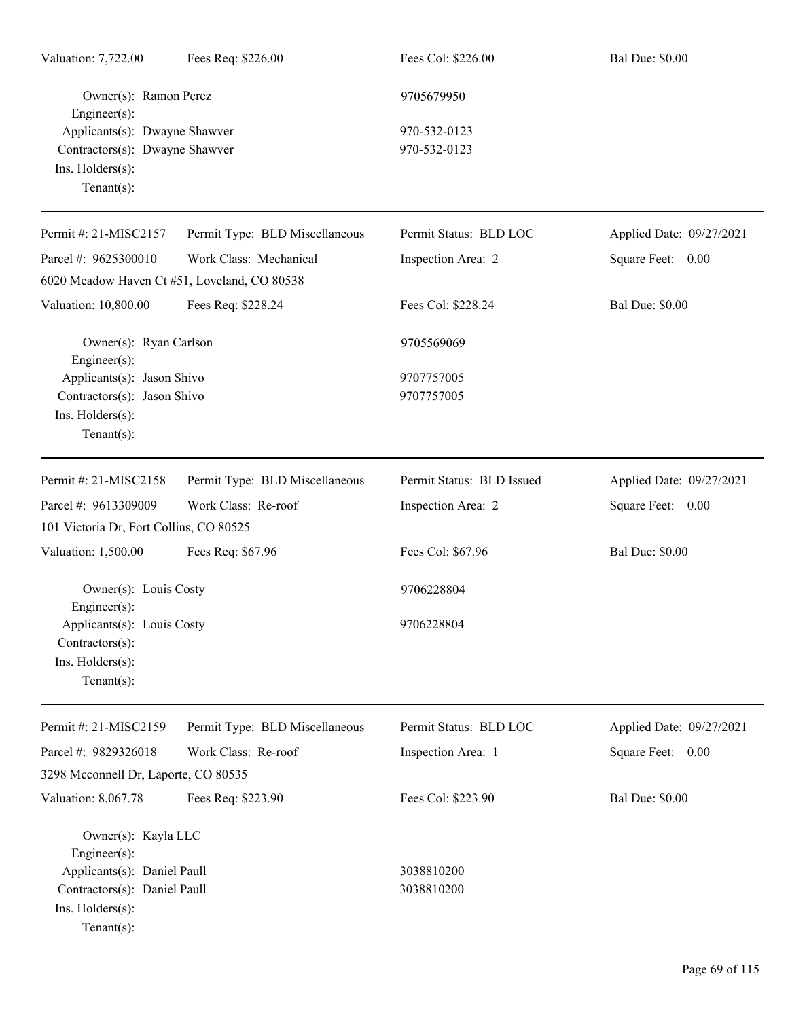| Valuation: 7,722.00                                                                                      | Fees Req: \$226.00             | Fees Col: \$226.00        | <b>Bal Due: \$0.00</b>   |
|----------------------------------------------------------------------------------------------------------|--------------------------------|---------------------------|--------------------------|
| Owner(s): Ramon Perez<br>Engineer(s):<br>Applicants(s): Dwayne Shawver<br>Contractors(s): Dwayne Shawver |                                | 9705679950                |                          |
|                                                                                                          |                                | 970-532-0123              |                          |
|                                                                                                          |                                | 970-532-0123              |                          |
| Ins. Holders(s):<br>Tenant $(s)$ :                                                                       |                                |                           |                          |
| Permit #: 21-MISC2157                                                                                    | Permit Type: BLD Miscellaneous | Permit Status: BLD LOC    | Applied Date: 09/27/2021 |
| Parcel #: 9625300010                                                                                     | Work Class: Mechanical         | Inspection Area: 2        | Square Feet: 0.00        |
| 6020 Meadow Haven Ct #51, Loveland, CO 80538                                                             |                                |                           |                          |
| Valuation: 10,800.00                                                                                     | Fees Req: \$228.24             | Fees Col: \$228.24        | <b>Bal Due: \$0.00</b>   |
| Owner(s): Ryan Carlson<br>Engineer(s):                                                                   |                                | 9705569069                |                          |
| Applicants(s): Jason Shivo                                                                               |                                | 9707757005                |                          |
| Contractors(s): Jason Shivo                                                                              |                                | 9707757005                |                          |
| Ins. Holders(s):                                                                                         |                                |                           |                          |
| Tenant $(s)$ :                                                                                           |                                |                           |                          |
| Permit #: 21-MISC2158                                                                                    | Permit Type: BLD Miscellaneous | Permit Status: BLD Issued | Applied Date: 09/27/2021 |
| Parcel #: 9613309009                                                                                     | Work Class: Re-roof            | Inspection Area: 2        | Square Feet: 0.00        |
| 101 Victoria Dr, Fort Collins, CO 80525                                                                  |                                |                           |                          |
| Valuation: 1,500.00                                                                                      | Fees Req: \$67.96              | Fees Col: \$67.96         | <b>Bal Due: \$0.00</b>   |
| Owner(s): Louis Costy                                                                                    |                                | 9706228804                |                          |
| Engineer(s):<br>Applicants(s): Louis Costy                                                               |                                | 9706228804                |                          |
| Contractors(s):                                                                                          |                                |                           |                          |
| Ins. Holders(s):                                                                                         |                                |                           |                          |
| $Tenant(s)$ :                                                                                            |                                |                           |                          |
| Permit #: 21-MISC2159                                                                                    | Permit Type: BLD Miscellaneous | Permit Status: BLD LOC    | Applied Date: 09/27/2021 |
| Parcel #: 9829326018                                                                                     | Work Class: Re-roof            | Inspection Area: 1        | Square Feet: 0.00        |
| 3298 Mcconnell Dr, Laporte, CO 80535                                                                     |                                |                           |                          |
| Valuation: 8,067.78                                                                                      | Fees Req: \$223.90             | Fees Col: \$223.90        | <b>Bal Due: \$0.00</b>   |
|                                                                                                          |                                |                           |                          |
| Owner(s): Kayla LLC<br>Engineer(s):                                                                      |                                |                           |                          |
| Applicants(s): Daniel Paull                                                                              |                                | 3038810200                |                          |
| Contractors(s): Daniel Paull                                                                             |                                | 3038810200                |                          |
| Ins. Holders(s):                                                                                         |                                |                           |                          |
| $Tenant(s)$ :                                                                                            |                                |                           |                          |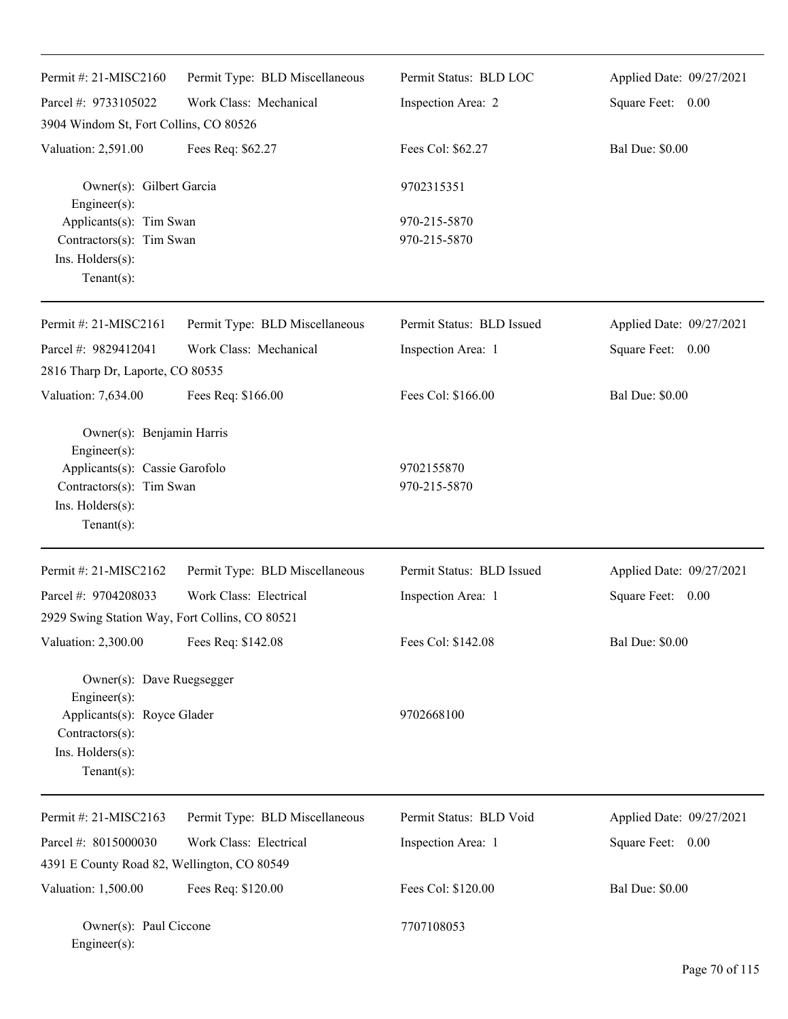| Permit #: 21-MISC2160                                                                                                                        | Permit Type: BLD Miscellaneous | Permit Status: BLD LOC       | Applied Date: 09/27/2021 |
|----------------------------------------------------------------------------------------------------------------------------------------------|--------------------------------|------------------------------|--------------------------|
| Parcel #: 9733105022                                                                                                                         | Work Class: Mechanical         | Inspection Area: 2           | Square Feet: 0.00        |
| 3904 Windom St, Fort Collins, CO 80526                                                                                                       |                                |                              |                          |
| Valuation: 2,591.00                                                                                                                          | Fees Req: \$62.27              | Fees Col: \$62.27            | <b>Bal Due: \$0.00</b>   |
| Owner(s): Gilbert Garcia<br>Engineer(s):<br>Applicants(s): Tim Swan<br>Contractors(s): Tim Swan<br>Ins. Holders(s):<br>Tenant $(s)$ :        |                                | 9702315351                   |                          |
|                                                                                                                                              |                                | 970-215-5870<br>970-215-5870 |                          |
| Permit #: 21-MISC2161                                                                                                                        | Permit Type: BLD Miscellaneous | Permit Status: BLD Issued    | Applied Date: 09/27/2021 |
| Parcel #: 9829412041                                                                                                                         | Work Class: Mechanical         | Inspection Area: 1           | Square Feet: 0.00        |
| 2816 Tharp Dr, Laporte, CO 80535                                                                                                             |                                |                              |                          |
| Valuation: 7,634.00                                                                                                                          | Fees Req: \$166.00             | Fees Col: \$166.00           | <b>Bal Due: \$0.00</b>   |
| Owner(s): Benjamin Harris<br>Engineer(s):<br>Applicants(s): Cassie Garofolo<br>Contractors(s): Tim Swan<br>Ins. Holders(s):<br>$Tenant(s)$ : |                                | 9702155870<br>970-215-5870   |                          |
| Permit #: 21-MISC2162                                                                                                                        | Permit Type: BLD Miscellaneous | Permit Status: BLD Issued    | Applied Date: 09/27/2021 |
| Parcel #: 9704208033                                                                                                                         | Work Class: Electrical         | Inspection Area: 1           | Square Feet: 0.00        |
| 2929 Swing Station Way, Fort Collins, CO 80521                                                                                               |                                |                              |                          |
| Valuation: 2,300.00                                                                                                                          | Fees Req: \$142.08             | Fees Col: \$142.08           | <b>Bal Due: \$0.00</b>   |
| Owner(s): Dave Ruegsegger<br>Engineer(s):<br>Applicants(s): Royce Glader<br>Contractors(s):<br>Ins. Holders(s):<br>Tenant $(s)$ :            |                                | 9702668100                   |                          |
| Permit#: 21-MISC2163                                                                                                                         | Permit Type: BLD Miscellaneous | Permit Status: BLD Void      | Applied Date: 09/27/2021 |
| Parcel #: 8015000030                                                                                                                         | Work Class: Electrical         | Inspection Area: 1           | Square Feet:<br>0.00     |
| 4391 E County Road 82, Wellington, CO 80549                                                                                                  |                                |                              |                          |
| Valuation: 1,500.00                                                                                                                          | Fees Req: \$120.00             | Fees Col: \$120.00           | <b>Bal Due: \$0.00</b>   |
| Owner(s): Paul Ciccone<br>Engineer(s):                                                                                                       |                                | 7707108053                   |                          |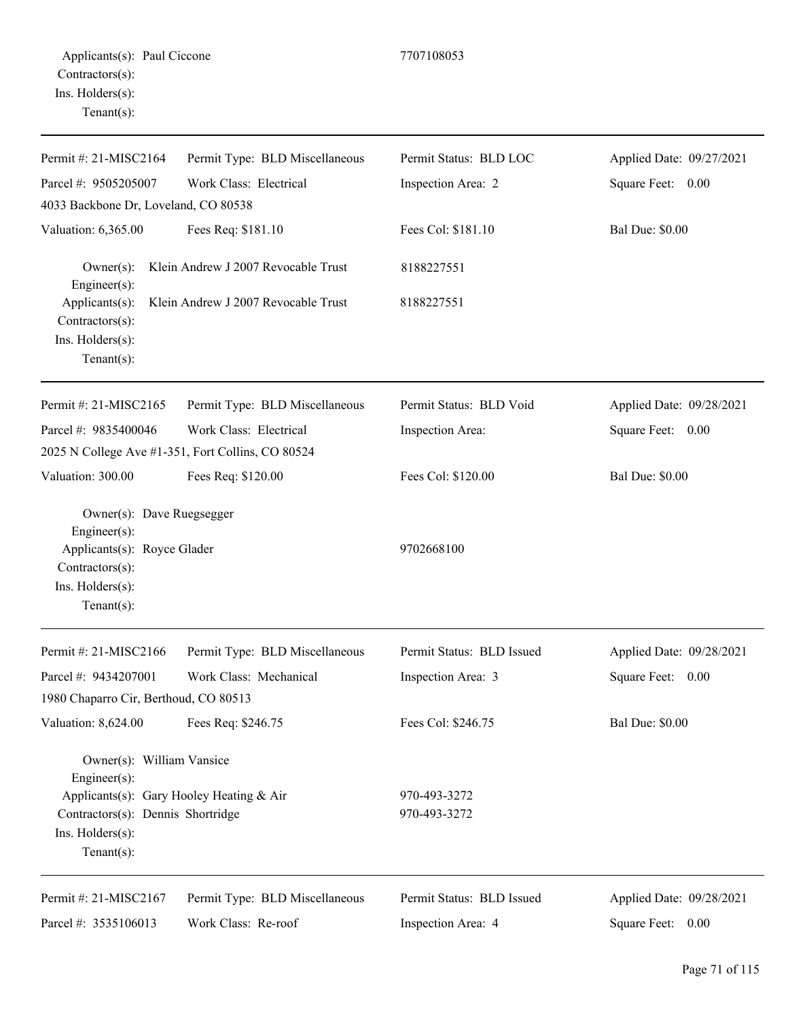| Permit #: 21-MISC2164                                                               | Permit Type: BLD Miscellaneous                    | Permit Status: BLD LOC    | Applied Date: 09/27/2021 |
|-------------------------------------------------------------------------------------|---------------------------------------------------|---------------------------|--------------------------|
| Parcel #: 9505205007                                                                | Work Class: Electrical                            | Inspection Area: 2        | Square Feet: 0.00        |
| 4033 Backbone Dr, Loveland, CO 80538                                                |                                                   |                           |                          |
| Valuation: 6,365.00                                                                 | Fees Req: \$181.10                                | Fees Col: \$181.10        | <b>Bal Due: \$0.00</b>   |
| $Owner(s)$ :<br>Engineer(s):                                                        | Klein Andrew J 2007 Revocable Trust               | 8188227551                |                          |
| Applicants(s):<br>Contractors(s):<br>Ins. Holders(s):<br>$Tenant(s)$ :              | Klein Andrew J 2007 Revocable Trust               | 8188227551                |                          |
| Permit #: 21-MISC2165                                                               | Permit Type: BLD Miscellaneous                    | Permit Status: BLD Void   | Applied Date: 09/28/2021 |
| Parcel #: 9835400046                                                                | Work Class: Electrical                            | Inspection Area:          | Square Feet: 0.00        |
|                                                                                     | 2025 N College Ave #1-351, Fort Collins, CO 80524 |                           |                          |
| Valuation: 300.00                                                                   | Fees Req: \$120.00                                | Fees Col: \$120.00        | <b>Bal Due: \$0.00</b>   |
| Owner(s): Dave Ruegsegger<br>Engineer(s):                                           |                                                   |                           |                          |
| Applicants(s): Royce Glader<br>Contractors(s):<br>Ins. Holders(s):<br>$Tenant(s)$ : |                                                   | 9702668100                |                          |
|                                                                                     |                                                   |                           |                          |
| Permit #: 21-MISC2166                                                               | Permit Type: BLD Miscellaneous                    | Permit Status: BLD Issued | Applied Date: 09/28/2021 |
| Parcel #: 9434207001                                                                | Work Class: Mechanical                            | Inspection Area: 3        | Square Feet:<br>0.00     |
| 1980 Chaparro Cir, Berthoud, CO 80513                                               |                                                   |                           |                          |
| Valuation: 8,624.00                                                                 | Fees Req: \$246.75                                | Fees Col: \$246.75        | <b>Bal Due: \$0.00</b>   |
| Owner(s): William Vansice<br>Engineer $(s)$ :                                       |                                                   |                           |                          |
| Applicants(s): Gary Hooley Heating & Air                                            |                                                   | 970-493-3272              |                          |
| Contractors(s): Dennis Shortridge                                                   |                                                   | 970-493-3272              |                          |

Ins. Holders(s): Tenant(s):

Permit #: 21-MISC2167 Parcel #: 3535106013 Permit Type: BLD Miscellaneous Work Class: Re-roof Permit Status: BLD Issued Inspection Area: 4

Applied Date: 09/28/2021 Square Feet: 0.00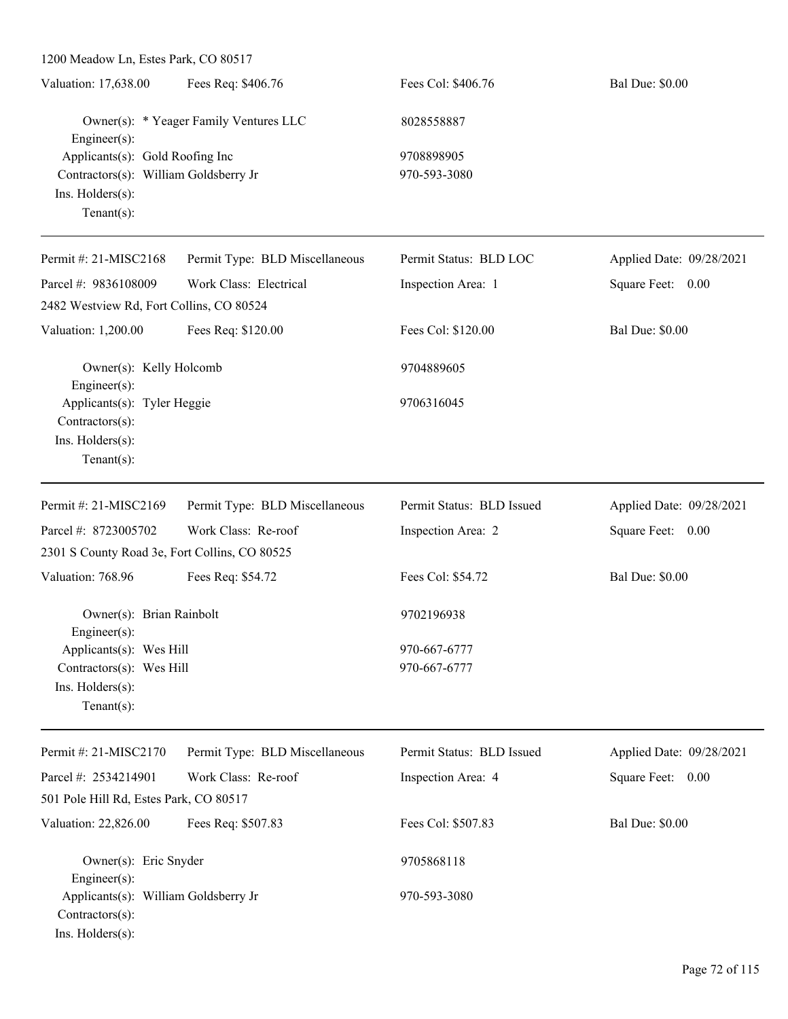| 1200 Meadow Ln, Estes Park, CO 80517                                                                                                     |                                                                                                                                                                 |                                                                                                                                                        |
|------------------------------------------------------------------------------------------------------------------------------------------|-----------------------------------------------------------------------------------------------------------------------------------------------------------------|--------------------------------------------------------------------------------------------------------------------------------------------------------|
| Fees Req: \$406.76                                                                                                                       | Fees Col: \$406.76                                                                                                                                              | <b>Bal Due: \$0.00</b>                                                                                                                                 |
| Owner(s): * Yeager Family Ventures LLC<br>$Engineering(s)$ :<br>Applicants(s): Gold Roofing Inc<br>Contractors(s): William Goldsberry Jr |                                                                                                                                                                 |                                                                                                                                                        |
|                                                                                                                                          |                                                                                                                                                                 |                                                                                                                                                        |
|                                                                                                                                          |                                                                                                                                                                 |                                                                                                                                                        |
|                                                                                                                                          |                                                                                                                                                                 |                                                                                                                                                        |
|                                                                                                                                          |                                                                                                                                                                 |                                                                                                                                                        |
| Permit Type: BLD Miscellaneous                                                                                                           | Permit Status: BLD LOC                                                                                                                                          | Applied Date: 09/28/2021                                                                                                                               |
| Work Class: Electrical                                                                                                                   | Inspection Area: 1                                                                                                                                              | Square Feet: 0.00                                                                                                                                      |
|                                                                                                                                          |                                                                                                                                                                 |                                                                                                                                                        |
| Fees Req: \$120.00                                                                                                                       | Fees Col: \$120.00                                                                                                                                              | <b>Bal Due: \$0.00</b>                                                                                                                                 |
| Owner(s): Kelly Holcomb                                                                                                                  |                                                                                                                                                                 |                                                                                                                                                        |
| $Engineering(s)$ :<br>Applicants(s): Tyler Heggie<br>Contractors(s):                                                                     |                                                                                                                                                                 |                                                                                                                                                        |
|                                                                                                                                          |                                                                                                                                                                 |                                                                                                                                                        |
| Permit Type: BLD Miscellaneous                                                                                                           | Permit Status: BLD Issued                                                                                                                                       | Applied Date: 09/28/2021                                                                                                                               |
| Work Class: Re-roof                                                                                                                      |                                                                                                                                                                 | Square Feet: 0.00                                                                                                                                      |
|                                                                                                                                          |                                                                                                                                                                 |                                                                                                                                                        |
| Fees Req: \$54.72                                                                                                                        | Fees Col: \$54.72                                                                                                                                               | <b>Bal Due: \$0.00</b>                                                                                                                                 |
| Owner(s): Brian Rainbolt<br>$Engineering(s)$ :                                                                                           |                                                                                                                                                                 |                                                                                                                                                        |
| Applicants(s): Wes Hill                                                                                                                  |                                                                                                                                                                 |                                                                                                                                                        |
|                                                                                                                                          | 970-667-6777                                                                                                                                                    |                                                                                                                                                        |
|                                                                                                                                          |                                                                                                                                                                 |                                                                                                                                                        |
| Permit Type: BLD Miscellaneous                                                                                                           | Permit Status: BLD Issued                                                                                                                                       | Applied Date: 09/28/2021                                                                                                                               |
| Work Class: Re-roof                                                                                                                      | Inspection Area: 4                                                                                                                                              | Square Feet: 0.00                                                                                                                                      |
|                                                                                                                                          |                                                                                                                                                                 |                                                                                                                                                        |
| Fees Req: \$507.83                                                                                                                       | Fees Col: \$507.83                                                                                                                                              | <b>Bal Due: \$0.00</b>                                                                                                                                 |
| Owner(s): Eric Snyder                                                                                                                    |                                                                                                                                                                 |                                                                                                                                                        |
| $Engineering(s)$ :<br>Applicants(s): William Goldsberry Jr<br>Contractors(s):<br>Ins. Holders(s):                                        |                                                                                                                                                                 |                                                                                                                                                        |
|                                                                                                                                          | 2482 Westview Rd, Fort Collins, CO 80524<br>2301 S County Road 3e, Fort Collins, CO 80525<br>Contractors(s): Wes Hill<br>501 Pole Hill Rd, Estes Park, CO 80517 | 8028558887<br>9708898905<br>970-593-3080<br>9704889605<br>9706316045<br>Inspection Area: 2<br>9702196938<br>970-667-6777<br>9705868118<br>970-593-3080 |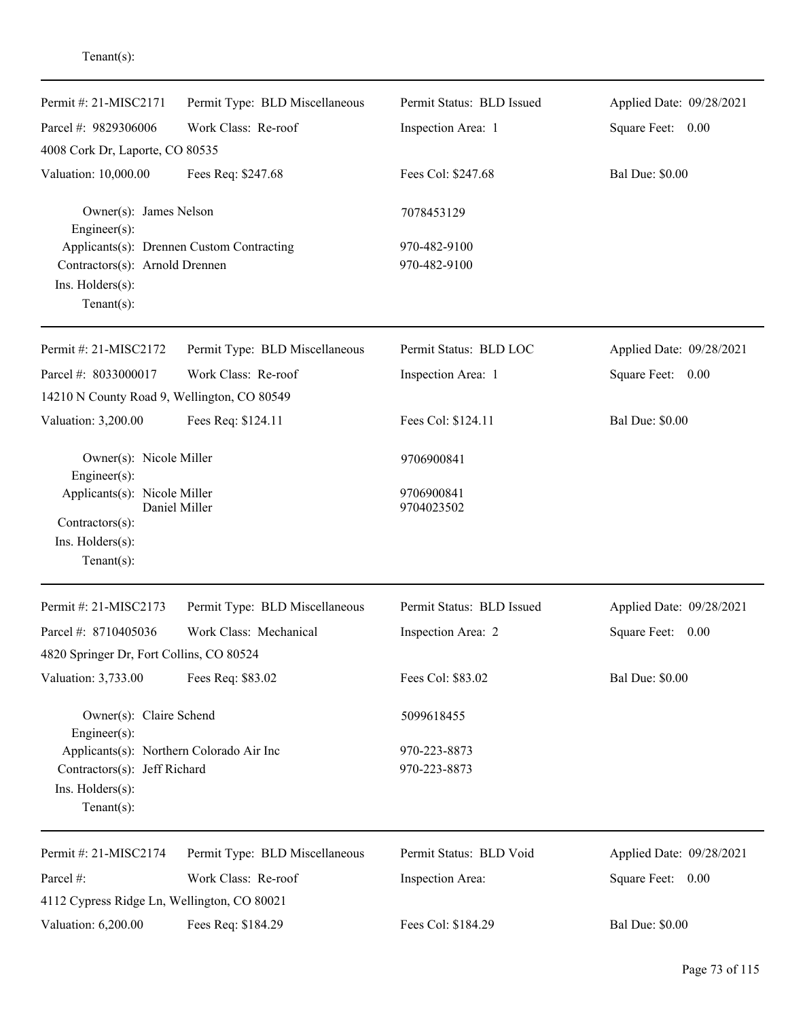| Permit #: 21-MISC2171                                                                | Permit Type: BLD Miscellaneous            | Permit Status: BLD Issued | Applied Date: 09/28/2021 |
|--------------------------------------------------------------------------------------|-------------------------------------------|---------------------------|--------------------------|
| Parcel #: 9829306006                                                                 | Work Class: Re-roof                       | Inspection Area: 1        | Square Feet: 0.00        |
| 4008 Cork Dr, Laporte, CO 80535                                                      |                                           |                           |                          |
| Valuation: 10,000.00                                                                 | Fees Req: \$247.68                        | Fees Col: \$247.68        | <b>Bal Due: \$0.00</b>   |
| Owner(s): James Nelson<br>$Engineering(s)$ :                                         |                                           | 7078453129                |                          |
|                                                                                      | Applicants(s): Drennen Custom Contracting | 970-482-9100              |                          |
| Contractors(s): Arnold Drennen<br>Ins. Holders(s):<br>Tenant $(s)$ :                 |                                           | 970-482-9100              |                          |
| Permit #: 21-MISC2172                                                                | Permit Type: BLD Miscellaneous            | Permit Status: BLD LOC    | Applied Date: 09/28/2021 |
| Parcel #: 8033000017                                                                 | Work Class: Re-roof                       | Inspection Area: 1        | Square Feet: 0.00        |
| 14210 N County Road 9, Wellington, CO 80549                                          |                                           |                           |                          |
| Valuation: 3,200.00                                                                  | Fees Req: \$124.11                        | Fees Col: \$124.11        | <b>Bal Due: \$0.00</b>   |
| Owner(s): Nicole Miller<br>Engineer(s):                                              |                                           | 9706900841                |                          |
| Applicants(s): Nicole Miller<br>Contractors(s):<br>Ins. Holders(s):<br>$Tenant(s)$ : | Daniel Miller                             | 9706900841<br>9704023502  |                          |
| Permit #: 21-MISC2173                                                                | Permit Type: BLD Miscellaneous            | Permit Status: BLD Issued | Applied Date: 09/28/2021 |
| Parcel #: 8710405036                                                                 | Work Class: Mechanical                    | Inspection Area: 2        | Square Feet:<br>0.00     |
| 4820 Springer Dr, Fort Collins, CO 80524                                             |                                           |                           |                          |
| Valuation: 3,733.00                                                                  | Fees Req: \$83.02                         | Fees Col: \$83.02         | <b>Bal Due: \$0.00</b>   |
| Owner(s): Claire Schend<br>$Engineering(s)$ :                                        |                                           | 5099618455                |                          |
| Applicants(s): Northern Colorado Air Inc                                             |                                           | 970-223-8873              |                          |
| Contractors(s): Jeff Richard<br>Ins. Holders(s):<br>Tenant $(s)$ :                   |                                           | 970-223-8873              |                          |
| Permit #: 21-MISC2174                                                                | Permit Type: BLD Miscellaneous            | Permit Status: BLD Void   | Applied Date: 09/28/2021 |
| Parcel #:                                                                            | Work Class: Re-roof                       | Inspection Area:          | Square Feet: 0.00        |
| 4112 Cypress Ridge Ln, Wellington, CO 80021                                          |                                           |                           |                          |
| Valuation: 6,200.00                                                                  | Fees Req: \$184.29                        | Fees Col: \$184.29        | <b>Bal Due: \$0.00</b>   |

# Tenant(s):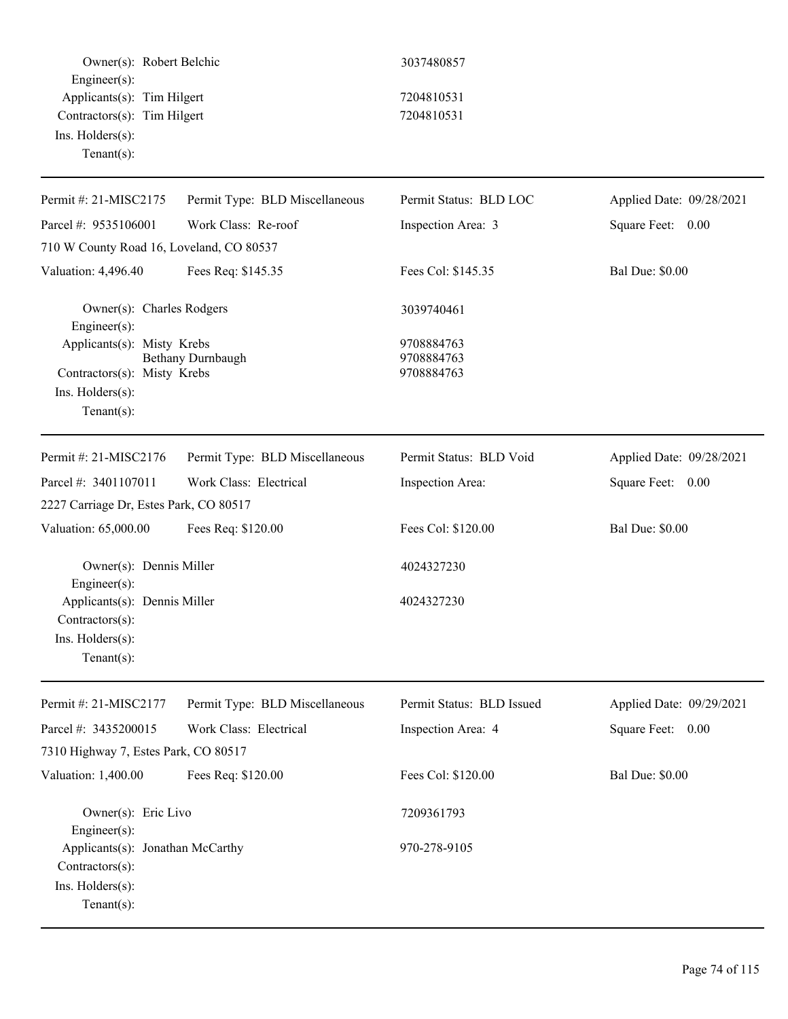| Owner(s): Robert Belchic<br>Engineer(s):                                                        |                                | 3037480857                             |                          |
|-------------------------------------------------------------------------------------------------|--------------------------------|----------------------------------------|--------------------------|
| Applicants(s): Tim Hilgert<br>Contractors(s): Tim Hilgert<br>Ins. Holders(s):<br>Tenant $(s)$ : |                                | 7204810531<br>7204810531               |                          |
| Permit #: 21-MISC2175                                                                           | Permit Type: BLD Miscellaneous | Permit Status: BLD LOC                 | Applied Date: 09/28/2021 |
| Parcel #: 9535106001                                                                            | Work Class: Re-roof            | Inspection Area: 3                     | Square Feet: 0.00        |
| 710 W County Road 16, Loveland, CO 80537                                                        |                                |                                        |                          |
| Valuation: 4,496.40                                                                             | Fees Req: \$145.35             | Fees Col: \$145.35                     | <b>Bal Due: \$0.00</b>   |
| Owner(s): Charles Rodgers<br>Engineer(s):                                                       |                                | 3039740461                             |                          |
| Applicants(s): Misty Krebs<br>Contractors(s): Misty Krebs<br>Ins. Holders(s):<br>Tenant $(s)$ : | Bethany Durnbaugh              | 9708884763<br>9708884763<br>9708884763 |                          |
| Permit #: 21-MISC2176                                                                           | Permit Type: BLD Miscellaneous | Permit Status: BLD Void                | Applied Date: 09/28/2021 |
| Parcel #: 3401107011                                                                            | Work Class: Electrical         | Inspection Area:                       | Square Feet: 0.00        |
| 2227 Carriage Dr, Estes Park, CO 80517                                                          |                                |                                        |                          |
| Valuation: 65,000.00                                                                            | Fees Req: \$120.00             | Fees Col: \$120.00                     | <b>Bal Due: \$0.00</b>   |
| Owner(s): Dennis Miller<br>Engineer(s):                                                         |                                | 4024327230                             |                          |
| Applicants(s): Dennis Miller<br>$Contractors(s)$ :<br>Ins. Holders(s):<br>$Tenant(s)$ :         |                                | 4024327230                             |                          |
| Permit #: 21-MISC2177                                                                           | Permit Type: BLD Miscellaneous | Permit Status: BLD Issued              | Applied Date: 09/29/2021 |
| Parcel #: 3435200015                                                                            | Work Class: Electrical         | Inspection Area: 4                     | Square Feet: 0.00        |
| 7310 Highway 7, Estes Park, CO 80517                                                            |                                |                                        |                          |
| Valuation: 1,400.00                                                                             | Fees Req: \$120.00             | Fees Col: \$120.00                     | <b>Bal Due: \$0.00</b>   |
| Owner(s): Eric Livo<br>Engineer(s):                                                             |                                | 7209361793                             |                          |
| Applicants(s): Jonathan McCarthy<br>Contractors(s):<br>Ins. Holders(s):<br>Tenant $(s)$ :       |                                | 970-278-9105                           |                          |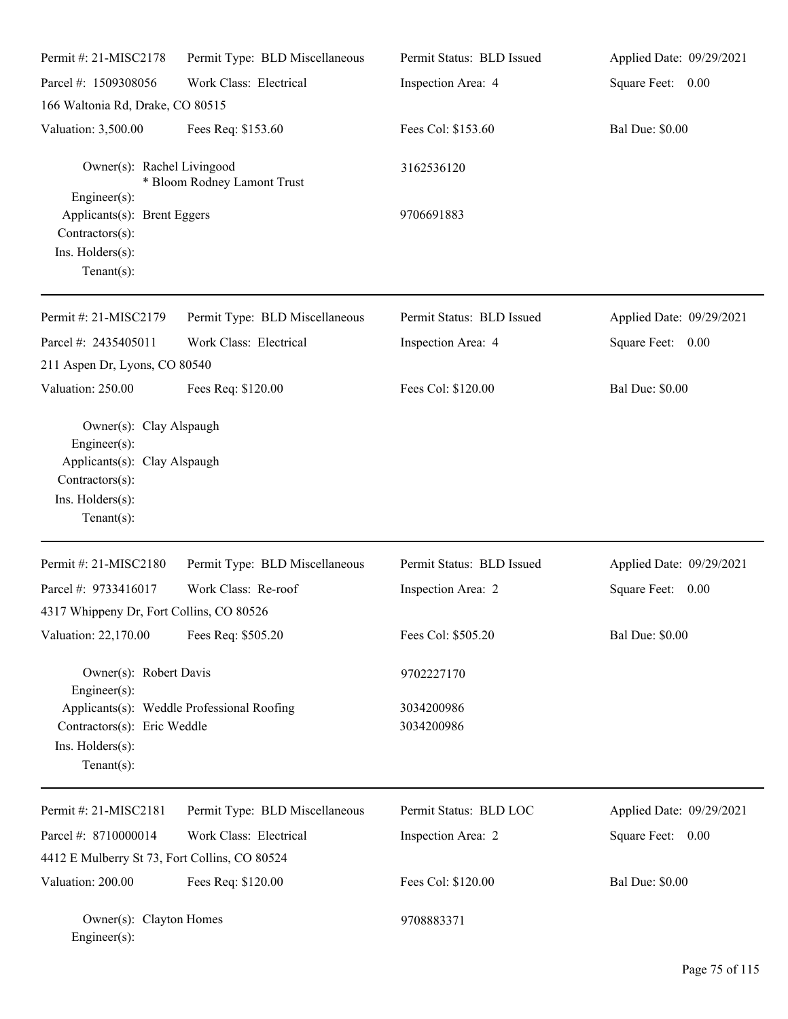| Permit #: 21-MISC2178                                                                                 | Permit Type: BLD Miscellaneous             | Permit Status: BLD Issued | Applied Date: 09/29/2021 |
|-------------------------------------------------------------------------------------------------------|--------------------------------------------|---------------------------|--------------------------|
| Parcel #: 1509308056                                                                                  | Work Class: Electrical                     | Inspection Area: 4        | Square Feet: 0.00        |
| 166 Waltonia Rd, Drake, CO 80515                                                                      |                                            |                           |                          |
| Valuation: 3,500.00                                                                                   | Fees Req: \$153.60                         | Fees Col: \$153.60        | <b>Bal Due: \$0.00</b>   |
| Owner(s): Rachel Livingood                                                                            | * Bloom Rodney Lamont Trust                | 3162536120                |                          |
| Engineer(s):<br>Applicants(s): Brent Eggers<br>Contractors(s):<br>Ins. Holders(s):<br>Tenant $(s)$ :  |                                            | 9706691883                |                          |
| Permit #: 21-MISC2179                                                                                 | Permit Type: BLD Miscellaneous             | Permit Status: BLD Issued | Applied Date: 09/29/2021 |
| Parcel #: 2435405011                                                                                  | Work Class: Electrical                     | Inspection Area: 4        | Square Feet: 0.00        |
| 211 Aspen Dr, Lyons, CO 80540                                                                         |                                            |                           |                          |
| Valuation: 250.00                                                                                     | Fees Req: \$120.00                         | Fees Col: \$120.00        | <b>Bal Due: \$0.00</b>   |
| Engineer(s):<br>Applicants(s): Clay Alspaugh<br>Contractors(s):<br>Ins. Holders(s):<br>Tenant $(s)$ : |                                            |                           |                          |
| Permit #: 21-MISC2180                                                                                 | Permit Type: BLD Miscellaneous             | Permit Status: BLD Issued | Applied Date: 09/29/2021 |
| Parcel #: 9733416017                                                                                  | Work Class: Re-roof                        | Inspection Area: 2        | Square Feet: 0.00        |
| 4317 Whippeny Dr, Fort Collins, CO 80526                                                              |                                            |                           |                          |
| Valuation: 22,170.00                                                                                  | Fees Req: \$505.20                         | Fees Col: \$505.20        | <b>Bal Due: \$0.00</b>   |
| Owner(s): Robert Davis                                                                                |                                            | 9702227170                |                          |
| Engineer(s):<br>Contractors(s): Eric Weddle<br>Ins. Holders(s):<br>Tenant $(s)$ :                     | Applicants(s): Weddle Professional Roofing | 3034200986<br>3034200986  |                          |
| Permit #: 21-MISC2181                                                                                 | Permit Type: BLD Miscellaneous             | Permit Status: BLD LOC    | Applied Date: 09/29/2021 |
| Parcel #: 8710000014                                                                                  | Work Class: Electrical                     | Inspection Area: 2        | Square Feet: 0.00        |
| 4412 E Mulberry St 73, Fort Collins, CO 80524                                                         |                                            |                           |                          |
| Valuation: 200.00                                                                                     | Fees Req: \$120.00                         | Fees Col: \$120.00        | <b>Bal Due: \$0.00</b>   |
| Owner(s): Clayton Homes<br>Engineer(s):                                                               |                                            | 9708883371                |                          |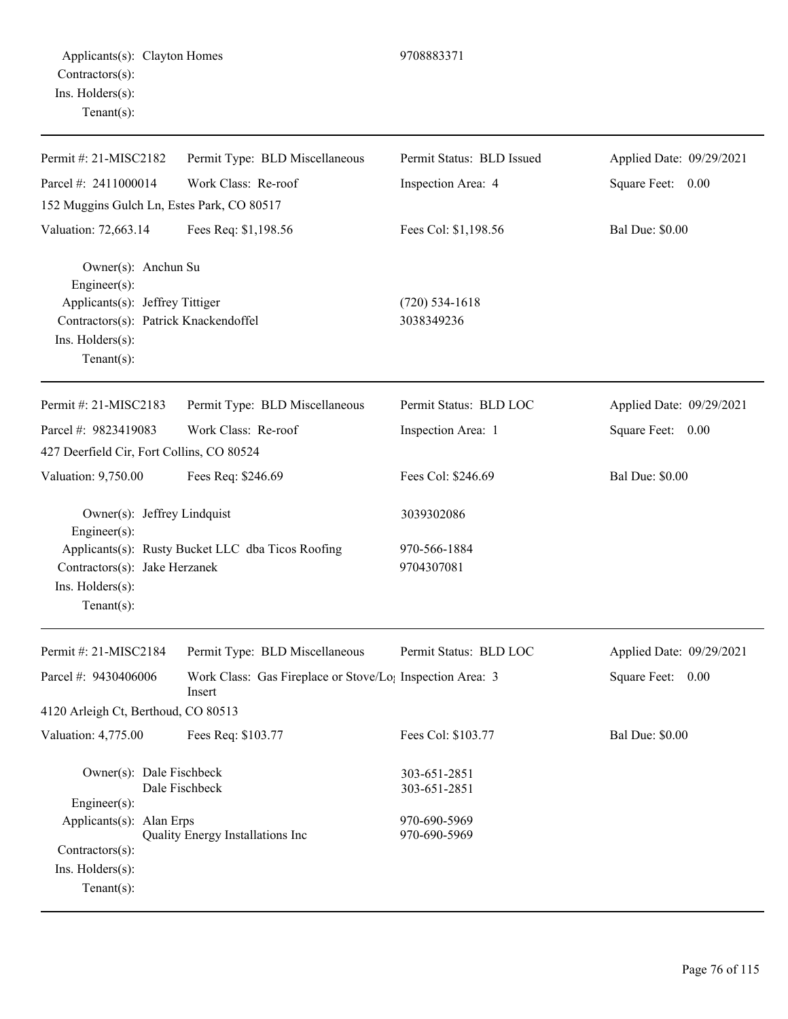Engineer(s):

Contractors(s): Ins. Holders(s): Tenant(s):

Applicants(s): Alan Erps 970-690-5969

Quality Energy Installations Inc 970-690-5969

| Permit #: 21-MISC2182                                                                                           | Permit Type: BLD Miscellaneous                                                  | Permit Status: BLD Issued      | Applied Date: 09/29/2021 |
|-----------------------------------------------------------------------------------------------------------------|---------------------------------------------------------------------------------|--------------------------------|--------------------------|
| Parcel #: 2411000014                                                                                            | Work Class: Re-roof                                                             | Inspection Area: 4             | Square Feet: 0.00        |
| 152 Muggins Gulch Ln, Estes Park, CO 80517                                                                      |                                                                                 |                                |                          |
| Valuation: 72,663.14                                                                                            | Fees Req: \$1,198.56                                                            | Fees Col: \$1,198.56           | Bal Due: \$0.00          |
| Owner(s): Anchun Su<br>Engineer(s):<br>Applicants(s): Jeffrey Tittiger<br>Contractors(s): Patrick Knackendoffel |                                                                                 | $(720)$ 534-1618<br>3038349236 |                          |
| Ins. Holders(s):<br>Tenant $(s)$ :                                                                              |                                                                                 |                                |                          |
| Permit #: 21-MISC2183                                                                                           | Permit Type: BLD Miscellaneous                                                  | Permit Status: BLD LOC         | Applied Date: 09/29/2021 |
| Parcel #: 9823419083                                                                                            | Work Class: Re-roof                                                             | Inspection Area: 1             | Square Feet: 0.00        |
| 427 Deerfield Cir, Fort Collins, CO 80524                                                                       |                                                                                 |                                |                          |
| Valuation: 9,750.00                                                                                             | Fees Req: \$246.69                                                              | Fees Col: \$246.69             | <b>Bal Due: \$0.00</b>   |
| Owner(s): Jeffrey Lindquist<br>Engineer(s):                                                                     |                                                                                 | 3039302086                     |                          |
| Contractors(s): Jake Herzanek<br>Ins. Holders(s):<br>Tenant $(s)$ :                                             | Applicants(s): Rusty Bucket LLC dba Ticos Roofing                               | 970-566-1884<br>9704307081     |                          |
| Permit #: 21-MISC2184                                                                                           | Permit Type: BLD Miscellaneous                                                  | Permit Status: BLD LOC         | Applied Date: 09/29/2021 |
| Parcel #: 9430406006                                                                                            | Work Class: Gas Fireplace or Stove/Lo <sub>1</sub> Inspection Area: 3<br>Insert |                                | Square Feet: 0.00        |
| 4120 Arleigh Ct, Berthoud, CO 80513                                                                             |                                                                                 |                                |                          |
| Valuation: 4,775.00                                                                                             | Fees Req: \$103.77                                                              | Fees Col: \$103.77             | <b>Bal Due: \$0.00</b>   |
| Owner(s): Dale Fischbeck<br>Dale Fischbeck                                                                      |                                                                                 | 303-651-2851<br>303-651-2851   |                          |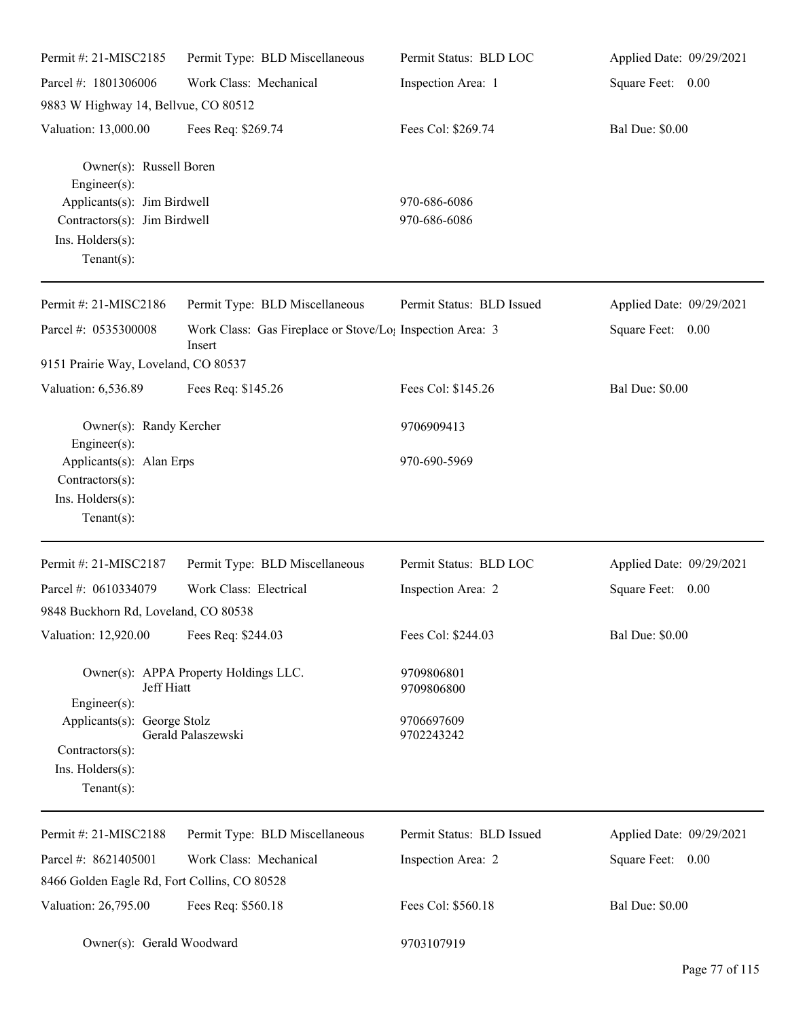| Permit #: 21-MISC2185                                                                                                                        | Permit Type: BLD Miscellaneous                                                  | Permit Status: BLD LOC       | Applied Date: 09/29/2021 |
|----------------------------------------------------------------------------------------------------------------------------------------------|---------------------------------------------------------------------------------|------------------------------|--------------------------|
| Parcel #: 1801306006                                                                                                                         | Work Class: Mechanical                                                          | Inspection Area: 1           | Square Feet: 0.00        |
| 9883 W Highway 14, Bellvue, CO 80512                                                                                                         |                                                                                 |                              |                          |
| Valuation: 13,000.00                                                                                                                         | Fees Req: \$269.74                                                              | Fees Col: \$269.74           | <b>Bal Due: \$0.00</b>   |
| Owner(s): Russell Boren<br>Engineer(s):<br>Applicants(s): Jim Birdwell<br>Contractors(s): Jim Birdwell<br>Ins. Holders(s):<br>Tenant $(s)$ : |                                                                                 | 970-686-6086<br>970-686-6086 |                          |
| Permit #: 21-MISC2186                                                                                                                        | Permit Type: BLD Miscellaneous                                                  | Permit Status: BLD Issued    | Applied Date: 09/29/2021 |
| Parcel #: 0535300008                                                                                                                         | Work Class: Gas Fireplace or Stove/Lo <sub>1</sub> Inspection Area: 3<br>Insert |                              | Square Feet: 0.00        |
| 9151 Prairie Way, Loveland, CO 80537                                                                                                         |                                                                                 |                              |                          |
| Valuation: 6,536.89                                                                                                                          | Fees Req: \$145.26                                                              | Fees Col: \$145.26           | <b>Bal Due: \$0.00</b>   |
| Owner(s): Randy Kercher<br>Engineer(s):                                                                                                      |                                                                                 | 9706909413                   |                          |
| Applicants(s): Alan Erps<br>Contractors(s):<br>Ins. Holders(s):<br>Tenant $(s)$ :                                                            |                                                                                 | 970-690-5969                 |                          |
| Permit #: 21-MISC2187                                                                                                                        | Permit Type: BLD Miscellaneous                                                  | Permit Status: BLD LOC       | Applied Date: 09/29/2021 |
| Parcel #: 0610334079                                                                                                                         | Work Class: Electrical                                                          | Inspection Area: 2           | Square Feet: 0.00        |
| 9848 Buckhorn Rd, Loveland, CO 80538                                                                                                         |                                                                                 |                              |                          |
| Valuation: 12,920.00                                                                                                                         | Fees Req: \$244.03                                                              | Fees Col: \$244.03           | <b>Bal Due: \$0.00</b>   |
| Jeff Hiatt<br>Engineer(s):                                                                                                                   | Owner(s): APPA Property Holdings LLC.                                           | 9709806801<br>9709806800     |                          |
| Applicants(s): George Stolz<br>Contractors(s):<br>Ins. Holders(s):<br>Tenant $(s)$ :                                                         | Gerald Palaszewski                                                              | 9706697609<br>9702243242     |                          |
| Permit #: 21-MISC2188                                                                                                                        | Permit Type: BLD Miscellaneous                                                  | Permit Status: BLD Issued    | Applied Date: 09/29/2021 |
| Parcel #: 8621405001                                                                                                                         | Work Class: Mechanical                                                          | Inspection Area: 2           | Square Feet: 0.00        |
| 8466 Golden Eagle Rd, Fort Collins, CO 80528                                                                                                 |                                                                                 |                              |                          |
| Valuation: 26,795.00                                                                                                                         | Fees Req: \$560.18                                                              | Fees Col: \$560.18           | <b>Bal Due: \$0.00</b>   |
| Owner(s): Gerald Woodward                                                                                                                    |                                                                                 | 9703107919                   |                          |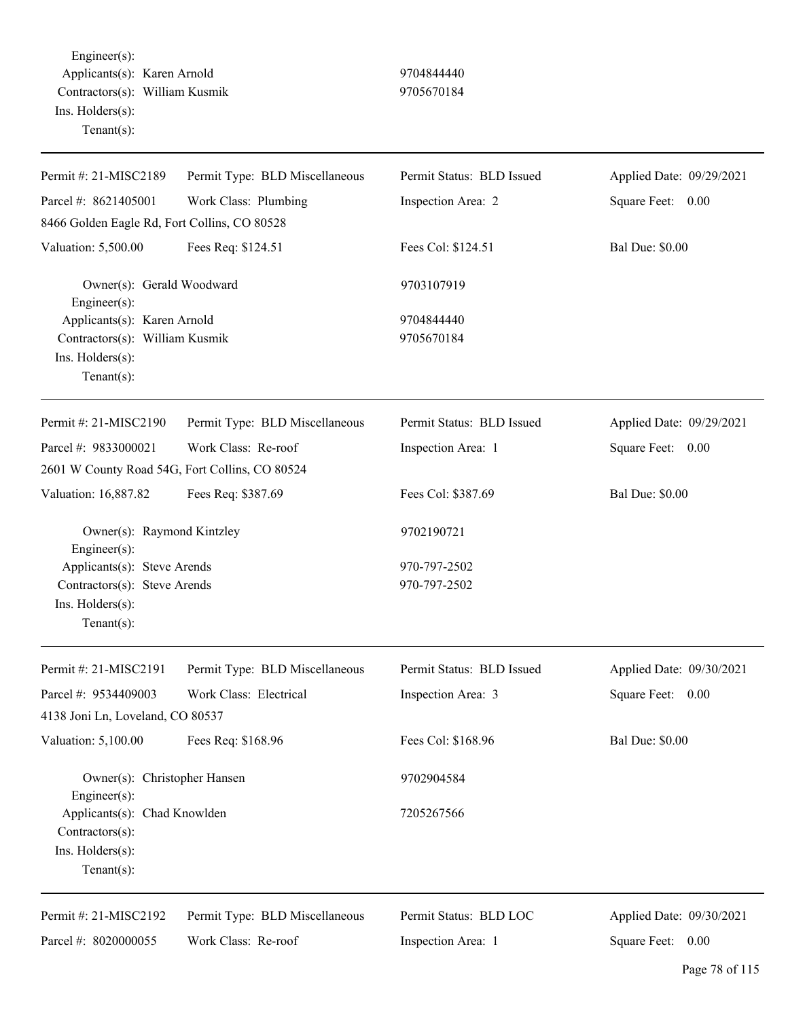Engineer(s): Applicants(s): Karen Arnold 9704844440 Contractors(s): William Kusmik 9705670184 Ins. Holders(s): Tenant(s):

| Permit #: 21-MISC2189                                                                              | Permit Type: BLD Miscellaneous | Permit Status: BLD Issued | Applied Date: 09/29/2021 |
|----------------------------------------------------------------------------------------------------|--------------------------------|---------------------------|--------------------------|
| Parcel #: 8621405001                                                                               | Work Class: Plumbing           | Inspection Area: 2        | Square Feet: 0.00        |
| 8466 Golden Eagle Rd, Fort Collins, CO 80528                                                       |                                |                           |                          |
| Valuation: 5,500.00                                                                                | Fees Req: \$124.51             | Fees Col: \$124.51        | <b>Bal Due: \$0.00</b>   |
| Owner(s): Gerald Woodward<br>Engineer(s):                                                          |                                | 9703107919                |                          |
| Applicants(s): Karen Arnold<br>Contractors(s): William Kusmik<br>Ins. Holders(s):<br>$Tenant(s)$ : |                                | 9704844440<br>9705670184  |                          |
| Permit #: 21-MISC2190                                                                              | Permit Type: BLD Miscellaneous | Permit Status: BLD Issued | Applied Date: 09/29/2021 |
| Parcel #: 9833000021                                                                               | Work Class: Re-roof            | Inspection Area: 1        | Square Feet: 0.00        |
| 2601 W County Road 54G, Fort Collins, CO 80524                                                     |                                |                           |                          |
| Valuation: 16,887.82                                                                               | Fees Req: \$387.69             | Fees Col: \$387.69        | <b>Bal Due: \$0.00</b>   |
| Owner(s): Raymond Kintzley<br>Engineer(s):                                                         |                                | 9702190721                |                          |
| Applicants(s): Steve Arends                                                                        |                                | 970-797-2502              |                          |
| Contractors(s): Steve Arends                                                                       |                                | 970-797-2502              |                          |
| Ins. Holders(s):<br>$Tenant(s)$ :                                                                  |                                |                           |                          |
| Permit #: 21-MISC2191                                                                              | Permit Type: BLD Miscellaneous | Permit Status: BLD Issued | Applied Date: 09/30/2021 |
| Parcel #: 9534409003                                                                               | Work Class: Electrical         | Inspection Area: 3        | Square Feet: 0.00        |
| 4138 Joni Ln, Loveland, CO 80537                                                                   |                                |                           |                          |
| Valuation: 5,100.00                                                                                | Fees Req: \$168.96             | Fees Col: \$168.96        | <b>Bal Due: \$0.00</b>   |
| Owner(s): Christopher Hansen<br>Engineer $(s)$ :                                                   |                                | 9702904584                |                          |
| Applicants(s): Chad Knowlden                                                                       |                                | 7205267566                |                          |
| Contractors(s):                                                                                    |                                |                           |                          |
| Ins. Holders(s):                                                                                   |                                |                           |                          |
| Tenant $(s)$ :                                                                                     |                                |                           |                          |
| Permit #: 21-MISC2192                                                                              | Permit Type: BLD Miscellaneous | Permit Status: BLD LOC    | Applied Date: 09/30/2021 |
| Parcel #: 8020000055                                                                               | Work Class: Re-roof            | Inspection Area: 1        | Square Feet: 0.00        |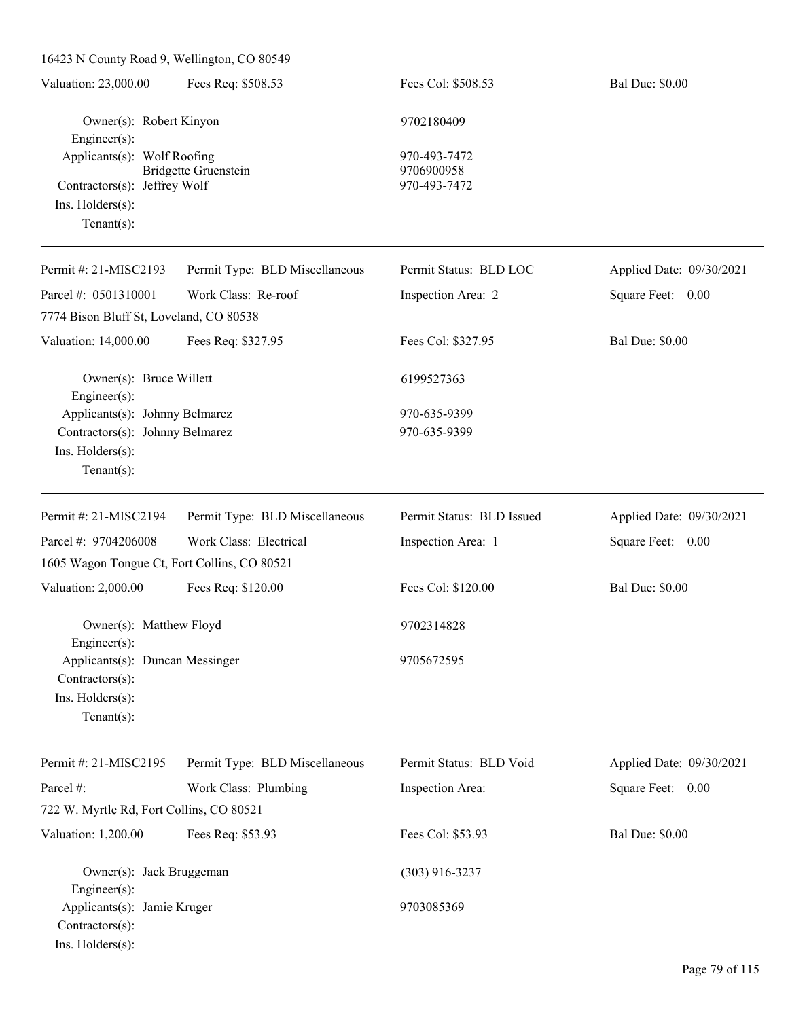| 16423 N County Road 9, Wellington, CO 80549                                                         |                                |                                            |                          |
|-----------------------------------------------------------------------------------------------------|--------------------------------|--------------------------------------------|--------------------------|
| Valuation: 23,000.00                                                                                | Fees Req: \$508.53             | Fees Col: \$508.53                         | <b>Bal Due: \$0.00</b>   |
| Owner(s): Robert Kinyon<br>Engineer(s):                                                             |                                | 9702180409                                 |                          |
| Applicants(s): Wolf Roofing<br>Contractors(s): Jeffrey Wolf<br>Ins. Holders(s):<br>Tenant $(s)$ :   | <b>Bridgette Gruenstein</b>    | 970-493-7472<br>9706900958<br>970-493-7472 |                          |
| Permit #: 21-MISC2193                                                                               | Permit Type: BLD Miscellaneous | Permit Status: BLD LOC                     | Applied Date: 09/30/2021 |
| Parcel #: 0501310001<br>7774 Bison Bluff St, Loveland, CO 80538                                     | Work Class: Re-roof            | Inspection Area: 2                         | Square Feet: 0.00        |
| Valuation: 14,000.00                                                                                | Fees Req: \$327.95             | Fees Col: \$327.95                         | <b>Bal Due: \$0.00</b>   |
| Owner(s): Bruce Willett<br>Engineer(s):                                                             |                                | 6199527363                                 |                          |
| Applicants(s): Johnny Belmarez<br>Contractors(s): Johnny Belmarez<br>Ins. Holders(s):<br>Tenant(s): |                                | 970-635-9399<br>970-635-9399               |                          |
| Permit #: 21-MISC2194                                                                               | Permit Type: BLD Miscellaneous | Permit Status: BLD Issued                  | Applied Date: 09/30/2021 |
| Parcel #: 9704206008                                                                                | Work Class: Electrical         | Inspection Area: 1                         | Square Feet: 0.00        |
| 1605 Wagon Tongue Ct, Fort Collins, CO 80521                                                        |                                |                                            |                          |
| Valuation: 2,000.00                                                                                 | Fees Req: \$120.00             | Fees Col: \$120.00                         | <b>Bal Due: \$0.00</b>   |
| Owner(s): Matthew Floyd<br>$Engineering(s)$ :                                                       |                                | 9702314828                                 |                          |
| Applicants(s): Duncan Messinger<br>Contractors(s):<br>Ins. Holders(s):<br>Tenant $(s)$ :            |                                | 9705672595                                 |                          |
| Permit #: 21-MISC2195                                                                               | Permit Type: BLD Miscellaneous | Permit Status: BLD Void                    | Applied Date: 09/30/2021 |

| I GHIII #. $\angle$ I WIIOU $\angle$ IJJ       | I CHIII TYPE. DLD MISCERATEOUS | I CHIIII DIAIUS. DLD VOIU | Applied Date. $07/30/2021$ |
|------------------------------------------------|--------------------------------|---------------------------|----------------------------|
| Parcel #:                                      | Work Class: Plumbing           | Inspection Area:          | Square Feet: 0.00          |
| 722 W. Myrtle Rd, Fort Collins, CO 80521       |                                |                           |                            |
| Valuation: 1,200.00                            | Fees Req: \$53.93              | Fees Col: \$53.93         | <b>Bal Due: \$0.00</b>     |
| Owner(s): Jack Bruggeman<br>$Engineering(s)$ : |                                | $(303)$ 916-3237          |                            |
| Applicants(s): Jamie Kruger                    |                                | 9703085369                |                            |
| $Contractors(s)$ :                             |                                |                           |                            |
| $Ins.$ Holders $(s)$ :                         |                                |                           |                            |
|                                                |                                |                           |                            |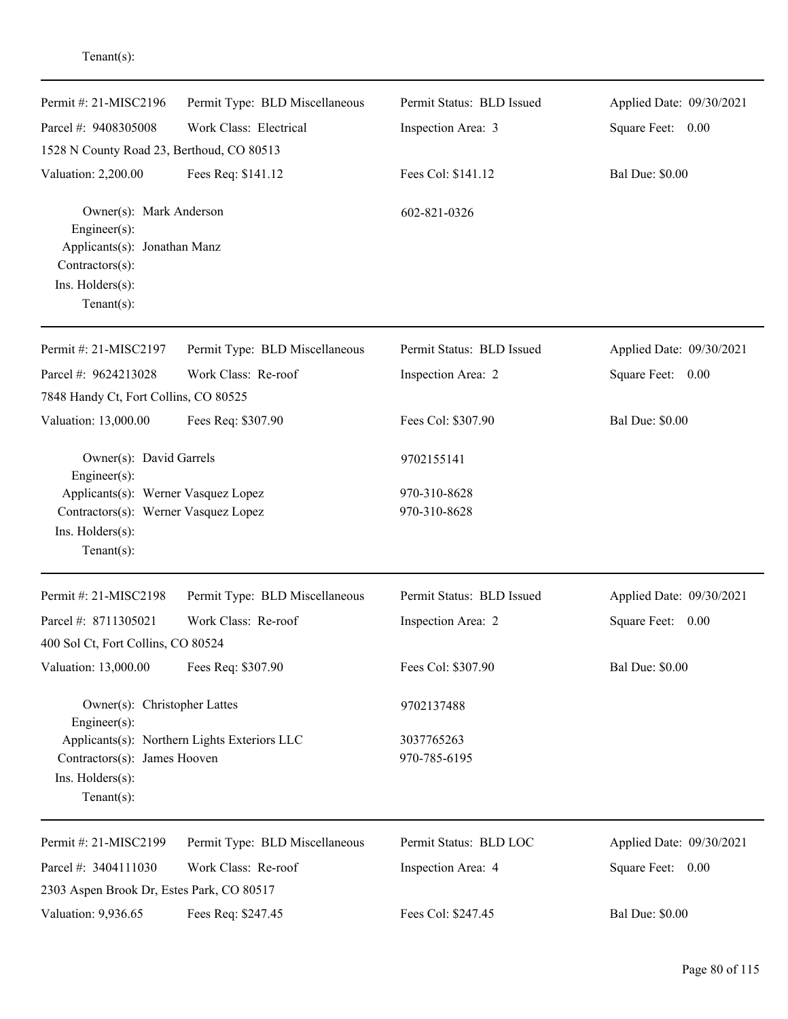| Permit #: 21-MISC2196                                                     | Permit Type: BLD Miscellaneous               | Permit Status: BLD Issued | Applied Date: 09/30/2021 |
|---------------------------------------------------------------------------|----------------------------------------------|---------------------------|--------------------------|
| Parcel #: 9408305008                                                      | Work Class: Electrical                       | Inspection Area: 3        | Square Feet: 0.00        |
| 1528 N County Road 23, Berthoud, CO 80513                                 |                                              |                           |                          |
| Valuation: 2,200.00                                                       | Fees Req: \$141.12                           | Fees Col: \$141.12        | <b>Bal Due: \$0.00</b>   |
| Owner(s): Mark Anderson<br>Engineer(s):                                   |                                              | 602-821-0326              |                          |
| Applicants(s): Jonathan Manz                                              |                                              |                           |                          |
| Contractors(s):<br>Ins. Holders(s):                                       |                                              |                           |                          |
| Tenant $(s)$ :                                                            |                                              |                           |                          |
| Permit #: 21-MISC2197                                                     | Permit Type: BLD Miscellaneous               | Permit Status: BLD Issued | Applied Date: 09/30/2021 |
| Parcel #: 9624213028                                                      | Work Class: Re-roof                          | Inspection Area: 2        | Square Feet:<br>0.00     |
| 7848 Handy Ct, Fort Collins, CO 80525                                     |                                              |                           |                          |
| Valuation: 13,000.00                                                      | Fees Req: \$307.90                           | Fees Col: \$307.90        | <b>Bal Due: \$0.00</b>   |
| Owner(s): David Garrels<br>Engineer(s):                                   |                                              | 9702155141                |                          |
| Applicants(s): Werner Vasquez Lopez                                       |                                              | 970-310-8628              |                          |
| Contractors(s): Werner Vasquez Lopez<br>Ins. Holders(s):<br>$Tenant(s)$ : |                                              | 970-310-8628              |                          |
| Permit #: 21-MISC2198                                                     | Permit Type: BLD Miscellaneous               | Permit Status: BLD Issued | Applied Date: 09/30/2021 |
| Parcel #: 8711305021                                                      | Work Class: Re-roof                          | Inspection Area: 2        | Square Feet:<br>0.00     |
| 400 Sol Ct, Fort Collins, CO 80524                                        |                                              |                           |                          |
| Valuation: 13,000.00                                                      | Fees Req: \$307.90                           | Fees Col: \$307.90        | <b>Bal Due: \$0.00</b>   |
| Owner(s): Christopher Lattes<br>Engineer(s):                              |                                              | 9702137488                |                          |
|                                                                           | Applicants(s): Northern Lights Exteriors LLC | 3037765263                |                          |
| Contractors(s): James Hooven                                              |                                              | 970-785-6195              |                          |
| Ins. Holders(s):<br>Tenant $(s)$ :                                        |                                              |                           |                          |
| Permit #: 21-MISC2199                                                     | Permit Type: BLD Miscellaneous               | Permit Status: BLD LOC    | Applied Date: 09/30/2021 |
| Parcel #: 3404111030                                                      | Work Class: Re-roof                          | Inspection Area: 4        | Square Feet: 0.00        |
| 2303 Aspen Brook Dr, Estes Park, CO 80517                                 |                                              |                           |                          |
| Valuation: 9,936.65                                                       | Fees Req: \$247.45                           | Fees Col: \$247.45        | <b>Bal Due: \$0.00</b>   |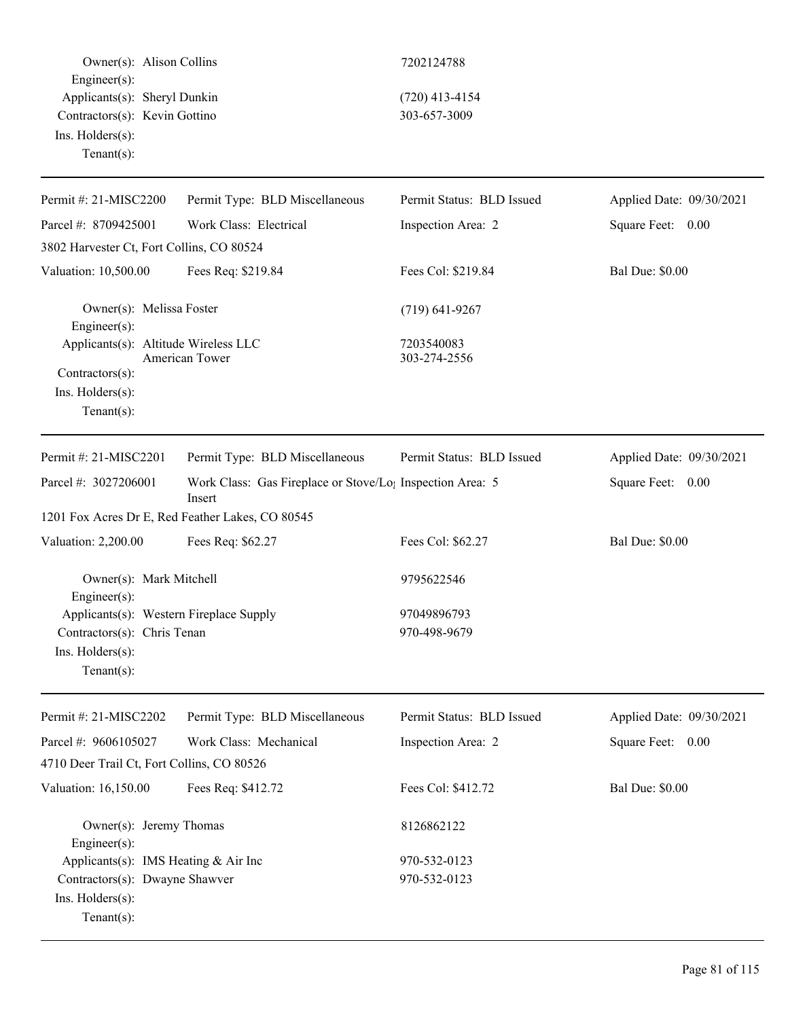Owner(s): Alison Collins 7202124788 Engineer(s): Applicants(s): Sheryl Dunkin (720) 413-4154 Contractors(s): Kevin Gottino 303-657-3009 Ins. Holders(s): Tenant(s): Permit #: 21-MISC2200 Parcel #: 8709425001 Permit Type: BLD Miscellaneous Work Class: Electrical Permit Status: BLD Issued Inspection Area: 2 Applied Date: 09/30/2021 Square Feet: 0.00 3802 Harvester Ct, Fort Collins, CO 80524 Valuation: 10,500.00 Fees Req: \$219.84 Fees Col: \$219.84 Bal Due: \$0.00 Owner(s): Melissa Foster (719) 641-9267 Engineer(s): Applicants(s): Altitude Wireless LLC 7203540083 American Tower 303-274-2556 Contractors(s): Ins. Holders(s): Tenant(s): Permit #: 21-MISC2201 Parcel #: 3027206001 Permit Type: BLD Miscellaneous Work Class: Gas Fireplace or Stove/Log Inspection Area: 5 Insert Permit Status: BLD Issued Applied Date: 09/30/2021 Square Feet: 0.00 1201 Fox Acres Dr E, Red Feather Lakes, CO 80545 Valuation: 2,200.00 Fees Req: \$62.27 Fees Col: \$62.27 Bal Due: \$0.00 Owner(s): Mark Mitchell 9795622546 Engineer(s): Applicants(s): Western Fireplace Supply 97049896793 Contractors(s): Chris Tenan 970-498-9679 Ins. Holders(s): Tenant(s): Permit #: 21-MISC2202 Parcel #: 9606105027 Permit Type: BLD Miscellaneous Work Class: Mechanical Permit Status: BLD Issued Inspection Area: 2 Applied Date: 09/30/2021 Square Feet: 0.00 4710 Deer Trail Ct, Fort Collins, CO 80526 Valuation: 16,150.00 Fees Req: \$412.72 Fees Col: \$412.72 Bal Due: \$0.00 Owner(s): Jeremy Thomas 8126862122 Engineer(s): Applicants(s): IMS Heating & Air Inc 970-532-0123 Contractors(s): Dwayne Shawver 970-532-0123 Ins. Holders(s): Tenant(s):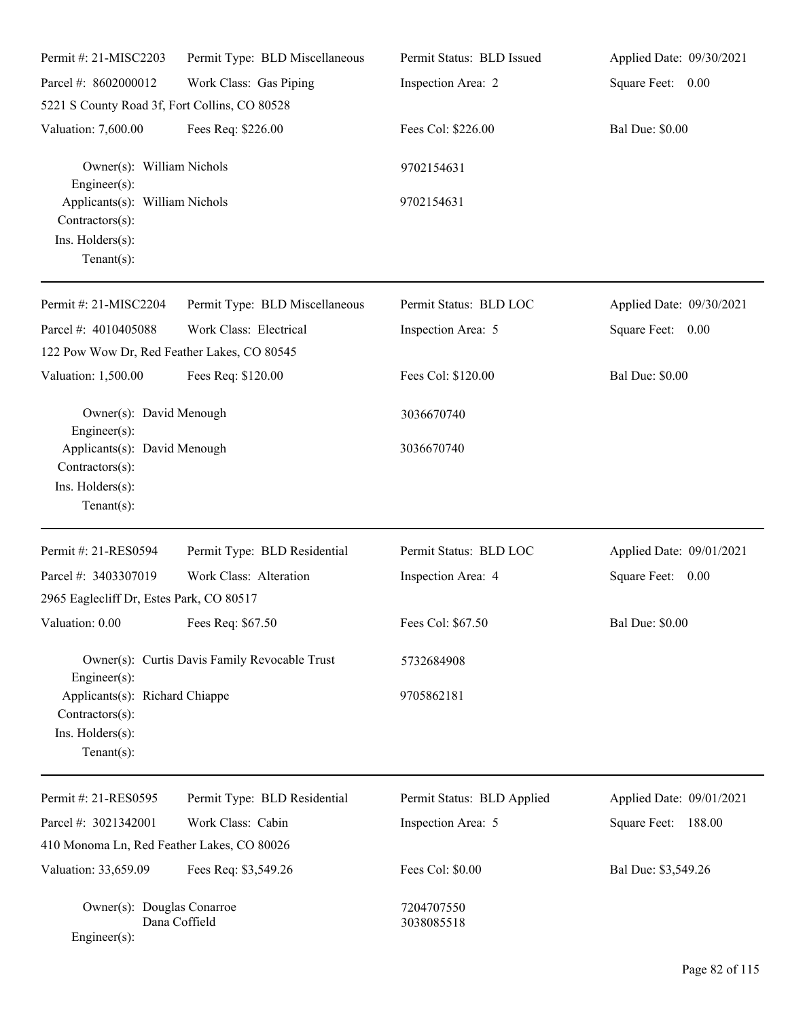| Permit #: 21-MISC2203                                                                   | Permit Type: BLD Miscellaneous                | Permit Status: BLD Issued  | Applied Date: 09/30/2021 |
|-----------------------------------------------------------------------------------------|-----------------------------------------------|----------------------------|--------------------------|
| Parcel #: 8602000012                                                                    | Work Class: Gas Piping                        | Inspection Area: 2         | Square Feet: 0.00        |
| 5221 S County Road 3f, Fort Collins, CO 80528                                           |                                               |                            |                          |
| Valuation: 7,600.00                                                                     | Fees Req: \$226.00                            | Fees Col: \$226.00         | <b>Bal Due: \$0.00</b>   |
| Owner(s): William Nichols<br>$Engineering(s)$ :                                         |                                               | 9702154631                 |                          |
| Applicants(s): William Nichols<br>Contractors(s):<br>Ins. Holders(s):<br>Tenant $(s)$ : |                                               | 9702154631                 |                          |
| Permit #: 21-MISC2204                                                                   | Permit Type: BLD Miscellaneous                | Permit Status: BLD LOC     | Applied Date: 09/30/2021 |
| Parcel #: 4010405088                                                                    | Work Class: Electrical                        | Inspection Area: 5         | Square Feet: 0.00        |
| 122 Pow Wow Dr, Red Feather Lakes, CO 80545                                             |                                               |                            |                          |
| Valuation: 1,500.00                                                                     | Fees Req: \$120.00                            | Fees Col: \$120.00         | <b>Bal Due: \$0.00</b>   |
| Owner(s): David Menough<br>Engineer(s):                                                 |                                               | 3036670740                 |                          |
| Applicants(s): David Menough<br>Contractors(s):<br>Ins. Holders(s):<br>Tenant $(s)$ :   |                                               | 3036670740                 |                          |
| Permit #: 21-RES0594                                                                    | Permit Type: BLD Residential                  | Permit Status: BLD LOC     | Applied Date: 09/01/2021 |
| Parcel #: 3403307019                                                                    | Work Class: Alteration                        | Inspection Area: 4         | Square Feet: 0.00        |
| 2965 Eaglecliff Dr, Estes Park, CO 80517                                                |                                               |                            |                          |
| Valuation: 0.00 Fees Req: \$67.50                                                       |                                               | Fees Col: \$67.50          | <b>Bal Due: \$0.00</b>   |
| Engineer(s):                                                                            | Owner(s): Curtis Davis Family Revocable Trust | 5732684908                 |                          |
| Applicants(s): Richard Chiappe<br>Contractors(s):<br>Ins. Holders(s):<br>Tenant $(s)$ : |                                               | 9705862181                 |                          |
| Permit #: 21-RES0595                                                                    | Permit Type: BLD Residential                  | Permit Status: BLD Applied | Applied Date: 09/01/2021 |
| Parcel #: 3021342001                                                                    | Work Class: Cabin                             | Inspection Area: 5         | Square Feet: 188.00      |
| 410 Monoma Ln, Red Feather Lakes, CO 80026                                              |                                               |                            |                          |
| Valuation: 33,659.09                                                                    | Fees Req: \$3,549.26                          | Fees Col: \$0.00           | Bal Due: \$3,549.26      |
| Owner(s): Douglas Conarroe<br>Engineer(s):                                              | Dana Coffield                                 | 7204707550<br>3038085518   |                          |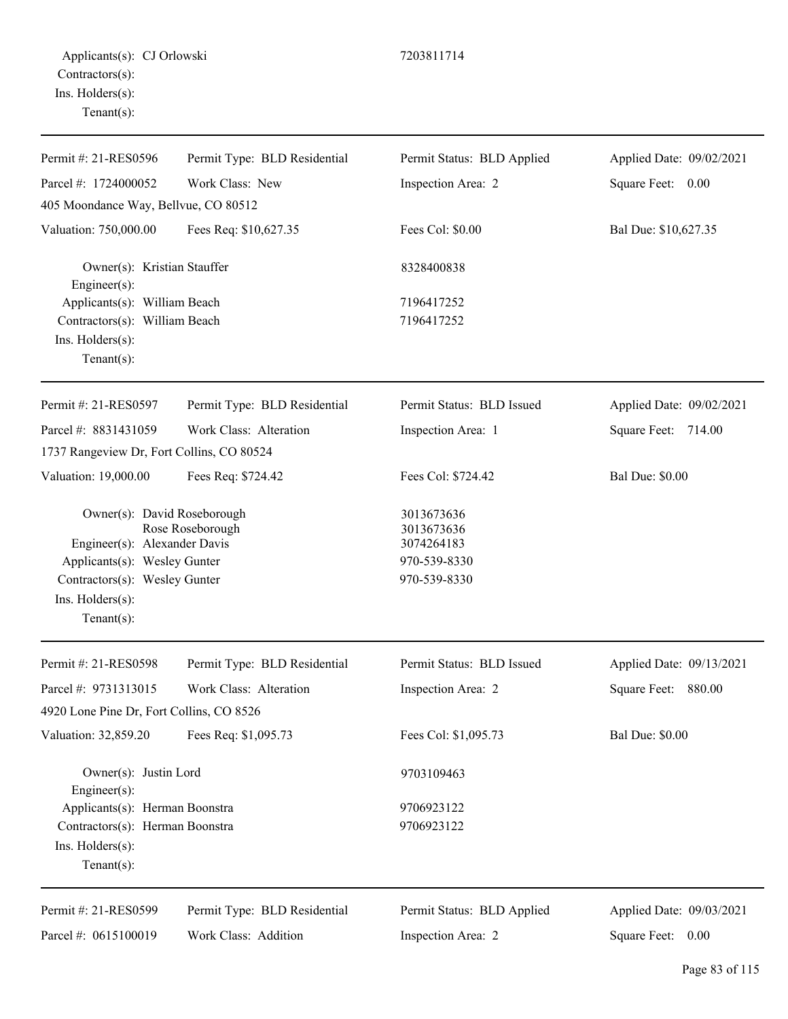| Permit #: 21-RES0596                                                            | Permit Type: BLD Residential | Permit Status: BLD Applied             | Applied Date: 09/02/2021 |
|---------------------------------------------------------------------------------|------------------------------|----------------------------------------|--------------------------|
| Parcel #: 1724000052                                                            | Work Class: New              | Inspection Area: 2                     | Square Feet: 0.00        |
| 405 Moondance Way, Bellvue, CO 80512                                            |                              |                                        |                          |
| Valuation: 750,000.00                                                           | Fees Req: \$10,627.35        | Fees Col: \$0.00                       | Bal Due: \$10,627.35     |
| Owner(s): Kristian Stauffer<br>Engineer(s):                                     |                              | 8328400838                             |                          |
| Applicants(s): William Beach                                                    |                              | 7196417252                             |                          |
| Contractors(s): William Beach                                                   |                              | 7196417252                             |                          |
| Ins. Holders(s):<br>$Tenant(s)$ :                                               |                              |                                        |                          |
| Permit #: 21-RES0597                                                            | Permit Type: BLD Residential | Permit Status: BLD Issued              | Applied Date: 09/02/2021 |
| Parcel #: 8831431059                                                            | Work Class: Alteration       | Inspection Area: 1                     | Square Feet: 714.00      |
| 1737 Rangeview Dr, Fort Collins, CO 80524                                       |                              |                                        |                          |
| Valuation: 19,000.00                                                            | Fees Req: \$724.42           | Fees Col: \$724.42                     | <b>Bal Due: \$0.00</b>   |
| Owner(s): David Roseborough<br>Rose Roseborough<br>Engineer(s): Alexander Davis |                              | 3013673636<br>3013673636<br>3074264183 |                          |
| Applicants(s): Wesley Gunter                                                    |                              | 970-539-8330                           |                          |
| Contractors(s): Wesley Gunter                                                   |                              | 970-539-8330                           |                          |
| Ins. Holders(s):<br>$Tenant(s)$ :                                               |                              |                                        |                          |
| Permit #: 21-RES0598                                                            | Permit Type: BLD Residential | Permit Status: BLD Issued              | Applied Date: 09/13/2021 |
| Parcel #: 9731313015                                                            | Work Class: Alteration       | Inspection Area: 2                     | 880.00<br>Square Feet:   |
| 4920 Lone Pine Dr, Fort Collins, CO 8526                                        |                              |                                        |                          |
| Valuation: 32,859.20                                                            | Fees Req: \$1,095.73         | Fees Col: \$1,095.73                   | <b>Bal Due: \$0.00</b>   |
| Owner(s): Justin Lord<br>Engineer(s):                                           |                              | 9703109463                             |                          |
| Applicants(s): Herman Boonstra                                                  |                              | 9706923122                             |                          |
| Contractors(s): Herman Boonstra                                                 |                              | 9706923122                             |                          |
| Ins. Holders(s):                                                                |                              |                                        |                          |
| $Tenant(s)$ :                                                                   |                              |                                        |                          |
| Permit #: 21-RES0599                                                            | Permit Type: BLD Residential | Permit Status: BLD Applied             | Applied Date: 09/03/2021 |

Work Class: Addition

Inspection Area: 2

Square Feet: 0.00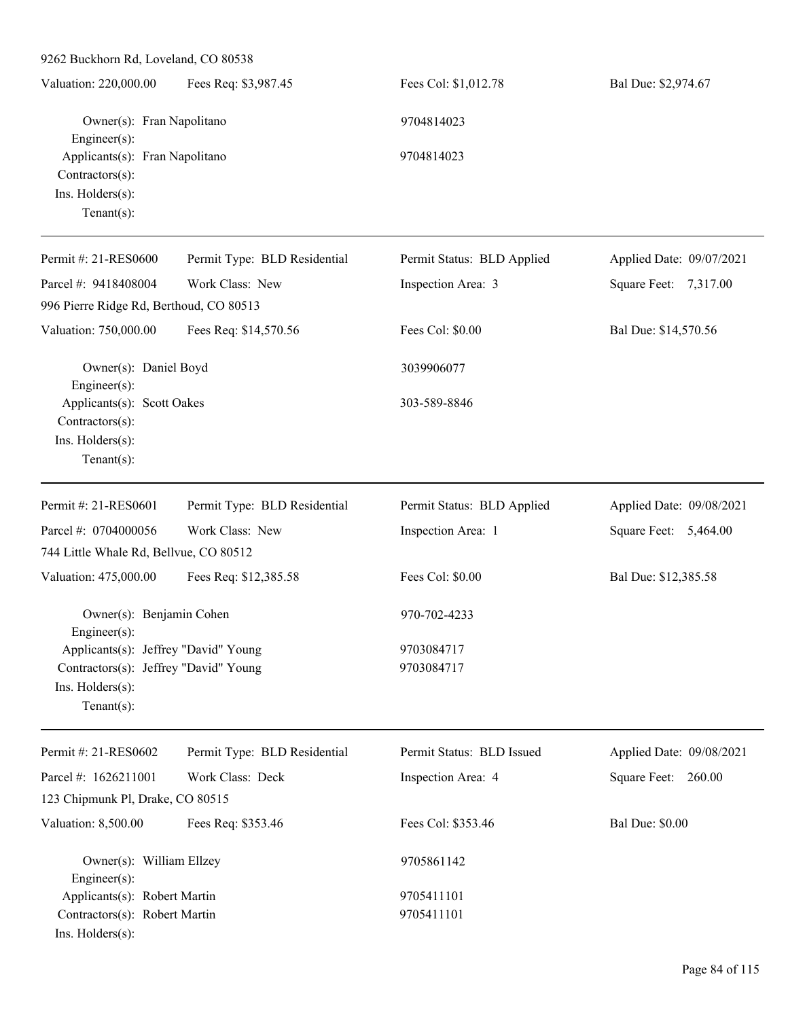| 9262 Buckhorn Rd, Loveland, CO 80538                                                                                                      |                              |                            |                          |
|-------------------------------------------------------------------------------------------------------------------------------------------|------------------------------|----------------------------|--------------------------|
| Valuation: 220,000.00                                                                                                                     | Fees Req: \$3,987.45         | Fees Col: \$1,012.78       | Bal Due: \$2,974.67      |
| Owner(s): Fran Napolitano<br>$Engineering(s)$ :<br>Applicants(s): Fran Napolitano<br>Contractors(s):<br>Ins. Holders(s):<br>$Tenant(s)$ : |                              | 9704814023                 |                          |
|                                                                                                                                           |                              | 9704814023                 |                          |
| Permit #: 21-RES0600                                                                                                                      | Permit Type: BLD Residential | Permit Status: BLD Applied | Applied Date: 09/07/2021 |
| Parcel #: 9418408004                                                                                                                      | Work Class: New              | Inspection Area: 3         | Square Feet: 7,317.00    |
| 996 Pierre Ridge Rd, Berthoud, CO 80513                                                                                                   |                              |                            |                          |
| Valuation: 750,000.00                                                                                                                     | Fees Req: \$14,570.56        | Fees Col: \$0.00           | Bal Due: \$14,570.56     |
| Owner(s): Daniel Boyd<br>$Engineering(s)$ :                                                                                               |                              | 3039906077                 |                          |
| Applicants(s): Scott Oakes<br>Contractors(s):<br>Ins. Holders(s):<br>$Tenant(s)$ :                                                        |                              | 303-589-8846               |                          |
| Permit #: 21-RES0601                                                                                                                      | Permit Type: BLD Residential | Permit Status: BLD Applied | Applied Date: 09/08/2021 |
| Parcel #: 0704000056                                                                                                                      | Work Class: New              | Inspection Area: 1         | Square Feet: 5,464.00    |
| 744 Little Whale Rd, Bellvue, CO 80512                                                                                                    |                              |                            |                          |
| Valuation: 475,000.00                                                                                                                     | Fees Req: \$12,385.58        | Fees Col: \$0.00           | Bal Due: \$12,385.58     |
| Owner(s): Benjamin Cohen<br>Engineer $(s)$ :                                                                                              |                              | 970-702-4233               |                          |
| Applicants(s): Jeffrey "David" Young<br>Contractors(s): Jeffrey "David" Young<br>Ins. Holders(s):<br>Tenant $(s)$ :                       |                              | 9703084717<br>9703084717   |                          |
| Permit #: 21-RES0602                                                                                                                      | Permit Type: BLD Residential | Permit Status: BLD Issued  | Applied Date: 09/08/2021 |
| Parcel #: 1626211001                                                                                                                      | Work Class: Deck             | Inspection Area: 4         | Square Feet: 260.00      |
| 123 Chipmunk Pl, Drake, CO 80515                                                                                                          |                              |                            |                          |
| Valuation: 8,500.00                                                                                                                       | Fees Req: \$353.46           | Fees Col: \$353.46         | <b>Bal Due: \$0.00</b>   |
| Owner(s): William Ellzey<br>$Engineering(s)$ :                                                                                            |                              | 9705861142                 |                          |
| Applicants(s): Robert Martin                                                                                                              |                              | 9705411101                 |                          |
| Contractors(s): Robert Martin<br>Ins. Holders(s):                                                                                         |                              | 9705411101                 |                          |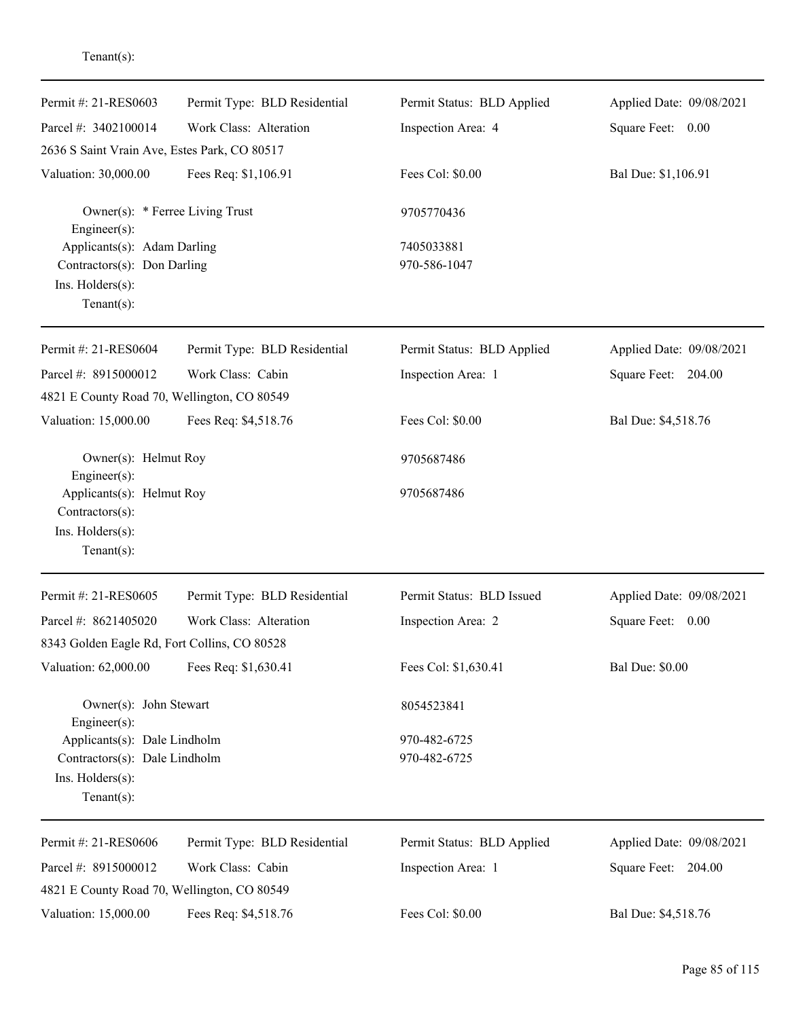| Permit #: 21-RES0603                                         | Permit Type: BLD Residential | Permit Status: BLD Applied | Applied Date: 09/08/2021 |
|--------------------------------------------------------------|------------------------------|----------------------------|--------------------------|
| Parcel #: 3402100014                                         | Work Class: Alteration       | Inspection Area: 4         | Square Feet: 0.00        |
| 2636 S Saint Vrain Ave, Estes Park, CO 80517                 |                              |                            |                          |
| Valuation: 30,000.00                                         | Fees Req: \$1,106.91         | Fees Col: \$0.00           | Bal Due: \$1,106.91      |
| Owner(s): * Ferree Living Trust<br>Engineer(s):              |                              | 9705770436                 |                          |
| Applicants(s): Adam Darling                                  |                              | 7405033881                 |                          |
| Contractors(s): Don Darling                                  |                              | 970-586-1047               |                          |
| Ins. Holders(s):<br>Tenant $(s)$ :                           |                              |                            |                          |
| Permit #: 21-RES0604                                         | Permit Type: BLD Residential | Permit Status: BLD Applied | Applied Date: 09/08/2021 |
| Parcel #: 8915000012                                         | Work Class: Cabin            | Inspection Area: 1         | Square Feet: 204.00      |
| 4821 E County Road 70, Wellington, CO 80549                  |                              |                            |                          |
| Valuation: 15,000.00                                         | Fees Req: \$4,518.76         | Fees Col: \$0.00           | Bal Due: \$4,518.76      |
| Owner(s): Helmut Roy                                         |                              | 9705687486                 |                          |
| Engineer(s):<br>Applicants(s): Helmut Roy<br>Contractors(s): |                              | 9705687486                 |                          |
| Ins. Holders(s):<br>Tenant $(s)$ :                           |                              |                            |                          |
| Permit #: 21-RES0605                                         | Permit Type: BLD Residential | Permit Status: BLD Issued  | Applied Date: 09/08/2021 |
| Parcel #: 8621405020                                         | Work Class: Alteration       | Inspection Area: 2         | Square Feet: 0.00        |
| 8343 Golden Eagle Rd, Fort Collins, CO 80528                 |                              |                            |                          |
| Valuation: 62,000.00                                         | Fees Req: \$1,630.41         | Fees Col: \$1,630.41       | <b>Bal Due: \$0.00</b>   |
| Owner(s): John Stewart<br>Engineer(s):                       |                              | 8054523841                 |                          |
| Applicants(s): Dale Lindholm                                 |                              | 970-482-6725               |                          |
| Contractors(s): Dale Lindholm                                |                              | 970-482-6725               |                          |
| Ins. Holders(s):<br>Tenant $(s)$ :                           |                              |                            |                          |
| Permit #: 21-RES0606                                         | Permit Type: BLD Residential | Permit Status: BLD Applied | Applied Date: 09/08/2021 |
| Parcel #: 8915000012                                         | Work Class: Cabin            | Inspection Area: 1         | Square Feet: 204.00      |
| 4821 E County Road 70, Wellington, CO 80549                  |                              |                            |                          |
| Valuation: 15,000.00                                         | Fees Req: \$4,518.76         | Fees Col: \$0.00           | Bal Due: \$4,518.76      |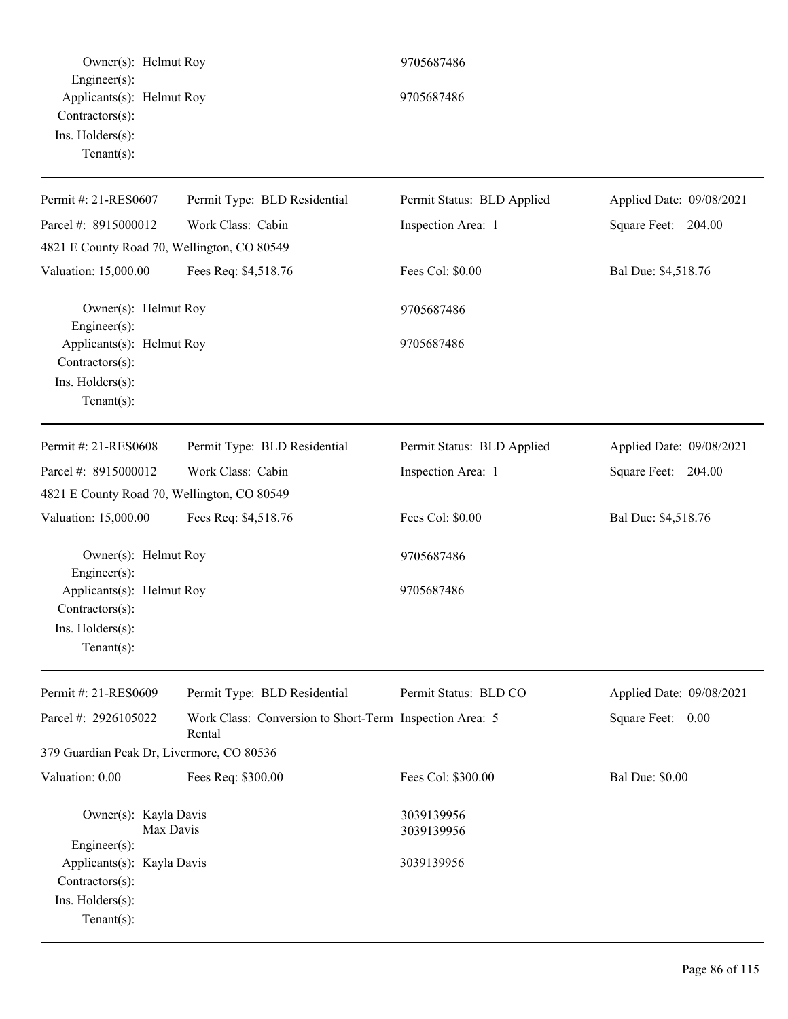Owner(s): Helmut Roy 9705687486 Engineer(s): Applicants(s): Helmut Roy 9705687486 Contractors(s): Ins. Holders(s): Tenant(s): Permit #: 21-RES0607 Parcel #: 8915000012 Permit Type: BLD Residential Work Class: Cabin Permit Status: BLD Applied Inspection Area: 1 Applied Date: 09/08/2021 Square Feet: 204.00 4821 E County Road 70, Wellington, CO 80549 Valuation: 15,000.00 Fees Req: \$4,518.76 Fees Col: \$0.00 Bal Due: \$4,518.76 Owner(s): Helmut Roy 9705687486 Engineer(s): Applicants(s): Helmut Roy 9705687486 Contractors(s): Ins. Holders(s): Tenant(s): Permit #: 21-RES0608 Parcel #: 8915000012 Permit Type: BLD Residential Work Class: Cabin Permit Status: BLD Applied Inspection Area: 1 Applied Date: 09/08/2021 Square Feet: 204.00 4821 E County Road 70, Wellington, CO 80549 Valuation: 15,000.00 Fees Req: \$4,518.76 Fees Col: \$0.00 Bal Due: \$4,518.76 Owner(s): Helmut Roy 9705687486 Engineer(s): Applicants(s): Helmut Roy 9705687486 Contractors(s): Ins. Holders(s): Tenant(s): Permit #: 21-RES0609 Parcel #: 2926105022 Permit Type: BLD Residential Work Class: Conversion to Short-Term Inspection Area: 5 Rental Permit Status: BLD CO Applied Date: 09/08/2021 Square Feet: 0.00 379 Guardian Peak Dr, Livermore, CO 80536 Valuation: 0.00 Fees Req: \$300.00 Fees Col: \$300.00 Bal Due: \$0.00 Owner(s): Kayla Davis 3039139956<br>Max Davis 3039139956 3039139956 Engineer(s): Applicants(s): Kayla Davis 3039139956 Contractors(s): Ins. Holders(s): Tenant(s):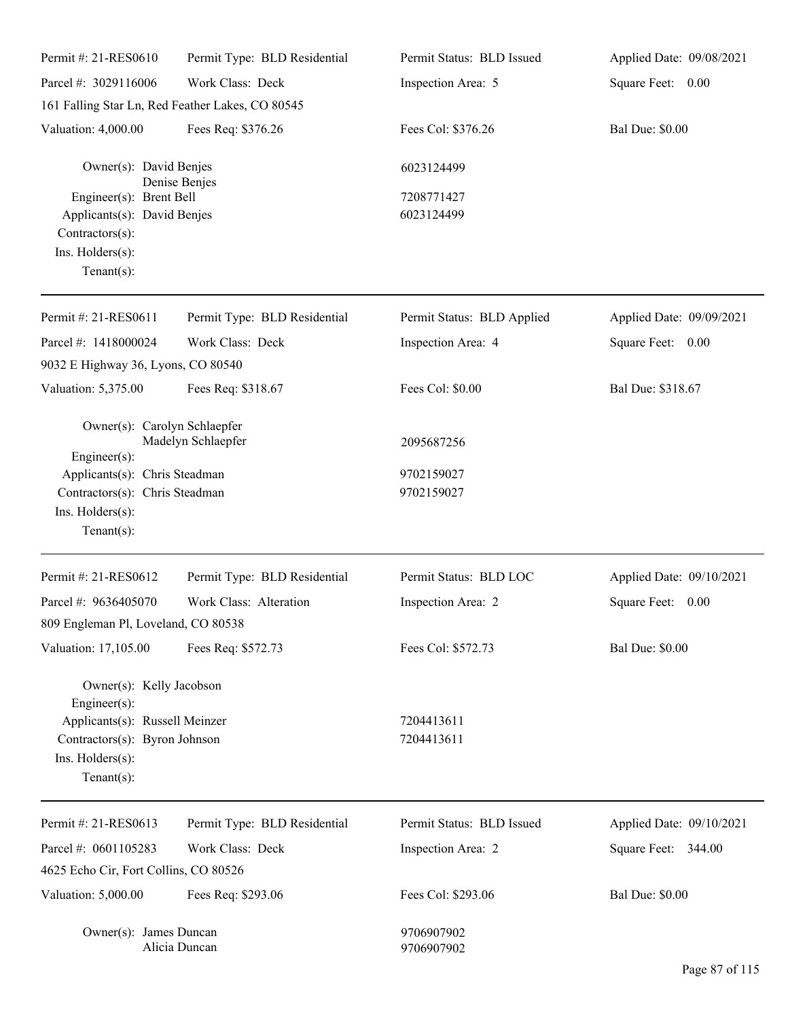| Permit #: 21-RES0610                                            | Permit Type: BLD Residential | Permit Status: BLD Issued  | Applied Date: 09/08/2021 |
|-----------------------------------------------------------------|------------------------------|----------------------------|--------------------------|
| Parcel #: 3029116006                                            | Work Class: Deck             | Inspection Area: 5         | Square Feet: 0.00        |
| 161 Falling Star Ln, Red Feather Lakes, CO 80545                |                              |                            |                          |
| Valuation: 4,000.00                                             | Fees Req: \$376.26           | Fees Col: \$376.26         | <b>Bal Due: \$0.00</b>   |
| Owner(s): David Benjes                                          |                              | 6023124499                 |                          |
| Denise Benjes<br>Engineer(s): Brent Bell                        |                              | 7208771427                 |                          |
| Applicants(s): David Benjes                                     |                              | 6023124499                 |                          |
| Contractors(s):                                                 |                              |                            |                          |
| Ins. Holders(s):                                                |                              |                            |                          |
| Tenant $(s)$ :                                                  |                              |                            |                          |
| Permit #: 21-RES0611                                            | Permit Type: BLD Residential | Permit Status: BLD Applied | Applied Date: 09/09/2021 |
| Parcel #: 1418000024                                            | Work Class: Deck             | Inspection Area: 4         | Square Feet: 0.00        |
| 9032 E Highway 36, Lyons, CO 80540                              |                              |                            |                          |
| Valuation: 5,375.00                                             | Fees Req: \$318.67           | Fees Col: \$0.00           | Bal Due: \$318.67        |
| Owner(s): Carolyn Schlaepfer                                    | Madelyn Schlaepfer           |                            |                          |
| $Engineering(s)$ :                                              |                              | 2095687256                 |                          |
| Applicants(s): Chris Steadman                                   |                              | 9702159027                 |                          |
| Contractors(s): Chris Steadman                                  |                              | 9702159027                 |                          |
| Ins. Holders(s):                                                |                              |                            |                          |
| Tenant $(s)$ :                                                  |                              |                            |                          |
| Permit #: 21-RES0612                                            | Permit Type: BLD Residential | Permit Status: BLD LOC     | Applied Date: 09/10/2021 |
| Parcel #: 9636405070                                            | Work Class: Alteration       | Inspection Area: 2         | Square Feet:<br>0.00     |
| 809 Engleman Pl, Loveland, CO 80538                             |                              |                            |                          |
| Valuation: 17,105.00                                            | Fees Req: \$572.73           | Fees Col: \$572.73         | <b>Bal Due: \$0.00</b>   |
| Owner(s): Kelly Jacobson                                        |                              |                            |                          |
| Engineer(s):                                                    |                              | 7204413611                 |                          |
| Applicants(s): Russell Meinzer<br>Contractors(s): Byron Johnson |                              | 7204413611                 |                          |
| Ins. Holders(s):                                                |                              |                            |                          |
| Tenant $(s)$ :                                                  |                              |                            |                          |
|                                                                 |                              |                            |                          |
| Permit #: 21-RES0613                                            | Permit Type: BLD Residential | Permit Status: BLD Issued  | Applied Date: 09/10/2021 |
| Parcel #: 0601105283                                            | Work Class: Deck             | Inspection Area: 2         | Square Feet: 344.00      |
| 4625 Echo Cir, Fort Collins, CO 80526                           |                              |                            |                          |
| Valuation: 5,000.00                                             | Fees Req: \$293.06           | Fees Col: \$293.06         | <b>Bal Due: \$0.00</b>   |
| Owner(s): James Duncan                                          | Alicia Duncan                | 9706907902<br>9706907902   |                          |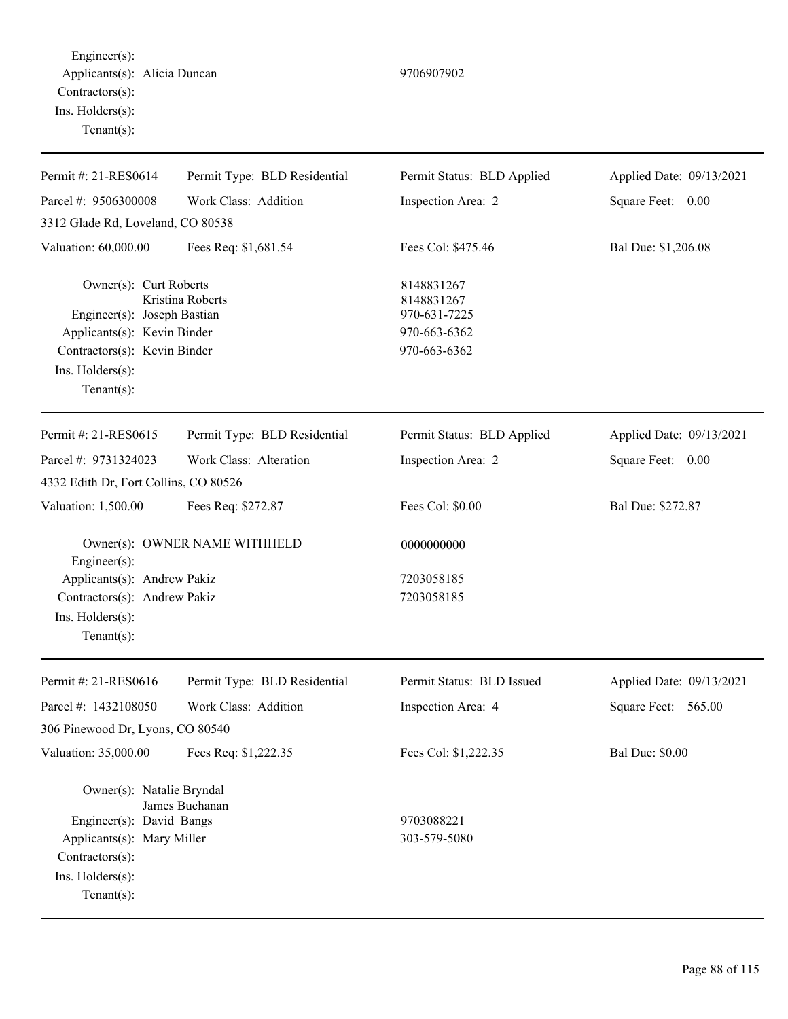Engineer(s): Applicants(s): Alicia Duncan 9706907902 Contractors(s): Ins. Holders(s): Tenant(s):

| Permit #: 21-RES0614                                                                | Permit Type: BLD Residential  | Permit Status: BLD Applied               | Applied Date: 09/13/2021 |
|-------------------------------------------------------------------------------------|-------------------------------|------------------------------------------|--------------------------|
| Parcel #: 9506300008                                                                | Work Class: Addition          | Inspection Area: 2                       | Square Feet: 0.00        |
| 3312 Glade Rd, Loveland, CO 80538                                                   |                               |                                          |                          |
| Valuation: 60,000.00                                                                | Fees Req: \$1,681.54          | Fees Col: \$475.46                       | Bal Due: \$1,206.08      |
| Owner(s): Curt Roberts<br>Engineer(s): Joseph Bastian                               | Kristina Roberts              | 8148831267<br>8148831267<br>970-631-7225 |                          |
| Applicants(s): Kevin Binder                                                         |                               | 970-663-6362                             |                          |
| Contractors(s): Kevin Binder                                                        |                               | 970-663-6362                             |                          |
| Ins. Holders(s):                                                                    |                               |                                          |                          |
| Tenant $(s)$ :                                                                      |                               |                                          |                          |
| Permit #: 21-RES0615                                                                | Permit Type: BLD Residential  | Permit Status: BLD Applied               | Applied Date: 09/13/2021 |
| Parcel #: 9731324023                                                                | Work Class: Alteration        | Inspection Area: 2                       | Square Feet: 0.00        |
| 4332 Edith Dr, Fort Collins, CO 80526                                               |                               |                                          |                          |
| Valuation: 1,500.00                                                                 | Fees Req: \$272.87            | Fees Col: \$0.00                         | Bal Due: \$272.87        |
| Engineer(s):                                                                        | Owner(s): OWNER NAME WITHHELD | 0000000000                               |                          |
| Applicants(s): Andrew Pakiz                                                         |                               | 7203058185                               |                          |
| Contractors(s): Andrew Pakiz                                                        |                               | 7203058185                               |                          |
| Ins. Holders(s):                                                                    |                               |                                          |                          |
| $Tenant(s)$ :                                                                       |                               |                                          |                          |
| Permit #: 21-RES0616                                                                | Permit Type: BLD Residential  | Permit Status: BLD Issued                | Applied Date: 09/13/2021 |
| Parcel #: 1432108050                                                                | Work Class: Addition          | Inspection Area: 4                       | Square Feet:<br>565.00   |
| 306 Pinewood Dr, Lyons, CO 80540                                                    |                               |                                          |                          |
| Valuation: 35,000.00                                                                | Fees Req: \$1,222.35          | Fees Col: \$1,222.35                     | <b>Bal Due: \$0.00</b>   |
| Owner(s): Natalie Bryndal<br>Engineer(s): David Bangs<br>Applicants(s): Mary Miller | James Buchanan                | 9703088221<br>303-579-5080               |                          |
| Contractors(s):<br>Ins. Holders(s):<br>Tenant $(s)$ :                               |                               |                                          |                          |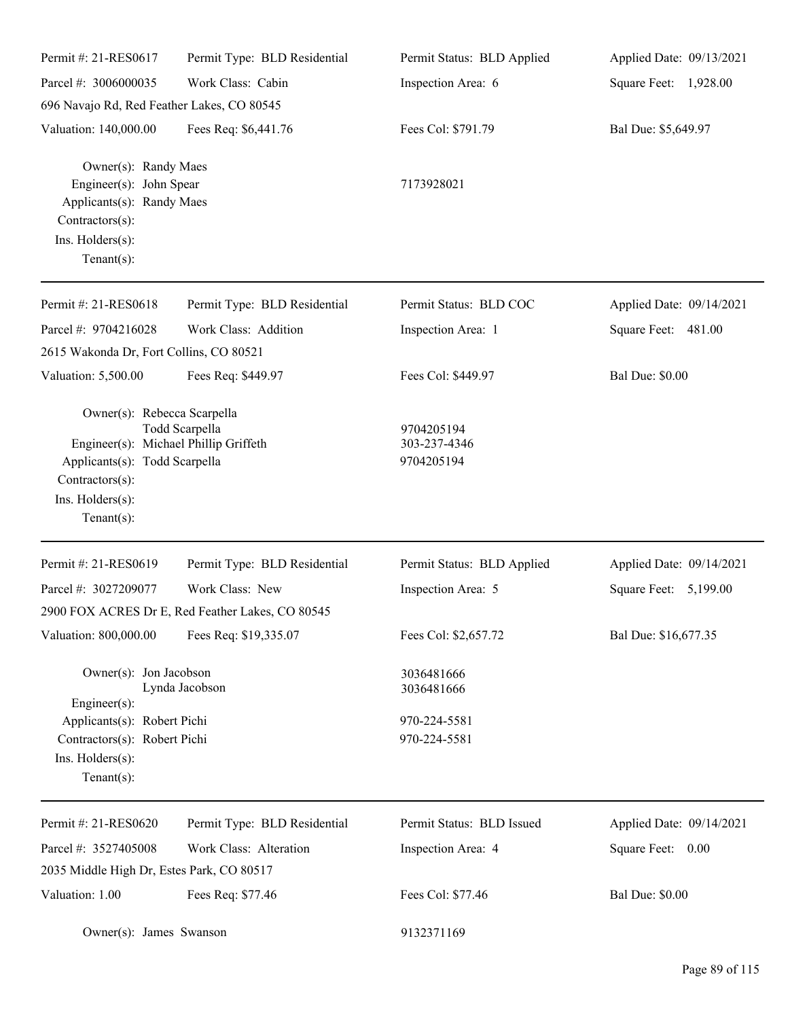| Permit #: 21-RES0617                                                                                                                                          | Permit Type: BLD Residential                     | Permit Status: BLD Applied               | Applied Date: 09/13/2021 |
|---------------------------------------------------------------------------------------------------------------------------------------------------------------|--------------------------------------------------|------------------------------------------|--------------------------|
| Parcel #: 3006000035                                                                                                                                          | Work Class: Cabin                                | Inspection Area: 6                       | Square Feet: 1,928.00    |
| 696 Navajo Rd, Red Feather Lakes, CO 80545                                                                                                                    |                                                  |                                          |                          |
| Valuation: 140,000.00                                                                                                                                         | Fees Req: \$6,441.76                             | Fees Col: \$791.79                       | Bal Due: \$5,649.97      |
| Owner(s): Randy Maes<br>Engineer(s): John Spear<br>Applicants(s): Randy Maes<br>Contractors(s):<br>Ins. Holders(s):<br>$Tenant(s)$ :                          |                                                  | 7173928021                               |                          |
| Permit #: 21-RES0618                                                                                                                                          | Permit Type: BLD Residential                     | Permit Status: BLD COC                   | Applied Date: 09/14/2021 |
| Parcel #: 9704216028                                                                                                                                          | Work Class: Addition                             | Inspection Area: 1                       | Square Feet: 481.00      |
| 2615 Wakonda Dr, Fort Collins, CO 80521                                                                                                                       |                                                  |                                          |                          |
| Valuation: 5,500.00                                                                                                                                           | Fees Req: \$449.97                               | Fees Col: \$449.97                       | <b>Bal Due: \$0.00</b>   |
| Owner(s): Rebecca Scarpella<br>Engineer(s): Michael Phillip Griffeth<br>Applicants(s): Todd Scarpella<br>Contractors(s):<br>Ins. Holders(s):<br>$Tenant(s)$ : | Todd Scarpella                                   | 9704205194<br>303-237-4346<br>9704205194 |                          |
| Permit #: 21-RES0619                                                                                                                                          | Permit Type: BLD Residential                     | Permit Status: BLD Applied               | Applied Date: 09/14/2021 |
| Parcel #: 3027209077                                                                                                                                          | Work Class: New                                  | Inspection Area: 5                       | Square Feet: 5,199.00    |
|                                                                                                                                                               | 2900 FOX ACRES Dr E, Red Feather Lakes, CO 80545 |                                          |                          |
| Valuation: 800,000.00                                                                                                                                         | Fees Req: \$19,335.07                            | Fees Col: \$2,657.72                     | Bal Due: \$16,677.35     |
| Owner(s): Jon Jacobson<br>$Engineering(s)$ :                                                                                                                  | Lynda Jacobson                                   | 3036481666<br>3036481666                 |                          |
| Applicants(s): Robert Pichi<br>Contractors(s): Robert Pichi<br>Ins. Holders(s):<br>$Tenant(s)$ :                                                              |                                                  | 970-224-5581<br>970-224-5581             |                          |
| Permit #: 21-RES0620                                                                                                                                          | Permit Type: BLD Residential                     | Permit Status: BLD Issued                | Applied Date: 09/14/2021 |
| Parcel #: 3527405008                                                                                                                                          | Work Class: Alteration                           | Inspection Area: 4                       | Square Feet: 0.00        |
| 2035 Middle High Dr, Estes Park, CO 80517                                                                                                                     |                                                  |                                          |                          |
| Valuation: 1.00                                                                                                                                               | Fees Req: \$77.46                                | Fees Col: \$77.46                        | <b>Bal Due: \$0.00</b>   |
| Owner(s): James Swanson                                                                                                                                       |                                                  | 9132371169                               |                          |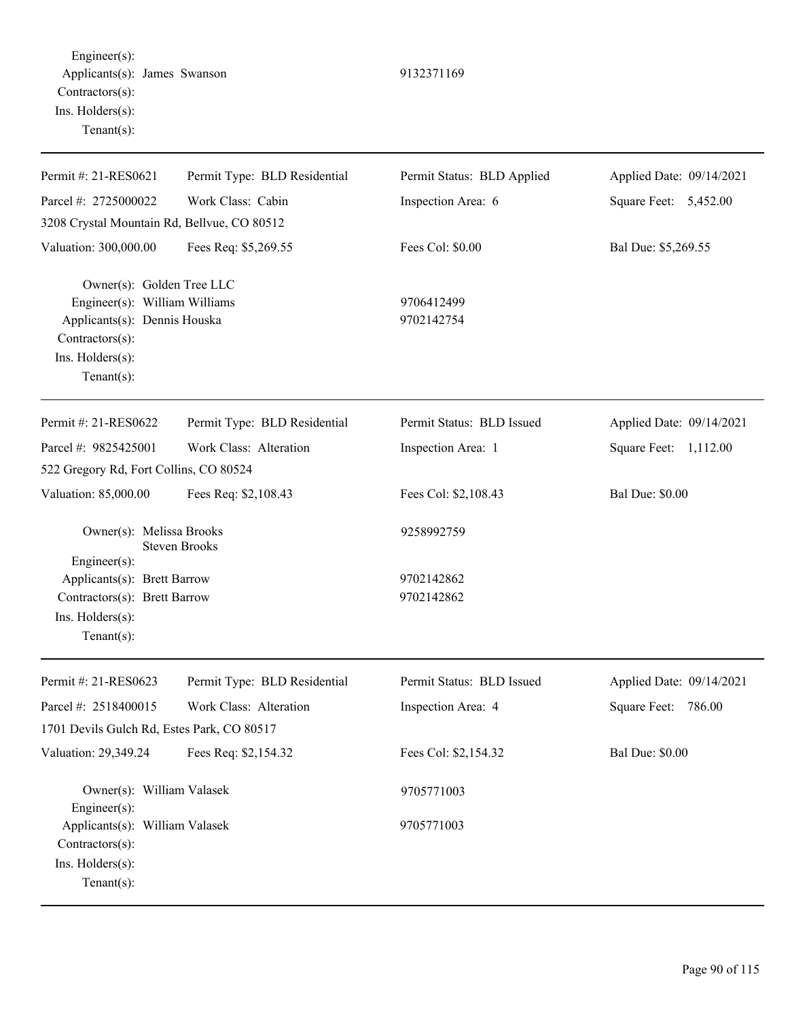Engineer(s): Applicants(s): James Swanson 9132371169 Contractors(s): Ins. Holders(s): Tenant(s):

| Permit #: 21-RES0621                                                                                                                               | Permit Type: BLD Residential | Permit Status: BLD Applied | Applied Date: 09/14/2021 |
|----------------------------------------------------------------------------------------------------------------------------------------------------|------------------------------|----------------------------|--------------------------|
| Parcel #: 2725000022                                                                                                                               | Work Class: Cabin            | Inspection Area: 6         | Square Feet: 5,452.00    |
| 3208 Crystal Mountain Rd, Bellvue, CO 80512                                                                                                        |                              |                            |                          |
| Valuation: 300,000.00                                                                                                                              | Fees Req: \$5,269.55         | Fees Col: \$0.00           | Bal Due: \$5,269.55      |
| Owner(s): Golden Tree LLC<br>Engineer(s): William Williams<br>Applicants(s): Dennis Houska<br>Contractors(s):<br>Ins. Holders(s):<br>$Tenant(s)$ : |                              | 9706412499<br>9702142754   |                          |
| Permit #: 21-RES0622                                                                                                                               | Permit Type: BLD Residential | Permit Status: BLD Issued  | Applied Date: 09/14/2021 |
| Parcel #: 9825425001                                                                                                                               | Work Class: Alteration       | Inspection Area: 1         | Square Feet: 1,112.00    |
| 522 Gregory Rd, Fort Collins, CO 80524                                                                                                             |                              |                            |                          |
| Valuation: 85,000.00                                                                                                                               | Fees Req: \$2,108.43         | Fees Col: \$2,108.43       | <b>Bal Due: \$0.00</b>   |
| Owner(s): Melissa Brooks<br>Engineer(s):                                                                                                           | <b>Steven Brooks</b>         | 9258992759                 |                          |
| Applicants(s): Brett Barrow                                                                                                                        |                              | 9702142862                 |                          |
| Contractors(s): Brett Barrow                                                                                                                       |                              | 9702142862                 |                          |
| Ins. Holders(s):<br>$Tenant(s)$ :                                                                                                                  |                              |                            |                          |
| Permit #: 21-RES0623                                                                                                                               | Permit Type: BLD Residential | Permit Status: BLD Issued  | Applied Date: 09/14/2021 |
| Parcel #: 2518400015                                                                                                                               | Work Class: Alteration       | Inspection Area: 4         | 786.00<br>Square Feet:   |
| 1701 Devils Gulch Rd. Estes Park, CO 80517                                                                                                         |                              |                            |                          |
| Valuation: 29,349.24                                                                                                                               | Fees Req: \$2,154.32         | Fees Col: \$2,154.32       | <b>Bal Due: \$0.00</b>   |
| Owner(s): William Valasek<br>Engineer(s):                                                                                                          |                              | 9705771003                 |                          |
| Applicants(s): William Valasek<br>Contractors(s):<br>Ins. Holders(s):<br>Tenant $(s)$ :                                                            |                              | 9705771003                 |                          |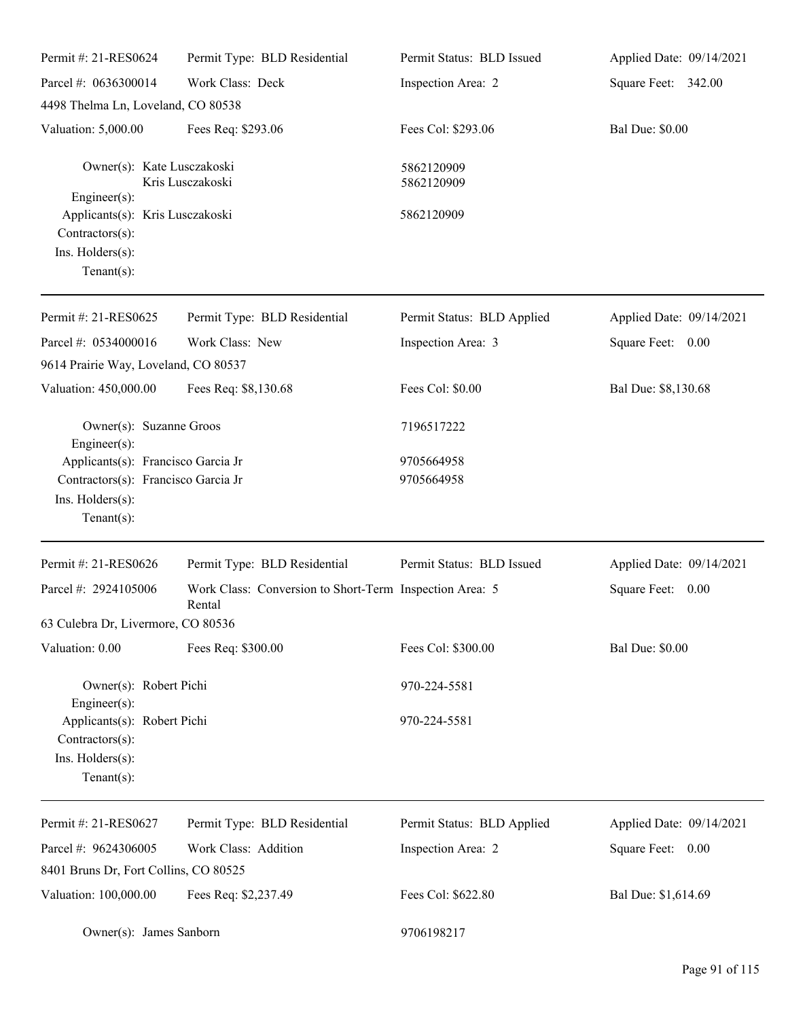| Permit #: 21-RES0624                                                                                     | Permit Type: BLD Residential                                      | Permit Status: BLD Issued  | Applied Date: 09/14/2021 |
|----------------------------------------------------------------------------------------------------------|-------------------------------------------------------------------|----------------------------|--------------------------|
| Parcel #: 0636300014                                                                                     | Work Class: Deck                                                  | Inspection Area: 2         | Square Feet: 342.00      |
| 4498 Thelma Ln, Loveland, CO 80538                                                                       |                                                                   |                            |                          |
| Valuation: 5,000.00                                                                                      | Fees Req: \$293.06                                                | Fees Col: \$293.06         | <b>Bal Due: \$0.00</b>   |
| Owner(s): Kate Lusczakoski                                                                               | Kris Lusczakoski                                                  | 5862120909<br>5862120909   |                          |
| Engineer(s):<br>Applicants(s): Kris Lusczakoski<br>Contractors(s):<br>Ins. Holders(s):<br>Tenant $(s)$ : |                                                                   | 5862120909                 |                          |
| Permit #: 21-RES0625                                                                                     | Permit Type: BLD Residential                                      | Permit Status: BLD Applied | Applied Date: 09/14/2021 |
| Parcel #: 0534000016                                                                                     | Work Class: New                                                   | Inspection Area: 3         | Square Feet: 0.00        |
| 9614 Prairie Way, Loveland, CO 80537                                                                     |                                                                   |                            |                          |
| Valuation: 450,000.00                                                                                    | Fees Req: \$8,130.68                                              | Fees Col: \$0.00           | Bal Due: \$8,130.68      |
| Owner(s): Suzanne Groos<br>Engineer(s):                                                                  |                                                                   | 7196517222                 |                          |
| Applicants(s): Francisco Garcia Jr                                                                       |                                                                   | 9705664958                 |                          |
| Contractors(s): Francisco Garcia Jr<br>Ins. Holders(s):<br>Tenant $(s)$ :                                |                                                                   | 9705664958                 |                          |
| Permit #: 21-RES0626                                                                                     | Permit Type: BLD Residential                                      | Permit Status: BLD Issued  | Applied Date: 09/14/2021 |
| Parcel #: 2924105006                                                                                     | Work Class: Conversion to Short-Term Inspection Area: 5<br>Rental |                            | Square Feet:<br>$0.00\,$ |
| 63 Culebra Dr, Livermore, CO 80536                                                                       |                                                                   |                            |                          |
| Valuation: 0.00                                                                                          | Fees Req: \$300.00                                                | Fees Col: \$300.00         | <b>Bal Due: \$0.00</b>   |
| Owner(s): Robert Pichi<br>Engineer(s):                                                                   |                                                                   | 970-224-5581               |                          |
| Applicants(s): Robert Pichi<br>Contractors(s):<br>Ins. Holders(s):<br>Tenant $(s)$ :                     |                                                                   | 970-224-5581               |                          |
| Permit #: 21-RES0627                                                                                     | Permit Type: BLD Residential                                      | Permit Status: BLD Applied | Applied Date: 09/14/2021 |
| Parcel #: 9624306005                                                                                     | Work Class: Addition                                              | Inspection Area: 2         | Square Feet: 0.00        |
| 8401 Bruns Dr, Fort Collins, CO 80525                                                                    |                                                                   |                            |                          |
| Valuation: 100,000.00                                                                                    | Fees Req: \$2,237.49                                              | Fees Col: \$622.80         | Bal Due: \$1,614.69      |
| Owner(s): James Sanborn                                                                                  |                                                                   | 9706198217                 |                          |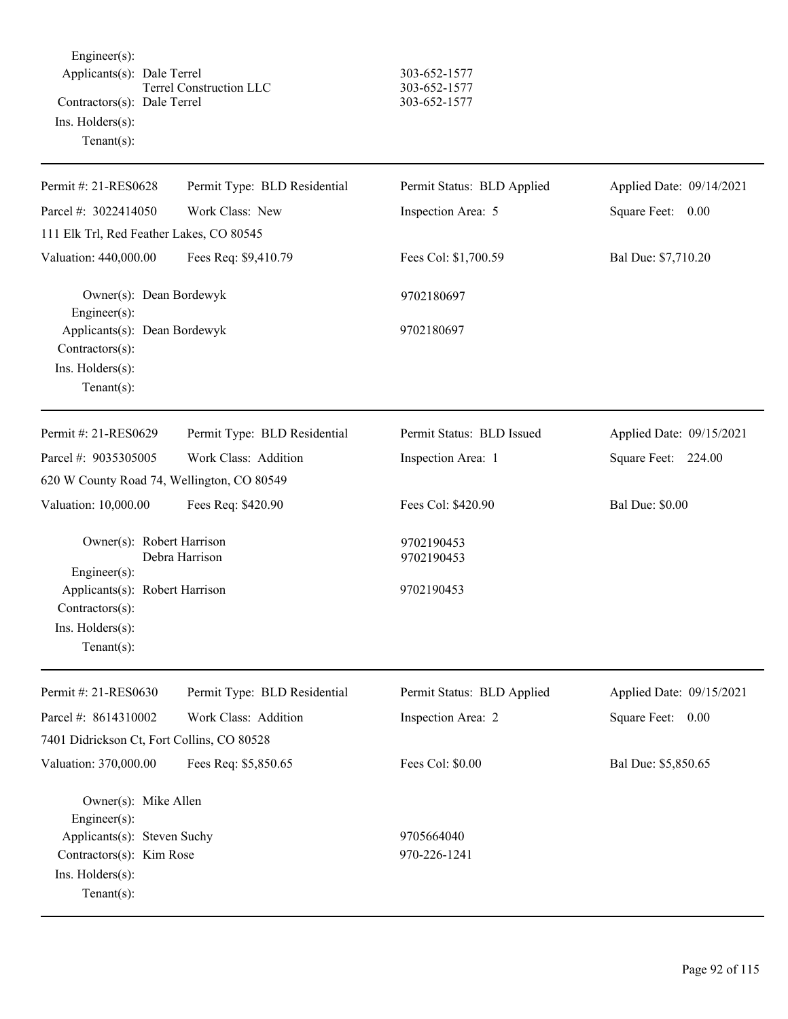Engineer(s): Applicants(s): Dale Terrel 303-652-1577 Terrel Construction LLC 303-652-1577 Contractors(s): Dale Terrel 303-652-1577 Ins. Holders(s): Tenant(s):

| Permit #: 21-RES0628                                                                    | Permit Type: BLD Residential | Permit Status: BLD Applied | Applied Date: 09/14/2021 |
|-----------------------------------------------------------------------------------------|------------------------------|----------------------------|--------------------------|
| Parcel #: 3022414050                                                                    | Work Class: New              | Inspection Area: 5         | Square Feet: 0.00        |
| 111 Elk Trl, Red Feather Lakes, CO 80545                                                |                              |                            |                          |
| Valuation: 440,000.00                                                                   | Fees Req: \$9,410.79         | Fees Col: \$1,700.59       | Bal Due: \$7,710.20      |
| Owner(s): Dean Bordewyk<br>Engineer(s):                                                 |                              | 9702180697                 |                          |
| Applicants(s): Dean Bordewyk<br>Contractors(s):<br>Ins. Holders(s):<br>Tenant $(s)$ :   |                              | 9702180697                 |                          |
| Permit #: 21-RES0629                                                                    | Permit Type: BLD Residential | Permit Status: BLD Issued  | Applied Date: 09/15/2021 |
| Parcel #: 9035305005                                                                    | Work Class: Addition         | Inspection Area: 1         | Square Feet: 224.00      |
| 620 W County Road 74, Wellington, CO 80549                                              |                              |                            |                          |
| Valuation: 10,000.00                                                                    | Fees Req: \$420.90           | Fees Col: \$420.90         | <b>Bal Due: \$0.00</b>   |
| Owner(s): Robert Harrison<br>Engineer(s):                                               | Debra Harrison               | 9702190453<br>9702190453   |                          |
| Applicants(s): Robert Harrison<br>Contractors(s):<br>Ins. Holders(s):<br>Tenant $(s)$ : |                              | 9702190453                 |                          |
| Permit #: 21-RES0630                                                                    | Permit Type: BLD Residential | Permit Status: BLD Applied | Applied Date: 09/15/2021 |
| Parcel #: 8614310002                                                                    | Work Class: Addition         | Inspection Area: 2         | Square Feet:<br>0.00     |
| 7401 Didrickson Ct, Fort Collins, CO 80528                                              |                              |                            |                          |
| Valuation: 370,000.00                                                                   | Fees Req: \$5,850.65         | Fees Col: \$0.00           | Bal Due: \$5,850.65      |
| Owner(s): Mike Allen<br>Engineer(s):                                                    |                              |                            |                          |
| Applicants(s): Steven Suchy                                                             |                              | 9705664040                 |                          |
| Contractors(s): Kim Rose<br>Ins. Holders(s):<br>Tenant(s):                              |                              | 970-226-1241               |                          |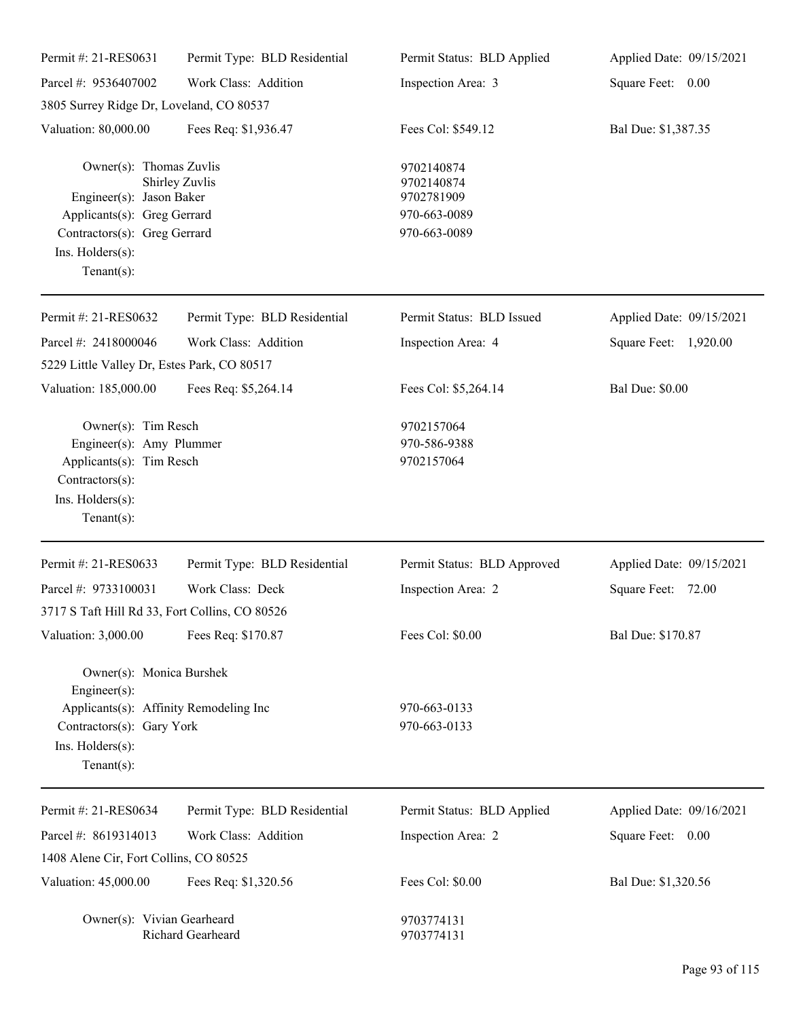| Permit #: 21-RES0631                                                                                                                                            | Permit Type: BLD Residential | Permit Status: BLD Applied                                             | Applied Date: 09/15/2021 |
|-----------------------------------------------------------------------------------------------------------------------------------------------------------------|------------------------------|------------------------------------------------------------------------|--------------------------|
| Parcel #: 9536407002                                                                                                                                            | Work Class: Addition         | Inspection Area: 3                                                     | Square Feet: 0.00        |
| 3805 Surrey Ridge Dr, Loveland, CO 80537                                                                                                                        |                              |                                                                        |                          |
| Valuation: 80,000.00                                                                                                                                            | Fees Req: \$1,936.47         | Fees Col: \$549.12                                                     | Bal Due: \$1,387.35      |
| Owner(s): Thomas Zuvlis<br>Engineer(s): Jason Baker<br>Applicants(s): Greg Gerrard<br>Contractors(s): Greg Gerrard<br>Ins. $H$ olders $(s)$ :<br>Tenant $(s)$ : | Shirley Zuvlis               | 9702140874<br>9702140874<br>9702781909<br>970-663-0089<br>970-663-0089 |                          |
| Permit #: 21-RES0632                                                                                                                                            | Permit Type: BLD Residential | Permit Status: BLD Issued                                              | Applied Date: 09/15/2021 |
| Parcel #: 2418000046                                                                                                                                            | Work Class: Addition         | Inspection Area: 4                                                     | Square Feet: 1,920.00    |
| 5229 Little Valley Dr, Estes Park, CO 80517                                                                                                                     |                              |                                                                        |                          |
| Valuation: 185,000.00                                                                                                                                           | Fees Req: \$5,264.14         | Fees Col: \$5,264.14                                                   | <b>Bal Due: \$0.00</b>   |
| Owner(s): Tim Resch<br>Engineer(s): Amy Plummer<br>Applicants(s): Tim Resch<br>Contractors(s):<br>Ins. Holders(s):<br>Tenant $(s)$ :                            |                              | 9702157064<br>970-586-9388<br>9702157064                               |                          |
| Permit #: 21-RES0633                                                                                                                                            | Permit Type: BLD Residential | Permit Status: BLD Approved                                            | Applied Date: 09/15/2021 |
| Parcel #: 9733100031<br>3717 S Taft Hill Rd 33, Fort Collins, CO 80526                                                                                          | Work Class: Deck             | Inspection Area: 2                                                     | Square Feet: 72.00       |
| Valuation: 3,000.00                                                                                                                                             | Fees Req: \$170.87           | Fees Col: \$0.00                                                       | Bal Due: \$170.87        |
| Owner(s): Monica Burshek<br>Engineer(s):<br>Applicants(s): Affinity Remodeling Inc<br>Contractors(s): Gary York<br>Ins. Holders(s):<br>$Tenant(s)$ :            |                              | 970-663-0133<br>970-663-0133                                           |                          |
| Permit #: 21-RES0634                                                                                                                                            | Permit Type: BLD Residential | Permit Status: BLD Applied                                             | Applied Date: 09/16/2021 |
| Parcel #: 8619314013                                                                                                                                            | Work Class: Addition         | Inspection Area: 2                                                     | Square Feet: 0.00        |
| 1408 Alene Cir, Fort Collins, CO 80525                                                                                                                          |                              |                                                                        |                          |
| Valuation: 45,000.00                                                                                                                                            | Fees Req: \$1,320.56         | Fees Col: \$0.00                                                       | Bal Due: \$1,320.56      |
| Owner(s): Vivian Gearheard                                                                                                                                      | Richard Gearheard            | 9703774131<br>9703774131                                               |                          |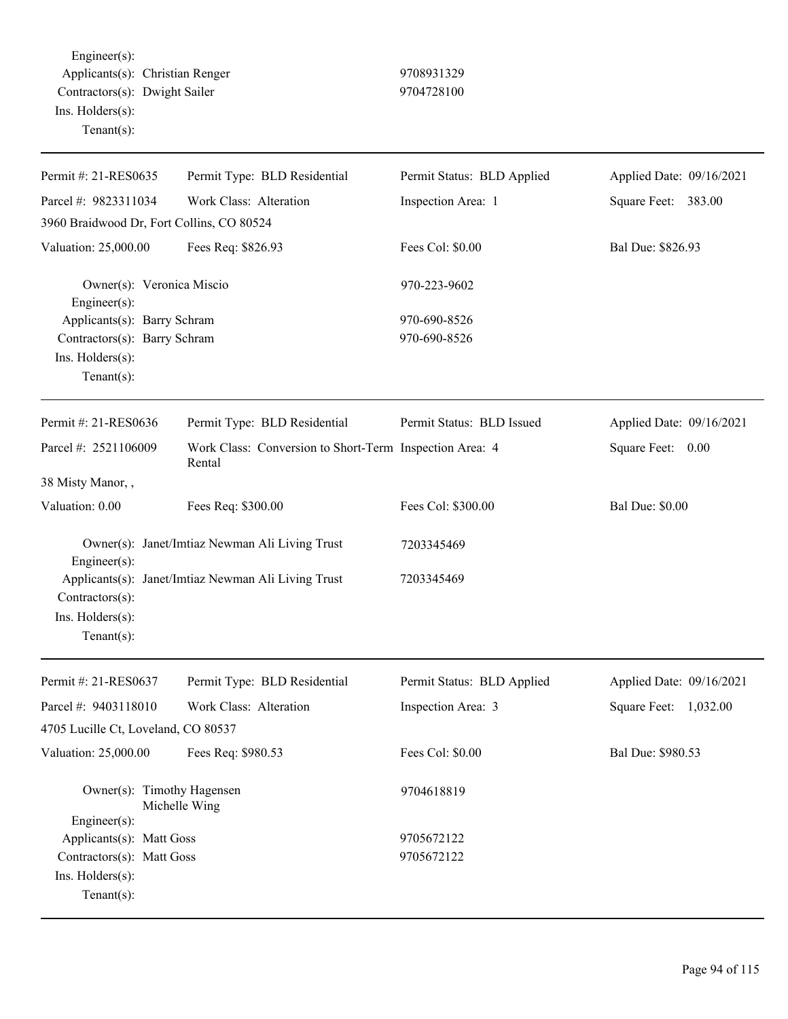Engineer(s): Applicants(s): Christian Renger 9708931329 Contractors(s): Dwight Sailer 9704728100 Ins. Holders(s): Tenant(s):

| Permit #: 21-RES0635                                            | Permit Type: BLD Residential                                      | Permit Status: BLD Applied | Applied Date: 09/16/2021 |
|-----------------------------------------------------------------|-------------------------------------------------------------------|----------------------------|--------------------------|
| Parcel #: 9823311034                                            | Work Class: Alteration                                            | Inspection Area: 1         | Square Feet: 383.00      |
| 3960 Braidwood Dr, Fort Collins, CO 80524                       |                                                                   |                            |                          |
| Valuation: 25,000.00                                            | Fees Req: \$826.93                                                | Fees Col: \$0.00           | Bal Due: \$826.93        |
| Owner(s): Veronica Miscio<br>Engineer(s):                       |                                                                   | 970-223-9602               |                          |
| Applicants(s): Barry Schram                                     |                                                                   | 970-690-8526               |                          |
| Contractors(s): Barry Schram                                    |                                                                   | 970-690-8526               |                          |
| Ins. Holders(s):<br>$Tenant(s)$ :                               |                                                                   |                            |                          |
| Permit #: 21-RES0636                                            | Permit Type: BLD Residential                                      | Permit Status: BLD Issued  | Applied Date: 09/16/2021 |
| Parcel #: 2521106009                                            | Work Class: Conversion to Short-Term Inspection Area: 4<br>Rental |                            | Square Feet: 0.00        |
| 38 Misty Manor,,                                                |                                                                   |                            |                          |
| Valuation: 0.00                                                 | Fees Req: \$300.00                                                | Fees Col: \$300.00         | <b>Bal Due: \$0.00</b>   |
| Engineer(s):                                                    | Owner(s): Janet/Imtiaz Newman Ali Living Trust                    | 7203345469                 |                          |
| Contractors(s):<br>Ins. Holders(s):<br>$Tenant(s)$ :            | Applicants(s): Janet/Imtiaz Newman Ali Living Trust               | 7203345469                 |                          |
| Permit #: 21-RES0637                                            | Permit Type: BLD Residential                                      | Permit Status: BLD Applied | Applied Date: 09/16/2021 |
| Parcel #: 9403118010                                            | Work Class: Alteration                                            | Inspection Area: 3         | Square Feet:<br>1,032.00 |
| 4705 Lucille Ct, Loveland, CO 80537                             |                                                                   |                            |                          |
| Valuation: 25,000.00                                            | Fees Req: \$980.53                                                | Fees Col: \$0.00           | Bal Due: \$980.53        |
| Owner(s): Timothy Hagensen<br>Michelle Wing<br>Engineer(s):     |                                                                   | 9704618819                 |                          |
| Applicants(s): Matt Goss                                        |                                                                   | 9705672122                 |                          |
| Contractors(s): Matt Goss<br>Ins. Holders(s):<br>Tenant $(s)$ : |                                                                   | 9705672122                 |                          |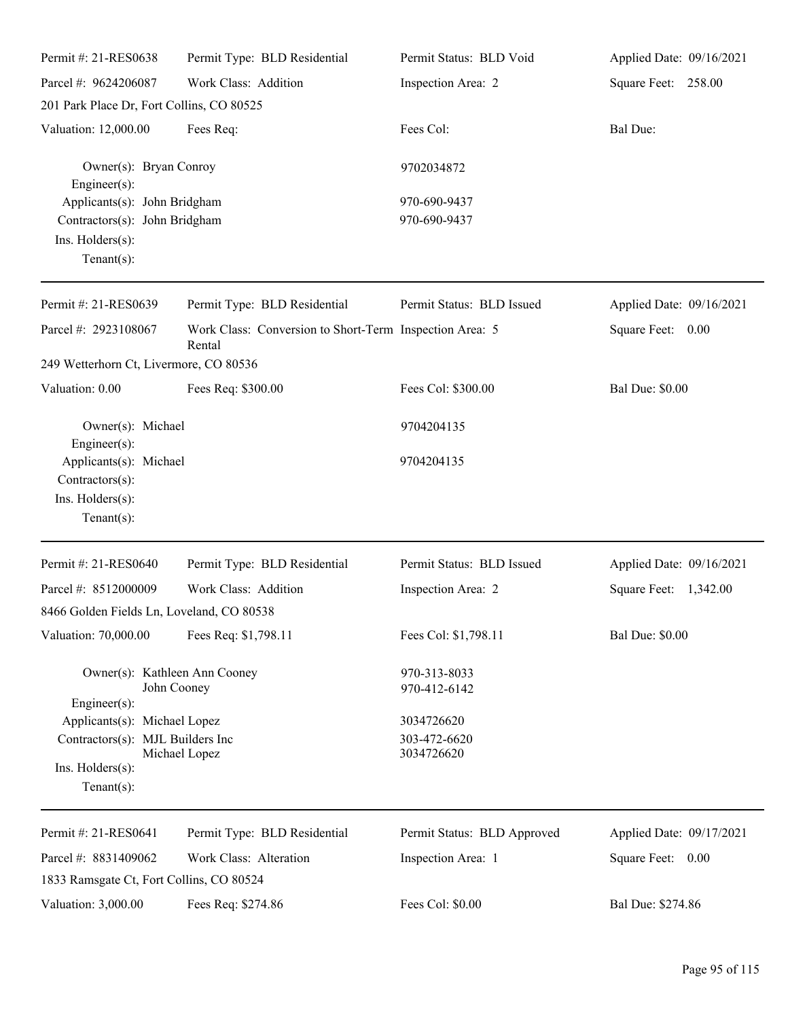| Permit #: 21-RES0638                         | Permit Type: BLD Residential                                      | Permit Status: BLD Void     | Applied Date: 09/16/2021 |
|----------------------------------------------|-------------------------------------------------------------------|-----------------------------|--------------------------|
| Parcel #: 9624206087                         | Work Class: Addition                                              | Inspection Area: 2          | Square Feet: 258.00      |
| 201 Park Place Dr, Fort Collins, CO 80525    |                                                                   |                             |                          |
| Valuation: 12,000.00                         | Fees Req:                                                         | Fees Col:                   | Bal Due:                 |
| Owner(s): Bryan Conroy<br>$Engineering(s)$ : |                                                                   | 9702034872                  |                          |
| Applicants(s): John Bridgham                 |                                                                   | 970-690-9437                |                          |
| Contractors(s): John Bridgham                |                                                                   | 970-690-9437                |                          |
| Ins. $H$ olders $(s)$ :<br>Tenant $(s)$ :    |                                                                   |                             |                          |
| Permit #: 21-RES0639                         | Permit Type: BLD Residential                                      | Permit Status: BLD Issued   | Applied Date: 09/16/2021 |
| Parcel #: 2923108067                         | Work Class: Conversion to Short-Term Inspection Area: 5<br>Rental |                             | Square Feet: 0.00        |
| 249 Wetterhorn Ct, Livermore, CO 80536       |                                                                   |                             |                          |
| Valuation: 0.00                              | Fees Req: \$300.00                                                | Fees Col: \$300.00          | <b>Bal Due: \$0.00</b>   |
| Owner(s): Michael                            |                                                                   | 9704204135                  |                          |
| $Engineering(s)$ :<br>Applicants(s): Michael |                                                                   | 9704204135                  |                          |
| Contractors(s):                              |                                                                   |                             |                          |
| Ins. Holders(s):                             |                                                                   |                             |                          |
| Tenant $(s)$ :                               |                                                                   |                             |                          |
| Permit #: 21-RES0640                         | Permit Type: BLD Residential                                      | Permit Status: BLD Issued   | Applied Date: 09/16/2021 |
| Parcel #: 8512000009                         | Work Class: Addition                                              | Inspection Area: 2          | Square Feet: 1,342.00    |
| 8466 Golden Fields Ln, Loveland, CO 80538    |                                                                   |                             |                          |
| Valuation: 70,000.00                         | Fees Req: \$1,798.11                                              | Fees Col: \$1,798.11        | <b>Bal Due: \$0.00</b>   |
| Owner(s): Kathleen Ann Cooney                |                                                                   | 970-313-8033                |                          |
| $Engineering(s)$ :                           | John Cooney                                                       | 970-412-6142                |                          |
| Applicants(s): Michael Lopez                 |                                                                   | 3034726620                  |                          |
| Contractors(s): MJL Builders Inc             | Michael Lopez                                                     | 303-472-6620<br>3034726620  |                          |
| Ins. Holders(s):                             |                                                                   |                             |                          |
| Tenant $(s)$ :                               |                                                                   |                             |                          |
| Permit #: 21-RES0641                         | Permit Type: BLD Residential                                      | Permit Status: BLD Approved | Applied Date: 09/17/2021 |
| Parcel #: 8831409062                         | Work Class: Alteration                                            | Inspection Area: 1          | Square Feet: 0.00        |
| 1833 Ramsgate Ct, Fort Collins, CO 80524     |                                                                   |                             |                          |
| Valuation: 3,000.00                          | Fees Req: \$274.86                                                | Fees Col: \$0.00            | Bal Due: \$274.86        |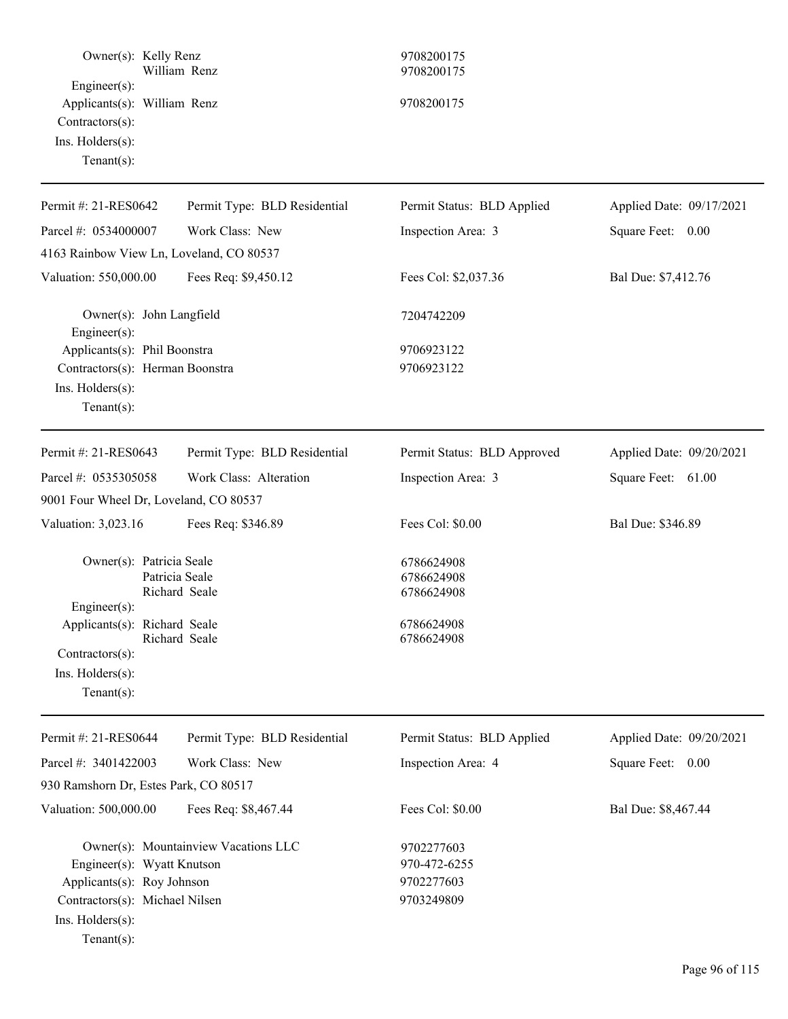| Owner(s): Kelly Renz                                                                                                            | William Renz                         | 9708200175<br>9708200175                               |                          |
|---------------------------------------------------------------------------------------------------------------------------------|--------------------------------------|--------------------------------------------------------|--------------------------|
| Engineer(s):<br>Applicants(s): William Renz<br>Contractors(s):<br>Ins. Holders(s):<br>$Tenant(s)$ :                             |                                      | 9708200175                                             |                          |
| Permit #: 21-RES0642                                                                                                            | Permit Type: BLD Residential         | Permit Status: BLD Applied                             | Applied Date: 09/17/2021 |
| Parcel #: 0534000007                                                                                                            | Work Class: New                      | Inspection Area: 3                                     | Square Feet: 0.00        |
| 4163 Rainbow View Ln, Loveland, CO 80537                                                                                        |                                      |                                                        |                          |
| Valuation: 550,000.00                                                                                                           | Fees Req: \$9,450.12                 | Fees Col: \$2,037.36                                   | Bal Due: \$7,412.76      |
| Owner(s): John Langfield<br>Engineer $(s)$ :                                                                                    |                                      | 7204742209                                             |                          |
| Applicants(s): Phil Boonstra<br>Contractors(s): Herman Boonstra<br>Ins. Holders(s):<br>$Tenant(s)$ :                            |                                      | 9706923122<br>9706923122                               |                          |
| Permit #: 21-RES0643                                                                                                            | Permit Type: BLD Residential         | Permit Status: BLD Approved                            | Applied Date: 09/20/2021 |
| Parcel #: 0535305058                                                                                                            | Work Class: Alteration               | Inspection Area: 3                                     | Square Feet: 61.00       |
| 9001 Four Wheel Dr, Loveland, CO 80537                                                                                          |                                      |                                                        |                          |
| Valuation: 3,023.16                                                                                                             | Fees Req: \$346.89                   | Fees Col: \$0.00                                       | Bal Due: \$346.89        |
| Owner(s): Patricia Seale<br>$Engineering(s)$ :                                                                                  | Patricia Seale<br>Richard Seale      | 6786624908<br>6786624908<br>6786624908                 |                          |
| Applicants(s): Richard Seale<br>Contractors(s):                                                                                 | Richard Seale                        | 6786624908<br>6786624908                               |                          |
| Ins. Holders(s):<br>Tenant $(s)$ :                                                                                              |                                      |                                                        |                          |
| Permit #: 21-RES0644                                                                                                            | Permit Type: BLD Residential         | Permit Status: BLD Applied                             | Applied Date: 09/20/2021 |
| Parcel #: 3401422003                                                                                                            | Work Class: New                      | Inspection Area: 4                                     | Square Feet: 0.00        |
| 930 Ramshorn Dr, Estes Park, CO 80517                                                                                           |                                      |                                                        |                          |
| Valuation: 500,000.00                                                                                                           | Fees Req: \$8,467.44                 | Fees Col: \$0.00                                       | Bal Due: \$8,467.44      |
| Engineer(s): Wyatt Knutson<br>Applicants(s): Roy Johnson<br>Contractors(s): Michael Nilsen<br>Ins. Holders(s):<br>$Tenant(s)$ : | Owner(s): Mountainview Vacations LLC | 9702277603<br>970-472-6255<br>9702277603<br>9703249809 |                          |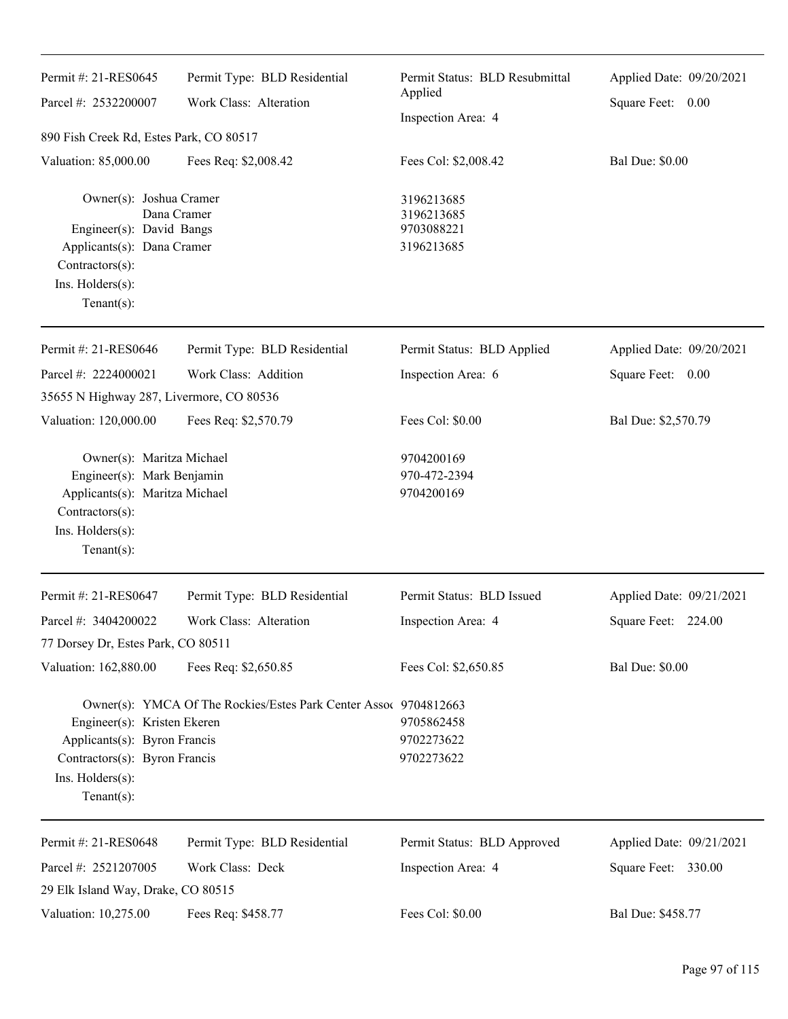| Permit #: 21-RES0645<br>Parcel #: 2532200007<br>890 Fish Creek Rd, Estes Park, CO 80517                                                            | Permit Type: BLD Residential<br>Work Class: Alteration           | Permit Status: BLD Resubmittal<br>Applied<br>Inspection Area: 4 | Applied Date: 09/20/2021<br>Square Feet: 0.00 |
|----------------------------------------------------------------------------------------------------------------------------------------------------|------------------------------------------------------------------|-----------------------------------------------------------------|-----------------------------------------------|
| Valuation: 85,000.00                                                                                                                               | Fees Req: \$2,008.42                                             | Fees Col: \$2,008.42                                            | <b>Bal Due: \$0.00</b>                        |
| Owner(s): Joshua Cramer<br>Engineer(s): David Bangs<br>Applicants(s): Dana Cramer<br>Contractors(s):<br>Ins. Holders(s):<br>Tenant $(s)$ :         | Dana Cramer                                                      | 3196213685<br>3196213685<br>9703088221<br>3196213685            |                                               |
| Permit #: 21-RES0646                                                                                                                               | Permit Type: BLD Residential                                     | Permit Status: BLD Applied                                      | Applied Date: 09/20/2021                      |
| Parcel #: 2224000021                                                                                                                               | Work Class: Addition                                             | Inspection Area: 6                                              | Square Feet: 0.00                             |
| 35655 N Highway 287, Livermore, CO 80536                                                                                                           |                                                                  |                                                                 |                                               |
| Valuation: 120,000.00                                                                                                                              | Fees Req: \$2,570.79                                             | Fees Col: \$0.00                                                | Bal Due: \$2,570.79                           |
| Owner(s): Maritza Michael<br>Engineer(s): Mark Benjamin<br>Applicants(s): Maritza Michael<br>Contractors(s):<br>Ins. Holders(s):<br>Tenant $(s)$ : |                                                                  | 9704200169<br>970-472-2394<br>9704200169                        |                                               |
| Permit #: 21-RES0647                                                                                                                               | Permit Type: BLD Residential                                     | Permit Status: BLD Issued                                       | Applied Date: 09/21/2021                      |
| Parcel #: 3404200022<br>77 Dorsey Dr, Estes Park, CO 80511                                                                                         | Work Class: Alteration                                           | Inspection Area: 4                                              | Square Feet: 224.00                           |
| Valuation: 162,880.00                                                                                                                              | Fees Req: \$2,650.85                                             | Fees Col: \$2,650.85                                            | <b>Bal Due: \$0.00</b>                        |
| Engineer(s): Kristen Ekeren<br>Applicants(s): Byron Francis<br>Contractors(s): Byron Francis<br>Ins. Holders(s):<br>Tenant $(s)$ :                 | Owner(s): YMCA Of The Rockies/Estes Park Center Assoc 9704812663 | 9705862458<br>9702273622<br>9702273622                          |                                               |
| Permit #: 21-RES0648                                                                                                                               | Permit Type: BLD Residential                                     | Permit Status: BLD Approved                                     | Applied Date: 09/21/2021                      |
| Parcel #: 2521207005                                                                                                                               | Work Class: Deck                                                 | Inspection Area: 4                                              | Square Feet: 330.00                           |
| 29 Elk Island Way, Drake, CO 80515                                                                                                                 |                                                                  |                                                                 |                                               |
| Valuation: 10,275.00                                                                                                                               | Fees Req: \$458.77                                               | Fees Col: \$0.00                                                | Bal Due: \$458.77                             |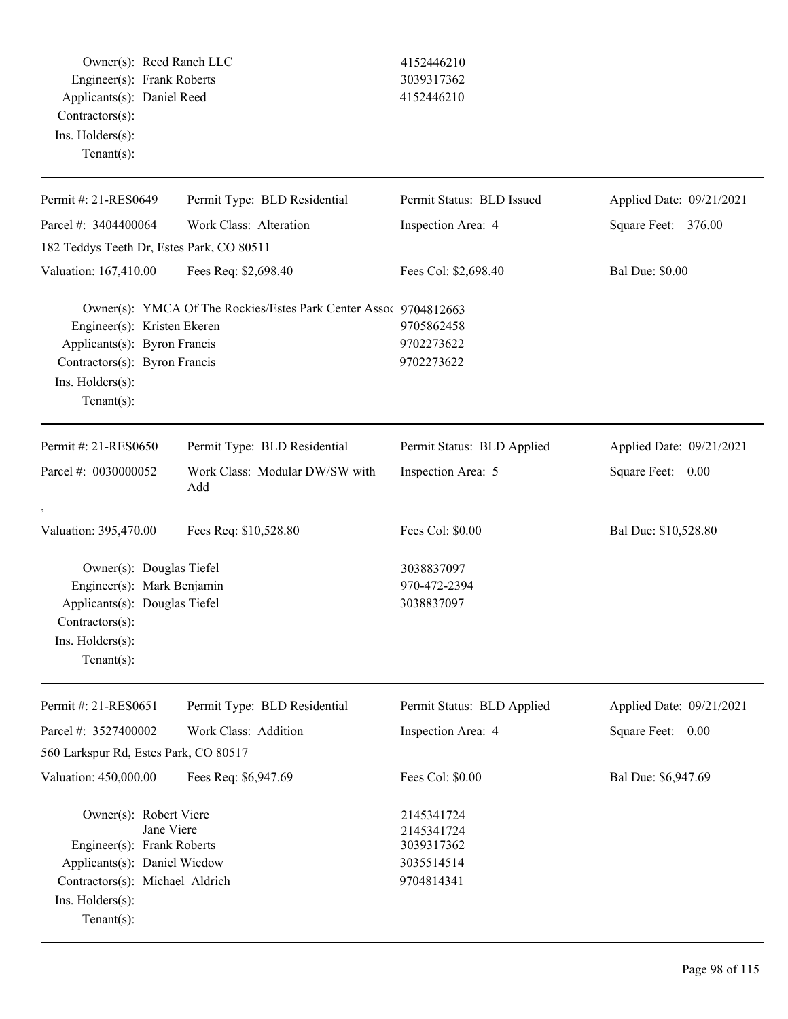Owner(s): Reed Ranch LLC 4152446210 Engineer(s): Frank Roberts 3039317362 Applicants(s): Daniel Reed 4152446210 Contractors(s): Ins. Holders(s):

Tenant(s):

| Permit Type: BLD Residential<br>Work Class: Alteration<br>182 Teddys Teeth Dr, Estes Park, CO 80511<br>Fees Req: \$2,698.40<br>Owner(s): YMCA Of The Rockies/Estes Park Center Assoc 9704812663<br>Engineer(s): Kristen Ekeren<br>Applicants(s): Byron Francis<br>Contractors(s): Byron Francis<br>Permit Type: BLD Residential | Permit Status: BLD Issued<br>Inspection Area: 4<br>Fees Col: \$2,698.40<br>9705862458<br>9702273622<br>9702273622<br>Permit Status: BLD Applied | Applied Date: 09/21/2021<br>Square Feet: 376.00<br><b>Bal Due: \$0.00</b><br>Applied Date: 09/21/2021 |
|---------------------------------------------------------------------------------------------------------------------------------------------------------------------------------------------------------------------------------------------------------------------------------------------------------------------------------|-------------------------------------------------------------------------------------------------------------------------------------------------|-------------------------------------------------------------------------------------------------------|
|                                                                                                                                                                                                                                                                                                                                 |                                                                                                                                                 |                                                                                                       |
|                                                                                                                                                                                                                                                                                                                                 |                                                                                                                                                 |                                                                                                       |
|                                                                                                                                                                                                                                                                                                                                 |                                                                                                                                                 |                                                                                                       |
|                                                                                                                                                                                                                                                                                                                                 |                                                                                                                                                 |                                                                                                       |
|                                                                                                                                                                                                                                                                                                                                 |                                                                                                                                                 |                                                                                                       |
|                                                                                                                                                                                                                                                                                                                                 |                                                                                                                                                 |                                                                                                       |
| Add                                                                                                                                                                                                                                                                                                                             | Inspection Area: 5                                                                                                                              | Square Feet: 0.00                                                                                     |
|                                                                                                                                                                                                                                                                                                                                 |                                                                                                                                                 |                                                                                                       |
| Fees Req: \$10,528.80                                                                                                                                                                                                                                                                                                           | Fees Col: \$0.00                                                                                                                                | Bal Due: \$10,528.80                                                                                  |
| Owner(s): Douglas Tiefel<br>Engineer(s): Mark Benjamin<br>Applicants(s): Douglas Tiefel                                                                                                                                                                                                                                         | 3038837097<br>970-472-2394<br>3038837097                                                                                                        |                                                                                                       |
| Permit Type: BLD Residential                                                                                                                                                                                                                                                                                                    | Permit Status: BLD Applied                                                                                                                      | Applied Date: 09/21/2021                                                                              |
| Work Class: Addition                                                                                                                                                                                                                                                                                                            | Inspection Area: 4                                                                                                                              | Square Feet:<br>0.00                                                                                  |
| 560 Larkspur Rd, Estes Park, CO 80517                                                                                                                                                                                                                                                                                           |                                                                                                                                                 |                                                                                                       |
| Fees Req: \$6,947.69                                                                                                                                                                                                                                                                                                            | Fees Col: \$0.00                                                                                                                                | Bal Due: \$6,947.69                                                                                   |
| Owner(s): Robert Viere<br>Engineer(s): Frank Roberts<br>Applicants(s): Daniel Wiedow<br>Contractors(s): Michael Aldrich                                                                                                                                                                                                         | 2145341724<br>2145341724<br>3039317362<br>3035514514<br>9704814341                                                                              |                                                                                                       |
|                                                                                                                                                                                                                                                                                                                                 | Work Class: Modular DW/SW with                                                                                                                  |                                                                                                       |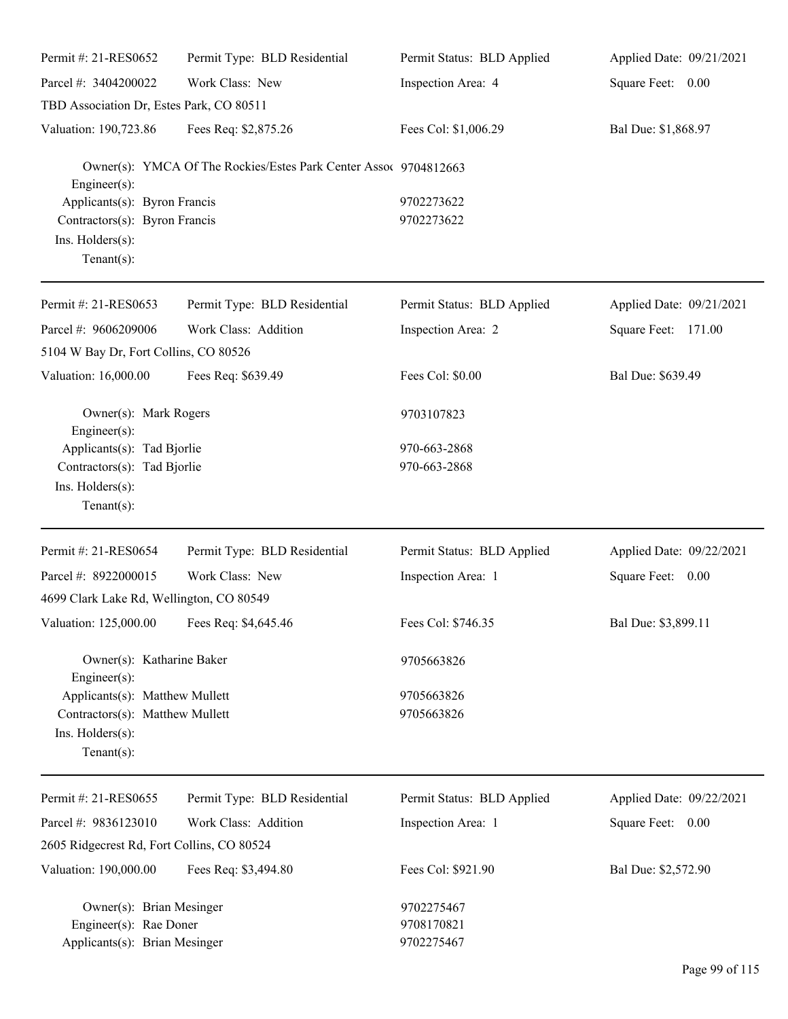| Permit #: 21-RES0652                           | Permit Type: BLD Residential                                     | Permit Status: BLD Applied | Applied Date: 09/21/2021 |
|------------------------------------------------|------------------------------------------------------------------|----------------------------|--------------------------|
| Parcel #: 3404200022                           | Work Class: New                                                  | Inspection Area: 4         | Square Feet: 0.00        |
| TBD Association Dr, Estes Park, CO 80511       |                                                                  |                            |                          |
| Valuation: 190,723.86                          | Fees Req: \$2,875.26                                             | Fees Col: \$1,006.29       | Bal Due: \$1,868.97      |
| Engineer(s):                                   | Owner(s): YMCA Of The Rockies/Estes Park Center Assoc 9704812663 |                            |                          |
| Applicants(s): Byron Francis                   |                                                                  | 9702273622                 |                          |
| Contractors(s): Byron Francis                  |                                                                  | 9702273622                 |                          |
| Ins. Holders(s):<br>$Tenant(s)$ :              |                                                                  |                            |                          |
| Permit #: 21-RES0653                           | Permit Type: BLD Residential                                     | Permit Status: BLD Applied | Applied Date: 09/21/2021 |
| Parcel #: 9606209006                           | Work Class: Addition                                             | Inspection Area: 2         | Square Feet: 171.00      |
| 5104 W Bay Dr, Fort Collins, CO 80526          |                                                                  |                            |                          |
| Valuation: 16,000.00                           | Fees Req: \$639.49                                               | Fees Col: \$0.00           | Bal Due: \$639.49        |
| Owner(s): Mark Rogers<br>Engineer(s):          |                                                                  | 9703107823                 |                          |
| Applicants(s): Tad Bjorlie                     |                                                                  | 970-663-2868               |                          |
| Contractors(s): Tad Bjorlie                    |                                                                  | 970-663-2868               |                          |
| Ins. Holders(s):<br>Tenant $(s)$ :             |                                                                  |                            |                          |
| Permit #: 21-RES0654                           | Permit Type: BLD Residential                                     | Permit Status: BLD Applied | Applied Date: 09/22/2021 |
| Parcel #: 8922000015                           | Work Class: New                                                  | Inspection Area: 1         | Square Feet: 0.00        |
| 4699 Clark Lake Rd, Wellington, CO 80549       |                                                                  |                            |                          |
| Valuation: 125,000.00 Fees Req: \$4,645.46     |                                                                  | Fees Col: \$746.35         | Bal Due: \$3,899.11      |
| Owner(s): Katharine Baker                      |                                                                  | 9705663826                 |                          |
| Engineer(s):<br>Applicants(s): Matthew Mullett |                                                                  | 9705663826                 |                          |
| Contractors(s): Matthew Mullett                |                                                                  | 9705663826                 |                          |
| Ins. Holders(s):<br>$Tenant(s)$ :              |                                                                  |                            |                          |
| Permit #: 21-RES0655                           | Permit Type: BLD Residential                                     | Permit Status: BLD Applied | Applied Date: 09/22/2021 |
| Parcel #: 9836123010                           | Work Class: Addition                                             | Inspection Area: 1         | Square Feet: 0.00        |
| 2605 Ridgecrest Rd, Fort Collins, CO 80524     |                                                                  |                            |                          |
| Valuation: 190,000.00                          | Fees Req: \$3,494.80                                             | Fees Col: \$921.90         | Bal Due: \$2,572.90      |
| Owner(s): Brian Mesinger                       |                                                                  | 9702275467                 |                          |
| Engineer(s): Rae Doner                         |                                                                  | 9708170821                 |                          |
| Applicants(s): Brian Mesinger                  |                                                                  | 9702275467                 |                          |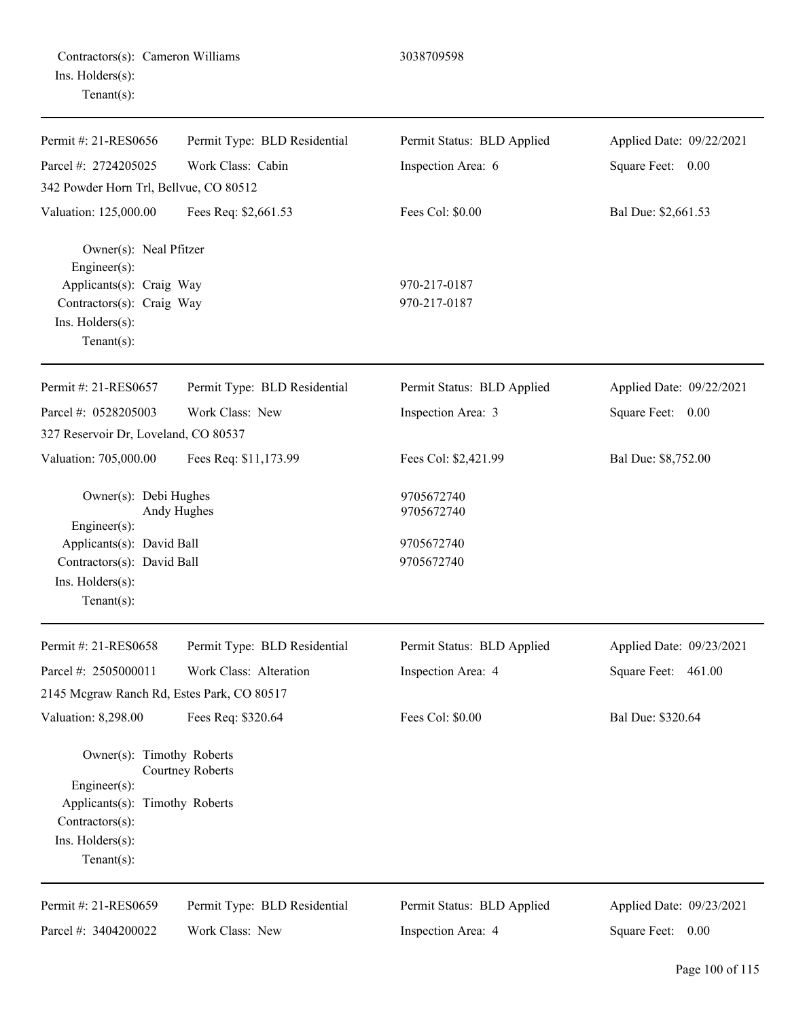|                        | Contractors(s): Cameron Williams |
|------------------------|----------------------------------|
| $Ins.$ Holders $(s)$ : |                                  |
| $Tenant(s)$ :          |                                  |

Permit #: 21-RES0656 Parcel #: 2724205025 Permit Type: BLD Residential Work Class: Cabin Permit Status: BLD Applied Inspection Area: 6 Applied Date: 09/22/2021 Square Feet: 0.00 342 Powder Horn Trl, Bellvue, CO 80512 Valuation: 125,000.00 Fees Req: \$2,661.53 Fees Col: \$0.00 Bal Due: \$2,661.53 Owner(s): Neal Pfitzer Engineer(s): Applicants(s): Craig Way 970-217-0187 Contractors(s): Craig Way 970-217-0187 Ins. Holders(s): Tenant(s): Permit #: 21-RES0657 Parcel #: 0528205003 Permit Type: BLD Residential Work Class: New Permit Status: BLD Applied Inspection Area: 3 Applied Date: 09/22/2021 Square Feet: 0.00 327 Reservoir Dr, Loveland, CO 80537 Valuation: 705,000.00 Fees Req: \$11,173.99 Fees Col: \$2,421.99 Bal Due: \$8,752.00 Owner(s): Debi Hughes 9705672740 Andy Hughes 9705672740 Engineer(s): Applicants(s): David Ball 9705672740 Contractors(s): David Ball 9705672740 Ins. Holders(s): Tenant(s): Permit #: 21-RES0658 Parcel #: 2505000011 Permit Type: BLD Residential Work Class: Alteration Permit Status: BLD Applied Inspection Area: 4 Applied Date: 09/23/2021 Square Feet: 461.00 2145 Mcgraw Ranch Rd, Estes Park, CO 80517

3038709598

Valuation: 8,298.00 Fees Req: \$320.64 Fees Col: \$0.00 Bal Due: \$320.64

Owner(s): Timothy Roberts Courtney Roberts Engineer(s): Applicants(s): Timothy Roberts Contractors(s): Ins. Holders(s): Tenant(s):

Permit #: 21-RES0659 Parcel #: 3404200022 Permit Type: BLD Residential Work Class: New Permit Status: BLD Applied Inspection Area: 4 Applied Date: 09/23/2021 Square Feet: 0.00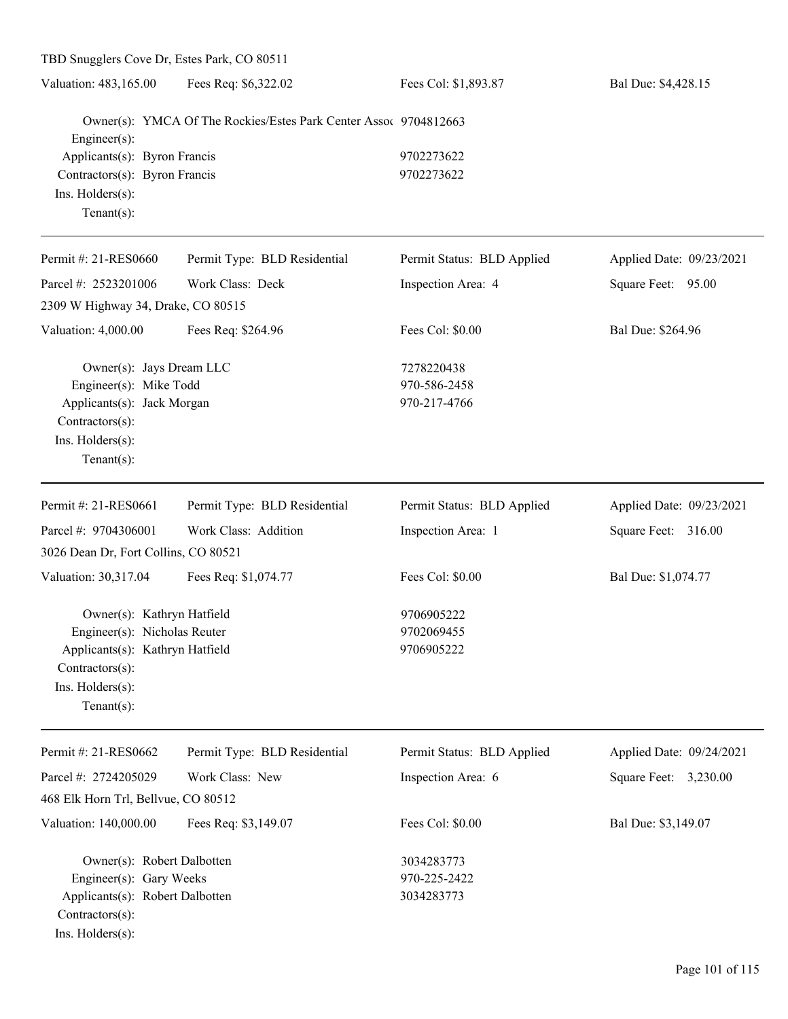| TBD Snugglers Cove Dr, Estes Park, CO 80511 |                                                                  |                            |                          |
|---------------------------------------------|------------------------------------------------------------------|----------------------------|--------------------------|
| Valuation: 483,165.00                       | Fees Req: \$6,322.02                                             | Fees Col: \$1,893.87       | Bal Due: \$4,428.15      |
| Engineer(s):                                | Owner(s): YMCA Of The Rockies/Estes Park Center Assoc 9704812663 |                            |                          |
| Applicants(s): Byron Francis                |                                                                  | 9702273622                 |                          |
| Contractors(s): Byron Francis               |                                                                  | 9702273622                 |                          |
| Ins. Holders(s):                            |                                                                  |                            |                          |
| Tenant $(s)$ :                              |                                                                  |                            |                          |
| Permit #: 21-RES0660                        | Permit Type: BLD Residential                                     | Permit Status: BLD Applied | Applied Date: 09/23/2021 |
| Parcel #: 2523201006                        | Work Class: Deck                                                 | Inspection Area: 4         | Square Feet: 95.00       |
| 2309 W Highway 34, Drake, CO 80515          |                                                                  |                            |                          |
| Valuation: 4,000.00                         | Fees Req: \$264.96                                               | Fees Col: \$0.00           | Bal Due: \$264.96        |
| Owner(s): Jays Dream LLC                    |                                                                  | 7278220438                 |                          |
| Engineer(s): Mike Todd                      |                                                                  | 970-586-2458               |                          |
| Applicants(s): Jack Morgan                  |                                                                  | 970-217-4766               |                          |
| Contractors(s):                             |                                                                  |                            |                          |
| Ins. Holders(s):                            |                                                                  |                            |                          |
| Tenant $(s)$ :                              |                                                                  |                            |                          |
| Permit #: 21-RES0661                        | Permit Type: BLD Residential                                     | Permit Status: BLD Applied | Applied Date: 09/23/2021 |
| Parcel #: 9704306001                        | Work Class: Addition                                             | Inspection Area: 1         | Square Feet: 316.00      |
| 3026 Dean Dr, Fort Collins, CO 80521        |                                                                  |                            |                          |
| Valuation: 30,317.04                        | Fees Req: \$1,074.77                                             | Fees Col: \$0.00           | Bal Due: \$1,074.77      |
| Owner(s): Kathryn Hatfield                  |                                                                  | 9706905222                 |                          |
| Engineer(s): Nicholas Reuter                |                                                                  | 9702069455                 |                          |
| Applicants(s): Kathryn Hatfield             |                                                                  | 9706905222                 |                          |
| Contractors(s):                             |                                                                  |                            |                          |
| Ins. Holders(s):                            |                                                                  |                            |                          |
| Tenant $(s)$ :                              |                                                                  |                            |                          |
| Permit #: 21-RES0662                        | Permit Type: BLD Residential                                     | Permit Status: BLD Applied | Applied Date: 09/24/2021 |
| Parcel #: 2724205029                        | Work Class: New                                                  | Inspection Area: 6         | Square Feet: 3,230.00    |
| 468 Elk Horn Trl, Bellvue, CO 80512         |                                                                  |                            |                          |
| Valuation: 140,000.00                       | Fees Req: \$3,149.07                                             | Fees Col: \$0.00           | Bal Due: \$3,149.07      |
| Owner(s): Robert Dalbotten                  |                                                                  | 3034283773                 |                          |
| Engineer(s): Gary Weeks                     |                                                                  | 970-225-2422               |                          |
| Applicants(s): Robert Dalbotten             |                                                                  | 3034283773                 |                          |
| Contractors(s):                             |                                                                  |                            |                          |
| Ins. Holders(s):                            |                                                                  |                            |                          |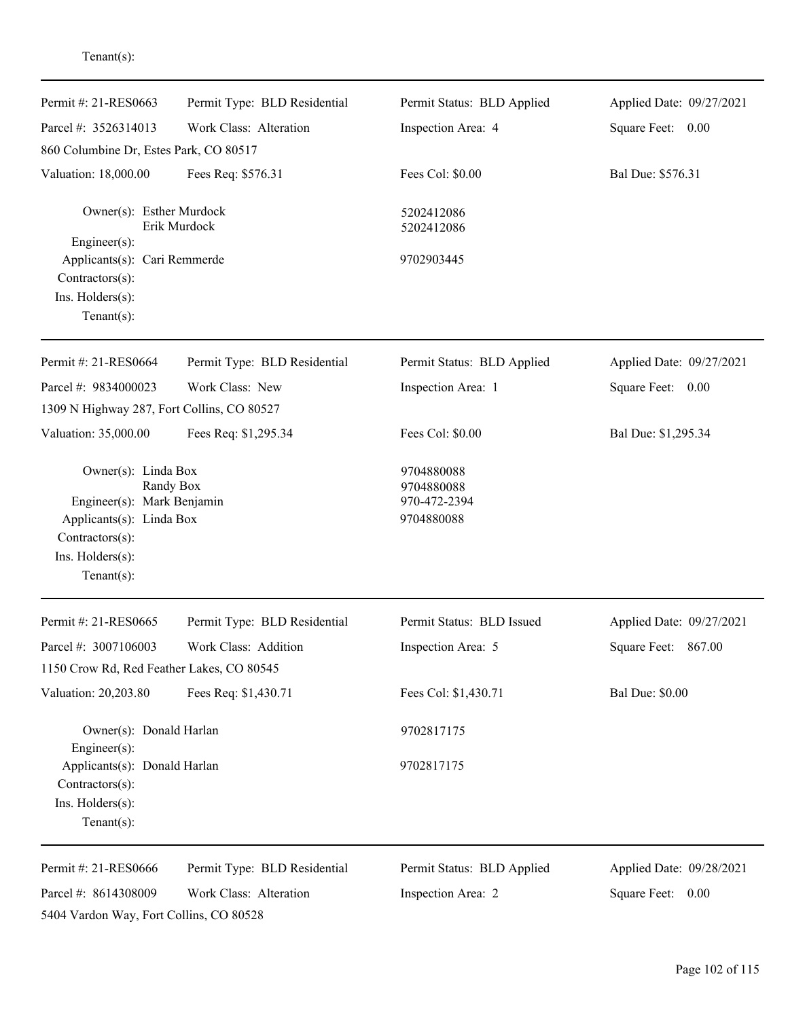| Permit #: 21-RES0663                                                       | Permit Type: BLD Residential | Permit Status: BLD Applied               | Applied Date: 09/27/2021 |
|----------------------------------------------------------------------------|------------------------------|------------------------------------------|--------------------------|
| Parcel #: 3526314013                                                       | Work Class: Alteration       | Inspection Area: 4                       | Square Feet: 0.00        |
| 860 Columbine Dr, Estes Park, CO 80517                                     |                              |                                          |                          |
| Valuation: 18,000.00                                                       | Fees Req: \$576.31           | Fees Col: \$0.00                         | Bal Due: \$576.31        |
| Owner(s): Esther Murdock                                                   |                              | 5202412086                               |                          |
| Engineer(s):                                                               | Erik Murdock                 | 5202412086                               |                          |
| Applicants(s): Cari Remmerde<br>Contractors(s):<br>Ins. $H$ olders $(s)$ : |                              | 9702903445                               |                          |
| $Tenant(s)$ :                                                              |                              |                                          |                          |
| Permit #: 21-RES0664                                                       | Permit Type: BLD Residential | Permit Status: BLD Applied               | Applied Date: 09/27/2021 |
| Parcel #: 9834000023                                                       | Work Class: New              | Inspection Area: 1                       | Square Feet: 0.00        |
| 1309 N Highway 287, Fort Collins, CO 80527                                 |                              |                                          |                          |
| Valuation: 35,000.00                                                       | Fees Req: \$1,295.34         | Fees Col: \$0.00                         | Bal Due: \$1,295.34      |
| Owner(s): Linda Box<br>Engineer(s): Mark Benjamin                          | Randy Box                    | 9704880088<br>9704880088<br>970-472-2394 |                          |
| Applicants(s): Linda Box<br>Contractors(s):                                |                              | 9704880088                               |                          |
| Ins. Holders(s):<br>$Tenant(s)$ :                                          |                              |                                          |                          |
| Permit #: 21-RES0665                                                       | Permit Type: BLD Residential | Permit Status: BLD Issued                | Applied Date: 09/27/2021 |
| Parcel #: 3007106003                                                       | Work Class: Addition         | Inspection Area: 5                       | Square Feet: 867.00      |
| 1150 Crow Rd, Red Feather Lakes, CO 80545                                  |                              |                                          |                          |
| Valuation: 20,203.80                                                       | Fees Req: \$1,430.71         | Fees Col: \$1,430.71                     | <b>Bal Due: \$0.00</b>   |
| Owner(s): Donald Harlan<br>Engineer(s):                                    |                              | 9702817175                               |                          |
| Applicants(s): Donald Harlan<br>Contractors(s):                            |                              | 9702817175                               |                          |
| Ins. Holders(s):<br>$Tenant(s)$ :                                          |                              |                                          |                          |
| Permit #: 21-RES0666                                                       | Permit Type: BLD Residential | Permit Status: BLD Applied               | Applied Date: 09/28/2021 |
| Parcel #: 8614308009                                                       | Work Class: Alteration       | Inspection Area: 2                       | Square Feet: 0.00        |
| 5404 Vardon Way, Fort Collins, CO 80528                                    |                              |                                          |                          |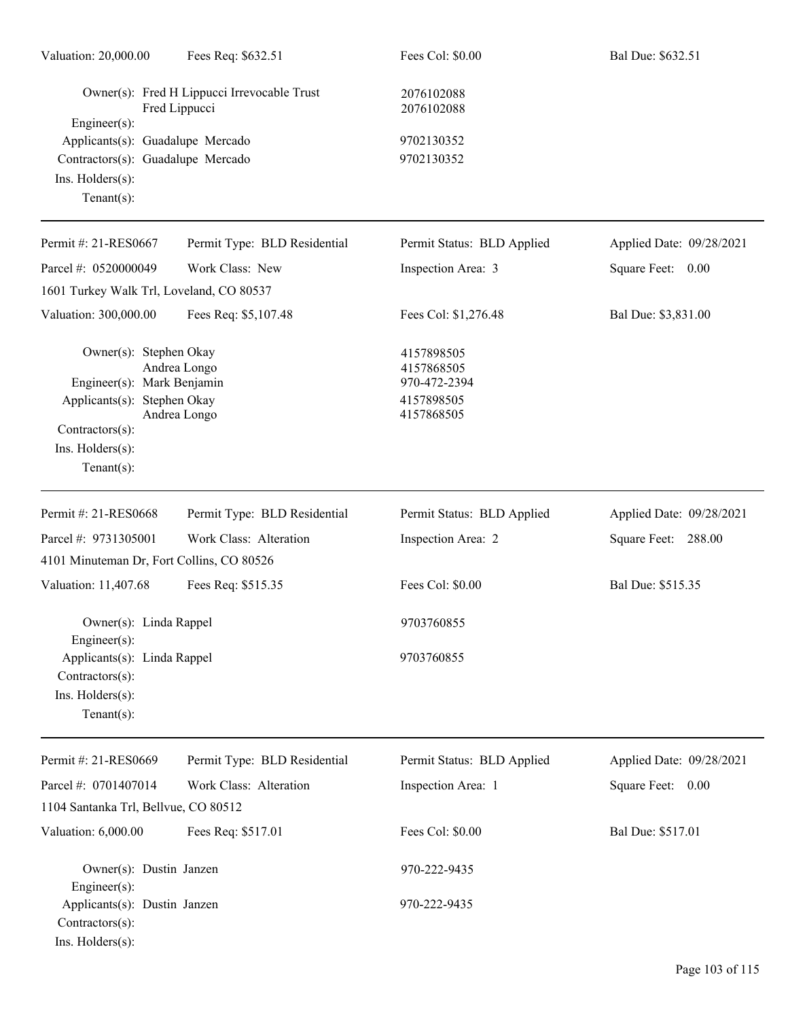| Valuation: 20,000.00                                                                      | Fees Req: \$632.51                                           | Fees Col: \$0.00                         | Bal Due: \$632.51        |
|-------------------------------------------------------------------------------------------|--------------------------------------------------------------|------------------------------------------|--------------------------|
|                                                                                           | Owner(s): Fred H Lippucci Irrevocable Trust<br>Fred Lippucci | 2076102088<br>2076102088                 |                          |
| Engineer $(s)$ :<br>Applicants(s): Guadalupe Mercado<br>Contractors(s): Guadalupe Mercado |                                                              | 9702130352<br>9702130352                 |                          |
| Ins. Holders(s):<br>Tenant $(s)$ :                                                        |                                                              |                                          |                          |
| Permit #: 21-RES0667                                                                      | Permit Type: BLD Residential                                 | Permit Status: BLD Applied               | Applied Date: 09/28/2021 |
| Parcel #: 0520000049                                                                      | Work Class: New                                              | Inspection Area: 3                       | Square Feet: 0.00        |
| 1601 Turkey Walk Trl, Loveland, CO 80537                                                  |                                                              |                                          |                          |
| Valuation: 300,000.00                                                                     | Fees Req: \$5,107.48                                         | Fees Col: \$1,276.48                     | Bal Due: \$3,831.00      |
| Owner(s): Stephen Okay<br>Engineer(s): Mark Benjamin                                      | Andrea Longo                                                 | 4157898505<br>4157868505<br>970-472-2394 |                          |
| Applicants(s): Stephen Okay                                                               | Andrea Longo                                                 | 4157898505<br>4157868505                 |                          |
| Contractors(s):<br>Ins. Holders(s):                                                       |                                                              |                                          |                          |
| Tenant $(s)$ :                                                                            |                                                              |                                          |                          |
| Permit #: 21-RES0668                                                                      | Permit Type: BLD Residential                                 | Permit Status: BLD Applied               | Applied Date: 09/28/2021 |
| Parcel #: 9731305001                                                                      | Work Class: Alteration                                       | Inspection Area: 2                       | Square Feet: 288.00      |
| 4101 Minuteman Dr, Fort Collins, CO 80526                                                 |                                                              |                                          |                          |
| Valuation: 11,407.68                                                                      | Fees Req: \$515.35                                           | Fees Col: \$0.00                         | Bal Due: \$515.35        |
| Owner(s): Linda Rappel<br>$Engineering(s)$ :                                              |                                                              | 9703760855                               |                          |
| Applicants(s): Linda Rappel<br>Contractors(s):                                            |                                                              | 9703760855                               |                          |
| Ins. Holders(s):<br>Tenant $(s)$ :                                                        |                                                              |                                          |                          |
| Permit #: 21-RES0669                                                                      | Permit Type: BLD Residential                                 | Permit Status: BLD Applied               | Applied Date: 09/28/2021 |
| Parcel #: 0701407014                                                                      | Work Class: Alteration                                       | Inspection Area: 1                       | Square Feet: 0.00        |
| 1104 Santanka Trl, Bellvue, CO 80512                                                      |                                                              |                                          |                          |
| Valuation: 6,000.00                                                                       | Fees Req: \$517.01                                           | Fees Col: \$0.00                         | Bal Due: \$517.01        |
| Owner(s): Dustin Janzen<br>Engineer(s):                                                   |                                                              | 970-222-9435                             |                          |
| Applicants(s): Dustin Janzen<br>Contractors(s):<br>Ins. Holders(s):                       |                                                              | 970-222-9435                             |                          |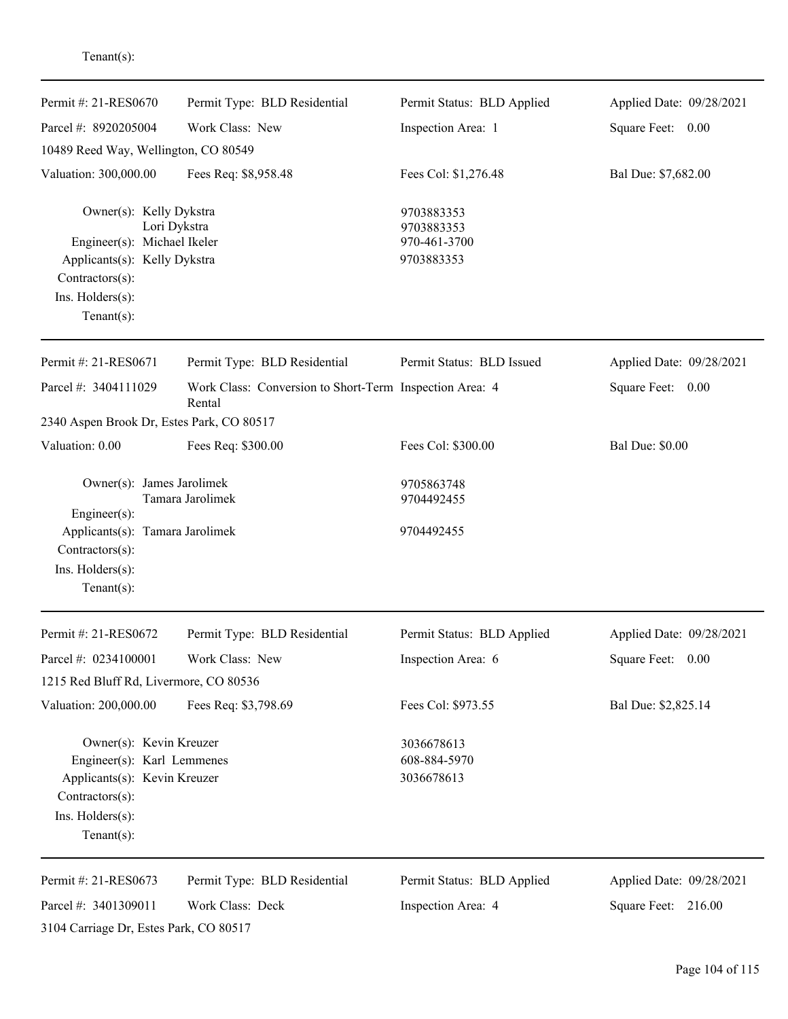| Permit #: 21-RES0670                                                                                                                           | Permit Type: BLD Residential                                      | Permit Status: BLD Applied                             | Applied Date: 09/28/2021 |
|------------------------------------------------------------------------------------------------------------------------------------------------|-------------------------------------------------------------------|--------------------------------------------------------|--------------------------|
| Parcel #: 8920205004                                                                                                                           | Work Class: New                                                   | Inspection Area: 1                                     | Square Feet: 0.00        |
| 10489 Reed Way, Wellington, CO 80549                                                                                                           |                                                                   |                                                        |                          |
| Valuation: 300,000.00                                                                                                                          | Fees Req: \$8,958.48                                              | Fees Col: \$1,276.48                                   | Bal Due: \$7,682.00      |
| Owner(s): Kelly Dykstra<br>Engineer(s): Michael Ikeler<br>Applicants(s): Kelly Dykstra<br>Contractors(s):<br>Ins. Holders(s):<br>$Tenant(s)$ : | Lori Dykstra                                                      | 9703883353<br>9703883353<br>970-461-3700<br>9703883353 |                          |
| Permit #: 21-RES0671                                                                                                                           | Permit Type: BLD Residential                                      | Permit Status: BLD Issued                              | Applied Date: 09/28/2021 |
| Parcel #: 3404111029                                                                                                                           | Work Class: Conversion to Short-Term Inspection Area: 4<br>Rental |                                                        | Square Feet: 0.00        |
| 2340 Aspen Brook Dr, Estes Park, CO 80517                                                                                                      |                                                                   |                                                        |                          |
| Valuation: 0.00                                                                                                                                | Fees Req: \$300.00                                                | Fees Col: \$300.00                                     | <b>Bal Due: \$0.00</b>   |
| Owner(s): James Jarolimek<br>Engineer(s):                                                                                                      | Tamara Jarolimek                                                  | 9705863748<br>9704492455                               |                          |
| Applicants(s): Tamara Jarolimek<br>Contractors(s):<br>Ins. Holders(s):<br>$Tenant(s)$ :                                                        |                                                                   | 9704492455                                             |                          |
| Permit #: 21-RES0672                                                                                                                           | Permit Type: BLD Residential                                      | Permit Status: BLD Applied                             | Applied Date: 09/28/2021 |
| Parcel #: 0234100001                                                                                                                           | Work Class: New                                                   | Inspection Area: 6                                     | Square Feet: 0.00        |
| 1215 Red Bluff Rd, Livermore, CO 80536                                                                                                         |                                                                   |                                                        |                          |
| Valuation: 200,000.00                                                                                                                          | Fees Req: \$3,798.69                                              | Fees Col: \$973.55                                     | Bal Due: \$2,825.14      |
| Owner(s): Kevin Kreuzer<br>Engineer(s): Karl Lemmenes<br>Applicants(s): Kevin Kreuzer<br>Contractors(s):<br>Ins. Holders(s):<br>$Tenant(s)$ :  |                                                                   | 3036678613<br>608-884-5970<br>3036678613               |                          |
| Permit #: 21-RES0673                                                                                                                           | Permit Type: BLD Residential                                      | Permit Status: BLD Applied                             | Applied Date: 09/28/2021 |
| Parcel #: 3401309011                                                                                                                           | Work Class: Deck                                                  | Inspection Area: 4                                     | Square Feet: 216.00      |
| 3104 Carriage Dr, Estes Park, CO 80517                                                                                                         |                                                                   |                                                        |                          |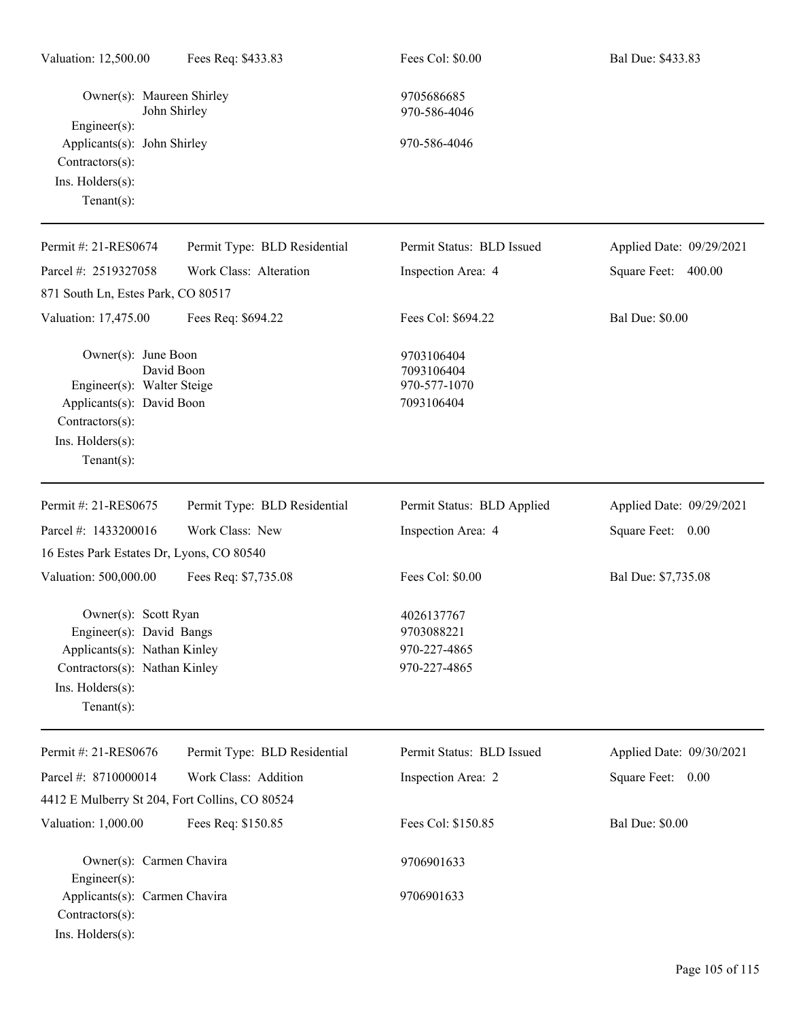| Owner(s): Maureen Shirley                                                                                                                                     | John Shirley                 | 9705686685<br>970-586-4046                               |                          |
|---------------------------------------------------------------------------------------------------------------------------------------------------------------|------------------------------|----------------------------------------------------------|--------------------------|
| Engineer(s):<br>Applicants(s): John Shirley<br>Contractors(s):<br>Ins. Holders(s):<br>$Tenant(s)$ :                                                           |                              | 970-586-4046                                             |                          |
| Permit #: 21-RES0674                                                                                                                                          | Permit Type: BLD Residential | Permit Status: BLD Issued                                | Applied Date: 09/29/2021 |
| Parcel #: 2519327058                                                                                                                                          | Work Class: Alteration       | Inspection Area: 4                                       | 400.00<br>Square Feet:   |
| 871 South Ln, Estes Park, CO 80517                                                                                                                            |                              |                                                          |                          |
| Valuation: 17,475.00                                                                                                                                          | Fees Req: \$694.22           | Fees Col: \$694.22                                       | <b>Bal Due: \$0.00</b>   |
| Owner(s): June Boon<br>Engineer(s): Walter Steige<br>Applicants(s): David Boon<br>Contractors(s):<br>Ins. Holders(s):<br>$Tenant(s)$ :                        | David Boon                   | 9703106404<br>7093106404<br>970-577-1070<br>7093106404   |                          |
| Permit #: 21-RES0675                                                                                                                                          | Permit Type: BLD Residential | Permit Status: BLD Applied                               | Applied Date: 09/29/2021 |
| Parcel #: 1433200016                                                                                                                                          | Work Class: New              | Inspection Area: 4                                       | Square Feet: 0.00        |
| 16 Estes Park Estates Dr, Lyons, CO 80540                                                                                                                     |                              |                                                          |                          |
| Valuation: 500,000.00                                                                                                                                         | Fees Req: \$7,735.08         | Fees Col: \$0.00                                         | Bal Due: \$7,735.08      |
| Owner(s): Scott Ryan<br>Engineer(s): David Bangs<br>Applicants(s): Nathan Kinley<br>Contractors(s): Nathan Kinley<br>$Ins.$ Holders $(s)$ :<br>Tenant $(s)$ : |                              | 4026137767<br>9703088221<br>970-227-4865<br>970-227-4865 |                          |
| Permit #: 21-RES0676                                                                                                                                          | Permit Type: BLD Residential | Permit Status: BLD Issued                                | Applied Date: 09/30/2021 |
| Parcel #: 8710000014                                                                                                                                          | Work Class: Addition         | Inspection Area: 2                                       | Square Feet: 0.00        |
| 4412 E Mulberry St 204, Fort Collins, CO 80524                                                                                                                |                              |                                                          |                          |
| Valuation: 1,000.00                                                                                                                                           | Fees Req: \$150.85           | Fees Col: \$150.85                                       | <b>Bal Due: \$0.00</b>   |
| Owner(s): Carmen Chavira<br>Engineer(s):                                                                                                                      |                              | 9706901633                                               |                          |
| Applicants(s): Carmen Chavira<br>Contractors(s):<br>Ins. Holders(s):                                                                                          |                              | 9706901633                                               |                          |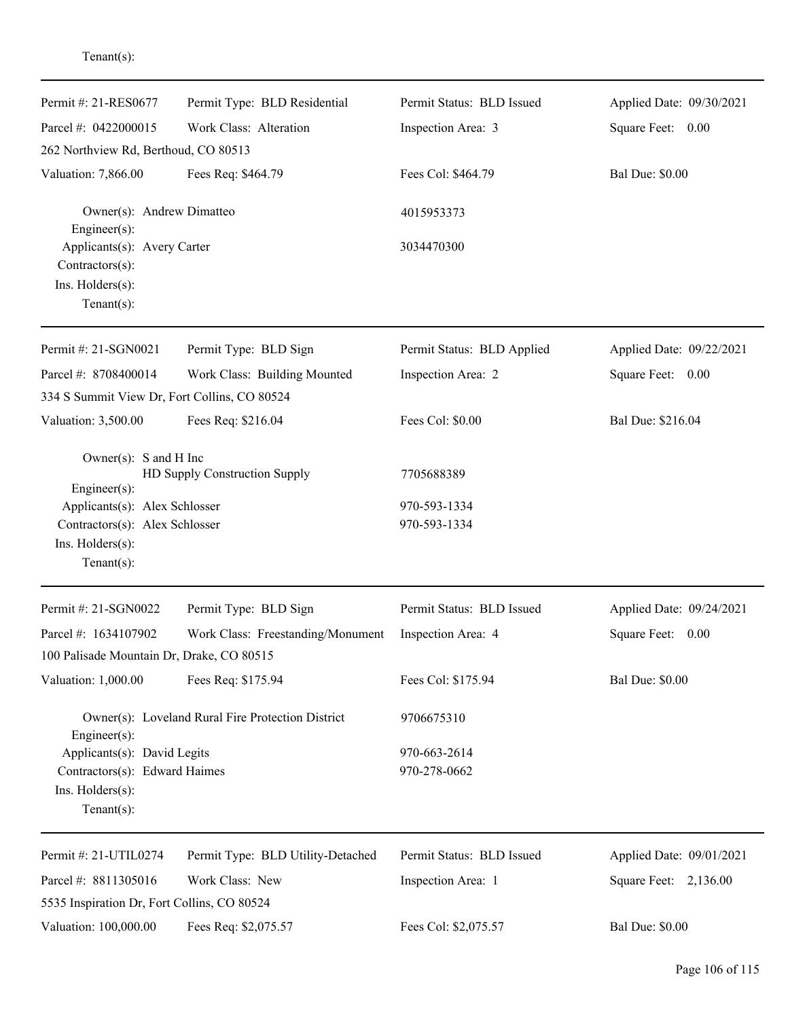| Permit #: 21-RES0677                                                                                 | Permit Type: BLD Residential                      | Permit Status: BLD Issued    | Applied Date: 09/30/2021 |
|------------------------------------------------------------------------------------------------------|---------------------------------------------------|------------------------------|--------------------------|
| Parcel #: 0422000015                                                                                 | Work Class: Alteration                            | Inspection Area: 3           | Square Feet: 0.00        |
| 262 Northview Rd, Berthoud, CO 80513                                                                 |                                                   |                              |                          |
| Valuation: 7,866.00                                                                                  | Fees Req: \$464.79                                | Fees Col: \$464.79           | <b>Bal Due: \$0.00</b>   |
| Owner(s): Andrew Dimatteo<br>Engineer(s):                                                            |                                                   | 4015953373                   |                          |
| Applicants(s): Avery Carter<br>Contractors(s):                                                       |                                                   | 3034470300                   |                          |
| Ins. Holders(s):<br>$Tenant(s)$ :                                                                    |                                                   |                              |                          |
| Permit #: 21-SGN0021                                                                                 | Permit Type: BLD Sign                             | Permit Status: BLD Applied   | Applied Date: 09/22/2021 |
| Parcel #: 8708400014                                                                                 | Work Class: Building Mounted                      | Inspection Area: 2           | Square Feet: 0.00        |
| 334 S Summit View Dr, Fort Collins, CO 80524                                                         |                                                   |                              |                          |
| Valuation: 3,500.00                                                                                  | Fees Req: \$216.04                                | Fees Col: \$0.00             | Bal Due: \$216.04        |
| Owner(s): S and H Inc<br>Engineer(s):                                                                | HD Supply Construction Supply                     | 7705688389                   |                          |
| Applicants(s): Alex Schlosser<br>Contractors(s): Alex Schlosser<br>Ins. Holders(s):<br>$Tenant(s)$ : |                                                   | 970-593-1334<br>970-593-1334 |                          |
| Permit #: 21-SGN0022                                                                                 | Permit Type: BLD Sign                             | Permit Status: BLD Issued    | Applied Date: 09/24/2021 |
| Parcel #: 1634107902                                                                                 | Work Class: Freestanding/Monument                 | Inspection Area: 4           | Square Feet:<br>0.00     |
| 100 Palisade Mountain Dr, Drake, CO 80515                                                            |                                                   |                              |                          |
| Valuation: 1,000.00                                                                                  | Fees Req: \$175.94                                | Fees Col: \$175.94           | <b>Bal Due: \$0.00</b>   |
| Engineer(s):                                                                                         | Owner(s): Loveland Rural Fire Protection District | 9706675310                   |                          |
| Applicants(s): David Legits<br>Contractors(s): Edward Haimes<br>Ins. Holders(s):<br>$Tenant(s)$ :    |                                                   | 970-663-2614<br>970-278-0662 |                          |
| Permit #: 21-UTIL0274                                                                                | Permit Type: BLD Utility-Detached                 | Permit Status: BLD Issued    | Applied Date: 09/01/2021 |
| Parcel #: 8811305016<br>5535 Inspiration Dr, Fort Collins, CO 80524                                  | Work Class: New                                   | Inspection Area: 1           | Square Feet: 2,136.00    |
| Valuation: 100,000.00                                                                                | Fees Req: \$2,075.57                              | Fees Col: \$2,075.57         | <b>Bal Due: \$0.00</b>   |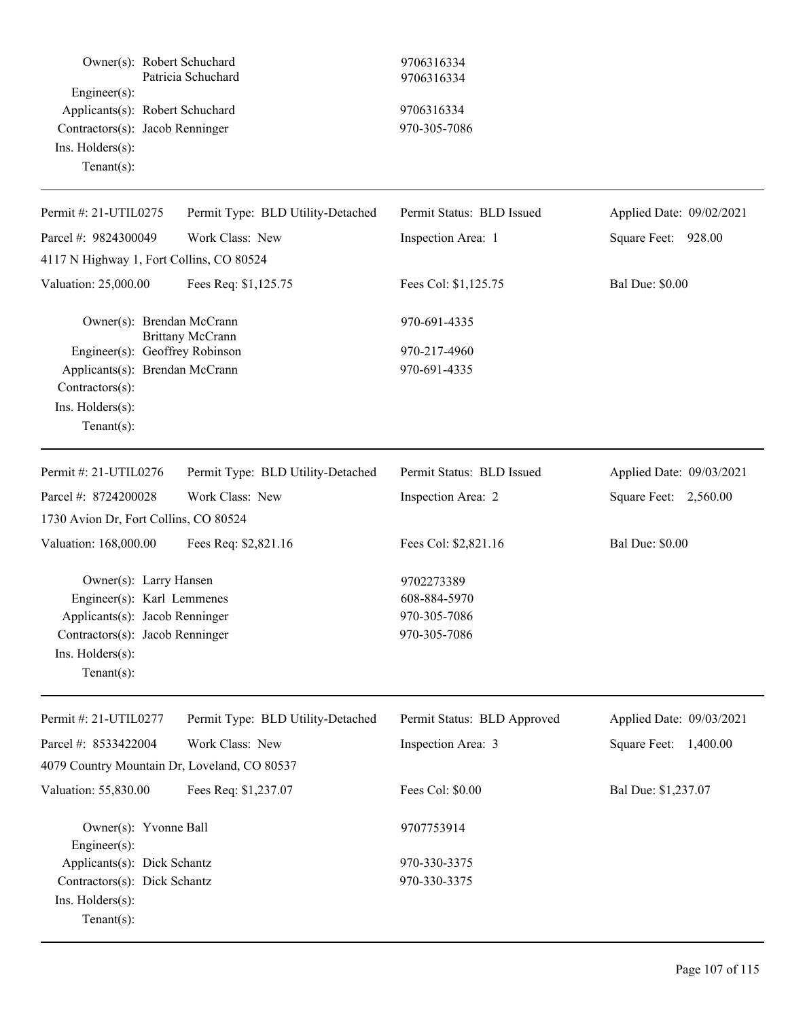| Owner(s): Robert Schuchard<br>$Engineering(s)$ :<br>Applicants(s): Robert Schuchard<br>Contractors(s): Jacob Renninger<br>Ins. Holders(s):<br>Tenant $(s)$ : | Patricia Schuchard                | 9706316334<br>9706316334<br>9706316334<br>970-305-7086 |                          |
|--------------------------------------------------------------------------------------------------------------------------------------------------------------|-----------------------------------|--------------------------------------------------------|--------------------------|
|                                                                                                                                                              |                                   |                                                        |                          |
| Permit #: 21-UTIL0275                                                                                                                                        | Permit Type: BLD Utility-Detached | Permit Status: BLD Issued                              | Applied Date: 09/02/2021 |
| Parcel #: 9824300049                                                                                                                                         | Work Class: New                   | Inspection Area: 1                                     | Square Feet: 928.00      |
| 4117 N Highway 1, Fort Collins, CO 80524                                                                                                                     |                                   |                                                        |                          |
| Valuation: 25,000.00                                                                                                                                         | Fees Req: \$1,125.75              | Fees Col: \$1,125.75                                   | <b>Bal Due: \$0.00</b>   |
| Owner(s): Brendan McCrann                                                                                                                                    | <b>Brittany McCrann</b>           | 970-691-4335                                           |                          |
| Engineer(s): Geoffrey Robinson                                                                                                                               |                                   | 970-217-4960                                           |                          |
| Applicants(s): Brendan McCrann                                                                                                                               |                                   | 970-691-4335                                           |                          |
| Contractors(s):                                                                                                                                              |                                   |                                                        |                          |
| Ins. $H$ olders $(s)$ :                                                                                                                                      |                                   |                                                        |                          |
| Tenant $(s)$ :                                                                                                                                               |                                   |                                                        |                          |
| Permit #: 21-UTIL0276                                                                                                                                        | Permit Type: BLD Utility-Detached | Permit Status: BLD Issued                              | Applied Date: 09/03/2021 |
| Parcel #: 8724200028                                                                                                                                         | Work Class: New                   | Inspection Area: 2                                     | Square Feet: 2,560.00    |
| 1730 Avion Dr, Fort Collins, CO 80524                                                                                                                        |                                   |                                                        |                          |
| Valuation: 168,000.00                                                                                                                                        | Fees Req: \$2,821.16              | Fees Col: \$2,821.16                                   | <b>Bal Due: \$0.00</b>   |
| Owner(s): Larry Hansen                                                                                                                                       |                                   | 9702273389                                             |                          |
| Engineer(s): Karl Lemmenes                                                                                                                                   |                                   | 608-884-5970                                           |                          |
| Applicants(s): Jacob Renninger                                                                                                                               |                                   | 970-305-7086                                           |                          |
| Contractors(s): Jacob Renninger                                                                                                                              |                                   | 970-305-7086                                           |                          |
| Ins. Holders(s):<br>$Tenant(s)$ :                                                                                                                            |                                   |                                                        |                          |
| Permit #: 21-UTIL0277                                                                                                                                        | Permit Type: BLD Utility-Detached | Permit Status: BLD Approved                            | Applied Date: 09/03/2021 |
| Parcel #: 8533422004                                                                                                                                         | Work Class: New                   | Inspection Area: 3                                     | Square Feet: 1,400.00    |
| 4079 Country Mountain Dr, Loveland, CO 80537                                                                                                                 |                                   |                                                        |                          |
| Valuation: 55,830.00                                                                                                                                         | Fees Req: \$1,237.07              | Fees Col: \$0.00                                       | Bal Due: \$1,237.07      |
| Owner(s): Yvonne Ball<br>Engineer(s):                                                                                                                        |                                   | 9707753914                                             |                          |
| Applicants(s): Dick Schantz                                                                                                                                  |                                   | 970-330-3375                                           |                          |
| Contractors(s): Dick Schantz<br>Ins. Holders(s):<br>Tenant $(s)$ :                                                                                           |                                   | 970-330-3375                                           |                          |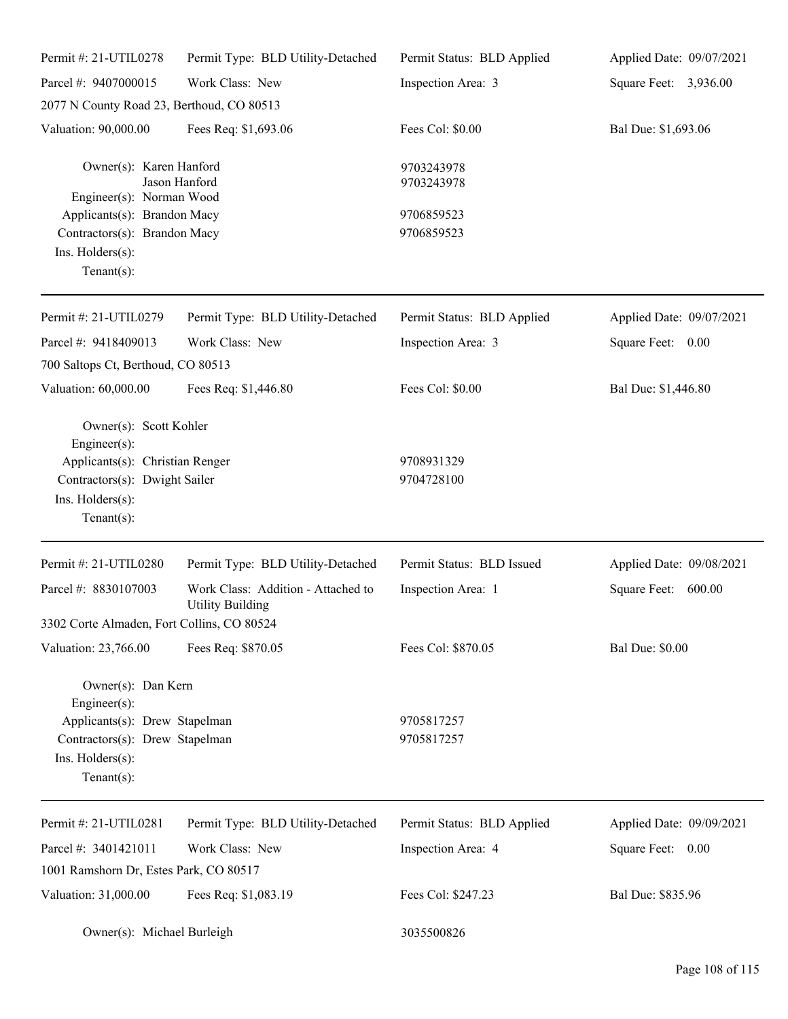| Permit #: 21-UTIL0278                                                                                                                            | Permit Type: BLD Utility-Detached                             | Permit Status: BLD Applied | Applied Date: 09/07/2021 |
|--------------------------------------------------------------------------------------------------------------------------------------------------|---------------------------------------------------------------|----------------------------|--------------------------|
| Parcel #: 9407000015                                                                                                                             | Work Class: New                                               | Inspection Area: 3         | Square Feet: 3,936.00    |
| 2077 N County Road 23, Berthoud, CO 80513                                                                                                        |                                                               |                            |                          |
| Valuation: 90,000.00                                                                                                                             | Fees Req: \$1,693.06                                          | Fees Col: \$0.00           | Bal Due: \$1,693.06      |
| Owner(s): Karen Hanford<br>Engineer(s): Norman Wood                                                                                              | Jason Hanford                                                 | 9703243978<br>9703243978   |                          |
| Applicants(s): Brandon Macy<br>Contractors(s): Brandon Macy                                                                                      |                                                               | 9706859523                 |                          |
|                                                                                                                                                  |                                                               | 9706859523                 |                          |
| Ins. Holders(s):<br>Tenant $(s)$ :                                                                                                               |                                                               |                            |                          |
| Permit #: 21-UTIL0279                                                                                                                            | Permit Type: BLD Utility-Detached                             | Permit Status: BLD Applied | Applied Date: 09/07/2021 |
| Parcel #: 9418409013                                                                                                                             | Work Class: New                                               | Inspection Area: 3         | Square Feet:<br>0.00     |
| 700 Saltops Ct, Berthoud, CO 80513                                                                                                               |                                                               |                            |                          |
| Valuation: 60,000.00                                                                                                                             | Fees Req: \$1,446.80                                          | Fees Col: \$0.00           | Bal Due: \$1,446.80      |
| Owner(s): Scott Kohler<br>Engineer(s):<br>Applicants(s): Christian Renger<br>Contractors(s): Dwight Sailer<br>Ins. Holders(s):<br>Tenant $(s)$ : |                                                               | 9708931329<br>9704728100   |                          |
| Permit #: 21-UTIL0280                                                                                                                            | Permit Type: BLD Utility-Detached                             | Permit Status: BLD Issued  | Applied Date: 09/08/2021 |
| Parcel #: 8830107003                                                                                                                             | Work Class: Addition - Attached to<br><b>Utility Building</b> | Inspection Area: 1         | 600.00<br>Square Feet:   |
| 3302 Corte Almaden, Fort Collins, CO 80524                                                                                                       |                                                               |                            |                          |
| Valuation: 23,766.00                                                                                                                             | Fees Req: \$870.05                                            | Fees Col: \$870.05         | <b>Bal Due: \$0.00</b>   |
| Owner(s): Dan Kern<br>Engineer $(s)$ :<br>Applicants(s): Drew Stapelman<br>Contractors(s): Drew Stapelman<br>Ins. Holders(s):<br>Tenant $(s)$ :  |                                                               | 9705817257<br>9705817257   |                          |
| Permit #: 21-UTIL0281                                                                                                                            | Permit Type: BLD Utility-Detached                             | Permit Status: BLD Applied | Applied Date: 09/09/2021 |
| Parcel #: 3401421011                                                                                                                             | Work Class: New                                               | Inspection Area: 4         | Square Feet: 0.00        |
| 1001 Ramshorn Dr, Estes Park, CO 80517                                                                                                           |                                                               |                            |                          |
| Valuation: 31,000.00                                                                                                                             | Fees Req: \$1,083.19                                          | Fees Col: \$247.23         | Bal Due: \$835.96        |
| Owner(s): Michael Burleigh                                                                                                                       |                                                               | 3035500826                 |                          |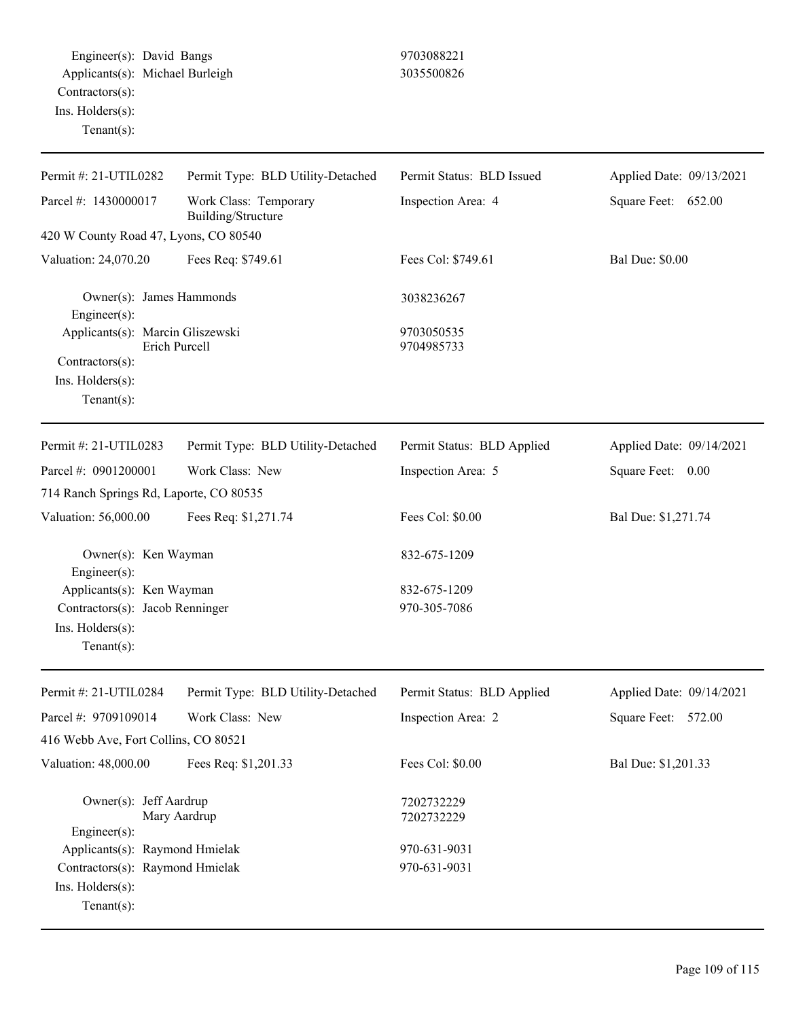Engineer(s): David Bangs 9703088221 Applicants(s): Michael Burleigh 3035500826 Contractors(s): Ins. Holders(s): Tenant(s):

| Permit #: 21-UTIL0282                    | Permit Type: BLD Utility-Detached           | Permit Status: BLD Issued  | Applied Date: 09/13/2021 |
|------------------------------------------|---------------------------------------------|----------------------------|--------------------------|
| Parcel #: 1430000017                     | Work Class: Temporary<br>Building/Structure | Inspection Area: 4         | Square Feet: 652.00      |
| 420 W County Road 47, Lyons, CO 80540    |                                             |                            |                          |
| Valuation: 24,070.20                     | Fees Req: \$749.61                          | Fees Col: \$749.61         | <b>Bal Due: \$0.00</b>   |
| Owner(s): James Hammonds<br>Engineer(s): |                                             | 3038236267                 |                          |
| Applicants(s): Marcin Gliszewski         | <b>Erich Purcell</b>                        | 9703050535                 |                          |
| $Contractors(s)$ :                       |                                             | 9704985733                 |                          |
| Ins. Holders(s):                         |                                             |                            |                          |
| Tenant $(s)$ :                           |                                             |                            |                          |
| Permit #: 21-UTIL0283                    | Permit Type: BLD Utility-Detached           | Permit Status: BLD Applied | Applied Date: 09/14/2021 |
| Parcel #: 0901200001                     | Work Class: New                             | Inspection Area: 5         | 0.00<br>Square Feet:     |
| 714 Ranch Springs Rd, Laporte, CO 80535  |                                             |                            |                          |
| Valuation: 56,000.00                     | Fees Req: \$1,271.74                        | Fees Col: \$0.00           | Bal Due: \$1,271.74      |
| Owner(s): Ken Wayman<br>Engineer $(s)$ : |                                             | 832-675-1209               |                          |
| Applicants(s): Ken Wayman                |                                             | 832-675-1209               |                          |
| Contractors(s): Jacob Renninger          |                                             | 970-305-7086               |                          |
| Ins. Holders(s):                         |                                             |                            |                          |
| $Tenant(s)$ :                            |                                             |                            |                          |
| Permit #: 21-UTIL0284                    | Permit Type: BLD Utility-Detached           | Permit Status: BLD Applied | Applied Date: 09/14/2021 |
| Parcel #: 9709109014                     | Work Class: New                             | Inspection Area: 2         | Square Feet: 572.00      |
| 416 Webb Ave, Fort Collins, CO 80521     |                                             |                            |                          |
| Valuation: 48,000.00                     | Fees Req: \$1,201.33                        | Fees Col: \$0.00           | Bal Due: \$1,201.33      |
| Owner(s): Jeff Aardrup<br>Engineer(s):   | Mary Aardrup                                | 7202732229<br>7202732229   |                          |
| Applicants(s): Raymond Hmielak           |                                             | 970-631-9031               |                          |
| Contractors(s): Raymond Hmielak          |                                             | 970-631-9031               |                          |
| Ins. Holders(s):                         |                                             |                            |                          |
| Tenant $(s)$ :                           |                                             |                            |                          |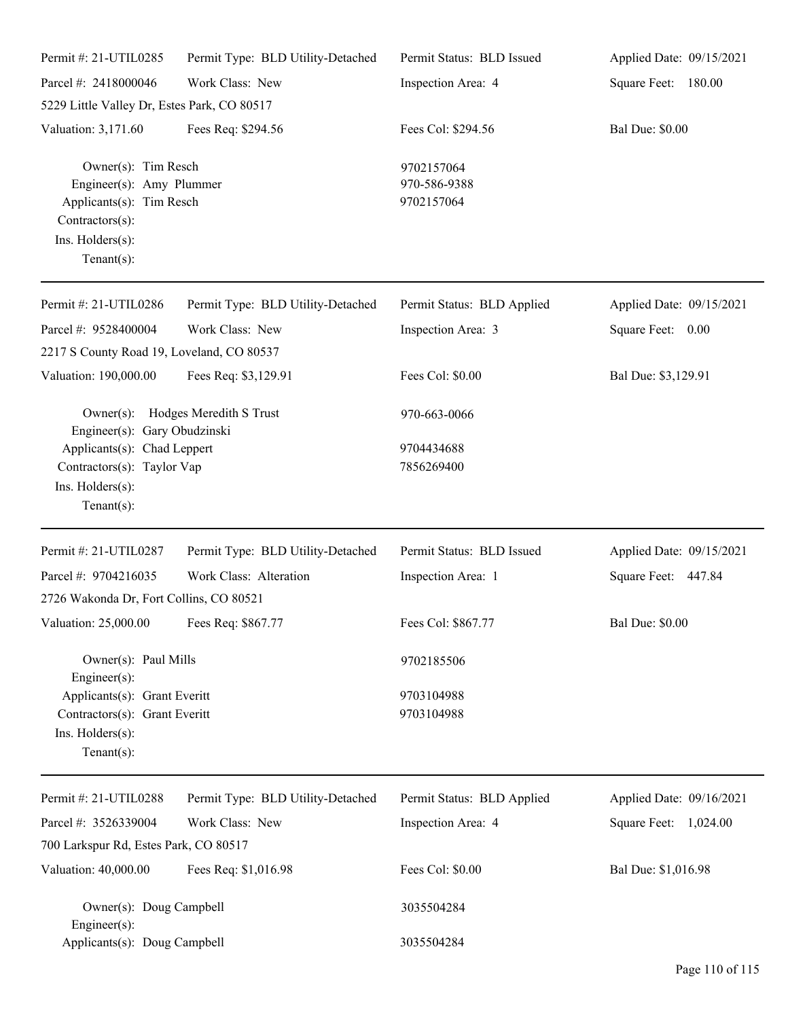| Permit #: 21-UTIL0285                                                                                                                | Permit Type: BLD Utility-Detached | Permit Status: BLD Issued                | Applied Date: 09/15/2021 |
|--------------------------------------------------------------------------------------------------------------------------------------|-----------------------------------|------------------------------------------|--------------------------|
| Parcel #: 2418000046                                                                                                                 | Work Class: New                   | Inspection Area: 4                       | Square Feet: 180.00      |
| 5229 Little Valley Dr, Estes Park, CO 80517                                                                                          |                                   |                                          |                          |
| Valuation: 3,171.60                                                                                                                  | Fees Req: \$294.56                | Fees Col: \$294.56                       | <b>Bal Due: \$0.00</b>   |
| Owner(s): Tim Resch<br>Engineer(s): Amy Plummer<br>Applicants(s): Tim Resch<br>Contractors(s):<br>Ins. Holders(s):<br>Tenant $(s)$ : |                                   | 9702157064<br>970-586-9388<br>9702157064 |                          |
| Permit #: 21-UTIL0286                                                                                                                | Permit Type: BLD Utility-Detached | Permit Status: BLD Applied               | Applied Date: 09/15/2021 |
| Parcel #: 9528400004                                                                                                                 | Work Class: New                   | Inspection Area: 3                       | Square Feet: 0.00        |
| 2217 S County Road 19, Loveland, CO 80537                                                                                            |                                   |                                          |                          |
| Valuation: 190,000.00                                                                                                                | Fees Req: \$3,129.91              | Fees Col: \$0.00                         | Bal Due: \$3,129.91      |
| Engineer(s): Gary Obudzinski                                                                                                         | Owner(s): Hodges Meredith S Trust | 970-663-0066                             |                          |
| Applicants(s): Chad Leppert                                                                                                          |                                   | 9704434688<br>7856269400                 |                          |
| Contractors(s): Taylor Vap<br>Ins. Holders(s):<br>Tenant $(s)$ :                                                                     |                                   |                                          |                          |
| Permit #: 21-UTIL0287                                                                                                                | Permit Type: BLD Utility-Detached | Permit Status: BLD Issued                | Applied Date: 09/15/2021 |
| Parcel #: 9704216035                                                                                                                 | Work Class: Alteration            | Inspection Area: 1                       | Square Feet: 447.84      |
| 2726 Wakonda Dr, Fort Collins, CO 80521                                                                                              |                                   |                                          |                          |
| Valuation: 25,000.00                                                                                                                 | Fees Req: \$867.77                | Fees Col: \$867.77                       | <b>Bal Due: \$0.00</b>   |
| Owner(s): Paul Mills<br>Engineer $(s)$ :                                                                                             |                                   | 9702185506                               |                          |
| Applicants(s): Grant Everitt<br>Contractors(s): Grant Everitt<br>Ins. Holders(s):<br>Tenant $(s)$ :                                  |                                   | 9703104988<br>9703104988                 |                          |
| Permit #: 21-UTIL0288                                                                                                                | Permit Type: BLD Utility-Detached | Permit Status: BLD Applied               | Applied Date: 09/16/2021 |
| Parcel #: 3526339004                                                                                                                 | Work Class: New                   | Inspection Area: 4                       | Square Feet: 1,024.00    |
| 700 Larkspur Rd, Estes Park, CO 80517                                                                                                |                                   |                                          |                          |
| Valuation: 40,000.00                                                                                                                 | Fees Req: \$1,016.98              | Fees Col: \$0.00                         | Bal Due: \$1,016.98      |
| Owner(s): Doug Campbell<br>Engineer $(s)$ :                                                                                          |                                   | 3035504284                               |                          |
| Applicants(s): Doug Campbell                                                                                                         |                                   | 3035504284                               |                          |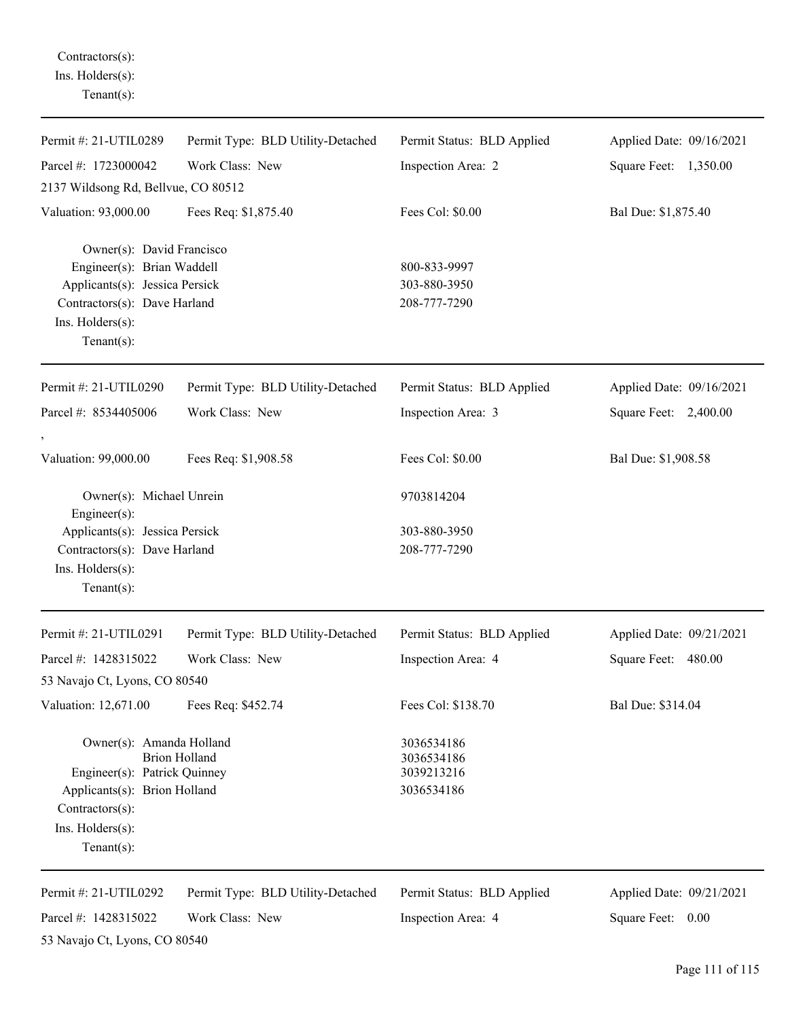Contractors(s): Ins. Holders(s): Tenant(s):

| Permit #: 21-UTIL0289                                                                                                                                                  | Permit Type: BLD Utility-Detached                    | Permit Status: BLD Applied                           | Applied Date: 09/16/2021                      |
|------------------------------------------------------------------------------------------------------------------------------------------------------------------------|------------------------------------------------------|------------------------------------------------------|-----------------------------------------------|
| Parcel #: 1723000042                                                                                                                                                   | Work Class: New                                      | Inspection Area: 2                                   | Square Feet: 1,350.00                         |
| 2137 Wildsong Rd, Bellvue, CO 80512                                                                                                                                    |                                                      |                                                      |                                               |
| Valuation: 93,000.00                                                                                                                                                   | Fees Req: \$1,875.40                                 | Fees Col: \$0.00                                     | Bal Due: \$1,875.40                           |
| Owner(s): David Francisco<br>Engineer(s): Brian Waddell<br>Applicants(s): Jessica Persick<br>Contractors(s): Dave Harland<br>Ins. $H$ olders $(s)$ :<br>Tenant $(s)$ : |                                                      | 800-833-9997<br>303-880-3950<br>208-777-7290         |                                               |
| Permit #: 21-UTIL0290                                                                                                                                                  | Permit Type: BLD Utility-Detached                    | Permit Status: BLD Applied                           | Applied Date: 09/16/2021                      |
| Parcel #: 8534405006                                                                                                                                                   | Work Class: New                                      | Inspection Area: 3                                   | Square Feet: 2,400.00                         |
| Valuation: 99,000.00                                                                                                                                                   | Fees Req: \$1,908.58                                 | Fees Col: \$0.00                                     | Bal Due: \$1,908.58                           |
| Owner(s): Michael Unrein<br>Engineer(s):                                                                                                                               |                                                      | 9703814204                                           |                                               |
| Applicants(s): Jessica Persick<br>Contractors(s): Dave Harland<br>Ins. Holders(s):<br>Tenant $(s)$ :                                                                   |                                                      | 303-880-3950<br>208-777-7290                         |                                               |
| Permit #: 21-UTIL0291                                                                                                                                                  | Permit Type: BLD Utility-Detached                    | Permit Status: BLD Applied                           | Applied Date: 09/21/2021                      |
| Parcel #: 1428315022<br>53 Navajo Ct, Lyons, CO 80540                                                                                                                  | Work Class: New                                      | Inspection Area: 4                                   | Square Feet: 480.00                           |
| Valuation: 12,671.00                                                                                                                                                   | Fees Req: \$452.74                                   | Fees Col: \$138.70                                   | Bal Due: \$314.04                             |
| Owner(s): Amanda Holland<br>Engineer(s): Patrick Quinney<br>Applicants(s): Brion Holland<br>Contractors(s):<br>Ins. Holders(s):<br>Tenant $(s)$ :                      | <b>Brion Holland</b>                                 | 3036534186<br>3036534186<br>3039213216<br>3036534186 |                                               |
| Permit #: 21-UTIL0292<br>Parcel #: 1428315022<br>53 Navajo Ct, Lyons, CO 80540                                                                                         | Permit Type: BLD Utility-Detached<br>Work Class: New | Permit Status: BLD Applied<br>Inspection Area: 4     | Applied Date: 09/21/2021<br>Square Feet: 0.00 |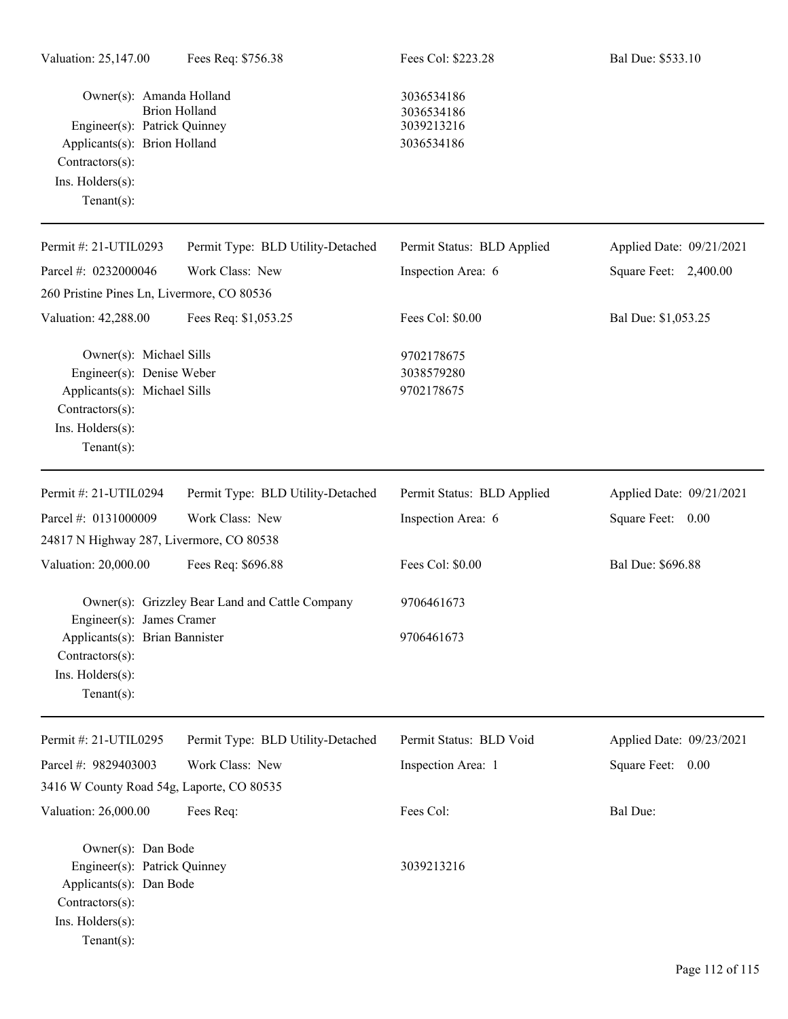Owner(s): Amanda Holland 3036534186 Brion Holland 3036534186<br>
Patrick Quinney 3039213216 Engineer(s): Patrick Quinney Applicants(s): Brion Holland 3036534186 Contractors(s): Ins. Holders(s): Tenant(s):

| Permit #: 21-UTIL0293                                                                          | Permit Type: BLD Utility-Detached               | Permit Status: BLD Applied | Applied Date: 09/21/2021 |
|------------------------------------------------------------------------------------------------|-------------------------------------------------|----------------------------|--------------------------|
| Parcel #: 0232000046                                                                           | Work Class: New                                 | Inspection Area: 6         | Square Feet: 2,400.00    |
| 260 Pristine Pines Ln, Livermore, CO 80536                                                     |                                                 |                            |                          |
| Valuation: 42,288.00                                                                           | Fees Req: \$1,053.25                            | Fees Col: \$0.00           | Bal Due: \$1,053.25      |
| Owner(s): Michael Sills<br>Engineer(s): Denise Weber                                           |                                                 | 9702178675<br>3038579280   |                          |
| Applicants(s): Michael Sills<br>Contractors(s):<br>Ins. Holders(s):<br>Tenant $(s)$ :          |                                                 | 9702178675                 |                          |
| Permit #: 21-UTIL0294                                                                          | Permit Type: BLD Utility-Detached               | Permit Status: BLD Applied | Applied Date: 09/21/2021 |
| Parcel #: 0131000009                                                                           | Work Class: New                                 | Inspection Area: 6         | Square Feet: 0.00        |
| 24817 N Highway 287, Livermore, CO 80538                                                       |                                                 |                            |                          |
| Valuation: 20,000.00                                                                           | Fees Req: \$696.88                              | Fees Col: \$0.00           | Bal Due: \$696.88        |
| Engineer(s): James Cramer                                                                      | Owner(s): Grizzley Bear Land and Cattle Company | 9706461673                 |                          |
| Applicants(s): Brian Bannister<br>Contractors(s):<br>Ins. Holders(s):<br>Tenant $(s)$ :        |                                                 | 9706461673                 |                          |
| Permit #: 21-UTIL0295                                                                          | Permit Type: BLD Utility-Detached               | Permit Status: BLD Void    | Applied Date: 09/23/2021 |
| Parcel #: 9829403003                                                                           | Work Class: New                                 | Inspection Area: 1         | Square Feet: 0.00        |
| 3416 W County Road 54g, Laporte, CO 80535                                                      |                                                 |                            |                          |
| Valuation: 26,000.00                                                                           | Fees Req:                                       | Fees Col:                  | Bal Due:                 |
| Owner(s): Dan Bode                                                                             |                                                 |                            |                          |
| Engineer(s): Patrick Quinney<br>Applicants(s): Dan Bode<br>Contractors(s):<br>Ins. Holders(s): |                                                 | 3039213216                 |                          |

Tenant(s):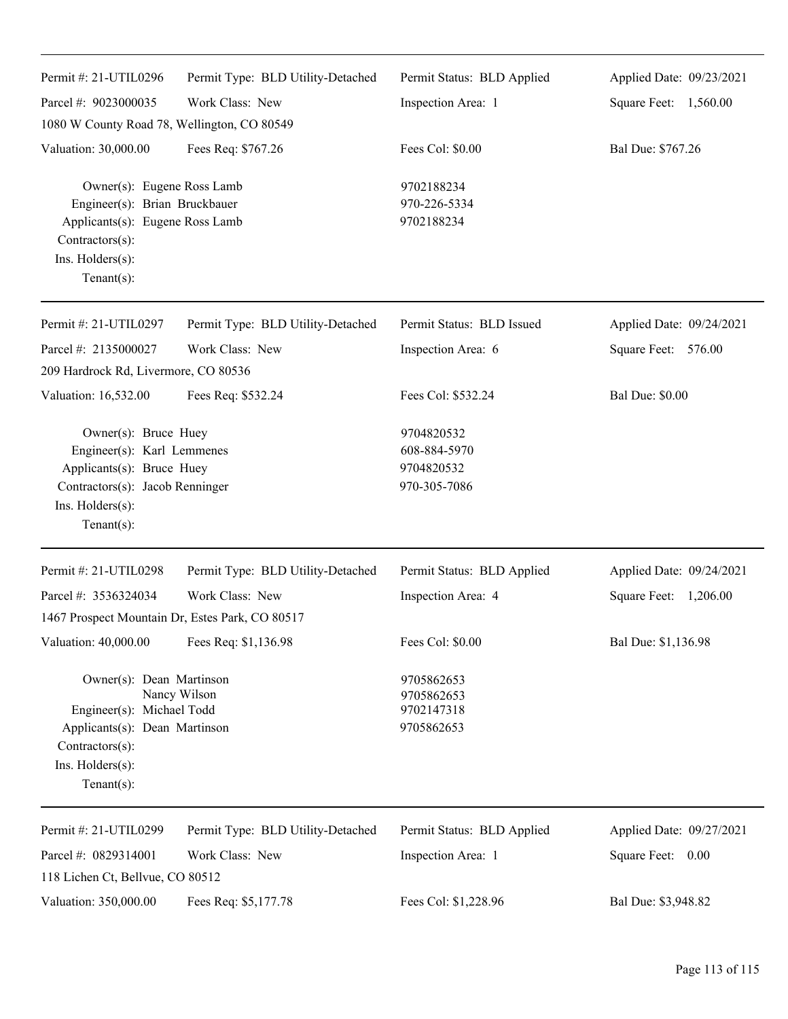| Permit #: 21-UTIL0296                                                                                                                                   | Permit Type: BLD Utility-Detached | Permit Status: BLD Applied                               | Applied Date: 09/23/2021 |
|---------------------------------------------------------------------------------------------------------------------------------------------------------|-----------------------------------|----------------------------------------------------------|--------------------------|
| Parcel #: 9023000035                                                                                                                                    | Work Class: New                   | Inspection Area: 1                                       | Square Feet: 1,560.00    |
| 1080 W County Road 78, Wellington, CO 80549                                                                                                             |                                   |                                                          |                          |
| Valuation: 30,000.00                                                                                                                                    | Fees Req: \$767.26                | Fees Col: \$0.00                                         | Bal Due: \$767.26        |
| Owner(s): Eugene Ross Lamb<br>Engineer(s): Brian Bruckbauer<br>Applicants(s): Eugene Ross Lamb<br>Contractors(s):<br>Ins. Holders(s):<br>Tenant $(s)$ : |                                   | 9702188234<br>970-226-5334<br>9702188234                 |                          |
| Permit #: 21-UTIL0297                                                                                                                                   | Permit Type: BLD Utility-Detached | Permit Status: BLD Issued                                | Applied Date: 09/24/2021 |
| Parcel #: 2135000027                                                                                                                                    | Work Class: New                   | Inspection Area: 6                                       | Square Feet: 576.00      |
| 209 Hardrock Rd, Livermore, CO 80536                                                                                                                    |                                   |                                                          |                          |
| Valuation: 16,532.00                                                                                                                                    | Fees Req: \$532.24                | Fees Col: \$532.24                                       | <b>Bal Due: \$0.00</b>   |
| Owner(s): Bruce Huey<br>Engineer(s): Karl Lemmenes<br>Applicants(s): Bruce Huey<br>Contractors(s): Jacob Renninger<br>Ins. Holders(s):<br>$Tenant(s)$ : |                                   | 9704820532<br>608-884-5970<br>9704820532<br>970-305-7086 |                          |
| Permit #: 21-UTIL0298                                                                                                                                   | Permit Type: BLD Utility-Detached | Permit Status: BLD Applied                               | Applied Date: 09/24/2021 |
| Parcel #: 3536324034                                                                                                                                    | Work Class: New                   | Inspection Area: 4                                       | Square Feet: 1,206.00    |
| 1467 Prospect Mountain Dr, Estes Park, CO 80517                                                                                                         |                                   |                                                          |                          |
| Valuation: 40,000.00                                                                                                                                    | Fees Req: \$1,136.98              | Fees Col: \$0.00                                         | Bal Due: \$1,136.98      |
| Owner(s): Dean Martinson<br>Engineer(s): Michael Todd<br>Applicants(s): Dean Martinson<br>Contractors(s):<br>Ins. Holders(s):<br>Tenant $(s)$ :         | Nancy Wilson                      | 9705862653<br>9705862653<br>9702147318<br>9705862653     |                          |
| Permit #: 21-UTIL0299                                                                                                                                   | Permit Type: BLD Utility-Detached | Permit Status: BLD Applied                               | Applied Date: 09/27/2021 |
| Parcel #: 0829314001                                                                                                                                    | Work Class: New                   | Inspection Area: 1                                       | Square Feet: 0.00        |
| 118 Lichen Ct, Bellvue, CO 80512                                                                                                                        |                                   |                                                          |                          |
| Valuation: 350,000.00                                                                                                                                   | Fees Req: \$5,177.78              | Fees Col: \$1,228.96                                     | Bal Due: \$3,948.82      |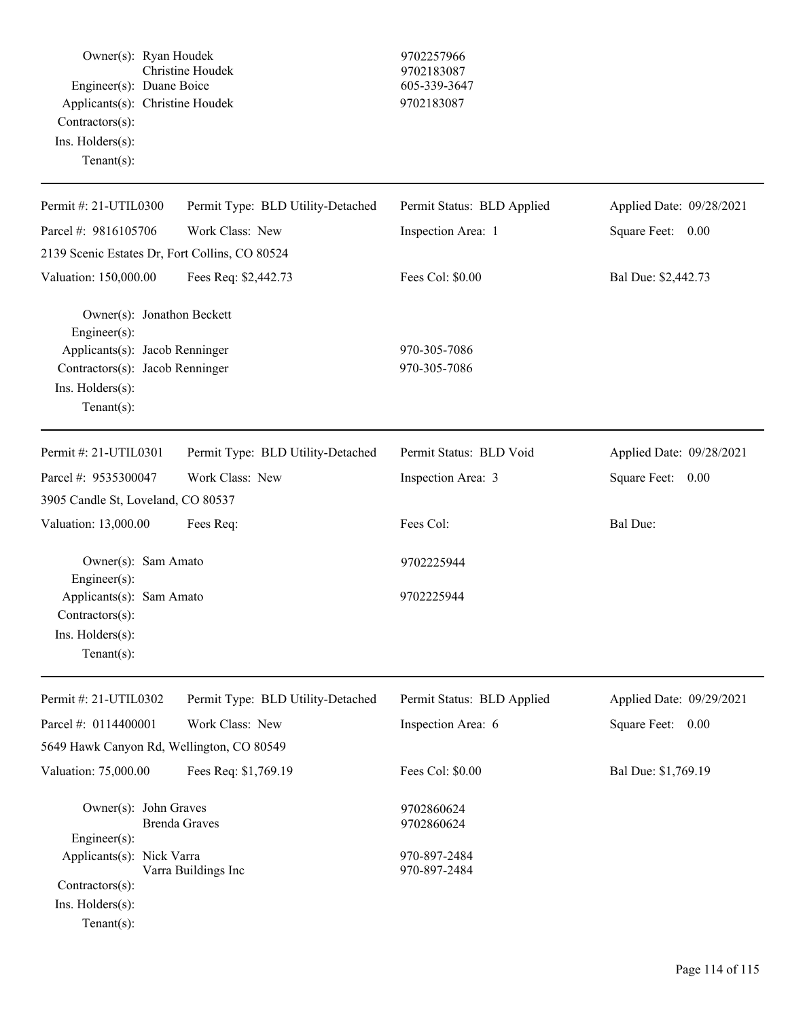Owner(s): Ryan Houdek 9702257966 Christine Houdek 9702183087 Engineer(s): Duane Boice 605-339-3647 Applicants(s): Christine Houdek 9702183087 Contractors(s): Ins. Holders(s): Tenant(s): Permit #: 21-UTIL0300 Parcel #: 9816105706 Permit Type: BLD Utility-Detached Work Class: New Permit Status: BLD Applied Inspection Area: 1 Applied Date: 09/28/2021 Square Feet: 0.00 2139 Scenic Estates Dr, Fort Collins, CO 80524 Valuation: 150,000.00 Fees Req: \$2,442.73 Fees Col: \$0.00 Bal Due: \$2,442.73 Owner(s): Jonathon Beckett Engineer(s): Applicants(s): Jacob Renninger 970-305-7086 Contractors(s): Jacob Renninger 970-305-7086 Ins. Holders(s): Tenant(s): Permit #: 21-UTIL0301 Parcel #: 9535300047 Permit Type: BLD Utility-Detached Work Class: New Permit Status: BLD Void Inspection Area: 3 Applied Date: 09/28/2021 Square Feet: 0.00 3905 Candle St, Loveland, CO 80537 Valuation: 13,000.00 Fees Req: Fees Col: Fees Col: Bal Due: Owner(s): Sam Amato 9702225944 Engineer(s): Applicants(s): Sam Amato 9702225944 Contractors(s): Ins. Holders(s): Tenant(s): Permit #: 21-UTIL0302 Parcel #: 0114400001 Permit Type: BLD Utility-Detached Work Class: New Permit Status: BLD Applied Inspection Area: 6 Applied Date: 09/29/2021 Square Feet: 0.00 5649 Hawk Canyon Rd, Wellington, CO 80549 Valuation: 75,000.00 Fees Req: \$1,769.19 Fees Col: \$0.00 Bal Due: \$1,769.19 Owner(s): John Graves 9702860624 Brenda Graves 9702860624 Engineer(s): Applicants(s): Nick Varra<br>
Varra Buildings Inc (1970-897-2484)<br>
970-897-2484 Varra Buildings Inc Contractors(s):

Ins. Holders(s):

Tenant(s):